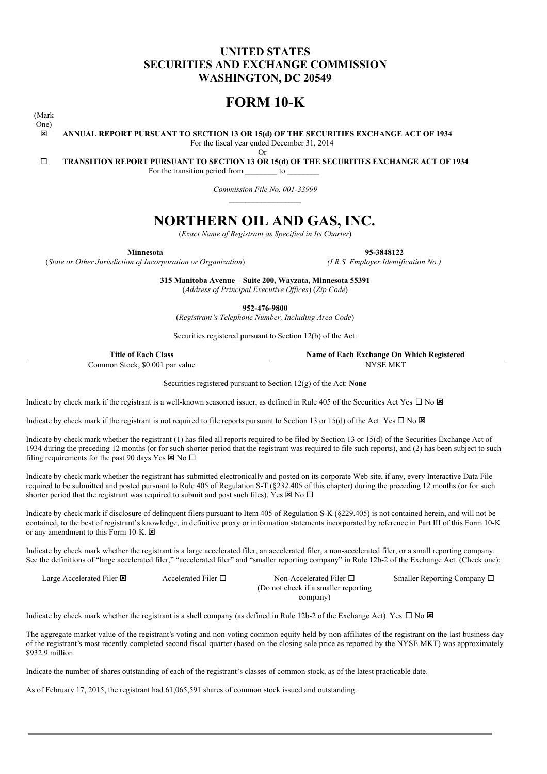# **UNITED STATES SECURITIES AND EXCHANGE COMMISSION WASHINGTON, DC 20549**

# **FORM 10-K**

(Mark One)

> ý **ANNUAL REPORT PURSUANT TO SECTION 13 OR 15(d) OF THE SECURITIES EXCHANGE ACT OF 1934** For the fiscal year ended December 31, 2014

> > Or

¨ **TRANSITION REPORT PURSUANT TO SECTION 13 OR 15(d) OF THE SECURITIES EXCHANGE ACT OF 1934**

For the transition period from to

*Commission File No. 001-33999*

# **NORTHERN OIL AND GAS, INC.**

(*Exact Name of Registrant as Specified in Its Charter*)

**Minnesota 95-3848122**

(*State or Other Jurisdiction of Incorporation or Organization*) *(I.R.S. Employer Identification No.)*

**315 Manitoba Avenue – Suite 200, Wayzata, Minnesota 55391** (*Address of Principal Executive Of ices*) (*Zip Code*)

**952-476-9800**

(*Registrant's Telephone Number, Including Area Code*)

Securities registered pursuant to Section 12(b) of the Act:

**Title of Each Class Name of Each Exchange On Which Registered**

Common Stock, \$0.001 par value NYSE MKT

Securities registered pursuant to Section 12(g) of the Act: **None**

Indicate by check mark if the registrant is a well-known seasoned issuer, as defined in Rule 405 of the Securities Act Yes  $\Box$  No  $\boxtimes$ 

Indicate by check mark if the registrant is not required to file reports pursuant to Section 13 or 15(d) of the Act. Yes  $\Box$  No  $\boxtimes$ 

Indicate by check mark whether the registrant (1) has filed all reports required to be filed by Section 13 or 15(d) of the Securities Exchange Act of 1934 during the preceding 12 months (or for such shorter period that the registrant was required to file such reports), and (2) has been subject to such filing requirements for the past 90 days. Yes  $\boxtimes$  No  $\Box$ 

Indicate by check mark whether the registrant has submitted electronically and posted on its corporate Web site, if any, every Interactive Data File required to be submitted and posted pursuant to Rule 405 of Regulation S-T (§232.405 of this chapter) during the preceding 12 months (or for such shorter period that the registrant was required to submit and post such files). Yes  $\boxtimes$  No  $\square$ 

Indicate by check mark if disclosure of delinquent filers pursuant to Item 405 of Regulation S-K (§229.405) is not contained herein, and will not be contained, to the best of registrant's knowledge, in definitive proxy or information statements incorporated by reference in Part III of this Form 10-K or any amendment to this Form 10-K.  $\boxtimes$ 

Indicate by check mark whether the registrant is a large accelerated filer, an accelerated filer, a non-accelerated filer, or a small reporting company. See the definitions of "large accelerated filer," "accelerated filer" and "smaller reporting company" in Rule 12b-2 of the Exchange Act. (Check one):

| Large Accelerated Filer $\boxtimes$ | Accelerated Filer $\square$ | Non-Accelerated Filer $\Box$          | Smaller Reporting Company $\Box$ |
|-------------------------------------|-----------------------------|---------------------------------------|----------------------------------|
|                                     |                             | (Do not check if a smaller reporting) |                                  |
|                                     |                             | company)                              |                                  |

Indicate by check mark whether the registrant is a shell company (as defined in Rule 12b-2 of the Exchange Act). Yes  $\Box$  No  $\boxtimes$ 

The aggregate market value of the registrant's voting and non-voting common equity held by non-affiliates of the registrant on the last business day of the registrant's most recently completed second fiscal quarter (based on the closing sale price as reported by the NYSE MKT) was approximately \$932.9 million.

Indicate the number of shares outstanding of each of the registrant's classes of common stock, as of the latest practicable date.

As of February 17, 2015, the registrant had 61,065,591 shares of common stock issued and outstanding.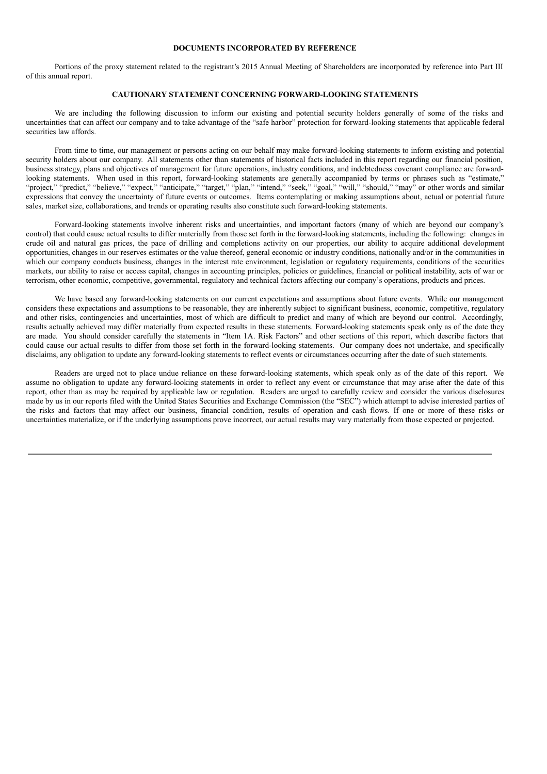# **DOCUMENTS INCORPORATED BY REFERENCE**

Portions of the proxy statement related to the registrant's 2015 Annual Meeting of Shareholders are incorporated by reference into Part III of this annual report.

# **CAUTIONARY STATEMENT CONCERNING FORWARD-LOOKING STATEMENTS**

We are including the following discussion to inform our existing and potential security holders generally of some of the risks and uncertainties that can affect our company and to take advantage of the "safe harbor" protection for forward-looking statements that applicable federal securities law affords.

From time to time, our management or persons acting on our behalf may make forward-looking statements to inform existing and potential security holders about our company. All statements other than statements of historical facts included in this report regarding our financial position, business strategy, plans and objectives of management for future operations, industry conditions, and indebtedness covenant compliance are forwardlooking statements. When used in this report, forward-looking statements are generally accompanied by terms or phrases such as "estimate," "project," "predict," "believe," "expect," "anticipate," "target," "plan," "intend," "seek," "goal," "will," "should," "may" or other words and similar expressions that convey the uncertainty of future events or outcomes. Items contemplating or making assumptions about, actual or potential future sales, market size, collaborations, and trends or operating results also constitute such forward-looking statements.

Forward-looking statements involve inherent risks and uncertainties, and important factors (many of which are beyond our company's control) that could cause actual results to differ materially from those set forth in the forward-looking statements, including the following: changes in crude oil and natural gas prices, the pace of drilling and completions activity on our properties, our ability to acquire additional development opportunities, changes in our reserves estimates or the value thereof, general economic or industry conditions, nationally and/or in the communities in which our company conducts business, changes in the interest rate environment, legislation or regulatory requirements, conditions of the securities markets, our ability to raise or access capital, changes in accounting principles, policies or guidelines, financial or political instability, acts of war or terrorism, other economic, competitive, governmental, regulatory and technical factors affecting our company's operations, products and prices.

We have based any forward-looking statements on our current expectations and assumptions about future events. While our management considers these expectations and assumptions to be reasonable, they are inherently subject to significant business, economic, competitive, regulatory and other risks, contingencies and uncertainties, most of which are difficult to predict and many of which are beyond our control. Accordingly, results actually achieved may differ materially from expected results in these statements. Forward-looking statements speak only as of the date they are made. You should consider carefully the statements in "Item 1A. Risk Factors" and other sections of this report, which describe factors that could cause our actual results to differ from those set forth in the forward-looking statements. Our company does not undertake, and specifically disclaims, any obligation to update any forward-looking statements to reflect events or circumstances occurring after the date of such statements.

Readers are urged not to place undue reliance on these forward-looking statements, which speak only as of the date of this report. We assume no obligation to update any forward-looking statements in order to reflect any event or circumstance that may arise after the date of this report, other than as may be required by applicable law or regulation. Readers are urged to carefully review and consider the various disclosures made by us in our reports filed with the United States Securities and Exchange Commission (the "SEC") which attempt to advise interested parties of the risks and factors that may affect our business, financial condition, results of operation and cash flows. If one or more of these risks or uncertainties materialize, or if the underlying assumptions prove incorrect, our actual results may vary materially from those expected or projected.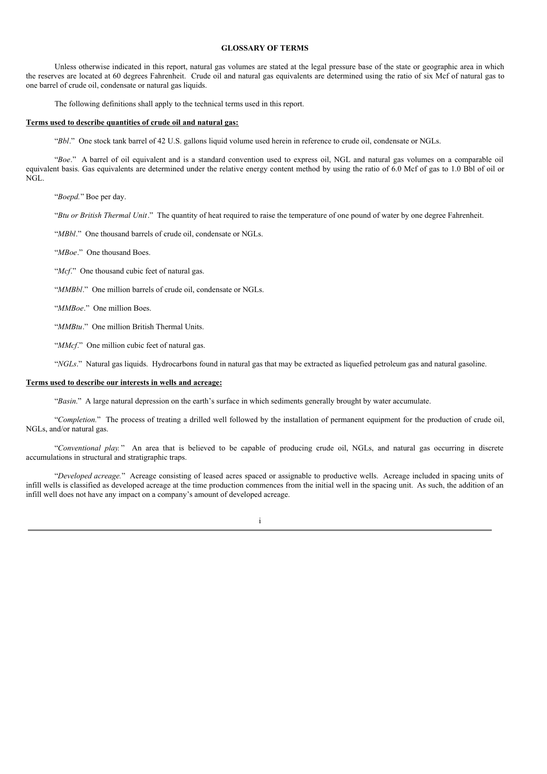# **GLOSSARY OF TERMS**

Unless otherwise indicated in this report, natural gas volumes are stated at the legal pressure base of the state or geographic area in which the reserves are located at 60 degrees Fahrenheit. Crude oil and natural gas equivalents are determined using the ratio of six Mcf of natural gas to one barrel of crude oil, condensate or natural gas liquids.

The following definitions shall apply to the technical terms used in this report.

#### **Terms used to describe quantities of crude oil and natural gas:**

"*Bbl*." One stock tank barrel of 42 U.S. gallons liquid volume used herein in reference to crude oil, condensate or NGLs.

"*Boe*." A barrel of oil equivalent and is a standard convention used to express oil, NGL and natural gas volumes on a comparable oil equivalent basis. Gas equivalents are determined under the relative energy content method by using the ratio of 6.0 Mcf of gas to 1.0 Bbl of oil or NGL.

"*Boepd.*" Boe per day.

"*Btu or British Thermal Unit*." The quantity of heat required to raise the temperature of one pound of water by one degree Fahrenheit.

"*MBbl*." One thousand barrels of crude oil, condensate or NGLs.

"*MBoe*." One thousand Boes.

"*Mcf*." One thousand cubic feet of natural gas.

"*MMBbl*." One million barrels of crude oil, condensate or NGLs.

"*MMBoe*." One million Boes.

"*MMBtu*." One million British Thermal Units.

"*MMcf*." One million cubic feet of natural gas.

"*NGLs*." Natural gas liquids. Hydrocarbons found in natural gas that may be extracted as liquefied petroleum gas and natural gasoline.

#### **Terms used to describe our interests in wells and acreage:**

"*Basin*." A large natural depression on the earth's surface in which sediments generally brought by water accumulate.

"*Completion.*" The process of treating a drilled well followed by the installation of permanent equipment for the production of crude oil, NGLs, and/or natural gas.

"*Conventional play.* " An area that is believed to be capable of producing crude oil, NGLs, and natural gas occurring in discrete accumulations in structural and stratigraphic traps.

"*Developed acreage.*" Acreage consisting of leased acres spaced or assignable to productive wells. Acreage included in spacing units of infill wells is classified as developed acreage at the time production commences from the initial well in the spacing unit. As such, the addition of an infill well does not have any impact on a company's amount of developed acreage.

i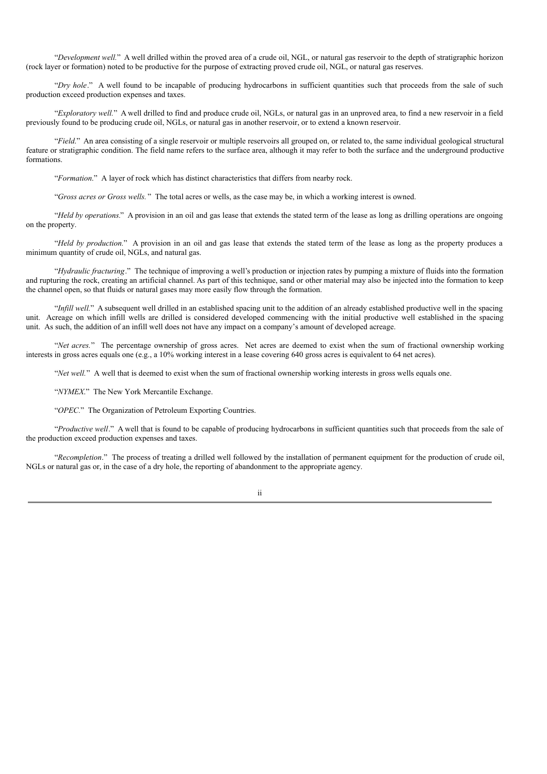"*Development well.*" A well drilled within the proved area of a crude oil, NGL, or natural gas reservoir to the depth of stratigraphic horizon (rock layer or formation) noted to be productive for the purpose of extracting proved crude oil, NGL, or natural gas reserves.

"*Dry hole*." A well found to be incapable of producing hydrocarbons in sufficient quantities such that proceeds from the sale of such production exceed production expenses and taxes.

"*Exploratory well.*" A well drilled to find and produce crude oil, NGLs, or natural gas in an unproved area, to find a new reservoir in a field previously found to be producing crude oil, NGLs, or natural gas in another reservoir, or to extend a known reservoir.

"*Field*." An area consisting of a single reservoir or multiple reservoirs all grouped on, or related to, the same individual geological structural feature or stratigraphic condition. The field name refers to the surface area, although it may refer to both the surface and the underground productive formations.

"*Formation*." A layer of rock which has distinct characteristics that differs from nearby rock.

"*Gross acres or Gross wells.* " The total acres or wells, as the case may be, in which a working interest is owned.

"*Held by operations.*" A provision in an oil and gas lease that extends the stated term of the lease as long as drilling operations are ongoing on the property.

"*Held by production.*" A provision in an oil and gas lease that extends the stated term of the lease as long as the property produces a minimum quantity of crude oil, NGLs, and natural gas.

"*Hydraulic fracturing*." The technique of improving a well's production or injection rates by pumping a mixture of fluids into the formation and rupturing the rock, creating an artificial channel. As part of this technique, sand or other material may also be injected into the formation to keep the channel open, so that fluids or natural gases may more easily flow through the formation.

"*Infill well.*" A subsequent well drilled in an established spacing unit to the addition of an already established productive well in the spacing unit. Acreage on which infill wells are drilled is considered developed commencing with the initial productive well established in the spacing unit. As such, the addition of an infill well does not have any impact on a company's amount of developed acreage.

"*Net acres.*" The percentage ownership of gross acres. Net acres are deemed to exist when the sum of fractional ownership working interests in gross acres equals one (e.g., a 10% working interest in a lease covering 640 gross acres is equivalent to 64 net acres).

"*Net well.*" A well that is deemed to exist when the sum of fractional ownership working interests in gross wells equals one.

"*NYMEX*." The New York Mercantile Exchange.

"*OPEC.*" The Organization of Petroleum Exporting Countries.

"*Productive well*." A well that is found to be capable of producing hydrocarbons in sufficient quantities such that proceeds from the sale of the production exceed production expenses and taxes.

"*Recompletion*." The process of treating a drilled well followed by the installation of permanent equipment for the production of crude oil, NGLs or natural gas or, in the case of a dry hole, the reporting of abandonment to the appropriate agency.

ii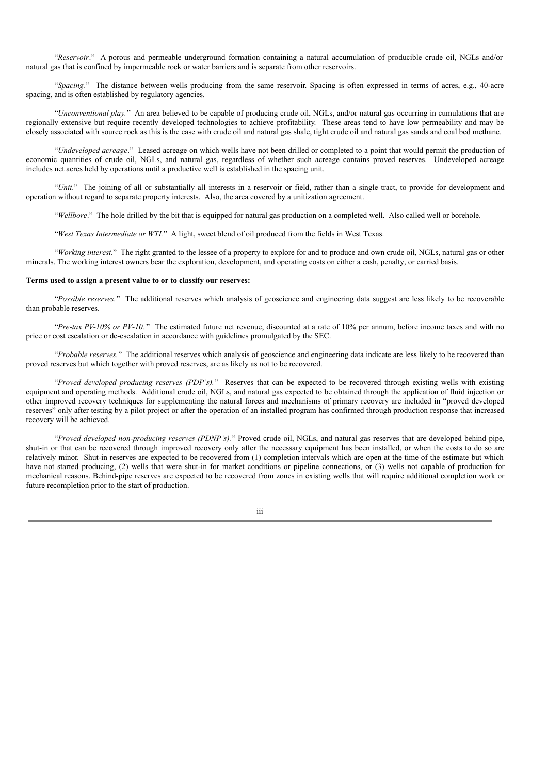"*Reservoir*." A porous and permeable underground formation containing a natural accumulation of producible crude oil, NGLs and/or natural gas that is confined by impermeable rock or water barriers and is separate from other reservoirs.

"*Spacing*." The distance between wells producing from the same reservoir. Spacing is often expressed in terms of acres, e.g., 40-acre spacing, and is often established by regulatory agencies.

"*Unconventional play.*" An area believed to be capable of producing crude oil, NGLs, and/or natural gas occurring in cumulations that are regionally extensive but require recently developed technologies to achieve profitability. These areas tend to have low permeability and may be closely associated with source rock as this is the case with crude oil and natural gas shale, tight crude oil and natural gas sands and coal bed methane.

"*Undeveloped acreage*." Leased acreage on which wells have not been drilled or completed to a point that would permit the production of economic quantities of crude oil, NGLs, and natural gas, regardless of whether such acreage contains proved reserves. Undeveloped acreage includes net acres held by operations until a productive well is established in the spacing unit.

"*Unit*." The joining of all or substantially all interests in a reservoir or field, rather than a single tract, to provide for development and operation without regard to separate property interests. Also, the area covered by a unitization agreement.

"*Wellbore*." The hole drilled by the bit that is equipped for natural gas production on a completed well. Also called well or borehole.

"*West Texas Intermediate or WTI.*" A light, sweet blend of oil produced from the fields in West Texas.

"*Working interest*." The right granted to the lessee of a property to explore for and to produce and own crude oil, NGLs, natural gas or other minerals. The working interest owners bear the exploration, development, and operating costs on either a cash, penalty, or carried basis.

#### **Terms used to assign a present value to or to classify our reserves:**

"*Possible reserves.*" The additional reserves which analysis of geoscience and engineering data suggest are less likely to be recoverable than probable reserves.

"*Pre-tax PV-10% or PV-10.* " The estimated future net revenue, discounted at a rate of 10% per annum, before income taxes and with no price or cost escalation or de-escalation in accordance with guidelines promulgated by the SEC.

"*Probable reserves.*" The additional reserves which analysis of geoscience and engineering data indicate are less likely to be recovered than proved reserves but which together with proved reserves, are as likely as not to be recovered.

"*Proved developed producing reserves (PDP's).*" Reserves that can be expected to be recovered through existing wells with existing equipment and operating methods. Additional crude oil, NGLs, and natural gas expected to be obtained through the application of fluid injection or other improved recovery techniques for supplementing the natural forces and mechanisms of primary recovery are included in "proved developed reserves" only after testing by a pilot project or after the operation of an installed program has confirmed through production response that increased recovery will be achieved.

"*Proved developed non-producing reserves (PDNP's).*" Proved crude oil, NGLs, and natural gas reserves that are developed behind pipe, shut-in or that can be recovered through improved recovery only after the necessary equipment has been installed, or when the costs to do so are relatively minor. Shut-in reserves are expected to be recovered from (1) completion intervals which are open at the time of the estimate but which have not started producing, (2) wells that were shut-in for market conditions or pipeline connections, or (3) wells not capable of production for mechanical reasons. Behind-pipe reserves are expected to be recovered from zones in existing wells that will require additional completion work or future recompletion prior to the start of production.

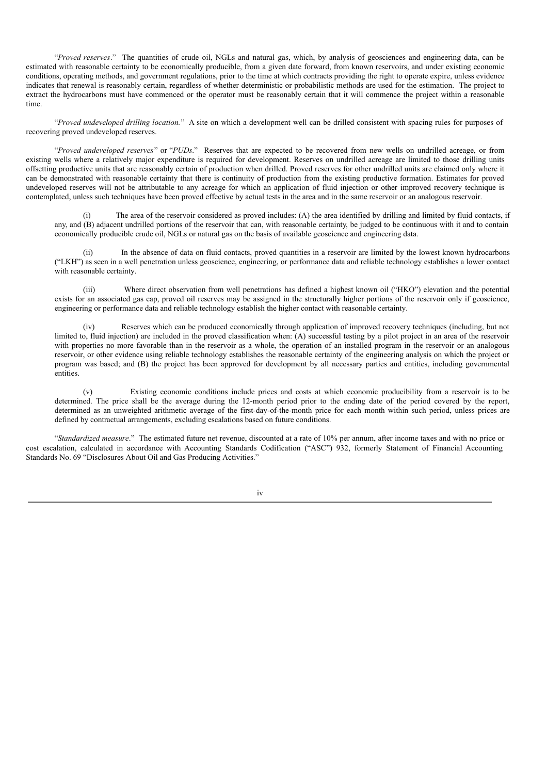"*Proved reserves*." The quantities of crude oil, NGLs and natural gas, which, by analysis of geosciences and engineering data, can be estimated with reasonable certainty to be economically producible, from a given date forward, from known reservoirs, and under existing economic conditions, operating methods, and government regulations, prior to the time at which contracts providing the right to operate expire, unless evidence indicates that renewal is reasonably certain, regardless of whether deterministic or probabilistic methods are used for the estimation. The project to extract the hydrocarbons must have commenced or the operator must be reasonably certain that it will commence the project within a reasonable time.

"*Proved undeveloped drilling location.*" A site on which a development well can be drilled consistent with spacing rules for purposes of recovering proved undeveloped reserves.

"*Proved undeveloped reserves*" or "*PUDs*." Reserves that are expected to be recovered from new wells on undrilled acreage, or from existing wells where a relatively major expenditure is required for development. Reserves on undrilled acreage are limited to those drilling units offsetting productive units that are reasonably certain of production when drilled. Proved reserves for other undrilled units are claimed only where it can be demonstrated with reasonable certainty that there is continuity of production from the existing productive formation. Estimates for proved undeveloped reserves will not be attributable to any acreage for which an application of fluid injection or other improved recovery technique is contemplated, unless such techniques have been proved effective by actual tests in the area and in the same reservoir or an analogous reservoir.

(i) The area of the reservoir considered as proved includes: (A) the area identified by drilling and limited by fluid contacts, if any, and (B) adjacent undrilled portions of the reservoir that can, with reasonable certainty, be judged to be continuous with it and to contain economically producible crude oil, NGLs or natural gas on the basis of available geoscience and engineering data.

In the absence of data on fluid contacts, proved quantities in a reservoir are limited by the lowest known hydrocarbons ("LKH") as seen in a well penetration unless geoscience, engineering, or performance data and reliable technology establishes a lower contact with reasonable certainty.

(iii) Where direct observation from well penetrations has defined a highest known oil ("HKO") elevation and the potential exists for an associated gas cap, proved oil reserves may be assigned in the structurally higher portions of the reservoir only if geoscience, engineering or performance data and reliable technology establish the higher contact with reasonable certainty.

(iv) Reserves which can be produced economically through application of improved recovery techniques (including, but not limited to, fluid injection) are included in the proved classification when: (A) successful testing by a pilot project in an area of the reservoir with properties no more favorable than in the reservoir as a whole, the operation of an installed program in the reservoir or an analogous reservoir, or other evidence using reliable technology establishes the reasonable certainty of the engineering analysis on which the project or program was based; and (B) the project has been approved for development by all necessary parties and entities, including governmental entities.

(v) Existing economic conditions include prices and costs at which economic producibility from a reservoir is to be determined. The price shall be the average during the 12-month period prior to the ending date of the period covered by the report, determined as an unweighted arithmetic average of the first-day-of-the-month price for each month within such period, unless prices are defined by contractual arrangements, excluding escalations based on future conditions.

"*Standardized measure*." The estimated future net revenue, discounted at a rate of 10% per annum, after income taxes and with no price or cost escalation, calculated in accordance with Accounting Standards Codification ("ASC") 932, formerly Statement of Financial Accounting Standards No. 69 "Disclosures About Oil and Gas Producing Activities."

iv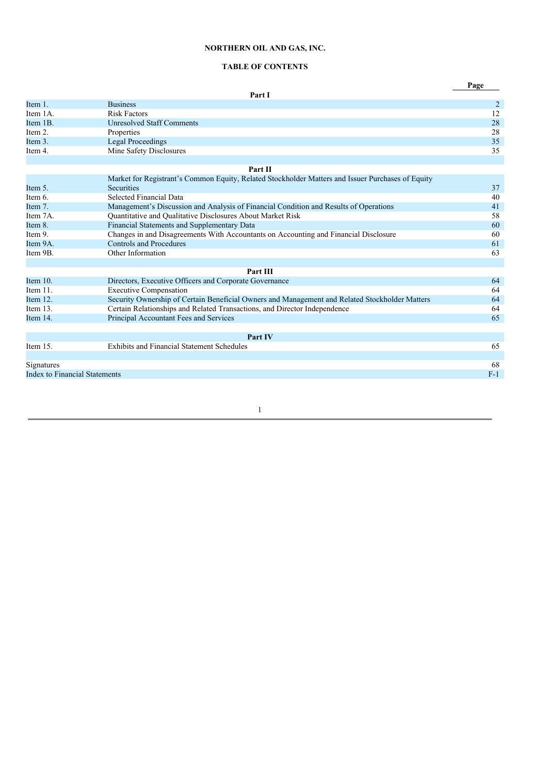# **NORTHERN OIL AND GAS, INC.**

# **TABLE OF CONTENTS**

|                                      |                                                                                                   | Page           |
|--------------------------------------|---------------------------------------------------------------------------------------------------|----------------|
|                                      | Part I                                                                                            |                |
| Item 1.                              | <b>Business</b>                                                                                   | $\overline{2}$ |
| Item 1A.                             | <b>Risk Factors</b>                                                                               | 12             |
| Item 1B.                             | <b>Unresolved Staff Comments</b>                                                                  | 28             |
| Item 2.                              | Properties                                                                                        | 28             |
| Item 3.                              | <b>Legal Proceedings</b>                                                                          | 35             |
| Item 4.                              | Mine Safety Disclosures                                                                           | 35             |
|                                      | Part II                                                                                           |                |
|                                      | Market for Registrant's Common Equity, Related Stockholder Matters and Issuer Purchases of Equity |                |
| Item 5.                              | <b>Securities</b>                                                                                 | 37             |
| Item 6.                              | <b>Selected Financial Data</b>                                                                    | 40             |
| Item 7.                              | Management's Discussion and Analysis of Financial Condition and Results of Operations             | 41             |
| Item 7A.                             | <b>Ouantitative and Oualitative Disclosures About Market Risk</b>                                 | 58             |
| Item 8.                              | Financial Statements and Supplementary Data                                                       | 60             |
| Item 9.                              | Changes in and Disagreements With Accountants on Accounting and Financial Disclosure              | 60             |
| Item 9A.                             | <b>Controls and Procedures</b>                                                                    | 61             |
| Item 9B.                             | Other Information                                                                                 | 63             |
|                                      | Part III                                                                                          |                |
| Item $10$ .                          | Directors, Executive Officers and Corporate Governance                                            | 64             |
| Item 11.                             | <b>Executive Compensation</b>                                                                     | 64             |
| Item $12$ .                          | Security Ownership of Certain Beneficial Owners and Management and Related Stockholder Matters    | 64             |
| Item $13$ .                          | Certain Relationships and Related Transactions, and Director Independence                         | 64             |
| Item 14.                             | Principal Accountant Fees and Services                                                            | 65             |
|                                      |                                                                                                   |                |
|                                      | Part IV                                                                                           |                |
| Item 15.                             | <b>Exhibits and Financial Statement Schedules</b>                                                 | 65             |
| Signatures                           |                                                                                                   | 68             |
| <b>Index to Financial Statements</b> |                                                                                                   | $F-1$          |
|                                      |                                                                                                   |                |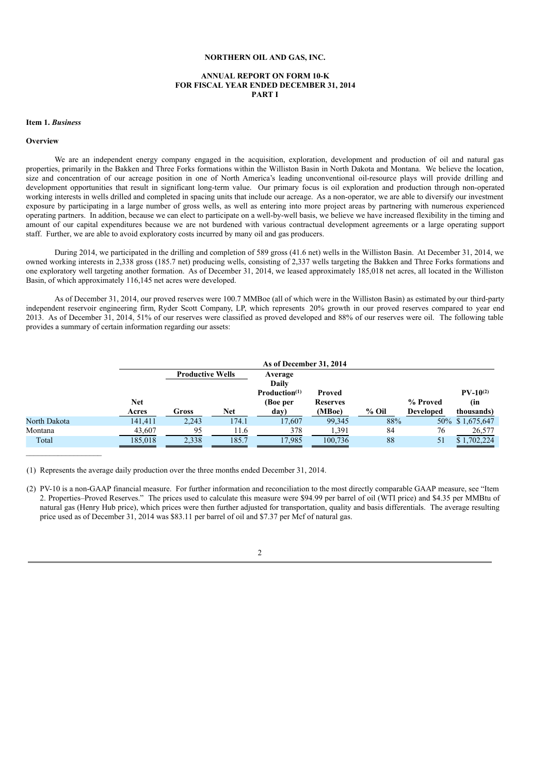# **NORTHERN OIL AND GAS, INC.**

# **ANNUAL REPORT ON FORM 10-K FOR FISCAL YEAR ENDED DECEMBER 31, 2014 PART I**

# **Item 1.** *Business*

#### **Overview**

We are an independent energy company engaged in the acquisition, exploration, development and production of oil and natural gas properties, primarily in the Bakken and Three Forks formations within the Williston Basin in North Dakota and Montana. We believe the location, size and concentration of our acreage position in one of North America's leading unconventional oil-resource plays will provide drilling and development opportunities that result in significant long-term value. Our primary focus is oil exploration and production through non-operated working interests in wells drilled and completed in spacing units that include our acreage. As a non-operator, we are able to diversify our investment exposure by participating in a large number of gross wells, as well as entering into more project areas by partnering with numerous experienced operating partners. In addition, because we can elect to participate on a well-by-well basis, we believe we have increased flexibility in the timing and amount of our capital expenditures because we are not burdened with various contractual development agreements or a large operating support staff. Further, we are able to avoid exploratory costs incurred by many oil and gas producers.

During 2014, we participated in the drilling and completion of 589 gross (41.6 net) wells in the Williston Basin. At December 31, 2014, we owned working interests in 2,338 gross (185.7 net) producing wells, consisting of 2,337 wells targeting the Bakken and Three Forks formations and one exploratory well targeting another formation. As of December 31, 2014, we leased approximately 185,018 net acres, all located in the Williston Basin, of which approximately 116,145 net acres were developed.

As of December 31, 2014, our proved reserves were 100.7 MMBoe (all of which were in the Williston Basin) as estimated byour third-party independent reservoir engineering firm, Ryder Scott Company, LP, which represents 20% growth in our proved reserves compared to year end 2013. As of December 31, 2014, 51% of our reserves were classified as proved developed and 88% of our reserves were oil. The following table provides a summary of certain information regarding our assets:

|              | As of December 31, 2014 |                         |            |                                       |                           |       |                  |                      |
|--------------|-------------------------|-------------------------|------------|---------------------------------------|---------------------------|-------|------------------|----------------------|
|              |                         | <b>Productive Wells</b> |            | Average<br>Daily                      |                           |       |                  |                      |
|              | <b>Net</b>              |                         |            | Production <sup>(1)</sup><br>(Boe per | Proved<br><b>Reserves</b> |       | % Proved         | $PV-10^{(2)}$<br>(in |
|              | Acres                   | <b>Gross</b>            | <b>Net</b> | day)                                  | (MBoe)                    | % Oil | <b>Developed</b> | thousands)           |
| North Dakota | 141,411                 | 2,243                   | 174.1      | 17,607                                | 99,345                    | 88%   |                  | 50% \$1,675,647      |
| Montana      | 43,607                  | 95                      | 11.6       | 378                                   | 1,391                     | 84    | 76               | 26,577               |
| Total        | 185,018                 | 2,338                   | 185.7      | 17,985                                | 100.736                   | 88    | 51               | \$1,702,224          |
|              |                         |                         |            |                                       |                           |       |                  |                      |

(1) Represents the average daily production over the three months ended December 31, 2014.

(2) PV-10 is a non-GAAP financial measure. For further information and reconciliation to the most directly comparable GAAP measure, see "Item 2. Properties–Proved Reserves." The prices used to calculate this measure were \$94.99 per barrel of oil (WTI price) and \$4.35 per MMBtu of natural gas (Henry Hub price), which prices were then further adjusted for transportation, quality and basis differentials. The average resulting price used as of December 31, 2014 was \$83.11 per barrel of oil and \$7.37 per Mcf of natural gas.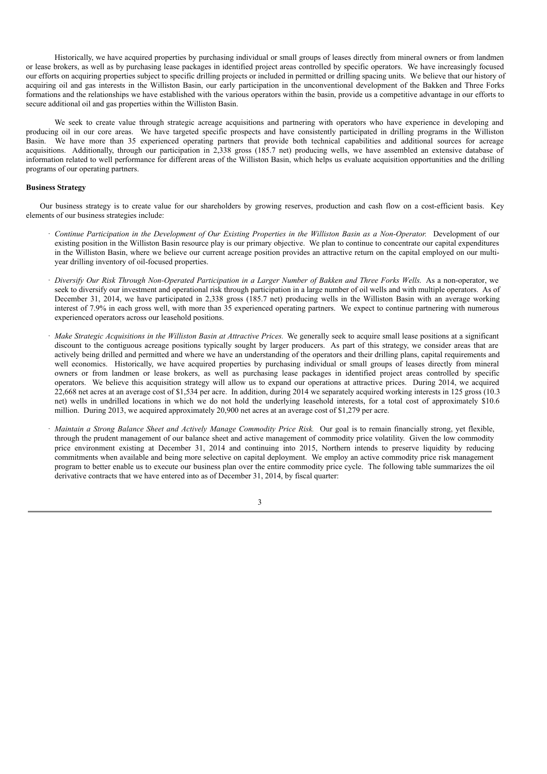Historically, we have acquired properties by purchasing individual or small groups of leases directly from mineral owners or from landmen or lease brokers, as well as by purchasing lease packages in identified project areas controlled by specific operators. We have increasingly focused our efforts on acquiring properties subject to specific drilling projects or included in permitted or drilling spacing units. We believe that our history of acquiring oil and gas interests in the Williston Basin, our early participation in the unconventional development of the Bakken and Three Forks formations and the relationships we have established with the various operators within the basin, provide us a competitive advantage in our efforts to secure additional oil and gas properties within the Williston Basin.

We seek to create value through strategic acreage acquisitions and partnering with operators who have experience in developing and producing oil in our core areas. We have targeted specific prospects and have consistently participated in drilling programs in the Williston Basin. We have more than 35 experienced operating partners that provide both technical capabilities and additional sources for acreage acquisitions. Additionally, through our participation in 2,338 gross (185.7 net) producing wells, we have assembled an extensive database of information related to well performance for different areas of the Williston Basin, which helps us evaluate acquisition opportunities and the drilling programs of our operating partners.

# **Business Strategy**

Our business strategy is to create value for our shareholders by growing reserves, production and cash flow on a cost-efficient basis. Key elements of our business strategies include:

- · Continue Participation in the Development of Our Existing Properties in the Williston Basin as a Non-Operator. Development of our existing position in the Williston Basin resource play is our primary objective. We plan to continue to concentrate our capital expenditures in the Williston Basin, where we believe our current acreage position provides an attractive return on the capital employed on our multiyear drilling inventory of oil-focused properties.
- · Diversify Our Risk Through Non-Operated Participation in a Larger Number of Bakken and Three Forks Wells. As a non-operator, we seek to diversify our investment and operational risk through participation in a large number of oil wells and with multiple operators. As of December 31, 2014, we have participated in 2,338 gross (185.7 net) producing wells in the Williston Basin with an average working interest of 7.9% in each gross well, with more than 35 experienced operating partners. We expect to continue partnering with numerous experienced operators across our leasehold positions.
- · *Make Strategic Acquisitions in the Williston Basin at Attractive Prices.* We generally seek to acquire small lease positions at a significant discount to the contiguous acreage positions typically sought by larger producers. As part of this strategy, we consider areas that are actively being drilled and permitted and where we have an understanding of the operators and their drilling plans, capital requirements and well economics. Historically, we have acquired properties by purchasing individual or small groups of leases directly from mineral owners or from landmen or lease brokers, as well as purchasing lease packages in identified project areas controlled by specific operators. We believe this acquisition strategy will allow us to expand our operations at attractive prices. During 2014, we acquired 22,668 net acres at an average cost of \$1,534 per acre. In addition, during 2014 we separately acquired working interests in 125 gross (10.3 net) wells in undrilled locations in which we do not hold the underlying leasehold interests, for a total cost of approximately \$10.6 million. During 2013, we acquired approximately 20,900 net acres at an average cost of \$1,279 per acre.
- · *Maintain a Strong Balance Sheet and Actively Manage Commodity Price Risk.* Our goal is to remain financially strong, yet flexible, through the prudent management of our balance sheet and active management of commodity price volatility. Given the low commodity price environment existing at December 31, 2014 and continuing into 2015, Northern intends to preserve liquidity by reducing commitments when available and being more selective on capital deployment. We employ an active commodity price risk management program to better enable us to execute our business plan over the entire commodity price cycle. The following table summarizes the oil derivative contracts that we have entered into as of December 31, 2014, by fiscal quarter: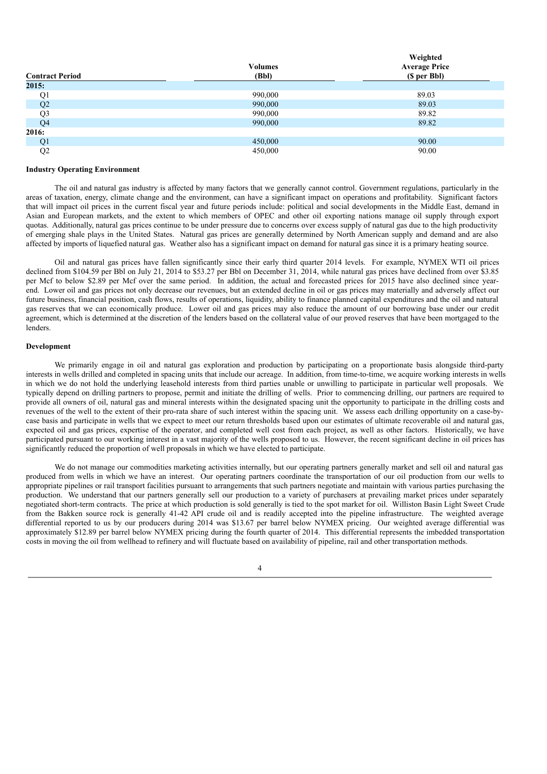| <b>Contract Period</b> | <b>Volumes</b><br>(Bbl) | weignted<br><b>Average Price</b><br>(\$ per Bbl) |
|------------------------|-------------------------|--------------------------------------------------|
| 2015:                  |                         |                                                  |
| Q1                     | 990,000                 | 89.03                                            |
| Q2                     | 990,000                 | 89.03                                            |
| Q <sub>3</sub>         | 990,000                 | 89.82                                            |
| Q4                     | 990,000                 | 89.82                                            |
| 2016:                  |                         |                                                  |
| Q <sub>1</sub>         | 450,000                 | 90.00                                            |
| Q <sub>2</sub>         | 450,000                 | 90.00                                            |
|                        |                         |                                                  |

**Weighted**

#### **Industry Operating Environment**

The oil and natural gas industry is affected by many factors that we generally cannot control. Government regulations, particularly in the areas of taxation, energy, climate change and the environment, can have a significant impact on operations and profitability. Significant factors that will impact oil prices in the current fiscal year and future periods include: political and social developments in the Middle East, demand in Asian and European markets, and the extent to which members of OPEC and other oil exporting nations manage oil supply through export quotas. Additionally, natural gas prices continue to be under pressure due to concerns over excess supply of natural gas due to the high productivity of emerging shale plays in the United States. Natural gas prices are generally determined by North American supply and demand and are also affected by imports of liquefied natural gas. Weather also has a significant impact on demand for natural gas since it is a primary heating source.

Oil and natural gas prices have fallen significantly since their early third quarter 2014 levels. For example, NYMEX WTI oil prices declined from \$104.59 per Bbl on July 21, 2014 to \$53.27 per Bbl on December 31, 2014, while natural gas prices have declined from over \$3.85 per Mcf to below \$2.89 per Mcf over the same period. In addition, the actual and forecasted prices for 2015 have also declined since yearend. Lower oil and gas prices not only decrease our revenues, but an extended decline in oil or gas prices may materially and adversely affect our future business, financial position, cash flows, results of operations, liquidity, ability to finance planned capital expenditures and the oil and natural gas reserves that we can economically produce. Lower oil and gas prices may also reduce the amount of our borrowing base under our credit agreement, which is determined at the discretion of the lenders based on the collateral value of our proved reserves that have been mortgaged to the lenders.

# **Development**

We primarily engage in oil and natural gas exploration and production by participating on a proportionate basis alongside third-party interests in wells drilled and completed in spacing units that include our acreage. In addition, from time-to-time, we acquire working interests in wells in which we do not hold the underlying leasehold interests from third parties unable or unwilling to participate in particular well proposals. We typically depend on drilling partners to propose, permit and initiate the drilling of wells. Prior to commencing drilling, our partners are required to provide all owners of oil, natural gas and mineral interests within the designated spacing unit the opportunity to participate in the drilling costs and revenues of the well to the extent of their pro-rata share of such interest within the spacing unit. We assess each drilling opportunity on a case-bycase basis and participate in wells that we expect to meet our return thresholds based upon our estimates of ultimate recoverable oil and natural gas, expected oil and gas prices, expertise of the operator, and completed well cost from each project, as well as other factors. Historically, we have participated pursuant to our working interest in a vast majority of the wells proposed to us. However, the recent significant decline in oil prices has significantly reduced the proportion of well proposals in which we have elected to participate.

We do not manage our commodities marketing activities internally, but our operating partners generally market and sell oil and natural gas produced from wells in which we have an interest. Our operating partners coordinate the transportation of our oil production from our wells to appropriate pipelines or rail transport facilities pursuant to arrangements that such partners negotiate and maintain with various parties purchasing the production. We understand that our partners generally sell our production to a variety of purchasers at prevailing market prices under separately negotiated short-term contracts. The price at which production is sold generally is tied to the spot market for oil. Williston Basin Light Sweet Crude from the Bakken source rock is generally 41-42 API crude oil and is readily accepted into the pipeline infrastructure. The weighted average differential reported to us by our producers during 2014 was \$13.67 per barrel below NYMEX pricing. Our weighted average differential was approximately \$12.89 per barrel below NYMEX pricing during the fourth quarter of 2014. This differential represents the imbedded transportation costs in moving the oil from wellhead to refinery and will fluctuate based on availability of pipeline, rail and other transportation methods.

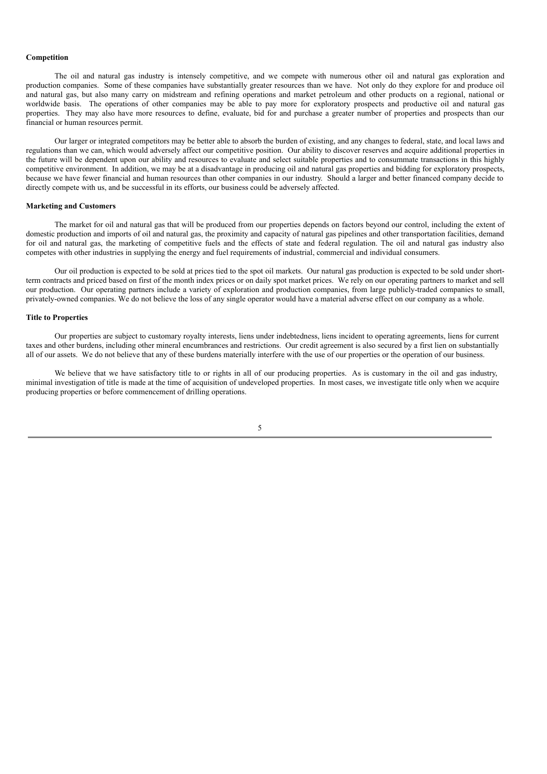#### **Competition**

The oil and natural gas industry is intensely competitive, and we compete with numerous other oil and natural gas exploration and production companies. Some of these companies have substantially greater resources than we have. Not only do they explore for and produce oil and natural gas, but also many carry on midstream and refining operations and market petroleum and other products on a regional, national or worldwide basis. The operations of other companies may be able to pay more for exploratory prospects and productive oil and natural gas properties. They may also have more resources to define, evaluate, bid for and purchase a greater number of properties and prospects than our financial or human resources permit.

Our larger or integrated competitors may be better able to absorb the burden of existing, and any changes to federal, state, and local laws and regulations than we can, which would adversely affect our competitive position. Our ability to discover reserves and acquire additional properties in the future will be dependent upon our ability and resources to evaluate and select suitable properties and to consummate transactions in this highly competitive environment. In addition, we may be at a disadvantage in producing oil and natural gas properties and bidding for exploratory prospects, because we have fewer financial and human resources than other companies in our industry. Should a larger and better financed company decide to directly compete with us, and be successful in its efforts, our business could be adversely affected.

#### **Marketing and Customers**

The market for oil and natural gas that will be produced from our properties depends on factors beyond our control, including the extent of domestic production and imports of oil and natural gas, the proximity and capacity of natural gas pipelines and other transportation facilities, demand for oil and natural gas, the marketing of competitive fuels and the effects of state and federal regulation. The oil and natural gas industry also competes with other industries in supplying the energy and fuel requirements of industrial, commercial and individual consumers.

Our oil production is expected to be sold at prices tied to the spot oil markets. Our natural gas production is expected to be sold under shortterm contracts and priced based on first of the month index prices or on daily spot market prices. We rely on our operating partners to market and sell our production. Our operating partners include a variety of exploration and production companies, from large publicly-traded companies to small, privately-owned companies. We do not believe the loss of any single operator would have a material adverse effect on our company as a whole.

#### **Title to Properties**

Our properties are subject to customary royalty interests, liens under indebtedness, liens incident to operating agreements, liens for current taxes and other burdens, including other mineral encumbrances and restrictions. Our credit agreement is also secured by a first lien on substantially all of our assets. We do not believe that any of these burdens materially interfere with the use of our properties or the operation of our business.

We believe that we have satisfactory title to or rights in all of our producing properties. As is customary in the oil and gas industry, minimal investigation of title is made at the time of acquisition of undeveloped properties. In most cases, we investigate title only when we acquire producing properties or before commencement of drilling operations.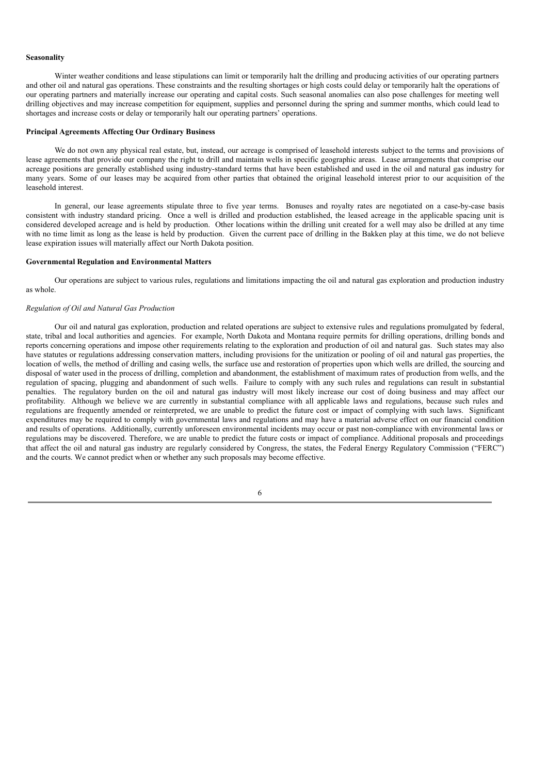#### **Seasonality**

Winter weather conditions and lease stipulations can limit or temporarily halt the drilling and producing activities of our operating partners and other oil and natural gas operations. These constraints and the resulting shortages or high costs could delay or temporarily halt the operations of our operating partners and materially increase our operating and capital costs. Such seasonal anomalies can also pose challenges for meeting well drilling objectives and may increase competition for equipment, supplies and personnel during the spring and summer months, which could lead to shortages and increase costs or delay or temporarily halt our operating partners' operations.

## **Principal Agreements Affecting Our Ordinary Business**

We do not own any physical real estate, but, instead, our acreage is comprised of leasehold interests subject to the terms and provisions of lease agreements that provide our company the right to drill and maintain wells in specific geographic areas. Lease arrangements that comprise our acreage positions are generally established using industry-standard terms that have been established and used in the oil and natural gas industry for many years. Some of our leases may be acquired from other parties that obtained the original leasehold interest prior to our acquisition of the leasehold interest.

In general, our lease agreements stipulate three to five year terms. Bonuses and royalty rates are negotiated on a case-by-case basis consistent with industry standard pricing. Once a well is drilled and production established, the leased acreage in the applicable spacing unit is considered developed acreage and is held by production. Other locations within the drilling unit created for a well may also be drilled at any time with no time limit as long as the lease is held by production. Given the current pace of drilling in the Bakken play at this time, we do not believe lease expiration issues will materially affect our North Dakota position.

#### **Governmental Regulation and Environmental Matters**

Our operations are subject to various rules, regulations and limitations impacting the oil and natural gas exploration and production industry as whole.

# *Regulation of Oil and Natural Gas Production*

Our oil and natural gas exploration, production and related operations are subject to extensive rules and regulations promulgated by federal, state, tribal and local authorities and agencies. For example, North Dakota and Montana require permits for drilling operations, drilling bonds and reports concerning operations and impose other requirements relating to the exploration and production of oil and natural gas. Such states may also have statutes or regulations addressing conservation matters, including provisions for the unitization or pooling of oil and natural gas properties, the location of wells, the method of drilling and casing wells, the surface use and restoration of properties upon which wells are drilled, the sourcing and disposal of water used in the process of drilling, completion and abandonment, the establishment of maximum rates of production from wells, and the regulation of spacing, plugging and abandonment of such wells. Failure to comply with any such rules and regulations can result in substantial penalties. The regulatory burden on the oil and natural gas industry will most likely increase our cost of doing business and may affect our profitability. Although we believe we are currently in substantial compliance with all applicable laws and regulations, because such rules and regulations are frequently amended or reinterpreted, we are unable to predict the future cost or impact of complying with such laws. Significant expenditures may be required to comply with governmental laws and regulations and may have a material adverse effect on our financial condition and results of operations. Additionally, currently unforeseen environmental incidents may occur or past non-compliance with environmental laws or regulations may be discovered. Therefore, we are unable to predict the future costs or impact of compliance. Additional proposals and proceedings that affect the oil and natural gas industry are regularly considered by Congress, the states, the Federal Energy Regulatory Commission ("FERC") and the courts. We cannot predict when or whether any such proposals may become effective.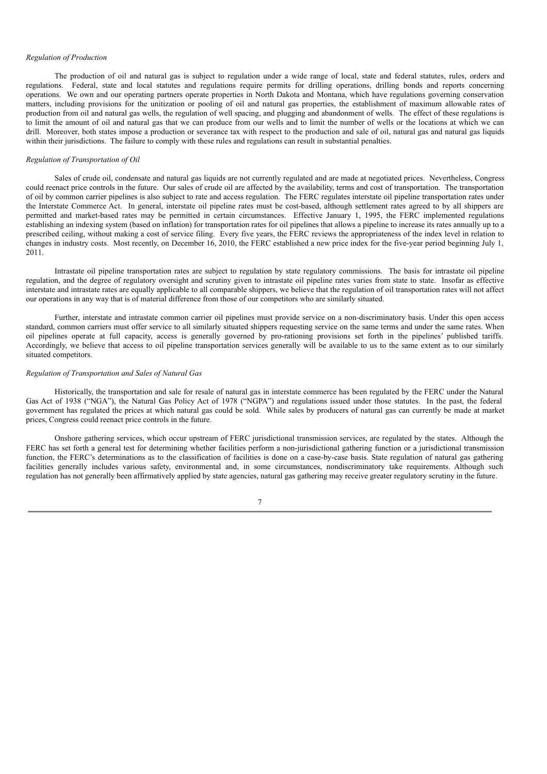# *Regulation of Production*

The production of oil and natural gas is subject to regulation under a wide range of local, state and federal statutes, rules, orders and regulations. Federal, state and local statutes and regulations require permits for drilling operations, drilling bonds and reports concerning operations. We own and our operating partners operate properties in North Dakota and Montana, which have regulations governing conservation matters, including provisions for the unitization or pooling of oil and natural gas properties, the establishment of maximum allowable rates of production from oil and natural gas wells, the regulation of well spacing, and plugging and abandonment of wells. The effect of these regulations is to limit the amount of oil and natural gas that we can produce from our wells and to limit the number of wells or the locations at which we can drill. Moreover, both states impose a production or severance tax with respect to the production and sale of oil, natural gas and natural gas liquids within their jurisdictions. The failure to comply with these rules and regulations can result in substantial penalties.

# *Regulation of Transportation of Oil*

Sales of crude oil, condensate and natural gas liquids are not currently regulated and are made at negotiated prices. Nevertheless, Congress could reenact price controls in the future. Our sales of crude oil are affected by the availability, terms and cost of transportation. The transportation of oil by common carrier pipelines is also subject to rate and access regulation. The FERC regulates interstate oil pipeline transportation rates under the Interstate Commerce Act. In general, interstate oil pipeline rates must be cost-based, although settlement rates agreed to by all shippers are permitted and market-based rates may be permitted in certain circumstances. Effective January 1, 1995, the FERC implemented regulations establishing an indexing system (based on inflation) for transportation rates for oil pipelines that allows a pipeline to increase its rates annually up to a prescribed ceiling, without making a cost of service filing. Every five years, the FERC reviews the appropriateness of the index level in relation to changes in industry costs. Most recently, on December 16, 2010, the FERC established a new price index for the five-year period beginning July 1, 2011.

Intrastate oil pipeline transportation rates are subject to regulation by state regulatory commissions. The basis for intrastate oil pipeline regulation, and the degree of regulatory oversight and scrutiny given to intrastate oil pipeline rates varies from state to state. Insofar as effective interstate and intrastate rates are equally applicable to all comparable shippers, we believe that the regulation of oil transportation rates will not affect our operations in any way that is of material difference from those of our competitors who are similarly situated.

Further, interstate and intrastate common carrier oil pipelines must provide service on a non-discriminatory basis. Under this open access standard, common carriers must offer service to all similarly situated shippers requesting service on the same terms and under the same rates. When oil pipelines operate at full capacity, access is generally governed by pro-rationing provisions set forth in the pipelines' published tariffs. Accordingly, we believe that access to oil pipeline transportation services generally will be available to us to the same extent as to our similarly situated competitors.

#### *Regulation of Transportation and Sales of Natural Gas*

Historically, the transportation and sale for resale of natural gas in interstate commerce has been regulated by the FERC under the Natural Gas Act of 1938 ("NGA"), the Natural Gas Policy Act of 1978 ("NGPA") and regulations issued under those statutes. In the past, the federal government has regulated the prices at which natural gas could be sold. While sales by producers of natural gas can currently be made at market prices, Congress could reenact price controls in the future.

Onshore gathering services, which occur upstream of FERC jurisdictional transmission services, are regulated by the states. Although the FERC has set forth a general test for determining whether facilities perform a non-jurisdictional gathering function or a jurisdictional transmission function, the FERC's determinations as to the classification of facilities is done on a case-by-case basis. State regulation of natural gas gathering facilities generally includes various safety, environmental and, in some circumstances, nondiscriminatory take requirements. Although such regulation has not generally been affirmatively applied by state agencies, natural gas gathering may receive greater regulatory scrutiny in the future.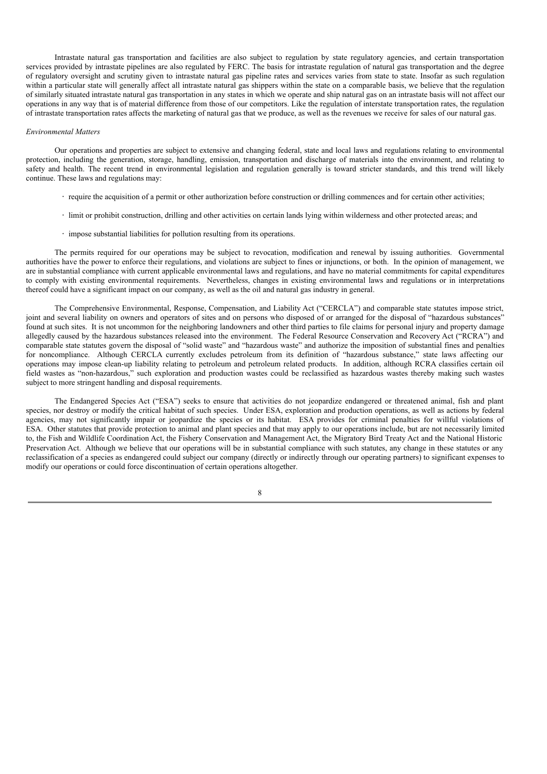Intrastate natural gas transportation and facilities are also subject to regulation by state regulatory agencies, and certain transportation services provided by intrastate pipelines are also regulated by FERC. The basis for intrastate regulation of natural gas transportation and the degree of regulatory oversight and scrutiny given to intrastate natural gas pipeline rates and services varies from state to state. Insofar as such regulation within a particular state will generally affect all intrastate natural gas shippers within the state on a comparable basis, we believe that the regulation of similarly situated intrastate natural gas transportation in any states in which we operate and ship natural gas on an intrastate basis will not affect our operations in any way that is of material difference from those of our competitors. Like the regulation of interstate transportation rates, the regulation of intrastate transportation rates affects the marketing of natural gas that we produce, as well as the revenues we receive for sales of our natural gas.

#### *Environmental Matters*

Our operations and properties are subject to extensive and changing federal, state and local laws and regulations relating to environmental protection, including the generation, storage, handling, emission, transportation and discharge of materials into the environment, and relating to safety and health. The recent trend in environmental legislation and regulation generally is toward stricter standards, and this trend will likely continue. These laws and regulations may:

- **·** require the acquisition of a permit or other authorization before construction or drilling commences and for certain other activities;
- **·** limit or prohibit construction, drilling and other activities on certain lands lying within wilderness and other protected areas; and
- **·** impose substantial liabilities for pollution resulting from its operations.

The permits required for our operations may be subject to revocation, modification and renewal by issuing authorities. Governmental authorities have the power to enforce their regulations, and violations are subject to fines or injunctions, or both. In the opinion of management, we are in substantial compliance with current applicable environmental laws and regulations, and have no material commitments for capital expenditures to comply with existing environmental requirements. Nevertheless, changes in existing environmental laws and regulations or in interpretations thereof could have a significant impact on our company, as well as the oil and natural gas industry in general.

The Comprehensive Environmental, Response, Compensation, and Liability Act ("CERCLA") and comparable state statutes impose strict, joint and several liability on owners and operators of sites and on persons who disposed of or arranged for the disposal of "hazardous substances" found at such sites. It is not uncommon for the neighboring landowners and other third parties to file claims for personal injury and property damage allegedly caused by the hazardous substances released into the environment. The Federal Resource Conservation and Recovery Act ("RCRA") and comparable state statutes govern the disposal of "solid waste" and "hazardous waste" and authorize the imposition of substantial fines and penalties for noncompliance. Although CERCLA currently excludes petroleum from its definition of "hazardous substance," state laws affecting our operations may impose clean-up liability relating to petroleum and petroleum related products. In addition, although RCRA classifies certain oil field wastes as "non-hazardous," such exploration and production wastes could be reclassified as hazardous wastes thereby making such wastes subject to more stringent handling and disposal requirements.

The Endangered Species Act ("ESA") seeks to ensure that activities do not jeopardize endangered or threatened animal, fish and plant species, nor destroy or modify the critical habitat of such species. Under ESA, exploration and production operations, as well as actions by federal agencies, may not significantly impair or jeopardize the species or its habitat. ESA provides for criminal penalties for willful violations of ESA. Other statutes that provide protection to animal and plant species and that may apply to our operations include, but are not necessarily limited to, the Fish and Wildlife Coordination Act, the Fishery Conservation and Management Act, the Migratory Bird Treaty Act and the National Historic Preservation Act. Although we believe that our operations will be in substantial compliance with such statutes, any change in these statutes or any reclassification of a species as endangered could subject our company (directly or indirectly through our operating partners) to significant expenses to modify our operations or could force discontinuation of certain operations altogether.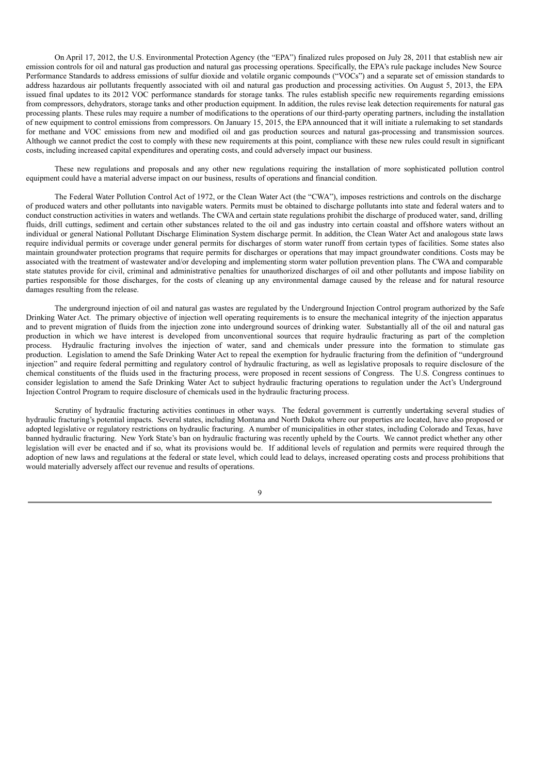On April 17, 2012, the U.S. Environmental Protection Agency (the "EPA") finalized rules proposed on July 28, 2011 that establish new air emission controls for oil and natural gas production and natural gas processing operations. Specifically, the EPA's rule package includes New Source Performance Standards to address emissions of sulfur dioxide and volatile organic compounds ("VOCs") and a separate set of emission standards to address hazardous air pollutants frequently associated with oil and natural gas production and processing activities. On August 5, 2013, the EPA issued final updates to its 2012 VOC performance standards for storage tanks. The rules establish specific new requirements regarding emissions from compressors, dehydrators, storage tanks and other production equipment. In addition, the rules revise leak detection requirements for natural gas processing plants. These rules may require a number of modifications to the operations of our third-party operating partners, including the installation of new equipment to control emissions from compressors. On January 15, 2015, the EPA announced that it will initiate a rulemaking to set standards for methane and VOC emissions from new and modified oil and gas production sources and natural gas-processing and transmission sources. Although we cannot predict the cost to comply with these new requirements at this point, compliance with these new rules could result in significant costs, including increased capital expenditures and operating costs, and could adversely impact our business.

These new regulations and proposals and any other new regulations requiring the installation of more sophisticated pollution control equipment could have a material adverse impact on our business, results of operations and financial condition.

The Federal Water Pollution Control Act of 1972, or the Clean Water Act (the "CWA"), imposes restrictions and controls on the discharge of produced waters and other pollutants into navigable waters. Permits must be obtained to discharge pollutants into state and federal waters and to conduct construction activities in waters and wetlands. The CWA and certain state regulations prohibit the discharge of produced water, sand, drilling fluids, drill cuttings, sediment and certain other substances related to the oil and gas industry into certain coastal and offshore waters without an individual or general National Pollutant Discharge Elimination System discharge permit. In addition, the Clean Water Act and analogous state laws require individual permits or coverage under general permits for discharges of storm water runoff from certain types of facilities. Some states also maintain groundwater protection programs that require permits for discharges or operations that may impact groundwater conditions. Costs may be associated with the treatment of wastewater and/or developing and implementing storm water pollution prevention plans. The CWA and comparable state statutes provide for civil, criminal and administrative penalties for unauthorized discharges of oil and other pollutants and impose liability on parties responsible for those discharges, for the costs of cleaning up any environmental damage caused by the release and for natural resource damages resulting from the release.

The underground injection of oil and natural gas wastes are regulated by the Underground Injection Control program authorized by the Safe Drinking Water Act. The primary objective of injection well operating requirements is to ensure the mechanical integrity of the injection apparatus and to prevent migration of fluids from the injection zone into underground sources of drinking water. Substantially all of the oil and natural gas production in which we have interest is developed from unconventional sources that require hydraulic fracturing as part of the completion process. Hydraulic fracturing involves the injection of water, sand and chemicals under pressure into the formation to stimulate gas production. Legislation to amend the Safe Drinking Water Act to repeal the exemption for hydraulic fracturing from the definition of "underground injection" and require federal permitting and regulatory control of hydraulic fracturing, as well as legislative proposals to require disclosure of the chemical constituents of the fluids used in the fracturing process, were proposed in recent sessions of Congress. The U.S. Congress continues to consider legislation to amend the Safe Drinking Water Act to subject hydraulic fracturing operations to regulation under the Act's Underground Injection Control Program to require disclosure of chemicals used in the hydraulic fracturing process.

Scrutiny of hydraulic fracturing activities continues in other ways. The federal government is currently undertaking several studies of hydraulic fracturing's potential impacts. Several states, including Montana and North Dakota where our properties are located, have also proposed or adopted legislative or regulatory restrictions on hydraulic fracturing. A number of municipalities in other states, including Colorado and Texas, have banned hydraulic fracturing. New York State's ban on hydraulic fracturing was recently upheld by the Courts. We cannot predict whether any other legislation will ever be enacted and if so, what its provisions would be. If additional levels of regulation and permits were required through the adoption of new laws and regulations at the federal or state level, which could lead to delays, increased operating costs and process prohibitions that would materially adversely affect our revenue and results of operations.

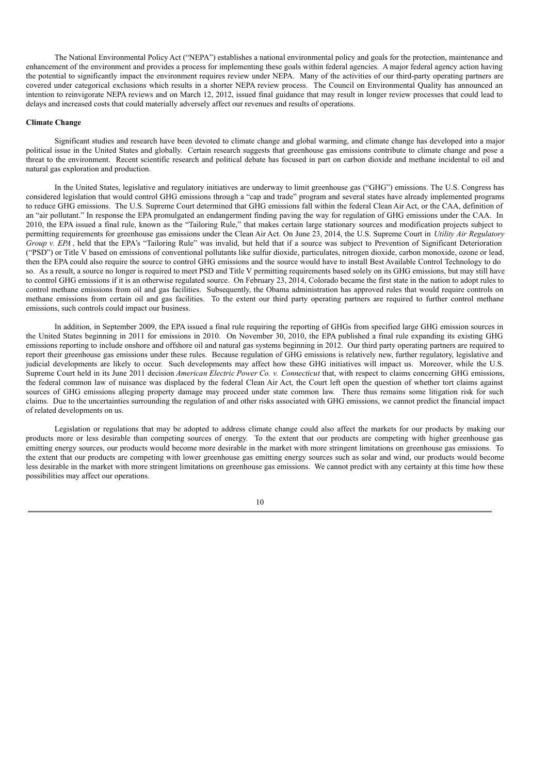The National Environmental Policy Act ("NEPA") establishes a national environmental policy and goals for the protection, maintenance and enhancement of the environment and provides a process for implementing these goals within federal agencies. A major federal agency action having the potential to significantly impact the environment requires review under NEPA. Many of the activities of our third-party operating partners are covered under categorical exclusions which results in a shorter NEPA review process. The Council on Environmental Quality has announced an intention to reinvigorate NEPA reviews and on March 12, 2012, issued final guidance that may result in longer review processes that could lead to delays and increased costs that could materially adversely affect our revenues and results of operations.

#### **Climate Change**

Significant studies and research have been devoted to climate change and global warming, and climate change has developed into a major political issue in the United States and globally. Certain research suggests that greenhouse gas emissions contribute to climate change and pose a threat to the environment. Recent scientific research and political debate has focused in part on carbon dioxide and methane incidental to oil and natural gas exploration and production.

In the United States, legislative and regulatory initiatives are underway to limit greenhouse gas ("GHG") emissions. The U.S. Congress has considered legislation that would control GHG emissions through a "cap and trade" program and several states have already implemented programs to reduce GHG emissions. The U.S. Supreme Court determined that GHG emissions fall within the federal Clean Air Act, or the CAA, definition of an "air pollutant." In response the EPA promulgated an endangerment finding paving the way for regulation of GHG emissions under the CAA. In 2010, the EPA issued a final rule, known as the "Tailoring Rule," that makes certain large stationary sources and modification projects subject to permitting requirements for greenhouse gas emissions under the Clean Air Act. On June 23, 2014, the U.S. Supreme Court in *Utility Air Regulatory Group v. EPA*, held that the EPA's "Tailoring Rule" was invalid, but held that if a source was subject to Prevention of Significant Deterioration ("PSD") or Title V based on emissions of conventional pollutants like sulfur dioxide, particulates, nitrogen dioxide, carbon monoxide, ozone or lead, then the EPA could also require the source to control GHG emissions and the source would have to install Best Available Control Technology to do so. As a result, a source no longer is required to meet PSD and Title V permitting requirements based solely on its GHG emissions, but may still have to control GHG emissions if it is an otherwise regulated source. On February 23, 2014, Colorado became the first state in the nation to adopt rules to control methane emissions from oil and gas facilities. Subsequently, the Obama administration has approved rules that would require controls on methane emissions from certain oil and gas facilities. To the extent our third party operating partners are required to further control methane emissions, such controls could impact our business.

In addition, in September 2009, the EPA issued a final rule requiring the reporting of GHGs from specified large GHG emission sources in the United States beginning in 2011 for emissions in 2010. On November 30, 2010, the EPA published a final rule expanding its existing GHG emissions reporting to include onshore and offshore oil and natural gas systems beginning in 2012. Our third party operating partners are required to report their greenhouse gas emissions under these rules. Because regulation of GHG emissions is relatively new, further regulatory, legislative and judicial developments are likely to occur. Such developments may affect how these GHG initiatives will impact us. Moreover, while the U.S. Supreme Court held in its June 2011 decision *American Electric Power Co. v. Connecticut* that, with respect to claims concerning GHG emissions, the federal common law of nuisance was displaced by the federal Clean Air Act, the Court left open the question of whether tort claims against sources of GHG emissions alleging property damage may proceed under state common law. There thus remains some litigation risk for such claims. Due to the uncertainties surrounding the regulation of and other risks associated with GHG emissions, we cannot predict the financial impact of related developments on us.

Legislation or regulations that may be adopted to address climate change could also affect the markets for our products by making our products more or less desirable than competing sources of energy. To the extent that our products are competing with higher greenhouse gas emitting energy sources, our products would become more desirable in the market with more stringent limitations on greenhouse gas emissions. To the extent that our products are competing with lower greenhouse gas emitting energy sources such as solar and wind, our products would become less desirable in the market with more stringent limitations on greenhouse gas emissions. We cannot predict with any certainty at this time how these possibilities may affect our operations.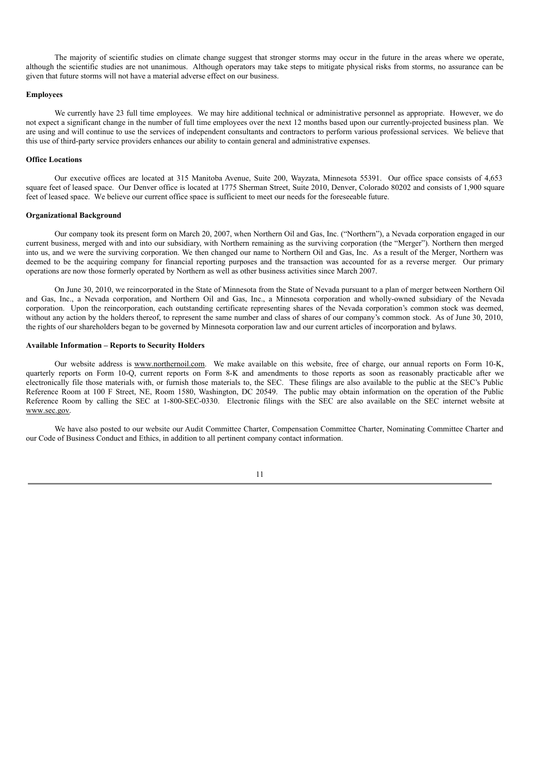The majority of scientific studies on climate change suggest that stronger storms may occur in the future in the areas where we operate, although the scientific studies are not unanimous. Although operators may take steps to mitigate physical risks from storms, no assurance can be given that future storms will not have a material adverse effect on our business.

#### **Employees**

We currently have 23 full time employees. We may hire additional technical or administrative personnel as appropriate. However, we do not expect a significant change in the number of full time employees over the next 12 months based upon our currently-projected business plan. We are using and will continue to use the services of independent consultants and contractors to perform various professional services. We believe that this use of third-party service providers enhances our ability to contain general and administrative expenses.

#### **Office Locations**

Our executive offices are located at 315 Manitoba Avenue, Suite 200, Wayzata, Minnesota 55391. Our office space consists of 4,653 square feet of leased space. Our Denver office is located at 1775 Sherman Street, Suite 2010, Denver, Colorado 80202 and consists of 1,900 square feet of leased space. We believe our current office space is sufficient to meet our needs for the foreseeable future.

# **Organizational Background**

Our company took its present form on March 20, 2007, when Northern Oil and Gas, Inc. ("Northern"), a Nevada corporation engaged in our current business, merged with and into our subsidiary, with Northern remaining as the surviving corporation (the "Merger"). Northern then merged into us, and we were the surviving corporation. We then changed our name to Northern Oil and Gas, Inc. As a result of the Merger, Northern was deemed to be the acquiring company for financial reporting purposes and the transaction was accounted for as a reverse merger. Our primary operations are now those formerly operated by Northern as well as other business activities since March 2007.

On June 30, 2010, we reincorporated in the State of Minnesota from the State of Nevada pursuant to a plan of merger between Northern Oil and Gas, Inc., a Nevada corporation, and Northern Oil and Gas, Inc., a Minnesota corporation and wholly-owned subsidiary of the Nevada corporation. Upon the reincorporation, each outstanding certificate representing shares of the Nevada corporation's common stock was deemed, without any action by the holders thereof, to represent the same number and class of shares of our company's common stock. As of June 30, 2010, the rights of our shareholders began to be governed by Minnesota corporation law and our current articles of incorporation and bylaws.

#### **Available Information – Reports to Security Holders**

Our website address is www.northernoil.com. We make available on this website, free of charge, our annual reports on Form 10-K, quarterly reports on Form 10-Q, current reports on Form 8-K and amendments to those reports as soon as reasonably practicable after we electronically file those materials with, or furnish those materials to, the SEC. These filings are also available to the public at the SEC's Public Reference Room at 100 F Street, NE, Room 1580, Washington, DC 20549. The public may obtain information on the operation of the Public Reference Room by calling the SEC at 1-800-SEC-0330. Electronic filings with the SEC are also available on the SEC internet website at www.sec.gov.

We have also posted to our website our Audit Committee Charter, Compensation Committee Charter, Nominating Committee Charter and our Code of Business Conduct and Ethics, in addition to all pertinent company contact information.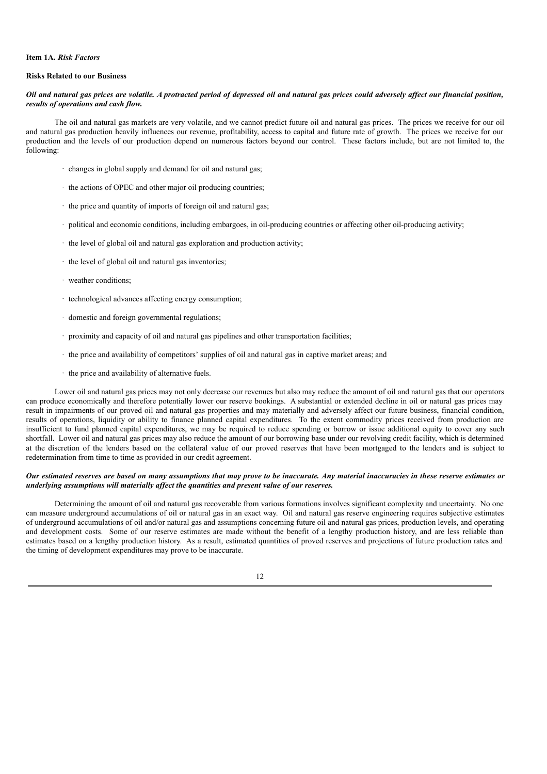# **Item 1A.** *Risk Factors*

# **Risks Related to our Business**

# Oil and natural gas prices are volatile. A protracted period of depressed oil and natural gas prices could adversely affect our financial position, *results of operations and cash flow.*

The oil and natural gas markets are very volatile, and we cannot predict future oil and natural gas prices. The prices we receive for our oil and natural gas production heavily influences our revenue, profitability, access to capital and future rate of growth. The prices we receive for our production and the levels of our production depend on numerous factors beyond our control. These factors include, but are not limited to, the following:

- · changes in global supply and demand for oil and natural gas;
- · the actions of OPEC and other major oil producing countries;
- · the price and quantity of imports of foreign oil and natural gas;
- · political and economic conditions, including embargoes, in oil-producing countries or affecting other oil-producing activity;
- · the level of global oil and natural gas exploration and production activity;
- · the level of global oil and natural gas inventories;
- · weather conditions;
- · technological advances affecting energy consumption;
- · domestic and foreign governmental regulations;
- · proximity and capacity of oil and natural gas pipelines and other transportation facilities;
- · the price and availability of competitors' supplies of oil and natural gas in captive market areas; and
- · the price and availability of alternative fuels.

Lower oil and natural gas prices may not only decrease our revenues but also may reduce the amount of oil and natural gas that our operators can produce economically and therefore potentially lower our reserve bookings. A substantial or extended decline in oil or natural gas prices may result in impairments of our proved oil and natural gas properties and may materially and adversely affect our future business, financial condition, results of operations, liquidity or ability to finance planned capital expenditures. To the extent commodity prices received from production are insufficient to fund planned capital expenditures, we may be required to reduce spending or borrow or issue additional equity to cover any such shortfall. Lower oil and natural gas prices may also reduce the amount of our borrowing base under our revolving credit facility, which is determined at the discretion of the lenders based on the collateral value of our proved reserves that have been mortgaged to the lenders and is subject to redetermination from time to time as provided in our credit agreement.

#### Our estimated reserves are based on many assumptions that may prove to be inaccurate. Any material inaccuracies in these reserve estimates or *underlying assumptions will materially af ect the quantities and present value of our reserves.*

Determining the amount of oil and natural gas recoverable from various formations involves significant complexity and uncertainty. No one can measure underground accumulations of oil or natural gas in an exact way. Oil and natural gas reserve engineering requires subjective estimates of underground accumulations of oil and/or natural gas and assumptions concerning future oil and natural gas prices, production levels, and operating and development costs. Some of our reserve estimates are made without the benefit of a lengthy production history, and are less reliable than estimates based on a lengthy production history. As a result, estimated quantities of proved reserves and projections of future production rates and the timing of development expenditures may prove to be inaccurate.

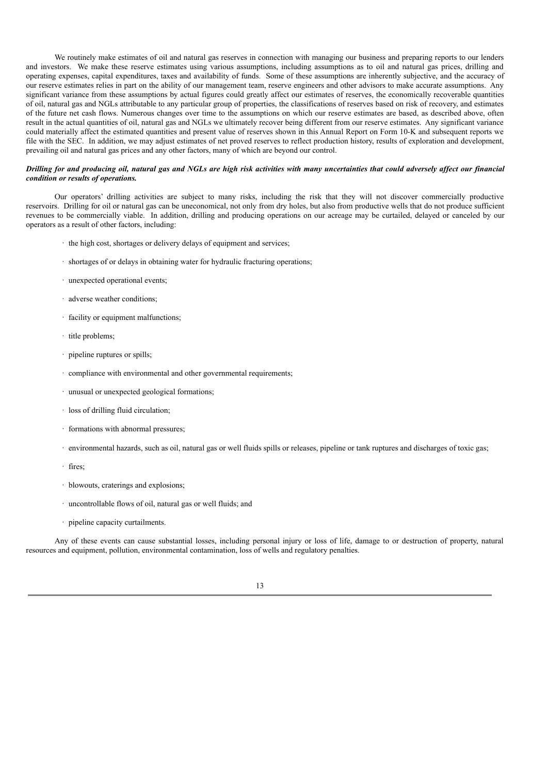We routinely make estimates of oil and natural gas reserves in connection with managing our business and preparing reports to our lenders and investors. We make these reserve estimates using various assumptions, including assumptions as to oil and natural gas prices, drilling and operating expenses, capital expenditures, taxes and availability of funds. Some of these assumptions are inherently subjective, and the accuracy of our reserve estimates relies in part on the ability of our management team, reserve engineers and other advisors to make accurate assumptions. Any significant variance from these assumptions by actual figures could greatly affect our estimates of reserves, the economically recoverable quantities of oil, natural gas and NGLs attributable to any particular group of properties, the classifications of reserves based on risk of recovery, and estimates of the future net cash flows. Numerous changes over time to the assumptions on which our reserve estimates are based, as described above, often result in the actual quantities of oil, natural gas and NGLs we ultimately recover being different from our reserve estimates. Any significant variance could materially affect the estimated quantities and present value of reserves shown in this Annual Report on Form 10-K and subsequent reports we file with the SEC. In addition, we may adjust estimates of net proved reserves to reflect production history, results of exploration and development, prevailing oil and natural gas prices and any other factors, many of which are beyond our control.

#### Drilling for and producing oil, natural gas and NGLs are high risk activities with many uncertainties that could adversely affect our financial *condition or results of operations.*

Our operators' drilling activities are subject to many risks, including the risk that they will not discover commercially productive reservoirs. Drilling for oil or natural gas can be uneconomical, not only from dry holes, but also from productive wells that do not produce sufficient revenues to be commercially viable. In addition, drilling and producing operations on our acreage may be curtailed, delayed or canceled by our operators as a result of other factors, including:

- · the high cost, shortages or delivery delays of equipment and services;
- · shortages of or delays in obtaining water for hydraulic fracturing operations;
- · unexpected operational events;
- · adverse weather conditions;
- · facility or equipment malfunctions;
- · title problems;
- · pipeline ruptures or spills;
- · compliance with environmental and other governmental requirements;
- · unusual or unexpected geological formations;
- · loss of drilling fluid circulation;
- · formations with abnormal pressures;
- · environmental hazards, such as oil, natural gas or well fluids spills or releases, pipeline or tank ruptures and discharges of toxic gas;
- · fires;
- · blowouts, craterings and explosions;
- · uncontrollable flows of oil, natural gas or well fluids; and
- · pipeline capacity curtailments.

Any of these events can cause substantial losses, including personal injury or loss of life, damage to or destruction of property, natural resources and equipment, pollution, environmental contamination, loss of wells and regulatory penalties.

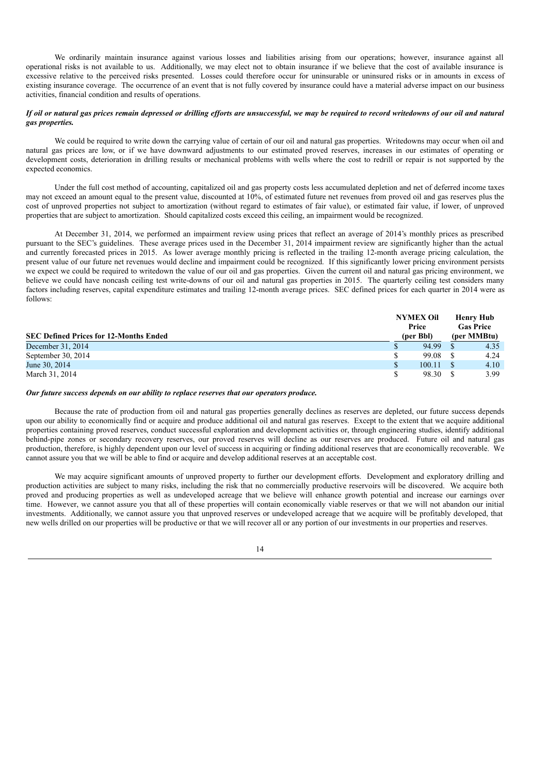We ordinarily maintain insurance against various losses and liabilities arising from our operations; however, insurance against all operational risks is not available to us. Additionally, we may elect not to obtain insurance if we believe that the cost of available insurance is excessive relative to the perceived risks presented. Losses could therefore occur for uninsurable or uninsured risks or in amounts in excess of existing insurance coverage. The occurrence of an event that is not fully covered by insurance could have a material adverse impact on our business activities, financial condition and results of operations.

#### If oil or natural gas prices remain depressed or drilling efforts are unsuccessful, we may be required to record writedowns of our oil and natural *gas properties.*

We could be required to write down the carrying value of certain of our oil and natural gas properties. Writedowns may occur when oil and natural gas prices are low, or if we have downward adjustments to our estimated proved reserves, increases in our estimates of operating or development costs, deterioration in drilling results or mechanical problems with wells where the cost to redrill or repair is not supported by the expected economics.

Under the full cost method of accounting, capitalized oil and gas property costs less accumulated depletion and net of deferred income taxes may not exceed an amount equal to the present value, discounted at  $10\%$ , of estimated future net revenues from proved oil and gas reserves plus the cost of unproved properties not subject to amortization (without regard to estimates of fair value), or estimated fair value, if lower, of unproved properties that are subject to amortization. Should capitalized costs exceed this ceiling, an impairment would be recognized.

At December 31, 2014, we performed an impairment review using prices that reflect an average of 2014's monthly prices as prescribed pursuant to the SEC's guidelines. These average prices used in the December 31, 2014 impairment review are significantly higher than the actual and currently forecasted prices in 2015. As lower average monthly pricing is reflected in the trailing 12-month average pricing calculation, the present value of our future net revenues would decline and impairment could be recognized. If this significantly lower pricing environment persists we expect we could be required to writedown the value of our oil and gas properties. Given the current oil and natural gas pricing environment, we believe we could have noncash ceiling test write-downs of our oil and natural gas properties in 2015. The quarterly ceiling test considers many factors including reserves, capital expenditure estimates and trailing 12-month average prices. SEC defined prices for each quarter in 2014 were as follows:

|                                               | <b>NYMEX Oil</b><br>Price | <b>Henry Hub</b><br><b>Gas Price</b> |
|-----------------------------------------------|---------------------------|--------------------------------------|
| <b>SEC Defined Prices for 12-Months Ended</b> | (per Bbl)                 | (per MMBtu)                          |
| December 31, 2014                             | 94.99                     | 4.35                                 |
| September 30, 2014                            | 99.08                     | 4.24                                 |
| June 30, 2014                                 | 100.11                    | 4.10                                 |
| March 31, 2014                                | 98.30                     | 3.99                                 |

#### *Our future success depends on our ability to replace reserves that our operators produce.*

Because the rate of production from oil and natural gas properties generally declines as reserves are depleted, our future success depends upon our ability to economically find or acquire and produce additional oil and natural gas reserves. Except to the extent that we acquire additional properties containing proved reserves, conduct successful exploration and development activities or, through engineering studies, identify additional behind-pipe zones or secondary recovery reserves, our proved reserves will decline as our reserves are produced. Future oil and natural gas production, therefore, is highly dependent upon our level of success in acquiring or finding additional reserves that are economically recoverable. We cannot assure you that we will be able to find or acquire and develop additional reserves at an acceptable cost.

We may acquire significant amounts of unproved property to further our development efforts. Development and exploratory drilling and production activities are subject to many risks, including the risk that no commercially productive reservoirs will be discovered. We acquire both proved and producing properties as well as undeveloped acreage that we believe will enhance growth potential and increase our earnings over time. However, we cannot assure you that all of these properties will contain economically viable reserves or that we will not abandon our initial investments. Additionally, we cannot assure you that unproved reserves or undeveloped acreage that we acquire will be profitably developed, that new wells drilled on our properties will be productive or that we will recover all or any portion of our investments in our properties and reserves.

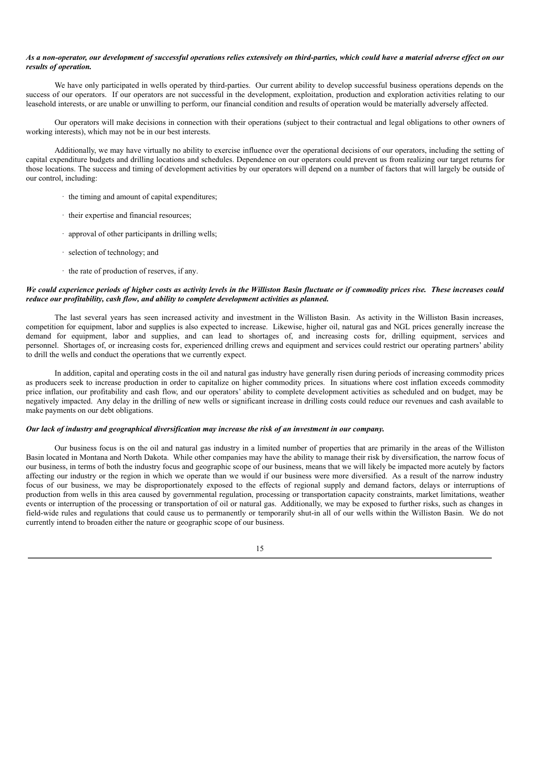#### As a non-operator, our development of successful operations relies extensively on third-parties, which could have a material adverse effect on our *results of operation.*

We have only participated in wells operated by third-parties. Our current ability to develop successful business operations depends on the success of our operators. If our operators are not successful in the development, exploitation, production and exploration activities relating to our leasehold interests, or are unable or unwilling to perform, our financial condition and results of operation would be materially adversely affected.

Our operators will make decisions in connection with their operations (subject to their contractual and legal obligations to other owners of working interests), which may not be in our best interests.

Additionally, we may have virtually no ability to exercise influence over the operational decisions of our operators, including the setting of capital expenditure budgets and drilling locations and schedules. Dependence on our operators could prevent us from realizing our target returns for those locations. The success and timing of development activities by our operators will depend on a number of factors that will largely be outside of our control, including:

- · the timing and amount of capital expenditures;
- · their expertise and financial resources;
- · approval of other participants in drilling wells;
- · selection of technology; and
- · the rate of production of reserves, if any.

# We could experience periods of higher costs as activity levels in the Williston Basin fluctuate or if commodity prices rise. These increases could *reduce our profitability, cash flow, and ability to complete development activities as planned.*

The last several years has seen increased activity and investment in the Williston Basin. As activity in the Williston Basin increases, competition for equipment, labor and supplies is also expected to increase. Likewise, higher oil, natural gas and NGL prices generally increase the demand for equipment, labor and supplies, and can lead to shortages of, and increasing costs for, drilling equipment, services and personnel. Shortages of, or increasing costs for, experienced drilling crews and equipment and services could restrict our operating partners' ability to drill the wells and conduct the operations that we currently expect.

In addition, capital and operating costs in the oil and natural gas industry have generally risen during periods of increasing commodity prices as producers seek to increase production in order to capitalize on higher commodity prices. In situations where cost inflation exceeds commodity price inflation, our profitability and cash flow, and our operators' ability to complete development activities as scheduled and on budget, may be negatively impacted. Any delay in the drilling of new wells or significant increase in drilling costs could reduce our revenues and cash available to make payments on our debt obligations.

# Our lack of industry and geographical diversification may increase the risk of an investment in our company.

Our business focus is on the oil and natural gas industry in a limited number of properties that are primarily in the areas of the Williston Basin located in Montana and North Dakota. While other companies may have the ability to manage their risk by diversification, the narrow focus of our business, in terms of both the industry focus and geographic scope of our business, means that we will likely be impacted more acutely by factors affecting our industry or the region in which we operate than we would if our business were more diversified. As a result of the narrow industry focus of our business, we may be disproportionately exposed to the effects of regional supply and demand factors, delays or interruptions of production from wells in this area caused by governmental regulation, processing or transportation capacity constraints, market limitations, weather events or interruption of the processing or transportation of oil or natural gas. Additionally, we may be exposed to further risks, such as changes in field-wide rules and regulations that could cause us to permanently or temporarily shut-in all of our wells within the Williston Basin. We do not currently intend to broaden either the nature or geographic scope of our business.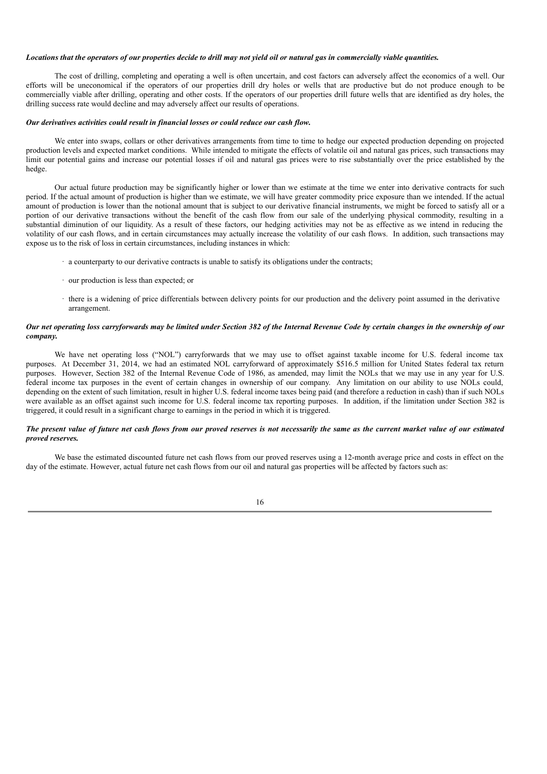# Locations that the operators of our properties decide to drill may not yield oil or natural gas in commercially viable quantities.

The cost of drilling, completing and operating a well is often uncertain, and cost factors can adversely affect the economics of a well. Our efforts will be uneconomical if the operators of our properties drill dry holes or wells that are productive but do not produce enough to be commercially viable after drilling, operating and other costs. If the operators of our properties drill future wells that are identified as dry holes, the drilling success rate would decline and may adversely affect our results of operations.

## *Our derivatives activities could result in financial losses or could reduce our cash flow.*

We enter into swaps, collars or other derivatives arrangements from time to time to hedge our expected production depending on projected production levels and expected market conditions. While intended to mitigate the effects of volatile oil and natural gas prices, such transactions may limit our potential gains and increase our potential losses if oil and natural gas prices were to rise substantially over the price established by the hedge.

Our actual future production may be significantly higher or lower than we estimate at the time we enter into derivative contracts for such period. If the actual amount of production is higher than we estimate, we will have greater commodity price exposure than we intended. If the actual amount of production is lower than the notional amount that is subject to our derivative financial instruments, we might be forced to satisfy all or a portion of our derivative transactions without the benefit of the cash flow from our sale of the underlying physical commodity, resulting in a substantial diminution of our liquidity. As a result of these factors, our hedging activities may not be as effective as we intend in reducing the volatility of our cash flows, and in certain circumstances may actually increase the volatility of our cash flows. In addition, such transactions may expose us to the risk of loss in certain circumstances, including instances in which:

- · a counterparty to our derivative contracts is unable to satisfy its obligations under the contracts;
- · our production is less than expected; or
- there is a widening of price differentials between delivery points for our production and the delivery point assumed in the derivative arrangement.

# Our net operating loss carryforwards may be limited under Section 382 of the Internal Revenue Code by certain changes in the ownership of our *company.*

We have net operating loss ("NOL") carryforwards that we may use to offset against taxable income for U.S. federal income tax purposes. At December 31, 2014, we had an estimated NOL carryforward of approximately \$516.5 million for United States federal tax return purposes. However, Section 382 of the Internal Revenue Code of 1986, as amended, may limit the NOLs that we may use in any year for U.S. federal income tax purposes in the event of certain changes in ownership of our company. Any limitation on our ability to use NOLs could, depending on the extent of such limitation, result in higher U.S. federal income taxes being paid (and therefore a reduction in cash) than if such NOLs were available as an offset against such income for U.S. federal income tax reporting purposes. In addition, if the limitation under Section 382 is triggered, it could result in a significant charge to earnings in the period in which it is triggered.

#### The present value of future net cash flows from our proved reserves is not necessarily the same as the current market value of our estimated *proved reserves.*

We base the estimated discounted future net cash flows from our proved reserves using a 12-month average price and costs in effect on the day of the estimate. However, actual future net cash flows from our oil and natural gas properties will be affected by factors such as:

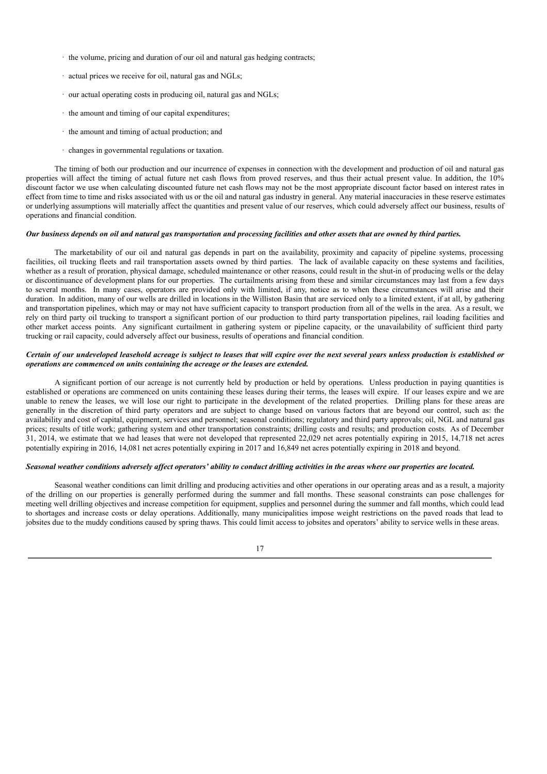- · the volume, pricing and duration of our oil and natural gas hedging contracts;
- · actual prices we receive for oil, natural gas and NGLs;
- · our actual operating costs in producing oil, natural gas and NGLs;
- · the amount and timing of our capital expenditures;
- · the amount and timing of actual production; and
- · changes in governmental regulations or taxation.

The timing of both our production and our incurrence of expenses in connection with the development and production of oil and natural gas properties will affect the timing of actual future net cash flows from proved reserves, and thus their actual present value. In addition, the 10% discount factor we use when calculating discounted future net cash flows may not be the most appropriate discount factor based on interest rates in effect from time to time and risks associated with us or the oil and natural gas industry in general. Any material inaccuracies in these reserve estimates or underlying assumptions will materially affect the quantities and present value of our reserves, which could adversely affect our business, results of operations and financial condition.

#### Our business depends on oil and natural gas transportation and processing facilities and other assets that are owned by third parties.

The marketability of our oil and natural gas depends in part on the availability, proximity and capacity of pipeline systems, processing facilities, oil trucking fleets and rail transportation assets owned by third parties. The lack of available capacity on these systems and facilities, whether as a result of proration, physical damage, scheduled maintenance or other reasons, could result in the shut-in of producing wells or the delay or discontinuance of development plans for our properties. The curtailments arising from these and similar circumstances may last from a few days to several months. In many cases, operators are provided only with limited, if any, notice as to when these circumstances will arise and their duration. In addition, many of our wells are drilled in locations in the Williston Basin that are serviced only to a limited extent, if at all, by gathering and transportation pipelines, which may or may not have sufficient capacity to transport production from all of the wells in the area. As a result, we rely on third party oil trucking to transport a significant portion of our production to third party transportation pipelines, rail loading facilities and other market access points. Any significant curtailment in gathering system or pipeline capacity, or the unavailability of sufficient third party trucking or rail capacity, could adversely affect our business, results of operations and financial condition.

#### Certain of our undeveloped leasehold acreage is subject to leases that will expire over the next several years unless production is established or *operations are commenced on units containing the acreage or the leases are extended.*

A significant portion of our acreage is not currently held by production or held by operations. Unless production in paying quantities is established or operations are commenced on units containing these leases during their terms, the leases will expire. If our leases expire and we are unable to renew the leases, we will lose our right to participate in the development of the related properties. Drilling plans for these areas are generally in the discretion of third party operators and are subject to change based on various factors that are beyond our control, such as: the availability and cost of capital, equipment, services and personnel; seasonal conditions; regulatory and third party approvals; oil, NGL and natural gas prices; results of title work; gathering system and other transportation constraints; drilling costs and results; and production costs. As of December 31, 2014, we estimate that we had leases that were not developed that represented 22,029 net acres potentially expiring in 2015, 14,718 net acres potentially expiring in 2016, 14,081 net acres potentially expiring in 2017 and 16,849 net acres potentially expiring in 2018 and beyond.

#### Seasonal weather conditions adversely affect operators' ability to conduct drilling activities in the areas where our properties are located.

Seasonal weather conditions can limit drilling and producing activities and other operations in our operating areas and as a result, a majority of the drilling on our properties is generally performed during the summer and fall months. These seasonal constraints can pose challenges for meeting well drilling objectives and increase competition for equipment, supplies and personnel during the summer and fall months, which could lead to shortages and increase costs or delay operations. Additionally, many municipalities impose weight restrictions on the paved roads that lead to jobsites due to the muddy conditions caused by spring thaws. This could limit access to jobsites and operators' ability to service wells in these areas.

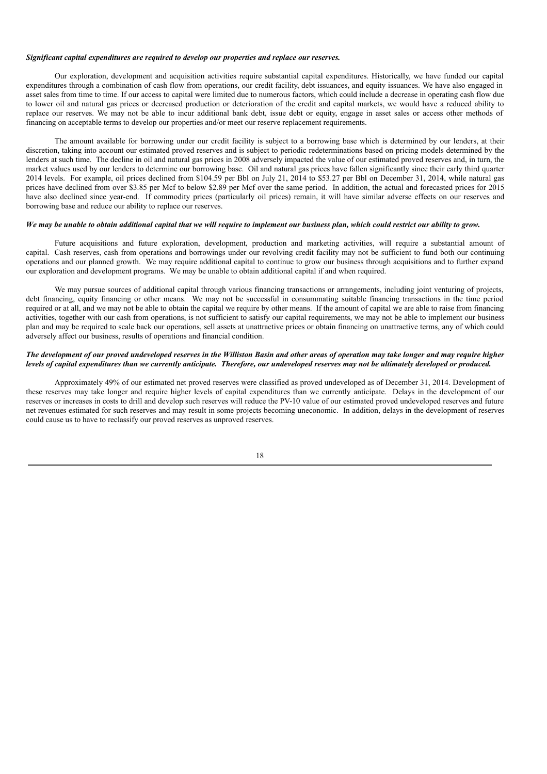# *Significant capital expenditures are required to develop our properties and replace our reserves.*

Our exploration, development and acquisition activities require substantial capital expenditures. Historically, we have funded our capital expenditures through a combination of cash flow from operations, our credit facility, debt issuances, and equity issuances. We have also engaged in asset sales from time to time. If our access to capital were limited due to numerous factors, which could include a decrease in operating cash flow due to lower oil and natural gas prices or decreased production or deterioration of the credit and capital markets, we would have a reduced ability to replace our reserves. We may not be able to incur additional bank debt, issue debt or equity, engage in asset sales or access other methods of financing on acceptable terms to develop our properties and/or meet our reserve replacement requirements.

The amount available for borrowing under our credit facility is subject to a borrowing base which is determined by our lenders, at their discretion, taking into account our estimated proved reserves and is subject to periodic redeterminations based on pricing models determined by the lenders at such time. The decline in oil and natural gas prices in 2008 adversely impacted the value of our estimated proved reserves and, in turn, the market values used by our lenders to determine our borrowing base. Oil and natural gas prices have fallen significantly since their early third quarter 2014 levels. For example, oil prices declined from \$104.59 per Bbl on July 21, 2014 to \$53.27 per Bbl on December 31, 2014, while natural gas prices have declined from over \$3.85 per Mcf to below \$2.89 per Mcf over the same period. In addition, the actual and forecasted prices for 2015 have also declined since year-end. If commodity prices (particularly oil prices) remain, it will have similar adverse effects on our reserves and borrowing base and reduce our ability to replace our reserves.

# We may be unable to obtain additional capital that we will require to implement our business plan, which could restrict our ability to grow.

Future acquisitions and future exploration, development, production and marketing activities, will require a substantial amount of capital. Cash reserves, cash from operations and borrowings under our revolving credit facility may not be sufficient to fund both our continuing operations and our planned growth. We may require additional capital to continue to grow our business through acquisitions and to further expand our exploration and development programs. We may be unable to obtain additional capital if and when required.

We may pursue sources of additional capital through various financing transactions or arrangements, including joint venturing of projects, debt financing, equity financing or other means. We may not be successful in consummating suitable financing transactions in the time period required or at all, and we may not be able to obtain the capital we require by other means. If the amount of capital we are able to raise from financing activities, together with our cash from operations, is not sufficient to satisfy our capital requirements, we may not be able to implement our business plan and may be required to scale back our operations, sell assets at unattractive prices or obtain financing on unattractive terms, any of which could adversely affect our business, results of operations and financial condition.

#### The development of our proved undeveloped reserves in the Williston Basin and other areas of operation may take longer and may require higher levels of capital expenditures than we currently anticipate. Therefore, our undeveloped reserves may not be ultimately developed or produced,

Approximately 49% of our estimated net proved reserves were classified as proved undeveloped as of December 31, 2014. Development of these reserves may take longer and require higher levels of capital expenditures than we currently anticipate. Delays in the development of our reserves or increases in costs to drill and develop such reserves will reduce the PV-10 value of our estimated proved undeveloped reserves and future net revenues estimated for such reserves and may result in some projects becoming uneconomic. In addition, delays in the development of reserves could cause us to have to reclassify our proved reserves as unproved reserves.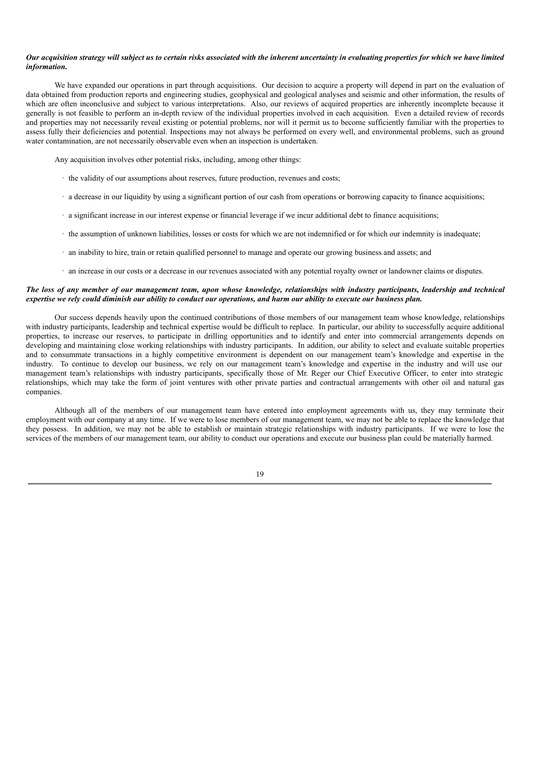# Our acquisition strategy will subject us to certain risks associated with the inherent uncertainty in evaluating properties for which we have limited *information.*

We have expanded our operations in part through acquisitions. Our decision to acquire a property will depend in part on the evaluation of data obtained from production reports and engineering studies, geophysical and geological analyses and seismic and other information, the results of which are often inconclusive and subject to various interpretations. Also, our reviews of acquired properties are inherently incomplete because it generally is not feasible to perform an in-depth review of the individual properties involved in each acquisition. Even a detailed review of records and properties may not necessarily reveal existing or potential problems, nor will it permit us to become sufficiently familiar with the properties to assess fully their deficiencies and potential. Inspections may not always be performed on every well, and environmental problems, such as ground water contamination, are not necessarily observable even when an inspection is undertaken.

Any acquisition involves other potential risks, including, among other things:

- · the validity of our assumptions about reserves, future production, revenues and costs;
- · a decrease in our liquidity by using a significant portion of our cash from operations or borrowing capacity to finance acquisitions;
- · a significant increase in our interest expense or financial leverage if we incur additional debt to finance acquisitions;
- · the assumption of unknown liabilities, losses or costs for which we are not indemnified or for which our indemnity is inadequate;
- · an inability to hire, train or retain qualified personnel to manage and operate our growing business and assets; and
- · an increase in our costs or a decrease in our revenues associated with any potential royalty owner or landowner claims or disputes.

# The loss of any member of our management team, upon whose knowledge, relationships with industry participants, leadership and technical expertise we rely could diminish our ability to conduct our operations, and harm our ability to execute our business plan.

Our success depends heavily upon the continued contributions of those members of our management team whose knowledge, relationships with industry participants, leadership and technical expertise would be difficult to replace. In particular, our ability to successfully acquire additional properties, to increase our reserves, to participate in drilling opportunities and to identify and enter into commercial arrangements depends on developing and maintaining close working relationships with industry participants. In addition, our ability to select and evaluate suitable properties and to consummate transactions in a highly competitive environment is dependent on our management team's knowledge and expertise in the industry. To continue to develop our business, we rely on our management team's knowledge and expertise in the industry and will use our management team's relationships with industry participants, specifically those of Mr. Reger our Chief Executive Officer, to enter into strategic relationships, which may take the form of joint ventures with other private parties and contractual arrangements with other oil and natural gas companies.

Although all of the members of our management team have entered into employment agreements with us, they may terminate their employment with our company at any time. If we were to lose members of our management team, we may not be able to replace the knowledge that they possess. In addition, we may not be able to establish or maintain strategic relationships with industry participants. If we were to lose the services of the members of our management team, our ability to conduct our operations and execute our business plan could be materially harmed.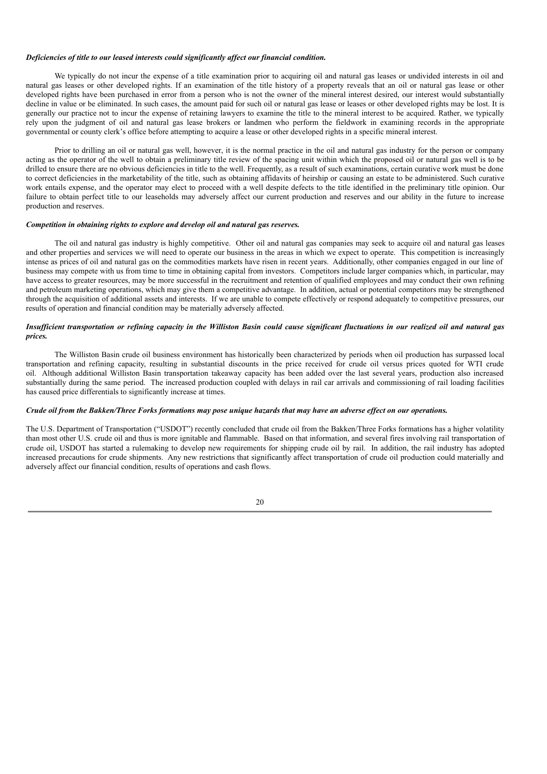# *Deficiencies of title to our leased interests could significantly af ect our financial condition.*

We typically do not incur the expense of a title examination prior to acquiring oil and natural gas leases or undivided interests in oil and natural gas leases or other developed rights. If an examination of the title history of a property reveals that an oil or natural gas lease or other developed rights have been purchased in error from a person who is not the owner of the mineral interest desired, our interest would substantially decline in value or be eliminated. In such cases, the amount paid for such oil or natural gas lease or leases or other developed rights may be lost. It is generally our practice not to incur the expense of retaining lawyers to examine the title to the mineral interest to be acquired. Rather, we typically rely upon the judgment of oil and natural gas lease brokers or landmen who perform the fieldwork in examining records in the appropriate governmental or county clerk's office before attempting to acquire a lease or other developed rights in a specific mineral interest.

Prior to drilling an oil or natural gas well, however, it is the normal practice in the oil and natural gas industry for the person or company acting as the operator of the well to obtain a preliminary title review of the spacing unit within which the proposed oil or natural gas well is to be drilled to ensure there are no obvious deficiencies in title to the well. Frequently, as a result of such examinations, certain curative work must be done to correct deficiencies in the marketability of the title, such as obtaining affidavits of heirship or causing an estate to be administered. Such curative work entails expense, and the operator may elect to proceed with a well despite defects to the title identified in the preliminary title opinion. Our failure to obtain perfect title to our leaseholds may adversely affect our current production and reserves and our ability in the future to increase production and reserves.

# *Competition in obtaining rights to explore and develop oil and natural gas reserves.*

The oil and natural gas industry is highly competitive. Other oil and natural gas companies may seek to acquire oil and natural gas leases and other properties and services we will need to operate our business in the areas in which we expect to operate. This competition is increasingly intense as prices of oil and natural gas on the commodities markets have risen in recent years. Additionally, other companies engaged in our line of business may compete with us from time to time in obtaining capital from investors. Competitors include larger companies which, in particular, may have access to greater resources, may be more successful in the recruitment and retention of qualified employees and may conduct their own refining and petroleum marketing operations, which may give them a competitive advantage. In addition, actual or potential competitors may be strengthened through the acquisition of additional assets and interests. If we are unable to compete effectively or respond adequately to competitive pressures, our results of operation and financial condition may be materially adversely affected.

# Insufficient transportation or refining capacity in the Williston Basin could cause significant fluctuations in our realized oil and natural gas *prices.*

The Williston Basin crude oil business environment has historically been characterized by periods when oil production has surpassed local transportation and refining capacity, resulting in substantial discounts in the price received for crude oil versus prices quoted for WTI crude oil. Although additional Williston Basin transportation takeaway capacity has been added over the last several years, production also increased substantially during the same period. The increased production coupled with delays in rail car arrivals and commissioning of rail loading facilities has caused price differentials to significantly increase at times.

#### Crude oil from the Bakken/Three Forks formations may pose unique hazards that may have an adverse effect on our operations.

The U.S. Department of Transportation ("USDOT") recently concluded that crude oil from the Bakken/Three Forks formations has a higher volatility than most other U.S. crude oil and thus is more ignitable and flammable. Based on that information, and several fires involving rail transportation of crude oil, USDOT has started a rulemaking to develop new requirements for shipping crude oil by rail. In addition, the rail industry has adopted increased precautions for crude shipments. Any new restrictions that significantly affect transportation of crude oil production could materially and adversely affect our financial condition, results of operations and cash flows.

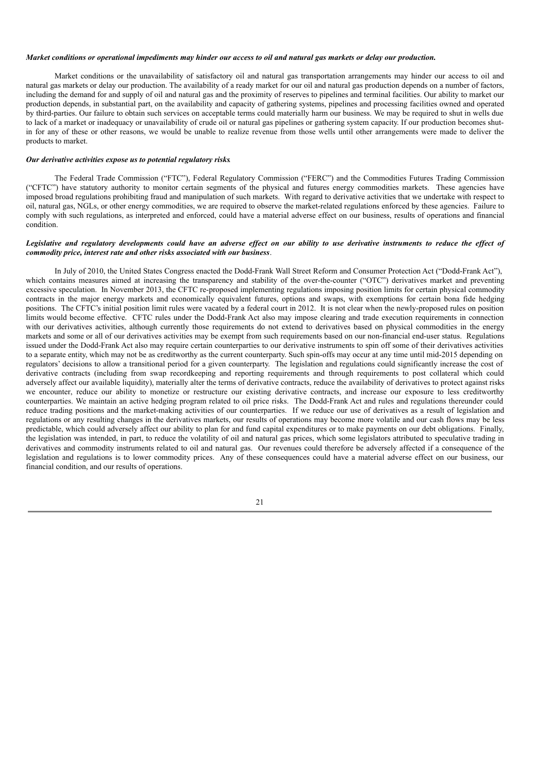# Market conditions or operational impediments may hinder our access to oil and natural gas markets or delay our production.

Market conditions or the unavailability of satisfactory oil and natural gas transportation arrangements may hinder our access to oil and natural gas markets or delay our production. The availability of a ready market for our oil and natural gas production depends on a number of factors, including the demand for and supply of oil and natural gas and the proximity of reserves to pipelines and terminal facilities. Our ability to market our production depends, in substantial part, on the availability and capacity of gathering systems, pipelines and processing facilities owned and operated by third-parties. Our failure to obtain such services on acceptable terms could materially harm our business. We may be required to shut in wells due to lack of a market or inadequacy or unavailability of crude oil or natural gas pipelines or gathering system capacity. If our production becomes shutin for any of these or other reasons, we would be unable to realize revenue from those wells until other arrangements were made to deliver the products to market.

# *Our derivative activities expose us to potential regulatory risks*.

The Federal Trade Commission ("FTC"), Federal Regulatory Commission ("FERC") and the Commodities Futures Trading Commission ("CFTC") have statutory authority to monitor certain segments of the physical and futures energy commodities markets. These agencies have imposed broad regulations prohibiting fraud and manipulation of such markets. With regard to derivative activities that we undertake with respect to oil, natural gas, NGLs, or other energy commodities, we are required to observe the market-related regulations enforced by these agencies. Failure to comply with such regulations, as interpreted and enforced, could have a material adverse effect on our business, results of operations and financial condition.

#### Legislative and regulatory developments could have an adverse effect on our ability to use derivative instruments to reduce the effect of *commodity price, interest rate and other risks associated with our business*.

In July of 2010, the United States Congress enacted the Dodd-Frank Wall Street Reform and Consumer Protection Act ("Dodd-Frank Act"), which contains measures aimed at increasing the transparency and stability of the over-the-counter ("OTC") derivatives market and preventing excessive speculation. In November 2013, the CFTC re-proposed implementing regulations imposing position limits for certain physical commodity contracts in the major energy markets and economically equivalent futures, options and swaps, with exemptions for certain bona fide hedging positions. The CFTC's initial position limit rules were vacated by a federal court in 2012. It is not clear when the newly-proposed rules on position limits would become effective. CFTC rules under the Dodd-Frank Act also may impose clearing and trade execution requirements in connection with our derivatives activities, although currently those requirements do not extend to derivatives based on physical commodities in the energy markets and some or all of our derivatives activities may be exempt from such requirements based on our non-financial end-user status. Regulations issued under the Dodd-Frank Act also may require certain counterparties to our derivative instruments to spin off some of their derivatives activities to a separate entity, which may not be as creditworthy as the current counterparty. Such spin-offs may occur at any time until mid-2015 depending on regulators' decisions to allow a transitional period for a given counterparty. The legislation and regulations could significantly increase the cost of derivative contracts (including from swap recordkeeping and reporting requirements and through requirements to post collateral which could adversely affect our available liquidity), materially alter the terms of derivative contracts, reduce the availability of derivatives to protect against risks we encounter, reduce our ability to monetize or restructure our existing derivative contracts, and increase our exposure to less creditworthy counterparties. We maintain an active hedging program related to oil price risks. The Dodd-Frank Act and rules and regulations thereunder could reduce trading positions and the market-making activities of our counterparties. If we reduce our use of derivatives as a result of legislation and regulations or any resulting changes in the derivatives markets, our results of operations may become more volatile and our cash flows may be less predictable, which could adversely affect our ability to plan for and fund capital expenditures or to make payments on our debt obligations. Finally, the legislation was intended, in part, to reduce the volatility of oil and natural gas prices, which some legislators attributed to speculative trading in derivatives and commodity instruments related to oil and natural gas. Our revenues could therefore be adversely affected if a consequence of the legislation and regulations is to lower commodity prices. Any of these consequences could have a material adverse effect on our business, our financial condition, and our results of operations.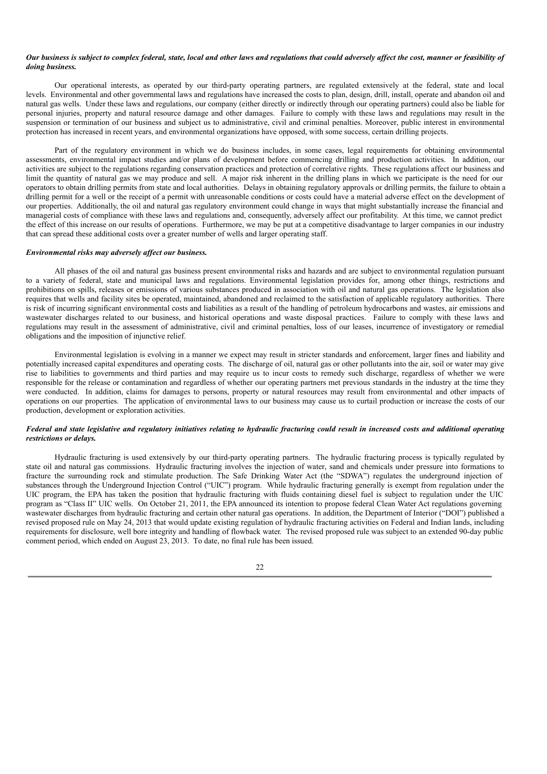# Our business is subject to complex federal, state, local and other laws and regulations that could adversely affect the cost, manner or feasibility of *doing business.*

Our operational interests, as operated by our third-party operating partners, are regulated extensively at the federal, state and local levels. Environmental and other governmental laws and regulations have increased the costs to plan, design, drill, install, operate and abandon oil and natural gas wells. Under these laws and regulations, our company (either directly or indirectly through our operating partners) could also be liable for personal injuries, property and natural resource damage and other damages. Failure to comply with these laws and regulations may result in the suspension or termination of our business and subject us to administrative, civil and criminal penalties. Moreover, public interest in environmental protection has increased in recent years, and environmental organizations have opposed, with some success, certain drilling projects.

Part of the regulatory environment in which we do business includes, in some cases, legal requirements for obtaining environmental assessments, environmental impact studies and/or plans of development before commencing drilling and production activities. In addition, our activities are subject to the regulations regarding conservation practices and protection of correlative rights. These regulations affect our business and limit the quantity of natural gas we may produce and sell. A major risk inherent in the drilling plans in which we participate is the need for our operators to obtain drilling permits from state and local authorities. Delays in obtaining regulatory approvals or drilling permits, the failure to obtain a drilling permit for a well or the receipt of a permit with unreasonable conditions or costs could have a material adverse effect on the development of our properties. Additionally, the oil and natural gas regulatory environment could change in ways that might substantially increase the financial and managerial costs of compliance with these laws and regulations and, consequently, adversely affect our profitability. At this time, we cannot predict the effect of this increase on our results of operations. Furthermore, we may be put at a competitive disadvantage to larger companies in our industry that can spread these additional costs over a greater number of wells and larger operating staff.

#### *Environmental risks may adversely af ect our business.*

All phases of the oil and natural gas business present environmental risks and hazards and are subject to environmental regulation pursuant to a variety of federal, state and municipal laws and regulations. Environmental legislation provides for, among other things, restrictions and prohibitions on spills, releases or emissions of various substances produced in association with oil and natural gas operations. The legislation also requires that wells and facility sites be operated, maintained, abandoned and reclaimed to the satisfaction of applicable regulatory authorities. There is risk of incurring significant environmental costs and liabilities as a result of the handling of petroleum hydrocarbons and wastes, air emissions and wastewater discharges related to our business, and historical operations and waste disposal practices. Failure to comply with these laws and regulations may result in the assessment of administrative, civil and criminal penalties, loss of our leases, incurrence of investigatory or remedial obligations and the imposition of injunctive relief.

Environmental legislation is evolving in a manner we expect may result in stricter standards and enforcement, larger fines and liability and potentially increased capital expenditures and operating costs. The discharge of oil, natural gas or other pollutants into the air, soil or water may give rise to liabilities to governments and third parties and may require us to incur costs to remedy such discharge, regardless of whether we were responsible for the release or contamination and regardless of whether our operating partners met previous standards in the industry at the time they were conducted. In addition, claims for damages to persons, property or natural resources may result from environmental and other impacts of operations on our properties. The application of environmental laws to our business may cause us to curtail production or increase the costs of our production, development or exploration activities.

# Federal and state legislative and regulatory initiatives relating to hydraulic fracturing could result in increased costs and additional operating *restrictions or delays.*

Hydraulic fracturing is used extensively by our third-party operating partners. The hydraulic fracturing process is typically regulated by state oil and natural gas commissions. Hydraulic fracturing involves the injection of water, sand and chemicals under pressure into formations to fracture the surrounding rock and stimulate production. The Safe Drinking Water Act (the "SDWA") regulates the underground injection of substances through the Underground Injection Control ("UIC") program. While hydraulic fracturing generally is exempt from regulation under the UIC program, the EPA has taken the position that hydraulic fracturing with fluids containing diesel fuel is subject to regulation under the UIC program as "Class II" UIC wells. On October 21, 2011, the EPA announced its intention to propose federal Clean Water Act regulations governing wastewater discharges from hydraulic fracturing and certain other natural gas operations. In addition, the Department of Interior ("DOI") published a revised proposed rule on May 24, 2013 that would update existing regulation of hydraulic fracturing activities on Federal and Indian lands, including requirements for disclosure, well bore integrity and handling of flowback water. The revised proposed rule was subject to an extended 90-day public comment period, which ended on August 23, 2013. To date, no final rule has been issued.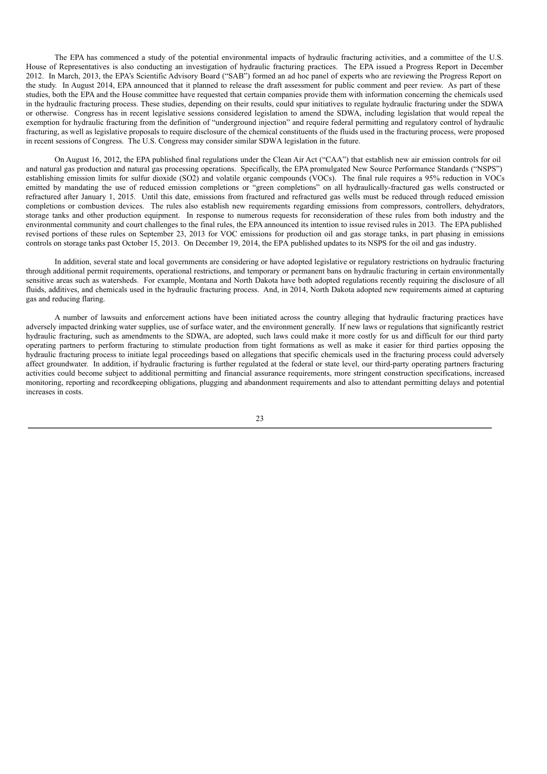The EPA has commenced a study of the potential environmental impacts of hydraulic fracturing activities, and a committee of the U.S. House of Representatives is also conducting an investigation of hydraulic fracturing practices. The EPA issued a Progress Report in December 2012. In March, 2013, the EPA's Scientific Advisory Board ("SAB") formed an ad hoc panel of experts who are reviewing the Progress Report on the study. In August 2014, EPA announced that it planned to release the draft assessment for public comment and peer review. As part of these studies, both the EPA and the House committee have requested that certain companies provide them with information concerning the chemicals used in the hydraulic fracturing process. These studies, depending on their results, could spur initiatives to regulate hydraulic fracturing under the SDWA or otherwise. Congress has in recent legislative sessions considered legislation to amend the SDWA, including legislation that would repeal the exemption for hydraulic fracturing from the definition of "underground injection" and require federal permitting and regulatory control of hydraulic fracturing, as well as legislative proposals to require disclosure of the chemical constituents of the fluids used in the fracturing process, were proposed in recent sessions of Congress. The U.S. Congress may consider similar SDWA legislation in the future.

On August 16, 2012, the EPA published final regulations under the Clean Air Act ("CAA") that establish new air emission controls for oil and natural gas production and natural gas processing operations. Specifically, the EPA promulgated New Source Performance Standards ("NSPS") establishing emission limits for sulfur dioxide (SO2) and volatile organic compounds (VOCs). The final rule requires a 95% reduction in VOCs emitted by mandating the use of reduced emission completions or "green completions" on all hydraulically-fractured gas wells constructed or refractured after January 1, 2015. Until this date, emissions from fractured and refractured gas wells must be reduced through reduced emission completions or combustion devices. The rules also establish new requirements regarding emissions from compressors, controllers, dehydrators, storage tanks and other production equipment. In response to numerous requests for reconsideration of these rules from both industry and the environmental community and court challenges to the final rules, the EPA announced its intention to issue revised rules in 2013. The EPA published revised portions of these rules on September 23, 2013 for VOC emissions for production oil and gas storage tanks, in part phasing in emissions controls on storage tanks past October 15, 2013. On December 19, 2014, the EPA published updates to its NSPS for the oil and gas industry.

In addition, several state and local governments are considering or have adopted legislative or regulatory restrictions on hydraulic fracturing through additional permit requirements, operational restrictions, and temporary or permanent bans on hydraulic fracturing in certain environmentally sensitive areas such as watersheds. For example, Montana and North Dakota have both adopted regulations recently requiring the disclosure of all fluids, additives, and chemicals used in the hydraulic fracturing process. And, in 2014, North Dakota adopted new requirements aimed at capturing gas and reducing flaring.

A number of lawsuits and enforcement actions have been initiated across the country alleging that hydraulic fracturing practices have adversely impacted drinking water supplies, use of surface water, and the environment generally. If new laws or regulations that significantly restrict hydraulic fracturing, such as amendments to the SDWA, are adopted, such laws could make it more costly for us and difficult for our third party operating partners to perform fracturing to stimulate production from tight formations as well as make it easier for third parties opposing the hydraulic fracturing process to initiate legal proceedings based on allegations that specific chemicals used in the fracturing process could adversely affect groundwater. In addition, if hydraulic fracturing is further regulated at the federal or state level, our third-party operating partners fracturing activities could become subject to additional permitting and financial assurance requirements, more stringent construction specifications, increased monitoring, reporting and recordkeeping obligations, plugging and abandonment requirements and also to attendant permitting delays and potential increases in costs.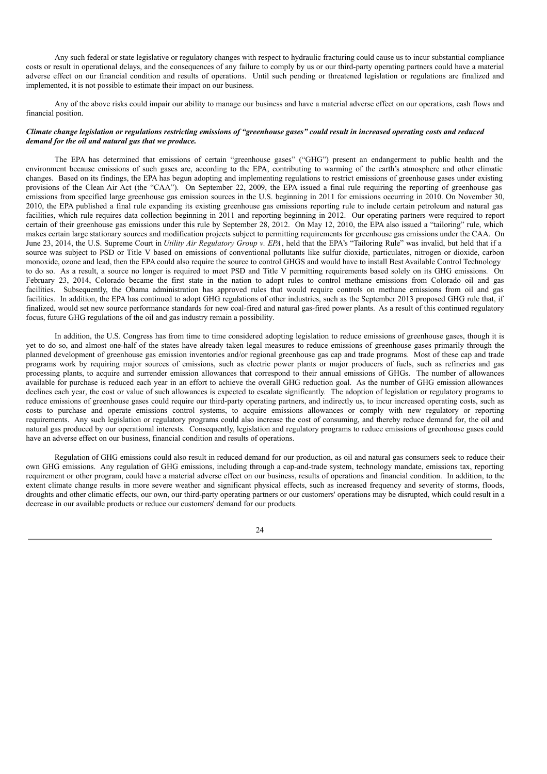Any such federal or state legislative or regulatory changes with respect to hydraulic fracturing could cause us to incur substantial compliance costs or result in operational delays, and the consequences of any failure to comply by us or our third-party operating partners could have a material adverse effect on our financial condition and results of operations. Until such pending or threatened legislation or regulations are finalized and implemented, it is not possible to estimate their impact on our business.

Any of the above risks could impair our ability to manage our business and have a material adverse effect on our operations, cash flows and financial position.

# Climate change legislation or regulations restricting emissions of "greenhouse gases" could result in increased operating costs and reduced *demand for the oil and natural gas that we produce.*

The EPA has determined that emissions of certain "greenhouse gases" ("GHG") present an endangerment to public health and the environment because emissions of such gases are, according to the EPA, contributing to warming of the earth's atmosphere and other climatic changes. Based on its findings, the EPA has begun adopting and implementing regulations to restrict emissions of greenhouse gases under existing provisions of the Clean Air Act (the "CAA"). On September 22, 2009, the EPA issued a final rule requiring the reporting of greenhouse gas emissions from specified large greenhouse gas emission sources in the U.S. beginning in 2011 for emissions occurring in 2010. On November 30, 2010, the EPA published a final rule expanding its existing greenhouse gas emissions reporting rule to include certain petroleum and natural gas facilities, which rule requires data collection beginning in 2011 and reporting beginning in 2012. Our operating partners were required to report certain of their greenhouse gas emissions under this rule by September 28, 2012. On May 12, 2010, the EPA also issued a "tailoring" rule, which makes certain large stationary sources and modification projects subject to permitting requirements for greenhouse gas emissions under the CAA. On June 23, 2014, the U.S. Supreme Court in *Utility Air Regulatory Group v. EPA*, held that the EPA's "Tailoring Rule" was invalid, but held that if a source was subject to PSD or Title V based on emissions of conventional pollutants like sulfur dioxide, particulates, nitrogen or dioxide, carbon monoxide, ozone and lead, then the EPA could also require the source to control GHGS and would have to install Best Available Control Technology to do so. As a result, a source no longer is required to meet PSD and Title V permitting requirements based solely on its GHG emissions. On February 23, 2014, Colorado became the first state in the nation to adopt rules to control methane emissions from Colorado oil and gas facilities. Subsequently, the Obama administration has approved rules that would require controls on methane emissions from oil and gas facilities. In addition, the EPA has continued to adopt GHG regulations of other industries, such as the September 2013 proposed GHG rule that, if finalized, would set new source performance standards for new coal-fired and natural gas-fired power plants. As a result of this continued regulatory focus, future GHG regulations of the oil and gas industry remain a possibility.

In addition, the U.S. Congress has from time to time considered adopting legislation to reduce emissions of greenhouse gases, though it is yet to do so, and almost one-half of the states have already taken legal measures to reduce emissions of greenhouse gases primarily through the planned development of greenhouse gas emission inventories and/or regional greenhouse gas cap and trade programs. Most of these cap and trade programs work by requiring major sources of emissions, such as electric power plants or major producers of fuels, such as refineries and gas processing plants, to acquire and surrender emission allowances that correspond to their annual emissions of GHGs. The number of allowances available for purchase is reduced each year in an effort to achieve the overall GHG reduction goal. As the number of GHG emission allowances declines each year, the cost or value of such allowances is expected to escalate significantly. The adoption of legislation or regulatory programs to reduce emissions of greenhouse gases could require our third-party operating partners, and indirectly us, to incur increased operating costs, such as costs to purchase and operate emissions control systems, to acquire emissions allowances or comply with new regulatory or reporting requirements. Any such legislation or regulatory programs could also increase the cost of consuming, and thereby reduce demand for, the oil and natural gas produced by our operational interests. Consequently, legislation and regulatory programs to reduce emissions of greenhouse gases could have an adverse effect on our business, financial condition and results of operations.

Regulation of GHG emissions could also result in reduced demand for our production, as oil and natural gas consumers seek to reduce their own GHG emissions. Any regulation of GHG emissions, including through a cap-and-trade system, technology mandate, emissions tax, reporting requirement or other program, could have a material adverse effect on our business, results of operations and financial condition. In addition, to the extent climate change results in more severe weather and significant physical effects, such as increased frequency and severity of storms, floods, droughts and other climatic effects, our own, our third-party operating partners or our customers' operations may be disrupted, which could result in a decrease in our available products or reduce our customers' demand for our products.

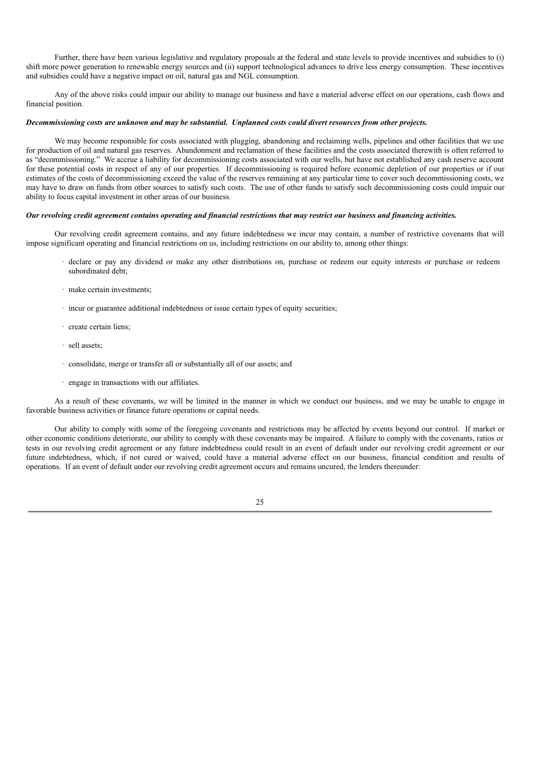Further, there have been various legislative and regulatory proposals at the federal and state levels to provide incentives and subsidies to (i) shift more power generation to renewable energy sources and (ii) support technological advances to drive less energy consumption. These incentives and subsidies could have a negative impact on oil, natural gas and NGL consumption.

Any of the above risks could impair our ability to manage our business and have a material adverse effect on our operations, cash flows and financial position.

# Decommissioning costs are unknown and may be substantial. Unplanned costs could divert resources from other projects.

We may become responsible for costs associated with plugging, abandoning and reclaiming wells, pipelines and other facilities that we use for production of oil and natural gas reserves. Abandonment and reclamation of these facilities and the costs associated therewith is often referred to as "decommissioning." We accrue a liability for decommissioning costs associated with our wells, but have not established any cash reserve account for these potential costs in respect of any of our properties. If decommissioning is required before economic depletion of our properties or if our estimates of the costs of decommissioning exceed the value of the reserves remaining at any particular time to cover such decommissioning costs, we may have to draw on funds from other sources to satisfy such costs. The use of other funds to satisfy such decommissioning costs could impair our ability to focus capital investment in other areas of our business.

# Our revolving credit agreement contains operating and financial restrictions that may restrict our business and financing activities.

Our revolving credit agreement contains, and any future indebtedness we incur may contain, a number of restrictive covenants that will impose significant operating and financial restrictions on us, including restrictions on our ability to, among other things:

- · declare or pay any dividend or make any other distributions on, purchase or redeem our equity interests or purchase or redeem subordinated debt;
- · make certain investments;
- · incur or guarantee additional indebtedness or issue certain types of equity securities;
- · create certain liens;
- · sell assets;
- · consolidate, merge or transfer all or substantially all of our assets; and
- · engage in transactions with our affiliates.

As a result of these covenants, we will be limited in the manner in which we conduct our business, and we may be unable to engage in favorable business activities or finance future operations or capital needs.

Our ability to comply with some of the foregoing covenants and restrictions may be affected by events beyond our control. If market or other economic conditions deteriorate, our ability to comply with these covenants may be impaired. A failure to comply with the covenants, ratios or tests in our revolving credit agreement or any future indebtedness could result in an event of default under our revolving credit agreement or our future indebtedness, which, if not cured or waived, could have a material adverse effect on our business, financial condition and results of operations. If an event of default under our revolving credit agreement occurs and remains uncured, the lenders thereunder: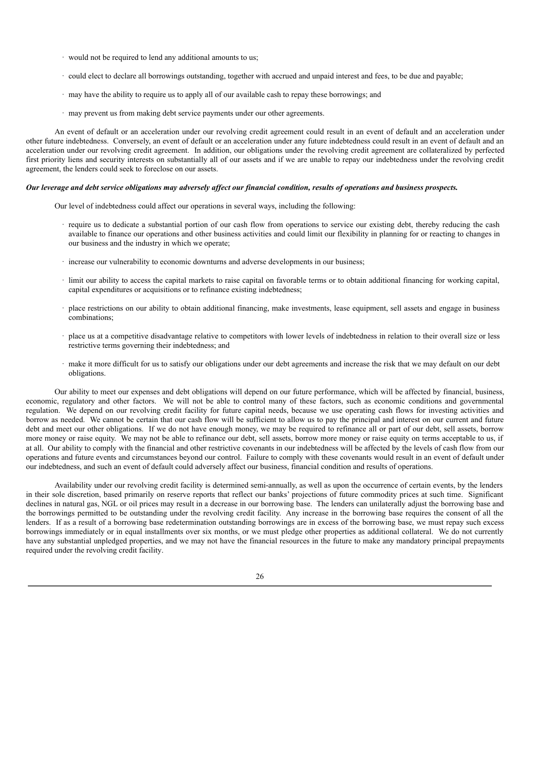- · would not be required to lend any additional amounts to us;
- · could elect to declare all borrowings outstanding, together with accrued and unpaid interest and fees, to be due and payable;
- · may have the ability to require us to apply all of our available cash to repay these borrowings; and
- · may prevent us from making debt service payments under our other agreements.

An event of default or an acceleration under our revolving credit agreement could result in an event of default and an acceleration under other future indebtedness. Conversely, an event of default or an acceleration under any future indebtedness could result in an event of default and an acceleration under our revolving credit agreement. In addition, our obligations under the revolving credit agreement are collateralized by perfected first priority liens and security interests on substantially all of our assets and if we are unable to repay our indebtedness under the revolving credit agreement, the lenders could seek to foreclose on our assets.

#### Our leverage and debt service obligations may adversely affect our financial condition, results of operations and business prospects.

Our level of indebtedness could affect our operations in several ways, including the following:

- · require us to dedicate a substantial portion of our cash flow from operations to service our existing debt, thereby reducing the cash available to finance our operations and other business activities and could limit our flexibility in planning for or reacting to changes in our business and the industry in which we operate;
- · increase our vulnerability to economic downturns and adverse developments in our business;
- · limit our ability to access the capital markets to raise capital on favorable terms or to obtain additional financing for working capital, capital expenditures or acquisitions or to refinance existing indebtedness;
- · place restrictions on our ability to obtain additional financing, make investments, lease equipment, sell assets and engage in business combinations;
- · place us at a competitive disadvantage relative to competitors with lower levels of indebtedness in relation to their overall size or less restrictive terms governing their indebtedness; and
- make it more difficult for us to satisfy our obligations under our debt agreements and increase the risk that we may default on our debt obligations.

Our ability to meet our expenses and debt obligations will depend on our future performance, which will be affected by financial, business, economic, regulatory and other factors. We will not be able to control many of these factors, such as economic conditions and governmental regulation. We depend on our revolving credit facility for future capital needs, because we use operating cash flows for investing activities and borrow as needed. We cannot be certain that our cash flow will be sufficient to allow us to pay the principal and interest on our current and future debt and meet our other obligations. If we do not have enough money, we may be required to refinance all or part of our debt, sell assets, borrow more money or raise equity. We may not be able to refinance our debt, sell assets, borrow more money or raise equity on terms acceptable to us, if at all. Our ability to comply with the financial and other restrictive covenants in our indebtedness will be affected by the levels of cash flow from our operations and future events and circumstances beyond our control. Failure to comply with these covenants would result in an event of default under our indebtedness, and such an event of default could adversely affect our business, financial condition and results of operations.

Availability under our revolving credit facility is determined semi-annually, as well as upon the occurrence of certain events, by the lenders in their sole discretion, based primarily on reserve reports that reflect our banks' projections of future commodity prices at such time. Significant declines in natural gas, NGL or oil prices may result in a decrease in our borrowing base. The lenders can unilaterally adjust the borrowing base and the borrowings permitted to be outstanding under the revolving credit facility. Any increase in the borrowing base requires the consent of all the lenders. If as a result of a borrowing base redetermination outstanding borrowings are in excess of the borrowing base, we must repay such excess borrowings immediately or in equal installments over six months, or we must pledge other properties as additional collateral. We do not currently have any substantial unpledged properties, and we may not have the financial resources in the future to make any mandatory principal prepayments required under the revolving credit facility.

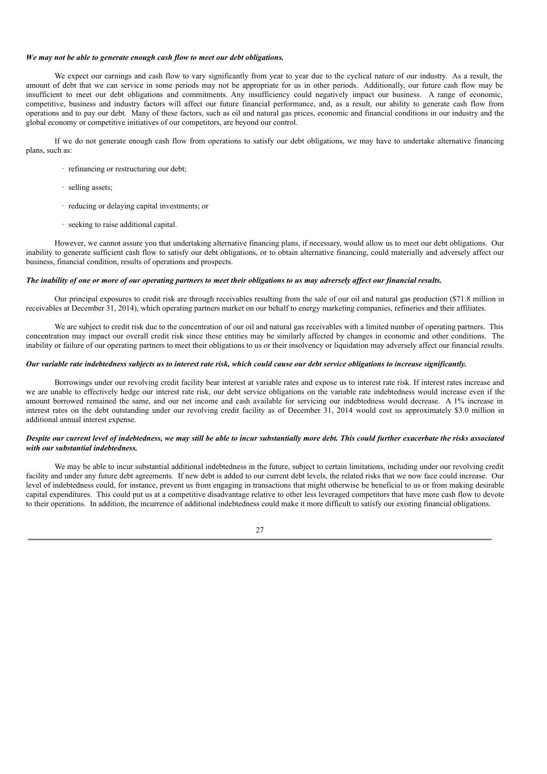#### *We may not be able to generate enough cash flow to meet our debt obligations.*

We expect our earnings and cash flow to vary significantly from year to year due to the cyclical nature of our industry. As a result, the amount of debt that we can service in some periods may not be appropriate for us in other periods. Additionally, our future cash flow may be insufficient to meet our debt obligations and commitments. Any insufficiency could negatively impact our business. A range of economic, competitive, business and industry factors will affect our future financial performance, and, as a result, our ability to generate cash flow from operations and to pay our debt. Many of these factors, such as oil and natural gas prices, economic and financial conditions in our industry and the global economy or competitive initiatives of our competitors, are beyond our control.

If we do not generate enough cash flow from operations to satisfy our debt obligations, we may have to undertake alternative financing plans, such as:

- · refinancing or restructuring our debt;
- · selling assets;
- · reducing or delaying capital investments; or
- · seeking to raise additional capital.

However, we cannot assure you that undertaking alternative financing plans, if necessary, would allow us to meet our debt obligations. Our inability to generate sufficient cash flow to satisfy our debt obligations, or to obtain alternative financing, could materially and adversely affect our business, financial condition, results of operations and prospects.

#### The inability of one or more of our operating partners to meet their obligations to us may adversely affect our financial results.

Our principal exposures to credit risk are through receivables resulting from the sale of our oil and natural gas production (\$71.8 million in receivables at December 31, 2014), which operating partners market on our behalf to energy marketing companies, refineries and their affiliates.

We are subject to credit risk due to the concentration of our oil and natural gas receivables with a limited number of operating partners. This concentration may impact our overall credit risk since these entities may be similarly affected by changes in economic and other conditions. The inability or failure of our operating partners to meet their obligations to us or their insolvency or liquidation may adversely affect our financial results.

# Our variable rate indebtedness subjects us to interest rate risk, which could cause our debt service obligations to increase significantly.

Borrowings under our revolving credit facility bear interest at variable rates and expose us to interest rate risk. If interest rates increase and we are unable to effectively hedge our interest rate risk, our debt service obligations on the variable rate indebtedness would increase even if the amount borrowed remained the same, and our net income and cash available for servicing our indebtedness would decrease. A 1% increase in interest rates on the debt outstanding under our revolving credit facility as of December 31, 2014 would cost us approximately \$3.0 million in additional annual interest expense.

# Despite our current level of indebtedness, we may still be able to incur substantially more debt. This could further exacerbate the risks associated *with our substantial indebtedness.*

We may be able to incur substantial additional indebtedness in the future, subject to certain limitations, including under our revolving credit facility and under any future debt agreements. If new debt is added to our current debt levels, the related risks that we now face could increase. Our level of indebtedness could, for instance, prevent us from engaging in transactions that might otherwise be beneficial to us or from making desirable capital expenditures. This could put us at a competitive disadvantage relative to other less leveraged competitors that have more cash flow to devote to their operations. In addition, the incurrence of additional indebtedness could make it more difficult to satisfy our existing financial obligations.

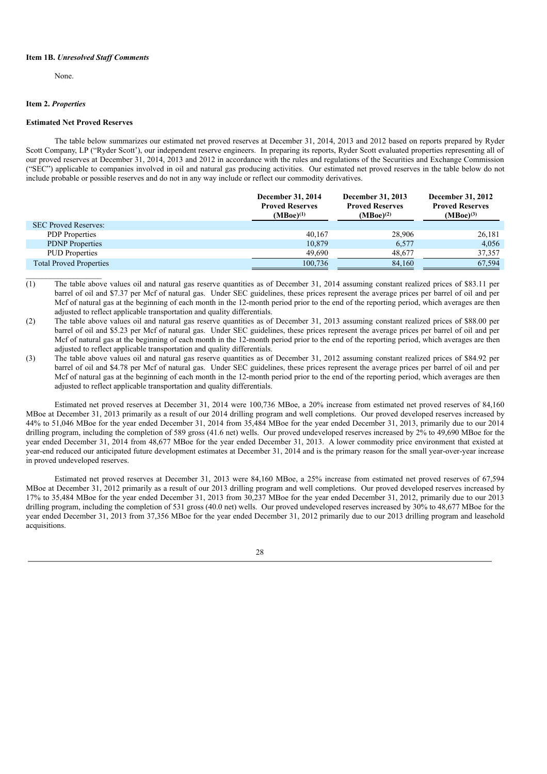#### **Item 1B.** *Unresolved Staf Comments*

None.

#### **Item 2.** *Properties*

# **Estimated Net Proved Reserves**

The table below summarizes our estimated net proved reserves at December 31, 2014, 2013 and 2012 based on reports prepared by Ryder Scott Company, LP ("Ryder Scott'), our independent reserve engineers. In preparing its reports, Ryder Scott evaluated properties representing all of our proved reserves at December 31, 2014, 2013 and 2012 in accordance with the rules and regulations of the Securities and Exchange Commission ("SEC") applicable to companies involved in oil and natural gas producing activities. Our estimated net proved reserves in the table below do not include probable or possible reserves and do not in any way include or reflect our commodity derivatives.

|                                | December 31, 2014<br><b>Proved Reserves</b><br>$(MBoe)^{(1)}$ | December 31, 2013<br><b>Proved Reserves</b><br>$(MBoe)^{(2)}$ | December 31, 2012<br><b>Proved Reserves</b><br>$(MBoe)^{(3)}$ |
|--------------------------------|---------------------------------------------------------------|---------------------------------------------------------------|---------------------------------------------------------------|
| <b>SEC Proved Reserves:</b>    |                                                               |                                                               |                                                               |
| <b>PDP</b> Properties          | 40.167                                                        | 28,906                                                        | 26,181                                                        |
| <b>PDNP</b> Properties         | 10,879                                                        | 6,577                                                         | 4.056                                                         |
| <b>PUD</b> Properties          | 49.690                                                        | 48.677                                                        | 37,357                                                        |
| <b>Total Proved Properties</b> | 100,736                                                       | 84,160                                                        | 67.594                                                        |

<sup>(1)</sup> The table above values oil and natural gas reserve quantities as of December 31, 2014 assuming constant realized prices of \$83.11 per barrel of oil and \$7.37 per Mcf of natural gas. Under SEC guidelines, these prices represent the average prices per barrel of oil and per Mcf of natural gas at the beginning of each month in the 12-month period prior to the end of the reporting period, which averages are then adjusted to reflect applicable transportation and quality differentials.

Estimated net proved reserves at December 31, 2014 were 100,736 MBoe, a 20% increase from estimated net proved reserves of 84,160 MBoe at December 31, 2013 primarily as a result of our 2014 drilling program and well completions. Our proved developed reserves increased by 44% to 51,046 MBoe for the year ended December 31, 2014 from 35,484 MBoe for the year ended December 31, 2013, primarily due to our 2014 drilling program, including the completion of 589 gross (41.6 net) wells. Our proved undeveloped reserves increased by 2% to 49,690 MBoe for the year ended December 31, 2014 from 48,677 MBoe for the year ended December 31, 2013. A lower commodity price environment that existed at year-end reduced our anticipated future development estimates at December 31, 2014 and is the primary reason for the small year-over-year increase in proved undeveloped reserves.

Estimated net proved reserves at December 31, 2013 were 84,160 MBoe, a 25% increase from estimated net proved reserves of 67,594 MBoe at December 31, 2012 primarily as a result of our 2013 drilling program and well completions. Our proved developed reserves increased by 17% to 35,484 MBoe for the year ended December 31, 2013 from 30,237 MBoe for the year ended December 31, 2012, primarily due to our 2013 drilling program, including the completion of 531 gross (40.0 net) wells. Our proved undeveloped reserves increased by 30% to 48,677 MBoe for the year ended December 31, 2013 from 37,356 MBoe for the year ended December 31, 2012 primarily due to our 2013 drilling program and leasehold acquisitions.



<sup>(2)</sup> The table above values oil and natural gas reserve quantities as of December 31, 2013 assuming constant realized prices of \$88.00 per barrel of oil and \$5.23 per Mcf of natural gas. Under SEC guidelines, these prices represent the average prices per barrel of oil and per Mcf of natural gas at the beginning of each month in the 12-month period prior to the end of the reporting period, which averages are then adjusted to reflect applicable transportation and quality differentials.

<sup>(3)</sup> The table above values oil and natural gas reserve quantities as of December 31, 2012 assuming constant realized prices of \$84.92 per barrel of oil and \$4.78 per Mcf of natural gas. Under SEC guidelines, these prices represent the average prices per barrel of oil and per Mcf of natural gas at the beginning of each month in the 12-month period prior to the end of the reporting period, which averages are then adjusted to reflect applicable transportation and quality differentials.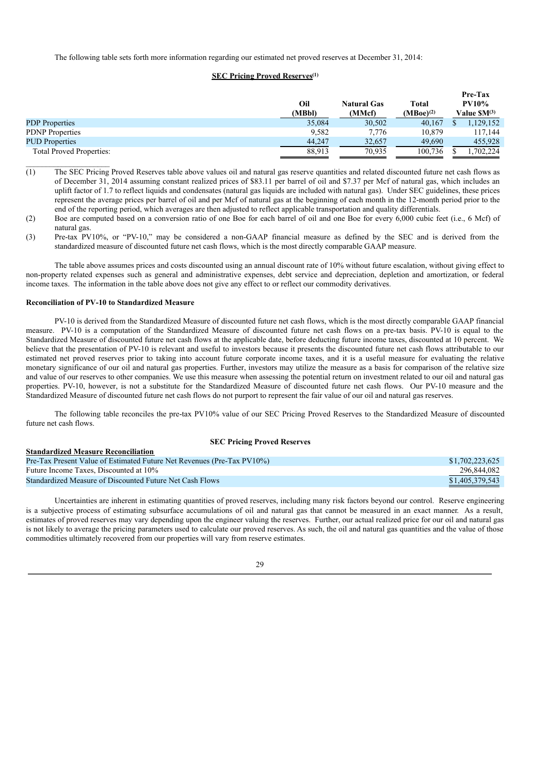The following table sets forth more information regarding our estimated net proved reserves at December 31, 2014:

# **SEC Pricing Proved Reserves (1)**

|                                 | Oil<br>(MBbl) | <b>Natural Gas</b><br>(MMcf) | Total<br>$(MBoe)^{(2)}$ | Pre-Tax<br><b>PV10%</b><br>Value \$M(3) |
|---------------------------------|---------------|------------------------------|-------------------------|-----------------------------------------|
| <b>PDP</b> Properties           | 35,084        | 30,502                       | 40,167                  | 129,152                                 |
| <b>PDNP</b> Properties          | 9.582         | 7.776                        | 10.879                  | 117.144                                 |
| <b>PUD Properties</b>           | 44.247        | 32,657                       | 49,690                  | 455,928                                 |
| <b>Total Proved Properties:</b> | 88.913        | 70.935                       | 100.736                 | .702.224                                |

<sup>(1)</sup> The SEC Pricing Proved Reserves table above values oil and natural gas reserve quantities and related discounted future net cash flows as of December 31, 2014 assuming constant realized prices of \$83.11 per barrel of oil and \$7.37 per Mcf of natural gas, which includes an uplift factor of 1.7 to reflect liquids and condensates (natural gas liquids are included with natural gas). Under SEC guidelines, these prices represent the average prices per barrel of oil and per Mcf of natural gas at the beginning of each month in the 12-month period prior to the end of the reporting period, which averages are then adjusted to reflect applicable transportation and quality differentials.

(3) Pre-tax PV10%, or "PV-10," may be considered a non-GAAP financial measure as defined by the SEC and is derived from the standardized measure of discounted future net cash flows, which is the most directly comparable GAAP measure.

The table above assumes prices and costs discounted using an annual discount rate of 10% without future escalation, without giving effect to non-property related expenses such as general and administrative expenses, debt service and depreciation, depletion and amortization, or federal income taxes. The information in the table above does not give any effect to or reflect our commodity derivatives.

#### **Reconciliation of PV-10 to Standardized Measure**

**Standardized Measure Reconciliation**

PV-10 is derived from the Standardized Measure of discounted future net cash flows, which is the most directly comparable GAAP financial measure. PV-10 is a computation of the Standardized Measure of discounted future net cash flows on a pre-tax basis. PV-10 is equal to the Standardized Measure of discounted future net cash flows at the applicable date, before deducting future income taxes, discounted at 10 percent. We believe that the presentation of PV-10 is relevant and useful to investors because it presents the discounted future net cash flows attributable to our estimated net proved reserves prior to taking into account future corporate income taxes, and it is a useful measure for evaluating the relative monetary significance of our oil and natural gas properties. Further, investors may utilize the measure as a basis for comparison of the relative size and value of our reserves to other companies. We use this measure when assessing the potential return on investment related to our oil and natural gas properties. PV-10, however, is not a substitute for the Standardized Measure of discounted future net cash flows. Our PV-10 measure and the Standardized Measure of discounted future net cash flows do not purport to represent the fair value of our oil and natural gas reserves.

The following table reconciles the pre-tax PV10% value of our SEC Pricing Proved Reserves to the Standardized Measure of discounted future net cash flows.

# **SEC Pricing Proved Reserves**

| sumban alsva hrvasai v rivvolivinausii                                 |                 |
|------------------------------------------------------------------------|-----------------|
| Pre-Tax Present Value of Estimated Future Net Revenues (Pre-Tax PV10%) | \$1,702,223,625 |
| Future Income Taxes, Discounted at 10%                                 | 296.844.082     |
| Standardized Measure of Discounted Future Net Cash Flows               | \$1,405,379,543 |

Uncertainties are inherent in estimating quantities of proved reserves, including many risk factors beyond our control. Reserve engineering is a subjective process of estimating subsurface accumulations of oil and natural gas that cannot be measured in an exact manner. As a result, estimates of proved reserves may vary depending upon the engineer valuing the reserves. Further, our actual realized price for our oil and natural gas is not likely to average the pricing parameters used to calculate our proved reserves. As such, the oil and natural gas quantities and the value of those commodities ultimately recovered from our properties will vary from reserve estimates.

<sup>(2)</sup> Boe are computed based on a conversion ratio of one Boe for each barrel of oil and one Boe for every 6,000 cubic feet (i.e., 6 Mcf) of natural gas.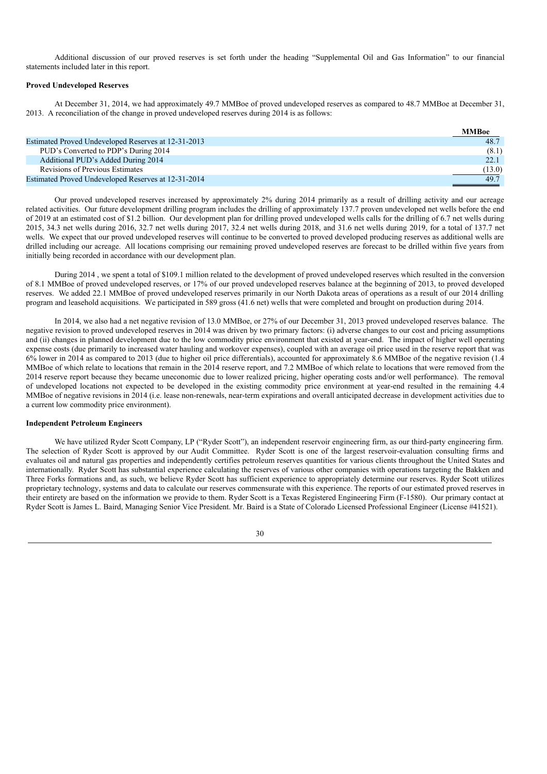Additional discussion of our proved reserves is set forth under the heading "Supplemental Oil and Gas Information" to our financial statements included later in this report.

# **Proved Undeveloped Reserves**

At December 31, 2014, we had approximately 49.7 MMBoe of proved undeveloped reserves as compared to 48.7 MMBoe at December 31, 2013. A reconciliation of the change in proved undeveloped reserves during 2014 is as follows:

|                                                     | <b>MMBoe</b> |
|-----------------------------------------------------|--------------|
| Estimated Proved Undeveloped Reserves at 12-31-2013 | 48.7         |
| PUD's Converted to PDP's During 2014                | (8.1)        |
| Additional PUD's Added During 2014                  | 22.1         |
| <b>Revisions of Previous Estimates</b>              | (13.0)       |
| Estimated Proved Undeveloped Reserves at 12-31-2014 | 49.7         |

Our proved undeveloped reserves increased by approximately 2% during 2014 primarily as a result of drilling activity and our acreage related activities. Our future development drilling program includes the drilling of approximately 137.7 proven undeveloped net wells before the end of 2019 at an estimated cost of \$1.2 billion. Our development plan for drilling proved undeveloped wells calls for the drilling of 6.7 net wells during 2015, 34.3 net wells during 2016, 32.7 net wells during 2017, 32.4 net wells during 2018, and 31.6 net wells during 2019, for a total of 137.7 net wells. We expect that our proved undeveloped reserves will continue to be converted to proved developed producing reserves as additional wells are drilled including our acreage. All locations comprising our remaining proved undeveloped reserves are forecast to be drilled within five years from initially being recorded in accordance with our development plan.

During 2014 , we spent a total of \$109.1 million related to the development of proved undeveloped reserves which resulted in the conversion of 8.1 MMBoe of proved undeveloped reserves, or 17% of our proved undeveloped reserves balance at the beginning of 2013, to proved developed reserves. We added 22.1 MMBoe of proved undeveloped reserves primarily in our North Dakota areas of operations as a result of our 2014 drilling program and leasehold acquisitions. We participated in 589 gross (41.6 net) wells that were completed and brought on production during 2014.

In 2014, we also had a net negative revision of 13.0 MMBoe, or 27% of our December 31, 2013 proved undeveloped reserves balance. The negative revision to proved undeveloped reserves in 2014 was driven by two primary factors: (i) adverse changes to our cost and pricing assumptions and (ii) changes in planned development due to the low commodity price environment that existed at year-end. The impact of higher well operating expense costs (due primarily to increased water hauling and workover expenses), coupled with an average oil price used in the reserve report that was 6% lower in 2014 as compared to 2013 (due to higher oil price differentials), accounted for approximately 8.6 MMBoe of the negative revision (1.4 MMBoe of which relate to locations that remain in the 2014 reserve report, and 7.2 MMBoe of which relate to locations that were removed from the 2014 reserve report because they became uneconomic due to lower realized pricing, higher operating costs and/or well performance). The removal of undeveloped locations not expected to be developed in the existing commodity price environment at year-end resulted in the remaining 4.4 MMBoe of negative revisions in 2014 (i.e. lease non-renewals, near-term expirations and overall anticipated decrease in development activities due to a current low commodity price environment).

# **Independent Petroleum Engineers**

We have utilized Ryder Scott Company, LP ("Ryder Scott"), an independent reservoir engineering firm, as our third-party engineering firm. The selection of Ryder Scott is approved by our Audit Committee. Ryder Scott is one of the largest reservoir-evaluation consulting firms and evaluates oil and natural gas properties and independently certifies petroleum reserves quantities for various clients throughout the United States and internationally. Ryder Scott has substantial experience calculating the reserves of various other companies with operations targeting the Bakken and Three Forks formations and, as such, we believe Ryder Scott has sufficient experience to appropriately determine our reserves. Ryder Scott utilizes proprietary technology, systems and data to calculate our reserves commensurate with this experience. The reports of our estimated proved reserves in their entirety are based on the information we provide to them. Ryder Scott is a Texas Registered Engineering Firm (F-1580). Our primary contact at Ryder Scott is James L. Baird, Managing Senior Vice President. Mr. Baird is a State of Colorado Licensed Professional Engineer (License #41521).

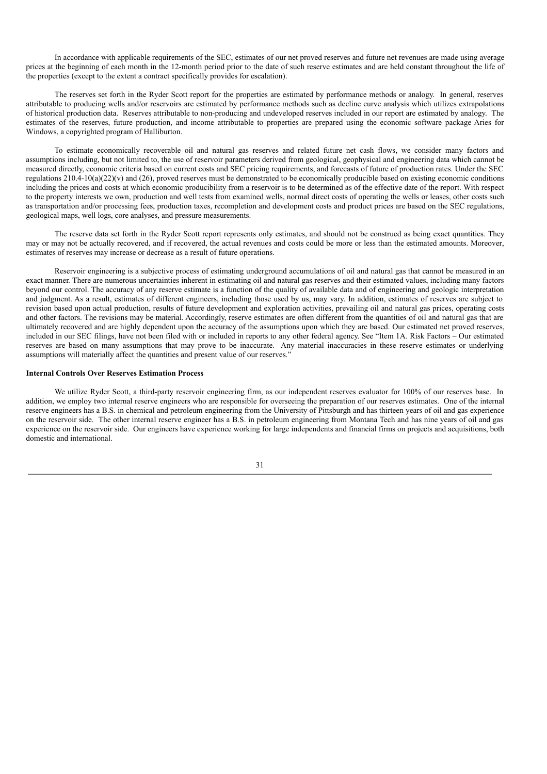In accordance with applicable requirements of the SEC, estimates of our net proved reserves and future net revenues are made using average prices at the beginning of each month in the 12-month period prior to the date of such reserve estimates and are held constant throughout the life of the properties (except to the extent a contract specifically provides for escalation).

The reserves set forth in the Ryder Scott report for the properties are estimated by performance methods or analogy. In general, reserves attributable to producing wells and/or reservoirs are estimated by performance methods such as decline curve analysis which utilizes extrapolations of historical production data. Reserves attributable to non-producing and undeveloped reserves included in our report are estimated by analogy. The estimates of the reserves, future production, and income attributable to properties are prepared using the economic software package Aries for Windows, a copyrighted program of Halliburton.

To estimate economically recoverable oil and natural gas reserves and related future net cash flows, we consider many factors and assumptions including, but not limited to, the use of reservoir parameters derived from geological, geophysical and engineering data which cannot be measured directly, economic criteria based on current costs and SEC pricing requirements, and forecasts of future of production rates. Under the SEC regulations  $210.4-10(a)(22)(v)$  and  $(26)$ , proved reserves must be demonstrated to be economically producible based on existing economic conditions including the prices and costs at which economic producibility from a reservoir is to be determined as of the effective date of the report. With respect to the property interests we own, production and well tests from examined wells, normal direct costs of operating the wells or leases, other costs such as transportation and/or processing fees, production taxes, recompletion and development costs and product prices are based on the SEC regulations, geological maps, well logs, core analyses, and pressure measurements.

The reserve data set forth in the Ryder Scott report represents only estimates, and should not be construed as being exact quantities. They may or may not be actually recovered, and if recovered, the actual revenues and costs could be more or less than the estimated amounts. Moreover, estimates of reserves may increase or decrease as a result of future operations.

Reservoir engineering is a subjective process of estimating underground accumulations of oil and natural gas that cannot be measured in an exact manner. There are numerous uncertainties inherent in estimating oil and natural gas reserves and their estimated values, including many factors beyond our control. The accuracy of any reserve estimate is a function of the quality of available data and of engineering and geologic interpretation and judgment. As a result, estimates of different engineers, including those used by us, may vary. In addition, estimates of reserves are subject to revision based upon actual production, results of future development and exploration activities, prevailing oil and natural gas prices, operating costs and other factors. The revisions may be material. Accordingly, reserve estimates are often different from the quantities of oil and natural gas that are ultimately recovered and are highly dependent upon the accuracy of the assumptions upon which they are based. Our estimated net proved reserves, included in our SEC filings, have not been filed with or included in reports to any other federal agency. See "Item 1A. Risk Factors – Our estimated reserves are based on many assumptions that may prove to be inaccurate. Any material inaccuracies in these reserve estimates or underlying assumptions will materially affect the quantities and present value of our reserves."

#### **Internal Controls Over Reserves Estimation Process**

We utilize Ryder Scott, a third-party reservoir engineering firm, as our independent reserves evaluator for 100% of our reserves base. In addition, we employ two internal reserve engineers who are responsible for overseeing the preparation of our reserves estimates. One of the internal reserve engineers has a B.S. in chemical and petroleum engineering from the University of Pittsburgh and has thirteen years of oil and gas experience on the reservoir side. The other internal reserve engineer has a B.S. in petroleum engineering from Montana Tech and has nine years of oil and gas experience on the reservoir side. Our engineers have experience working for large independents and financial firms on projects and acquisitions, both domestic and international.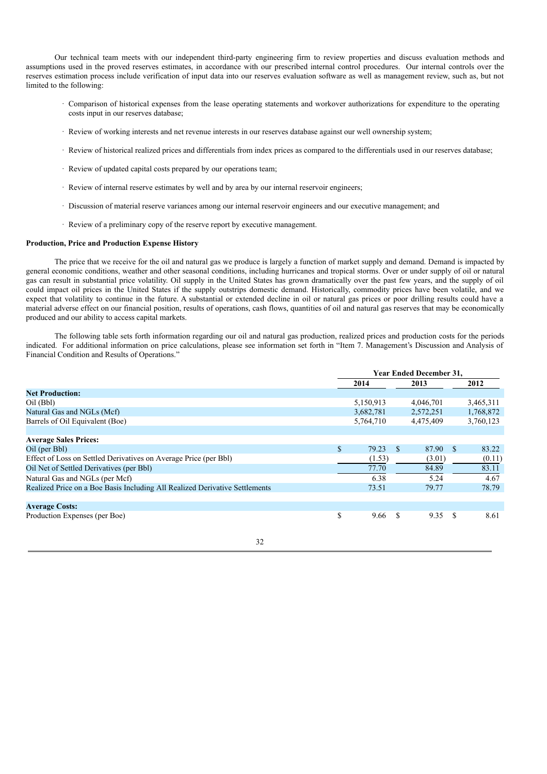Our technical team meets with our independent third-party engineering firm to review properties and discuss evaluation methods and assumptions used in the proved reserves estimates, in accordance with our prescribed internal control procedures. Our internal controls over the reserves estimation process include verification of input data into our reserves evaluation software as well as management review, such as, but not limited to the following:

- · Comparison of historical expenses from the lease operating statements and workover authorizations for expenditure to the operating costs input in our reserves database;
- · Review of working interests and net revenue interests in our reserves database against our well ownership system;
- · Review of historical realized prices and differentials from index prices as compared to the differentials used in our reserves database;
- · Review of updated capital costs prepared by our operations team;
- · Review of internal reserve estimates by well and by area by our internal reservoir engineers;
- · Discussion of material reserve variances among our internal reservoir engineers and our executive management; and
- · Review of a preliminary copy of the reserve report by executive management.

## **Production, Price and Production Expense History**

The price that we receive for the oil and natural gas we produce is largely a function of market supply and demand. Demand is impacted by general economic conditions, weather and other seasonal conditions, including hurricanes and tropical storms. Over or under supply of oil or natural gas can result in substantial price volatility. Oil supply in the United States has grown dramatically over the past few years, and the supply of oil could impact oil prices in the United States if the supply outstrips domestic demand. Historically, commodity prices have been volatile, and we expect that volatility to continue in the future. A substantial or extended decline in oil or natural gas prices or poor drilling results could have a material adverse effect on our financial position, results of operations, cash flows, quantities of oil and natural gas reserves that may be economically produced and our ability to access capital markets.

The following table sets forth information regarding our oil and natural gas production, realized prices and production costs for the periods indicated. For additional information on price calculations, please see information set forth in "Item 7. Management's Discussion and Analysis of Financial Condition and Results of Operations."

| <b>Year Ended December 31,</b> |        |                                             |           |      |           |
|--------------------------------|--------|---------------------------------------------|-----------|------|-----------|
|                                |        |                                             | 2013      |      | 2012      |
|                                |        |                                             |           |      |           |
|                                |        |                                             | 4,046,701 |      | 3,465,311 |
|                                |        |                                             | 2,572,251 |      | 1,768,872 |
|                                |        |                                             | 4,475,409 |      | 3,760,123 |
|                                |        |                                             |           |      |           |
|                                |        |                                             |           |      |           |
| \$                             | 79.23  | $\mathcal{S}$                               |           |      | 83.22     |
|                                | (1.53) |                                             | (3.01)    |      | (0.11)    |
|                                | 77.70  |                                             | 84.89     |      | 83.11     |
|                                | 6.38   |                                             | 5.24      |      | 4.67      |
|                                | 73.51  |                                             | 79.77     |      | 78.79     |
|                                |        |                                             |           |      |           |
|                                |        |                                             |           |      |           |
| \$                             | 9.66   | -S                                          |           | -S   | 8.61      |
|                                |        | 2014<br>5,150,913<br>3,682,781<br>5,764,710 |           | 9.35 | 87.90 \$  |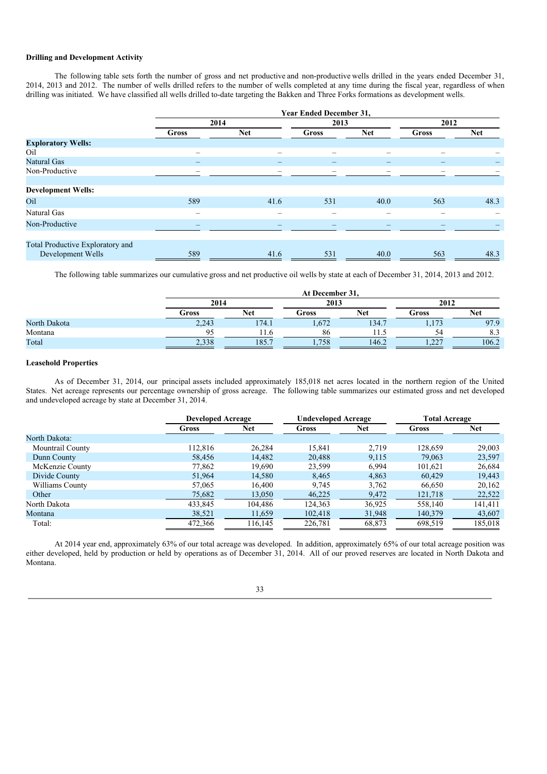# **Drilling and Development Activity**

The following table sets forth the number of gross and net productive and non-productive wells drilled in the years ended December 31, 2014, 2013 and 2012. The number of wells drilled refers to the number of wells completed at any time during the fiscal year, regardless of when drilling was initiated. We have classified all wells drilled to-date targeting the Bakken and Three Forks formations as development wells.

|                                  | <b>Year Ended December 31,</b> |            |                                |                   |       |            |  |  |  |  |  |
|----------------------------------|--------------------------------|------------|--------------------------------|-------------------|-------|------------|--|--|--|--|--|
|                                  | 2014                           |            | 2013                           |                   | 2012  |            |  |  |  |  |  |
|                                  | Gross                          | <b>Net</b> | Gross                          | <b>Net</b>        | Gross | <b>Net</b> |  |  |  |  |  |
| <b>Exploratory Wells:</b>        |                                |            |                                |                   |       |            |  |  |  |  |  |
| Oil                              | -                              |            | -                              |                   |       |            |  |  |  |  |  |
| <b>Natural Gas</b>               | $\qquad \qquad -$              | -          | $\qquad \qquad \longleftarrow$ | $\qquad \qquad -$ | -     |            |  |  |  |  |  |
| Non-Productive                   |                                |            |                                |                   |       |            |  |  |  |  |  |
| <b>Development Wells:</b>        |                                |            |                                |                   |       |            |  |  |  |  |  |
| Oil                              | 589                            | 41.6       | 531                            | 40.0              | 563   | 48.3       |  |  |  |  |  |
| Natural Gas                      |                                |            |                                |                   |       |            |  |  |  |  |  |
| Non-Productive                   |                                |            |                                |                   |       |            |  |  |  |  |  |
| Total Productive Exploratory and |                                |            |                                |                   |       |            |  |  |  |  |  |
| Development Wells                | 589                            | 41.6       | 531                            | 40.0              | 563   | 48.3       |  |  |  |  |  |

The following table summarizes our cumulative gross and net productive oil wells by state at each of December 31, 2014, 2013 and 2012.

|              | At December 31, |       |       |            |       |       |  |  |  |  |  |  |
|--------------|-----------------|-------|-------|------------|-------|-------|--|--|--|--|--|--|
|              | 2014            |       | 2013  |            | 2012  |       |  |  |  |  |  |  |
|              | Gross           | Net   | Gross | <b>Net</b> | Gross | Net   |  |  |  |  |  |  |
| North Dakota | 2,243           | 174.1 | 1,672 | 134.7      | 1,173 | 97.9  |  |  |  |  |  |  |
| Montana      | 95              | 11.6  | 86    |            | 54    | 8.3   |  |  |  |  |  |  |
| Total        | 2,338           | 185.7 | 1,758 | 146.2      | 1,227 | 106.2 |  |  |  |  |  |  |

## **Leasehold Properties**

As of December 31, 2014, our principal assets included approximately 185,018 net acres located in the northern region of the United States. Net acreage represents our percentage ownership of gross acreage. The following table summarizes our estimated gross and net developed and undeveloped acreage by state at December 31, 2014.

|                  | <b>Developed Acreage</b><br>Net<br>Gross |         | <b>Undeveloped Acreage</b> |            | <b>Total Acreage</b> |            |  |  |
|------------------|------------------------------------------|---------|----------------------------|------------|----------------------|------------|--|--|
|                  |                                          |         | Gross                      | <b>Net</b> | Gross                | <b>Net</b> |  |  |
| North Dakota:    |                                          |         |                            |            |                      |            |  |  |
| Mountrail County | 112,816                                  | 26,284  | 15.841                     | 2,719      | 128,659              | 29,003     |  |  |
| Dunn County      | 58,456                                   | 14,482  | 20.488                     | 9,115      | 79,063               | 23,597     |  |  |
| McKenzie County  | 77,862                                   | 19.690  | 23,599                     | 6.994      | 101.621              | 26,684     |  |  |
| Divide County    | 51,964                                   | 14,580  | 8.465                      | 4,863      | 60,429               | 19,443     |  |  |
| Williams County  | 57,065                                   | 16,400  | 9.745                      | 3,762      | 66,650               | 20,162     |  |  |
| Other            | 75,682                                   | 13,050  | 46,225                     | 9,472      | 121,718              | 22,522     |  |  |
| North Dakota     | 433,845                                  | 104.486 | 124,363                    | 36.925     | 558,140              | 141.411    |  |  |
| Montana          | 38,521                                   | 11,659  | 102,418                    | 31,948     | 140,379              | 43,607     |  |  |
| Total:           | 472,366                                  | 116,145 | 226,781                    | 68,873     | 698,519              | 185,018    |  |  |

At 2014 year end, approximately 63% of our total acreage was developed. In addition, approximately 65% of our total acreage position was either developed, held by production or held by operations as of December 31, 2014. All of our proved reserves are located in North Dakota and Montana.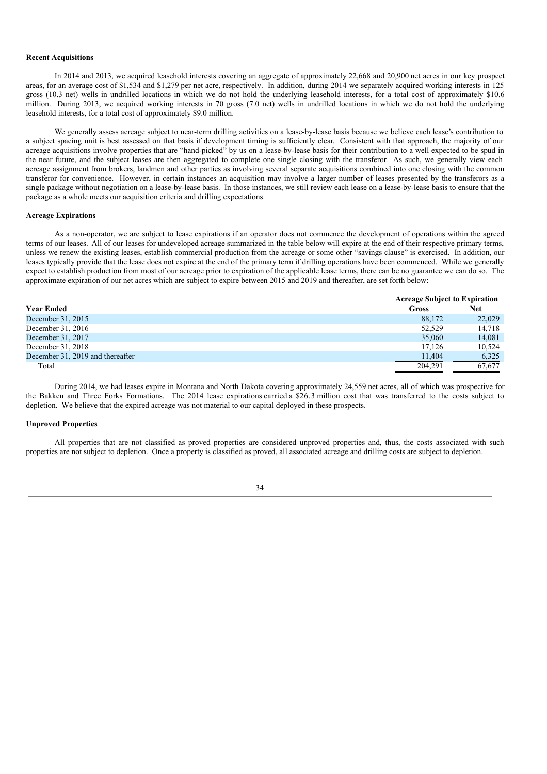## **Recent Acquisitions**

In 2014 and 2013, we acquired leasehold interests covering an aggregate of approximately 22,668 and 20,900 net acres in our key prospect areas, for an average cost of \$1,534 and \$1,279 per net acre, respectively. In addition, during 2014 we separately acquired working interests in 125 gross (10.3 net) wells in undrilled locations in which we do not hold the underlying leasehold interests, for a total cost of approximately \$10.6 million. During 2013, we acquired working interests in 70 gross (7.0 net) wells in undrilled locations in which we do not hold the underlying leasehold interests, for a total cost of approximately \$9.0 million.

We generally assess acreage subject to near-term drilling activities on a lease-by-lease basis because we believe each lease's contribution to a subject spacing unit is best assessed on that basis if development timing is sufficiently clear. Consistent with that approach, the majority of our acreage acquisitions involve properties that are "hand-picked" by us on a lease-by-lease basis for their contribution to a well expected to be spud in the near future, and the subject leases are then aggregated to complete one single closing with the transferor. As such, we generally view each acreage assignment from brokers, landmen and other parties as involving several separate acquisitions combined into one closing with the common transferor for convenience. However, in certain instances an acquisition may involve a larger number of leases presented by the transferors as a single package without negotiation on a lease-by-lease basis. In those instances, we still review each lease on a lease-by-lease basis to ensure that the package as a whole meets our acquisition criteria and drilling expectations.

## **Acreage Expirations**

As a non-operator, we are subject to lease expirations if an operator does not commence the development of operations within the agreed terms of our leases. All of our leases for undeveloped acreage summarized in the table below will expire at the end of their respective primary terms, unless we renew the existing leases, establish commercial production from the acreage or some other "savings clause" is exercised. In addition, our leases typically provide that the lease does not expire at the end of the primary term if drilling operations have been commenced. While we generally expect to establish production from most of our acreage prior to expiration of the applicable lease terms, there can be no guarantee we can do so. The approximate expiration of our net acres which are subject to expire between 2015 and 2019 and thereafter, are set forth below:

|                                  |              | <b>Acreage Subject to Expiration</b> |  |  |  |  |  |  |
|----------------------------------|--------------|--------------------------------------|--|--|--|--|--|--|
| <b>Year Ended</b>                | <b>Gross</b> | Net                                  |  |  |  |  |  |  |
| December 31, 2015                | 88,172       | 22,029                               |  |  |  |  |  |  |
| December 31, 2016                | 52.529       | 14.718                               |  |  |  |  |  |  |
| December 31, 2017                | 35,060       | 14,081                               |  |  |  |  |  |  |
| December 31, 2018                | 17.126       | 10.524                               |  |  |  |  |  |  |
| December 31, 2019 and thereafter | 11.404       | 6,325                                |  |  |  |  |  |  |
| Total                            | 204.291      | 67.677                               |  |  |  |  |  |  |

During 2014, we had leases expire in Montana and North Dakota covering approximately 24,559 net acres, all of which was prospective for the Bakken and Three Forks Formations. The 2014 lease expirations carried a \$26.3 million cost that was transferred to the costs subject to depletion. We believe that the expired acreage was not material to our capital deployed in these prospects.

## **Unproved Properties**

All properties that are not classified as proved properties are considered unproved properties and, thus, the costs associated with such properties are not subject to depletion. Once a property is classified as proved, all associated acreage and drilling costs are subject to depletion.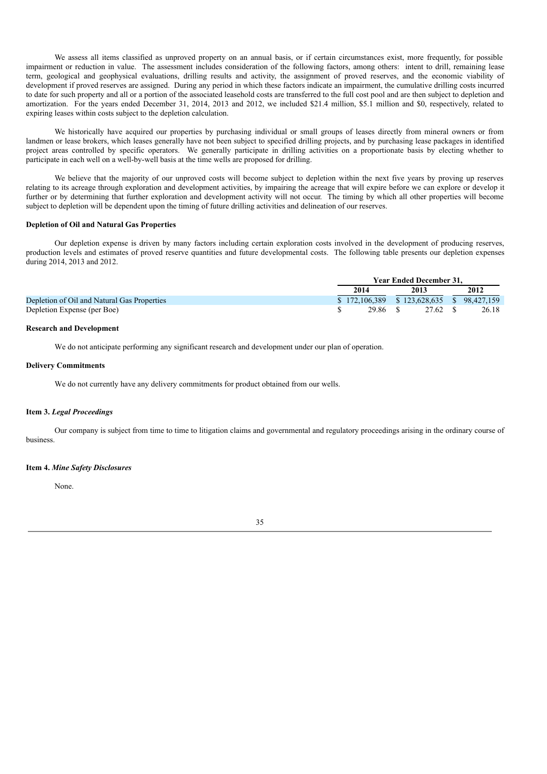We assess all items classified as unproved property on an annual basis, or if certain circumstances exist, more frequently, for possible impairment or reduction in value. The assessment includes consideration of the following factors, among others: intent to drill, remaining lease term, geological and geophysical evaluations, drilling results and activity, the assignment of proved reserves, and the economic viability of development if proved reserves are assigned. During any period in which these factors indicate an impairment, the cumulative drilling costs incurred to date for such property and all or a portion of the associated leasehold costs are transferred to the full cost pool and are then subject to depletion and amortization. For the years ended December 31, 2014, 2013 and 2012, we included \$21.4 million, \$5.1 million and \$0, respectively, related to expiring leases within costs subject to the depletion calculation.

We historically have acquired our properties by purchasing individual or small groups of leases directly from mineral owners or from landmen or lease brokers, which leases generally have not been subject to specified drilling projects, and by purchasing lease packages in identified project areas controlled by specific operators. We generally participate in drilling activities on a proportionate basis by electing whether to participate in each well on a well-by-well basis at the time wells are proposed for drilling.

We believe that the majority of our unproved costs will become subject to depletion within the next five years by proving up reserves relating to its acreage through exploration and development activities, by impairing the acreage that will expire before we can explore or develop it further or by determining that further exploration and development activity will not occur. The timing by which all other properties will become subject to depletion will be dependent upon the timing of future drilling activities and delineation of our reserves.

## **Depletion of Oil and Natural Gas Properties**

Our depletion expense is driven by many factors including certain exploration costs involved in the development of producing reserves, production levels and estimates of proved reserve quantities and future developmental costs. The following table presents our depletion expenses during 2014, 2013 and 2012.

|                                             | <b>Year Ended December 31.</b> |  |          |  |       |  |  |
|---------------------------------------------|--------------------------------|--|----------|--|-------|--|--|
|                                             | 2014                           |  | 2013     |  | 2012  |  |  |
| Depletion of Oil and Natural Gas Properties |                                |  |          |  |       |  |  |
| Depletion Expense (per Boe)                 | 29.86 \$                       |  | 27.62 \$ |  | 26.18 |  |  |

## **Research and Development**

We do not anticipate performing any significant research and development under our plan of operation.

#### **Delivery Commitments**

We do not currently have any delivery commitments for product obtained from our wells.

### **Item 3.** *Legal Proceedings*

Our company is subject from time to time to litigation claims and governmental and regulatory proceedings arising in the ordinary course of business.

### **Item 4.** *Mine Safety Disclosures*

None.

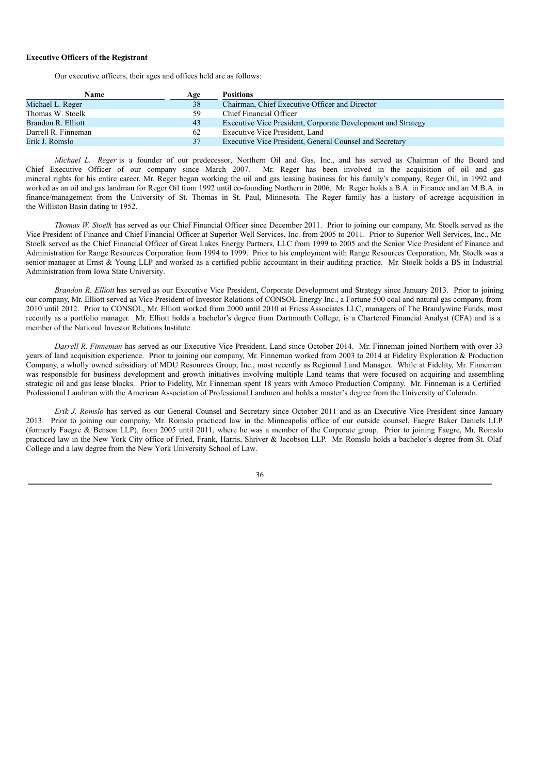### **Executive Officers of the Registrant**

Our executive officers, their ages and offices held are as follows:

| Name                | Age | <b>Positions</b>                                             |
|---------------------|-----|--------------------------------------------------------------|
| Michael L. Reger    | 38  | Chairman, Chief Executive Officer and Director               |
| Thomas W. Stoelk    | 59  | Chief Financial Officer                                      |
| Brandon R. Elliott  | 43  | Executive Vice President, Corporate Development and Strategy |
| Darrell R. Finneman | 62  | Executive Vice President, Land                               |
| Erik J. Romslo      | 37  | Executive Vice President, General Counsel and Secretary      |

*Michael L. Reger* is a founder of our predecessor, Northern Oil and Gas, Inc., and has served as Chairman of the Board and Chief Executive Officer of our company since March 2007. Mr. Reger has been involved in the acquisition of oil and gas mineral rights for his entire career. Mr. Reger began working the oil and gas leasing business for his family's company, Reger Oil, in 1992 and worked as an oil and gas landman for Reger Oil from 1992 until co-founding Northern in 2006. Mr. Reger holds a B.A. in Finance and an M.B.A. in finance/management from the University of St. Thomas in St. Paul, Minnesota. The Reger family has a history of acreage acquisition in the Williston Basin dating to 1952.

*Thomas W. Stoelk* has served as our Chief Financial Officer since December 2011. Prior to joining our company, Mr. Stoelk served as the Vice President of Finance and Chief Financial Officer at Superior Well Services, Inc. from 2005 to 2011. Prior to Superior Well Services, Inc., Mr. Stoelk served as the Chief Financial Officer of Great Lakes Energy Partners, LLC from 1999 to 2005 and the Senior Vice President of Finance and Administration for Range Resources Corporation from 1994 to 1999. Prior to his employment with Range Resources Corporation, Mr. Stoelk was a senior manager at Ernst & Young LLP and worked as a certified public accountant in their auditing practice. Mr. Stoelk holds a BS in Industrial Administration from Iowa State University.

*Brandon R. Elliott* has served as our Executive Vice President, Corporate Development and Strategy since January 2013. Prior to joining our company, Mr. Elliott served as Vice President of Investor Relations of CONSOL Energy Inc., a Fortune 500 coal and natural gas company, from 2010 until 2012. Prior to CONSOL, Mr. Elliott worked from 2000 until 2010 at Friess Associates LLC, managers of The Brandywine Funds, most recently as a portfolio manager. Mr. Elliott holds a bachelor's degree from Dartmouth College, is a Chartered Financial Analyst (CFA) and is a member of the National Investor Relations Institute.

*Darrell R. Finneman* has served as our Executive Vice President, Land since October 2014. Mr. Finneman joined Northern with over 33 years of land acquisition experience. Prior to joining our company, Mr. Finneman worked from 2003 to 2014 at Fidelity Exploration & Production Company, a wholly owned subsidiary of MDU Resources Group, Inc., most recently as Regional Land Manager. While at Fidelity, Mr. Finneman was responsible for business development and growth initiatives involving multiple Land teams that were focused on acquiring and assembling strategic oil and gas lease blocks. Prior to Fidelity, Mr. Finneman spent 18 years with Amoco Production Company. Mr. Finneman is a Certified Professional Landman with the American Association of Professional Landmen and holds a master's degree from the University of Colorado.

*Erik J. Romslo* has served as our General Counsel and Secretary since October 2011 and as an Executive Vice President since January 2013. Prior to joining our company, Mr. Romslo practiced law in the Minneapolis office of our outside counsel, Faegre Baker Daniels LLP (formerly Faegre & Benson LLP), from 2005 until 2011, where he was a member of the Corporate group. Prior to joining Faegre, Mr. Romslo practiced law in the New York City office of Fried, Frank, Harris, Shriver & Jacobson LLP. Mr. Romslo holds a bachelor's degree from St. Olaf College and a law degree from the New York University School of Law.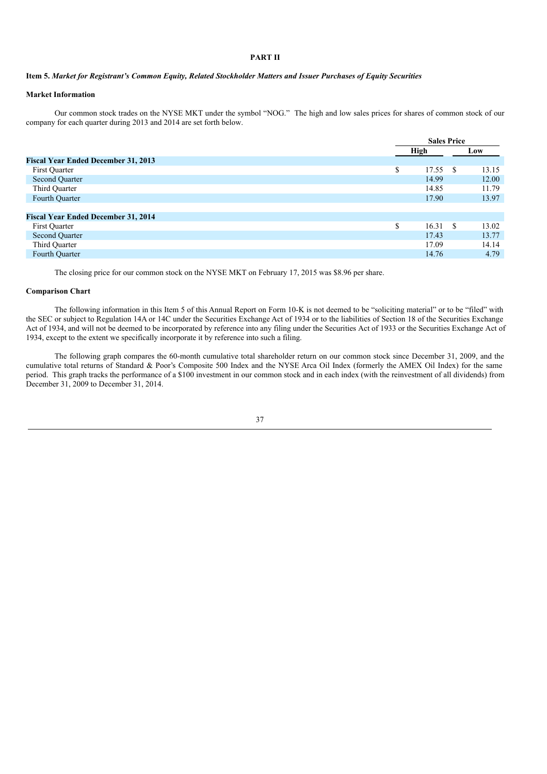# **PART II**

# Item 5. Market for Registrant's Common Equity, Related Stockholder Matters and Issuer Purchases of Equity Securities

## **Market Information**

Our common stock trades on the NYSE MKT under the symbol "NOG." The high and low sales prices for shares of common stock of our company for each quarter during 2013 and 2014 are set forth below.

| <b>Sales Price</b> |    |       |  |  |
|--------------------|----|-------|--|--|
| High               |    | Low   |  |  |
|                    |    |       |  |  |
| \$<br>17.55        | -S | 13.15 |  |  |
| 14.99              |    | 12.00 |  |  |
| 14.85              |    | 11.79 |  |  |
| 17.90              |    | 13.97 |  |  |
|                    |    |       |  |  |
|                    |    |       |  |  |
| \$<br>16.31        | -S | 13.02 |  |  |
| 17.43              |    | 13.77 |  |  |
| 17.09              |    | 14.14 |  |  |
| 14.76              |    | 4.79  |  |  |
|                    |    |       |  |  |

The closing price for our common stock on the NYSE MKT on February 17, 2015 was \$8.96 per share.

#### **Comparison Chart**

The following information in this Item 5 of this Annual Report on Form 10-K is not deemed to be "soliciting material" or to be "filed" with the SEC or subject to Regulation 14A or 14C under the Securities Exchange Act of 1934 or to the liabilities of Section 18 of the Securities Exchange Act of 1934, and will not be deemed to be incorporated by reference into any filing under the Securities Act of 1933 or the Securities Exchange Act of 1934, except to the extent we specifically incorporate it by reference into such a filing.

The following graph compares the 60-month cumulative total shareholder return on our common stock since December 31, 2009, and the cumulative total returns of Standard & Poor's Composite 500 Index and the NYSE Arca Oil Index (formerly the AMEX Oil Index) for the same period. This graph tracks the performance of a \$100 investment in our common stock and in each index (with the reinvestment of all dividends) from December 31, 2009 to December 31, 2014.

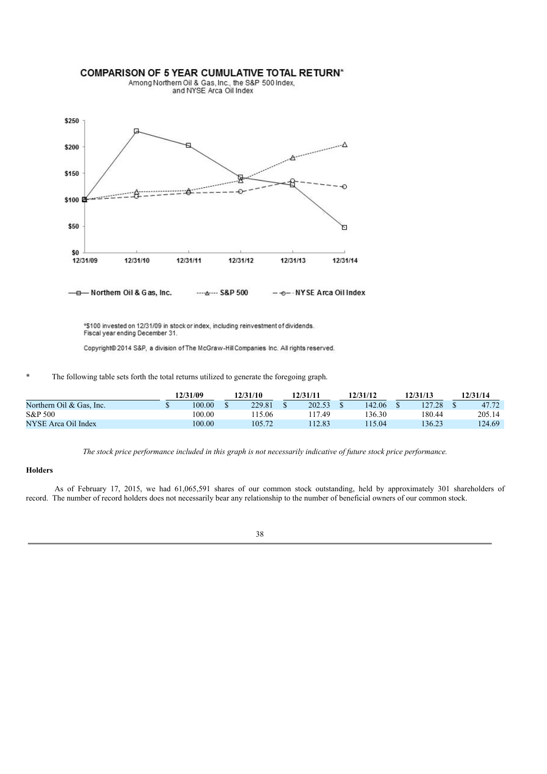

\*\$100 invested on 12/31/09 in stock or index, including reinvestment of dividends. Fiscal year ending December 31.

Copyright@ 2014 S&P, a division of The McGraw-Hill Companies Inc. All rights reserved.

The following table sets forth the total returns utilized to generate the foregoing graph.

|                          | 12/31/09 | 12/31/10 | 12/31/11 | 12/31/12 | 12/31/13 | 12/31/14 |
|--------------------------|----------|----------|----------|----------|----------|----------|
| Northern Oil & Gas, Inc. | 100.00   | 229.81   | 202.53   | 142.06   | 127.28   | 47.72    |
| S&P 500                  | 100.00   | 15.06    | 17.49    | 36.30    | 180.44   | 205.14   |
| NYSE Arca Oil Index      | 100.00   | 105.72   | 12.83    | 15.04    | 136.23   | 124.69   |

The stock price performance included in this graph is not necessarily indicative of future stock price performance.

# **Holders**

As of February 17, 2015, we had 61,065,591 shares of our common stock outstanding, held by approximately 301 shareholders of record. The number of record holders does not necessarily bear any relationship to the number of beneficial owners of our common stock.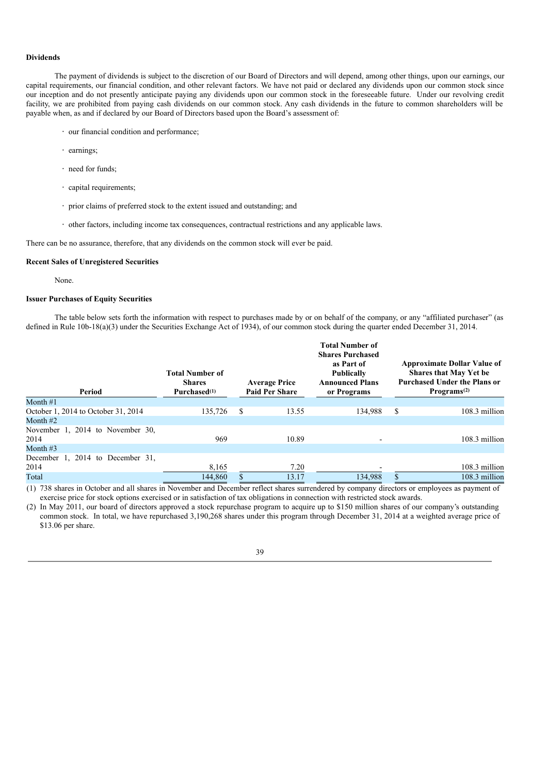## **Dividends**

The payment of dividends is subject to the discretion of our Board of Directors and will depend, among other things, upon our earnings, our capital requirements, our financial condition, and other relevant factors. We have not paid or declared any dividends upon our common stock since our inception and do not presently anticipate paying any dividends upon our common stock in the foreseeable future. Under our revolving credit facility, we are prohibited from paying cash dividends on our common stock. Any cash dividends in the future to common shareholders will be payable when, as and if declared by our Board of Directors based upon the Board's assessment of:

- **·** our financial condition and performance;
- **·** earnings;
- **·** need for funds;
- **·** capital requirements;
- **·** prior claims of preferred stock to the extent issued and outstanding; and
- **·** other factors, including income tax consequences, contractual restrictions and any applicable laws.

There can be no assurance, therefore, that any dividends on the common stock will ever be paid.

#### **Recent Sales of Unregistered Securities**

### None.

## **Issuer Purchases of Equity Securities**

The table below sets forth the information with respect to purchases made by or on behalf of the company, or any "affiliated purchaser" (as defined in Rule 10b-18(a)(3) under the Securities Exchange Act of 1934), of our common stock during the quarter ended December 31, 2014.

| Period                              | <b>Total Number of</b><br><b>Shares</b><br>Purchased <sup>(1)</sup> |               | <b>Average Price</b><br><b>Paid Per Share</b> | <b>Total Number of</b><br><b>Shares Purchased</b><br>as Part of<br><b>Publically</b><br><b>Announced Plans</b><br>or Programs | <b>Approximate Dollar Value of</b><br><b>Shares that May Yet be</b><br><b>Purchased Under the Plans or</b><br>Programs <sup>(2)</sup> |               |  |  |
|-------------------------------------|---------------------------------------------------------------------|---------------|-----------------------------------------------|-------------------------------------------------------------------------------------------------------------------------------|---------------------------------------------------------------------------------------------------------------------------------------|---------------|--|--|
| Month $#1$                          |                                                                     |               |                                               |                                                                                                                               |                                                                                                                                       |               |  |  |
| October 1, 2014 to October 31, 2014 | 135,726                                                             | <sup>\$</sup> | 13.55                                         | 134,988                                                                                                                       | S                                                                                                                                     | 108.3 million |  |  |
| Month #2                            |                                                                     |               |                                               |                                                                                                                               |                                                                                                                                       |               |  |  |
| November 1, 2014 to November 30,    |                                                                     |               |                                               |                                                                                                                               |                                                                                                                                       |               |  |  |
| 2014                                | 969                                                                 |               | 10.89                                         |                                                                                                                               |                                                                                                                                       | 108.3 million |  |  |
| Month $#3$                          |                                                                     |               |                                               |                                                                                                                               |                                                                                                                                       |               |  |  |
| December 1, 2014 to December 31,    |                                                                     |               |                                               |                                                                                                                               |                                                                                                                                       |               |  |  |
| 2014                                | 8,165                                                               |               | 7.20                                          |                                                                                                                               |                                                                                                                                       | 108.3 million |  |  |
| Total                               | 144,860                                                             |               | 13.17                                         | 134.988                                                                                                                       |                                                                                                                                       | 108.3 million |  |  |

(1) 738 shares in October and all shares in November and December reflect shares surrendered by company directors or employees as payment of exercise price for stock options exercised or in satisfaction of tax obligations in connection with restricted stock awards.

(2) In May 2011, our board of directors approved a stock repurchase program to acquire up to \$150 million shares of our company's outstanding common stock. In total, we have repurchased 3,190,268 shares under this program through December 31, 2014 at a weighted average price of \$13.06 per share.

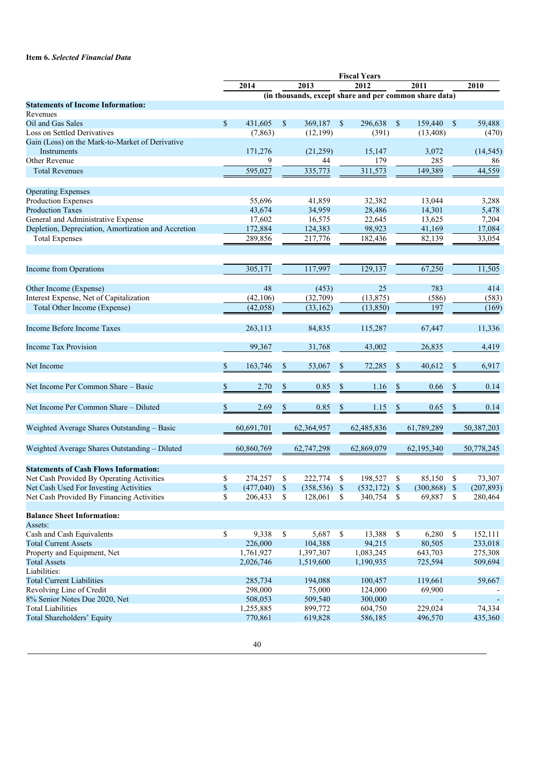# **Item 6.** *Selected Financial Data*

|                                                     | <b>Fiscal Years</b> |            |              |                 |               |                                                        |               |                 |               |            |
|-----------------------------------------------------|---------------------|------------|--------------|-----------------|---------------|--------------------------------------------------------|---------------|-----------------|---------------|------------|
|                                                     |                     | 2014       |              | 2013            |               | 2012                                                   |               | 2011            |               | 2010       |
|                                                     |                     |            |              |                 |               | (in thousands, except share and per common share data) |               |                 |               |            |
| <b>Statements of Income Information:</b>            |                     |            |              |                 |               |                                                        |               |                 |               |            |
| Revenues                                            |                     |            |              |                 |               |                                                        |               |                 |               |            |
| Oil and Gas Sales                                   | \$                  | 431,605    | $\mathbb{S}$ | 369,187         | $\mathcal{S}$ | 296,638                                                | $\mathcal{S}$ | 159,440         | $\mathcal{S}$ | 59,488     |
| Loss on Settled Derivatives                         |                     | (7, 863)   |              | (12, 199)       |               | (391)                                                  |               | (13, 408)       |               | (470)      |
| Gain (Loss) on the Mark-to-Market of Derivative     |                     |            |              |                 |               |                                                        |               |                 |               |            |
| Instruments                                         |                     | 171,276    |              | (21, 259)       |               | 15,147                                                 |               | 3,072           |               | (14, 545)  |
| Other Revenue                                       |                     | 9          |              | 44              |               | 179                                                    |               | 285             |               | 86         |
| <b>Total Revenues</b>                               |                     | 595,027    |              | 335,773         |               | 311,573                                                |               | 149,389         |               | 44,559     |
|                                                     |                     |            |              |                 |               |                                                        |               |                 |               |            |
| <b>Operating Expenses</b>                           |                     |            |              |                 |               |                                                        |               |                 |               |            |
| Production Expenses                                 |                     | 55.696     |              | 41,859          |               | 32,382                                                 |               | 13,044          |               | 3,288      |
| <b>Production Taxes</b>                             |                     | 43,674     |              | 34,959          |               | 28,486                                                 |               | 14,301          |               | 5,478      |
| General and Administrative Expense                  |                     | 17,602     |              | 16,575          |               | 22,645                                                 |               | 13,625          |               | 7,204      |
| Depletion, Depreciation, Amortization and Accretion |                     | 172,884    |              | 124,383         |               | 98,923                                                 |               | 41,169          |               | 17,084     |
| <b>Total Expenses</b>                               |                     | 289,856    |              | 217,776         |               | 182,436                                                |               | 82,139          |               | 33,054     |
|                                                     |                     |            |              |                 |               |                                                        |               |                 |               |            |
|                                                     |                     | 305,171    |              | 117,997         |               | 129,137                                                |               | 67,250          |               | 11,505     |
| Income from Operations                              |                     |            |              |                 |               |                                                        |               |                 |               |            |
| Other Income (Expense)                              |                     | 48         |              | (453)           |               | 25                                                     |               | 783             |               | 414        |
| Interest Expense, Net of Capitalization             |                     | (42, 106)  |              | (32,709)        |               | (13, 875)                                              |               | (586)           |               | (583)      |
| Total Other Income (Expense)                        |                     | (42,058)   |              | (33, 162)       |               | (13, 850)                                              |               | 197             |               | (169)      |
| Income Before Income Taxes                          |                     | 263,113    |              | 84,835          |               | 115,287                                                |               | 67,447          |               | 11,336     |
|                                                     |                     |            |              |                 |               |                                                        |               |                 |               |            |
| <b>Income Tax Provision</b>                         |                     | 99,367     |              | 31,768          |               | 43,002                                                 |               | 26,835          |               | 4,419      |
| Net Income                                          | \$                  | 163,746    | \$           | 53,067          | \$            | 72,285                                                 | \$            | 40,612          | \$            | 6,917      |
| Net Income Per Common Share - Basic                 | \$                  | 2.70       | \$           | 0.85            | \$            | 1.16                                                   | \$            | 0.66            | \$            | 0.14       |
| Net Income Per Common Share - Diluted               | \$                  | 2.69       | \$           | 0.85            | \$            | 1.15                                                   | \$            | 0.65            | \$            | 0.14       |
|                                                     |                     |            |              |                 |               |                                                        |               |                 |               |            |
| Weighted Average Shares Outstanding - Basic         |                     | 60,691,701 |              | 62,364,957      |               | 62,485,836                                             |               | 61,789,289      |               | 50,387,203 |
| Weighted Average Shares Outstanding - Diluted       |                     | 60,860,769 |              | 62,747,298      |               | 62,869,079                                             |               | 62,195,340      |               | 50,778,245 |
| <b>Statements of Cash Flows Information:</b>        |                     |            |              |                 |               |                                                        |               |                 |               |            |
| Net Cash Provided By Operating Activities           | \$                  | 274,257    | \$           | 222,774         | \$            | 198,527                                                | \$            | 85,150          | S             | 73,307     |
| Net Cash Used For Investing Activities              | $\mathbb{S}$        | (477, 040) | $\mathbb{S}$ | $(358, 536)$ \$ |               | $(532, 172)$ \$                                        |               | $(300, 868)$ \$ |               | (207, 893) |
| Net Cash Provided By Financing Activities           | \$                  | 206,433    | \$           | 128,061         | \$            | 340,754                                                | <sup>\$</sup> | 69,887          | \$            | 280,464    |
| <b>Balance Sheet Information:</b>                   |                     |            |              |                 |               |                                                        |               |                 |               |            |
| Assets:                                             |                     |            |              |                 |               |                                                        |               |                 |               |            |
| Cash and Cash Equivalents                           | \$                  | 9,338      | \$           | 5,687           | \$            | 13,388                                                 | \$            | 6,280           | \$            | 152,111    |
| <b>Total Current Assets</b>                         |                     | 226,000    |              | 104,388         |               | 94,215                                                 |               | 80,505          |               | 233,018    |
| Property and Equipment, Net                         |                     | 1,761,927  |              | 1,397,307       |               | 1,083,245                                              |               | 643,703         |               | 275,308    |
| <b>Total Assets</b>                                 |                     | 2,026,746  |              | 1,519,600       |               | 1,190,935                                              |               | 725,594         |               | 509,694    |
| Liabilities:                                        |                     |            |              |                 |               |                                                        |               |                 |               |            |
| <b>Total Current Liabilities</b>                    |                     | 285,734    |              | 194,088         |               | 100,457                                                |               | 119,661         |               | 59,667     |
| Revolving Line of Credit                            |                     | 298,000    |              | 75,000          |               | 124,000                                                |               | 69,900          |               |            |
| 8% Senior Notes Due 2020, Net                       |                     | 508,053    |              | 509,540         |               | 300,000                                                |               | $\Box$          |               |            |
| <b>Total Liabilities</b>                            |                     | 1,255,885  |              | 899,772         |               | 604,750                                                |               | 229,024         |               | 74,334     |
| Total Shareholders' Equity                          |                     | 770,861    |              | 619,828         |               | 586,185                                                |               | 496,570         |               | 435,360    |
|                                                     |                     |            |              |                 |               |                                                        |               |                 |               |            |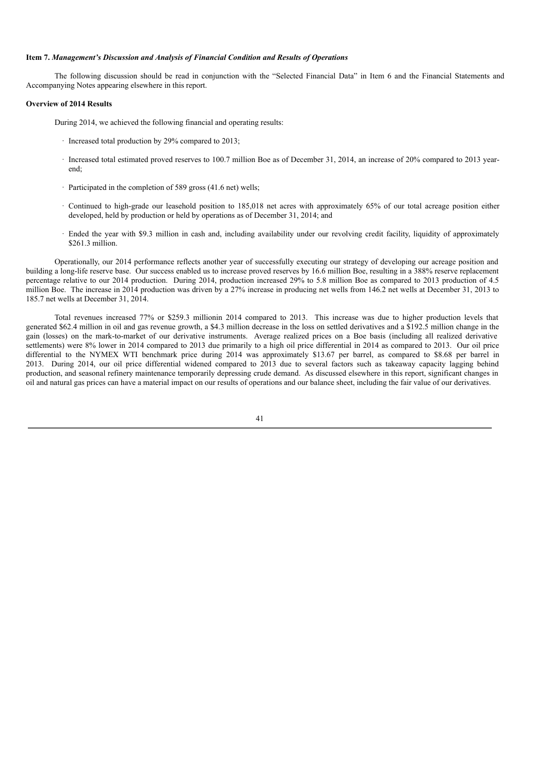## **Item 7.** *Management's Discussion and Analysis of Financial Condition and Results of Operations*

The following discussion should be read in conjunction with the "Selected Financial Data" in Item 6 and the Financial Statements and Accompanying Notes appearing elsewhere in this report.

#### **Overview of 2014 Results**

During 2014, we achieved the following financial and operating results:

- · Increased total production by 29% compared to 2013;
- · Increased total estimated proved reserves to 100.7 million Boe as of December 31, 2014, an increase of 20% compared to 2013 yearend;
- · Participated in the completion of 589 gross (41.6 net) wells;
- · Continued to high-grade our leasehold position to 185,018 net acres with approximately 65% of our total acreage position either developed, held by production or held by operations as of December 31, 2014; and
- · Ended the year with \$9.3 million in cash and, including availability under our revolving credit facility, liquidity of approximately \$261.3 million.

Operationally, our 2014 performance reflects another year of successfully executing our strategy of developing our acreage position and building a long-life reserve base. Our success enabled us to increase proved reserves by 16.6 million Boe, resulting in a 388% reserve replacement percentage relative to our 2014 production. During 2014, production increased 29% to 5.8 million Boe as compared to 2013 production of 4.5 million Boe. The increase in 2014 production was driven by a 27% increase in producing net wells from 146.2 net wells at December 31, 2013 to 185.7 net wells at December 31, 2014.

Total revenues increased 77% or \$259.3 millionin 2014 compared to 2013. This increase was due to higher production levels that generated \$62.4 million in oil and gas revenue growth, a \$4.3 million decrease in the loss on settled derivatives and a \$192.5 million change in the gain (losses) on the mark-to-market of our derivative instruments. Average realized prices on a Boe basis (including all realized derivative settlements) were 8% lower in 2014 compared to 2013 due primarily to a high oil price differential in 2014 as compared to 2013. Our oil price differential to the NYMEX WTI benchmark price during 2014 was approximately \$13.67 per barrel, as compared to \$8.68 per barrel in 2013. During 2014, our oil price differential widened compared to 2013 due to several factors such as takeaway capacity lagging behind production, and seasonal refinery maintenance temporarily depressing crude demand. As discussed elsewhere in this report, significant changes in oil and natural gas prices can have a material impact on our results of operations and our balance sheet, including the fair value of our derivatives.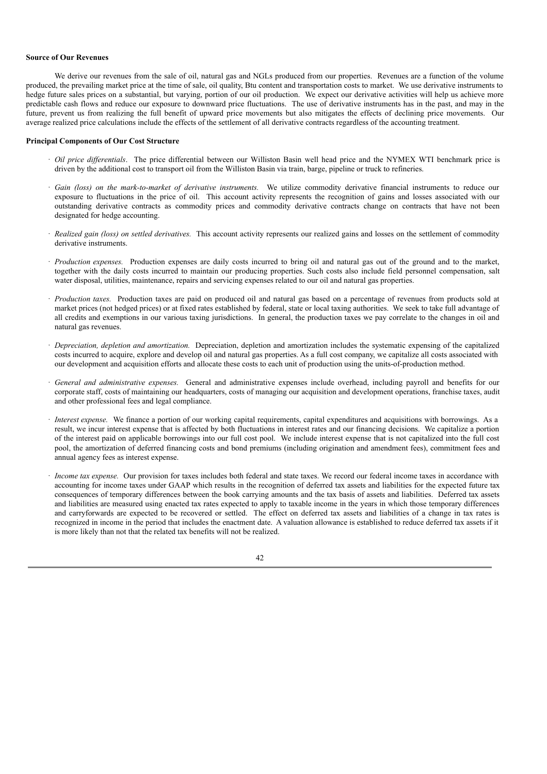## **Source of Our Revenues**

We derive our revenues from the sale of oil, natural gas and NGLs produced from our properties. Revenues are a function of the volume produced, the prevailing market price at the time of sale, oil quality, Btu content and transportation costs to market. We use derivative instruments to hedge future sales prices on a substantial, but varying, portion of our oil production. We expect our derivative activities will help us achieve more predictable cash flows and reduce our exposure to downward price fluctuations. The use of derivative instruments has in the past, and may in the future, prevent us from realizing the full benefit of upward price movements but also mitigates the effects of declining price movements. Our average realized price calculations include the effects of the settlement of all derivative contracts regardless of the accounting treatment.

### **Principal Components of Our Cost Structure**

- · *Oil price dif erentials*. The price differential between our Williston Basin well head price and the NYMEX WTI benchmark price is driven by the additional cost to transport oil from the Williston Basin via train, barge, pipeline or truck to refineries.
- · *Gain (loss) on the mark-to-market of derivative instruments.* We utilize commodity derivative financial instruments to reduce our exposure to fluctuations in the price of oil. This account activity represents the recognition of gains and losses associated with our outstanding derivative contracts as commodity prices and commodity derivative contracts change on contracts that have not been designated for hedge accounting.
- · *Realized gain (loss) on settled derivatives.* This account activity represents our realized gains and losses on the settlement of commodity derivative instruments.
- · *Production expenses.* Production expenses are daily costs incurred to bring oil and natural gas out of the ground and to the market, together with the daily costs incurred to maintain our producing properties. Such costs also include field personnel compensation, salt water disposal, utilities, maintenance, repairs and servicing expenses related to our oil and natural gas properties.
- · *Production taxes.* Production taxes are paid on produced oil and natural gas based on a percentage of revenues from products sold at market prices (not hedged prices) or at fixed rates established by federal, state or local taxing authorities. We seek to take full advantage of all credits and exemptions in our various taxing jurisdictions. In general, the production taxes we pay correlate to the changes in oil and natural gas revenues.
- · *Depreciation, depletion and amortization.* Depreciation, depletion and amortization includes the systematic expensing of the capitalized costs incurred to acquire, explore and develop oil and natural gas properties. As a full cost company, we capitalize all costs associated with our development and acquisition efforts and allocate these costs to each unit of production using the units-of-production method.
- · *General and administrative expenses.* General and administrative expenses include overhead, including payroll and benefits for our corporate staff, costs of maintaining our headquarters, costs of managing our acquisition and development operations, franchise taxes, audit and other professional fees and legal compliance.
- · *Interest expense.* We finance a portion of our working capital requirements, capital expenditures and acquisitions with borrowings. As a result, we incur interest expense that is affected by both fluctuations in interest rates and our financing decisions. We capitalize a portion of the interest paid on applicable borrowings into our full cost pool. We include interest expense that is not capitalized into the full cost pool, the amortization of deferred financing costs and bond premiums (including origination and amendment fees), commitment fees and annual agency fees as interest expense.
- · *Income tax expense.* Our provision for taxes includes both federal and state taxes. We record our federal income taxes in accordance with accounting for income taxes under GAAP which results in the recognition of deferred tax assets and liabilities for the expected future tax consequences of temporary differences between the book carrying amounts and the tax basis of assets and liabilities. Deferred tax assets and liabilities are measured using enacted tax rates expected to apply to taxable income in the years in which those temporary differences and carryforwards are expected to be recovered or settled. The effect on deferred tax assets and liabilities of a change in tax rates is recognized in income in the period that includes the enactment date. A valuation allowance is established to reduce deferred tax assets if it is more likely than not that the related tax benefits will not be realized.

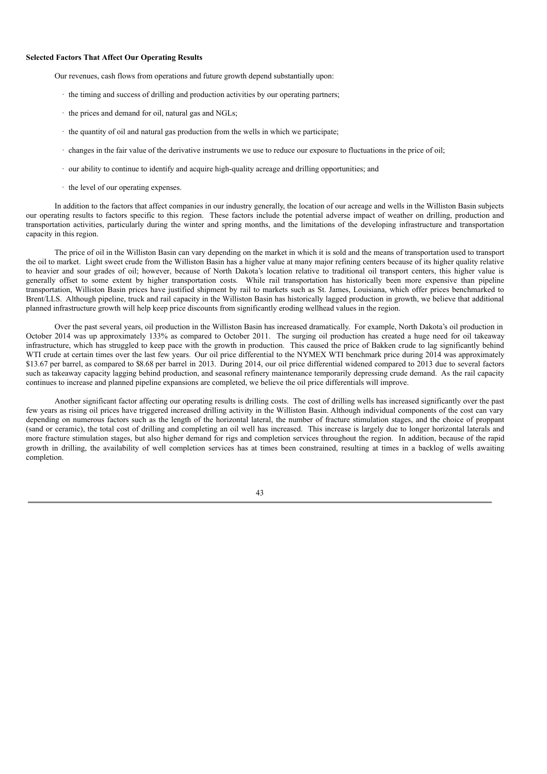## **Selected Factors That Affect Our Operating Results**

Our revenues, cash flows from operations and future growth depend substantially upon:

- · the timing and success of drilling and production activities by our operating partners;
- · the prices and demand for oil, natural gas and NGLs;
- · the quantity of oil and natural gas production from the wells in which we participate;
- · changes in the fair value of the derivative instruments we use to reduce our exposure to fluctuations in the price of oil;
- · our ability to continue to identify and acquire high-quality acreage and drilling opportunities; and
- · the level of our operating expenses.

In addition to the factors that affect companies in our industry generally, the location of our acreage and wells in the Williston Basin subjects our operating results to factors specific to this region. These factors include the potential adverse impact of weather on drilling, production and transportation activities, particularly during the winter and spring months, and the limitations of the developing infrastructure and transportation capacity in this region.

The price of oil in the Williston Basin can vary depending on the market in which it is sold and the means of transportation used to transport the oil to market. Light sweet crude from the Williston Basin has a higher value at many major refining centers because of its higher quality relative to heavier and sour grades of oil; however, because of North Dakota's location relative to traditional oil transport centers, this higher value is generally offset to some extent by higher transportation costs. While rail transportation has historically been more expensive than pipeline transportation, Williston Basin prices have justified shipment by rail to markets such as St. James, Louisiana, which offer prices benchmarked to Brent/LLS. Although pipeline, truck and rail capacity in the Williston Basin has historically lagged production in growth, we believe that additional planned infrastructure growth will help keep price discounts from significantly eroding wellhead values in the region.

Over the past several years, oil production in the Williston Basin has increased dramatically. For example, North Dakota's oil production in October 2014 was up approximately 133% as compared to October 2011. The surging oil production has created a huge need for oil takeaway infrastructure, which has struggled to keep pace with the growth in production. This caused the price of Bakken crude to lag significantly behind WTI crude at certain times over the last few years. Our oil price differential to the NYMEX WTI benchmark price during 2014 was approximately \$13.67 per barrel, as compared to \$8.68 per barrel in 2013. During 2014, our oil price differential widened compared to 2013 due to several factors such as takeaway capacity lagging behind production, and seasonal refinery maintenance temporarily depressing crude demand. As the rail capacity continues to increase and planned pipeline expansions are completed, we believe the oil price differentials will improve.

Another significant factor affecting our operating results is drilling costs. The cost of drilling wells has increased significantly over the past few years as rising oil prices have triggered increased drilling activity in the Williston Basin. Although individual components of the cost can vary depending on numerous factors such as the length of the horizontal lateral, the number of fracture stimulation stages, and the choice of proppant (sand or ceramic), the total cost of drilling and completing an oil well has increased. This increase is largely due to longer horizontal laterals and more fracture stimulation stages, but also higher demand for rigs and completion services throughout the region. In addition, because of the rapid growth in drilling, the availability of well completion services has at times been constrained, resulting at times in a backlog of wells awaiting completion.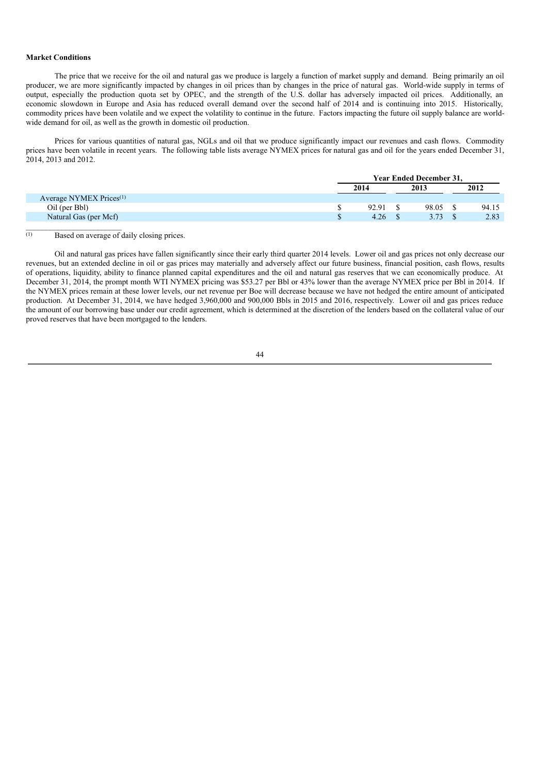### **Market Conditions**

The price that we receive for the oil and natural gas we produce is largely a function of market supply and demand. Being primarily an oil producer, we are more significantly impacted by changes in oil prices than by changes in the price of natural gas. World-wide supply in terms of output, especially the production quota set by OPEC, and the strength of the U.S. dollar has adversely impacted oil prices. Additionally, an economic slowdown in Europe and Asia has reduced overall demand over the second half of 2014 and is continuing into 2015. Historically, commodity prices have been volatile and we expect the volatility to continue in the future. Factors impacting the future oil supply balance are worldwide demand for oil, as well as the growth in domestic oil production.

Prices for various quantities of natural gas, NGLs and oil that we produce significantly impact our revenues and cash flows. Commodity prices have been volatile in recent years. The following table lists average NYMEX prices for natural gas and oil for the years ended December 31, 2014, 2013 and 2012.

|                                     | <b>Year Ended December 31,</b> |      |       |  |       |  |  |  |
|-------------------------------------|--------------------------------|------|-------|--|-------|--|--|--|
|                                     | 2014                           | 2013 |       |  | 2012  |  |  |  |
| Average NYMEX Prices <sup>(1)</sup> |                                |      |       |  |       |  |  |  |
| Oil (per Bbl)                       | 92.91                          |      | 98.05 |  | 94.15 |  |  |  |
| Natural Gas (per Mcf)               | 4.26                           |      | 3.73  |  | 2.83  |  |  |  |

 $\overline{1}$  Based on average of daily closing prices.

Oil and natural gas prices have fallen significantly since their early third quarter 2014 levels. Lower oil and gas prices not only decrease our revenues, but an extended decline in oil or gas prices may materially and adversely affect our future business, financial position, cash flows, results of operations, liquidity, ability to finance planned capital expenditures and the oil and natural gas reserves that we can economically produce. At December 31, 2014, the prompt month WTI NYMEX pricing was \$53.27 per Bbl or 43% lower than the average NYMEX price per Bbl in 2014. If the NYMEX prices remain at these lower levels, our net revenue per Boe will decrease because we have not hedged the entire amount of anticipated production. At December 31, 2014, we have hedged 3,960,000 and 900,000 Bbls in 2015 and 2016, respectively. Lower oil and gas prices reduce the amount of our borrowing base under our credit agreement, which is determined at the discretion of the lenders based on the collateral value of our proved reserves that have been mortgaged to the lenders.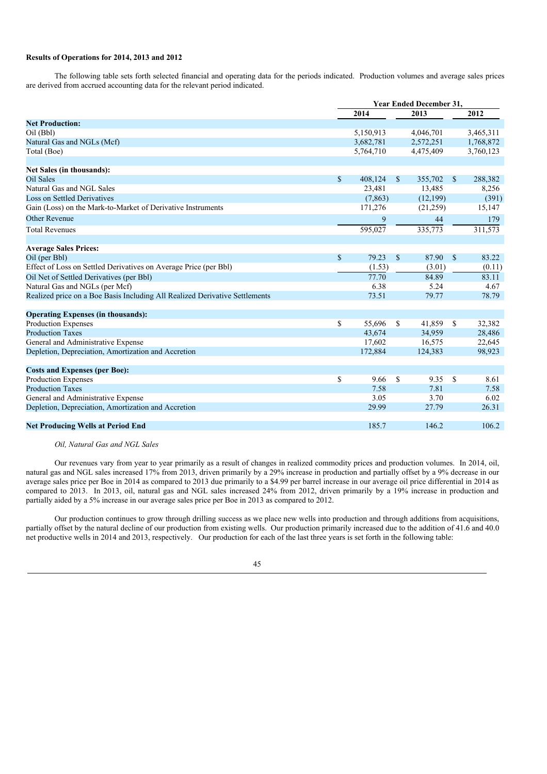# **Results of Operations for 2014, 2013 and 2012**

The following table sets forth selected financial and operating data for the periods indicated. Production volumes and average sales prices are derived from accrued accounting data for the relevant period indicated.

|                                                                             |              | <b>Year Ended December 31,</b> |              |           |               |           |
|-----------------------------------------------------------------------------|--------------|--------------------------------|--------------|-----------|---------------|-----------|
|                                                                             |              | 2014                           |              | 2013      |               | 2012      |
| <b>Net Production:</b>                                                      |              |                                |              |           |               |           |
| Oil (Bbl)                                                                   |              | 5,150,913                      |              | 4,046,701 |               | 3,465,311 |
| Natural Gas and NGLs (Mcf)                                                  |              | 3,682,781                      |              | 2,572,251 |               | 1,768,872 |
| Total (Boe)                                                                 |              | 5,764,710                      |              | 4,475,409 |               | 3,760,123 |
| Net Sales (in thousands):                                                   |              |                                |              |           |               |           |
| Oil Sales                                                                   | \$           | 408,124                        | $\mathbb{S}$ | 355,702   | <sup>\$</sup> | 288,382   |
| Natural Gas and NGL Sales                                                   |              | 23,481                         |              | 13,485    |               | 8,256     |
| <b>Loss on Settled Derivatives</b>                                          |              | (7, 863)                       |              | (12, 199) |               | (391)     |
| Gain (Loss) on the Mark-to-Market of Derivative Instruments                 |              | 171,276                        |              | (21,259)  |               | 15,147    |
| <b>Other Revenue</b>                                                        |              | 9                              |              | 44        |               | 179       |
| <b>Total Revenues</b>                                                       |              | 595,027                        |              | 335,773   |               | 311,573   |
| <b>Average Sales Prices:</b>                                                |              |                                |              |           |               |           |
| Oil (per Bbl)                                                               | $\mathbb{S}$ | 79.23                          | $\mathbb{S}$ | 87.90     | $\mathbf{s}$  | 83.22     |
| Effect of Loss on Settled Derivatives on Average Price (per Bbl)            |              | (1.53)                         |              | (3.01)    |               | (0.11)    |
| Oil Net of Settled Derivatives (per Bbl)                                    |              | 77.70                          |              | 84.89     |               | 83.11     |
| Natural Gas and NGLs (per Mcf)                                              |              | 6.38                           |              | 5.24      |               | 4.67      |
| Realized price on a Boe Basis Including All Realized Derivative Settlements |              | 73.51                          |              | 79.77     |               | 78.79     |
| <b>Operating Expenses (in thousands):</b>                                   |              |                                |              |           |               |           |
| <b>Production Expenses</b>                                                  | \$           | 55,696                         | \$           | 41,859    | $\mathbb{S}$  | 32,382    |
| <b>Production Taxes</b>                                                     |              | 43,674                         |              | 34,959    |               | 28,486    |
| General and Administrative Expense                                          |              | 17,602                         |              | 16,575    |               | 22,645    |
| Depletion, Depreciation, Amortization and Accretion                         |              | 172,884                        |              | 124,383   |               | 98,923    |
| <b>Costs and Expenses (per Boe):</b>                                        |              |                                |              |           |               |           |
| Production Expenses                                                         | \$           | 9.66                           | \$           | 9.35      | \$            | 8.61      |
| <b>Production Taxes</b>                                                     |              | 7.58                           |              | 7.81      |               | 7.58      |
| General and Administrative Expense                                          |              | 3.05                           |              | 3.70      |               | 6.02      |
| Depletion, Depreciation, Amortization and Accretion                         |              | 29.99                          |              | 27.79     |               | 26.31     |
| <b>Net Producing Wells at Period End</b>                                    |              | 185.7                          |              | 146.2     |               | 106.2     |

### *Oil, Natural Gas and NGL Sales*

Our revenues vary from year to year primarily as a result of changes in realized commodity prices and production volumes. In 2014, oil, natural gas and NGL sales increased 17% from 2013, driven primarily by a 29% increase in production and partially offset by a 9% decrease in our average sales price per Boe in 2014 as compared to 2013 due primarily to a \$4.99 per barrel increase in our average oil price differential in 2014 as compared to 2013. In 2013, oil, natural gas and NGL sales increased 24% from 2012, driven primarily by a 19% increase in production and partially aided by a 5% increase in our average sales price per Boe in 2013 as compared to 2012.

Our production continues to grow through drilling success as we place new wells into production and through additions from acquisitions, partially offset by the natural decline of our production from existing wells. Our production primarily increased due to the addition of 41.6 and 40.0 net productive wells in 2014 and 2013, respectively. Our production for each of the last three years is set forth in the following table: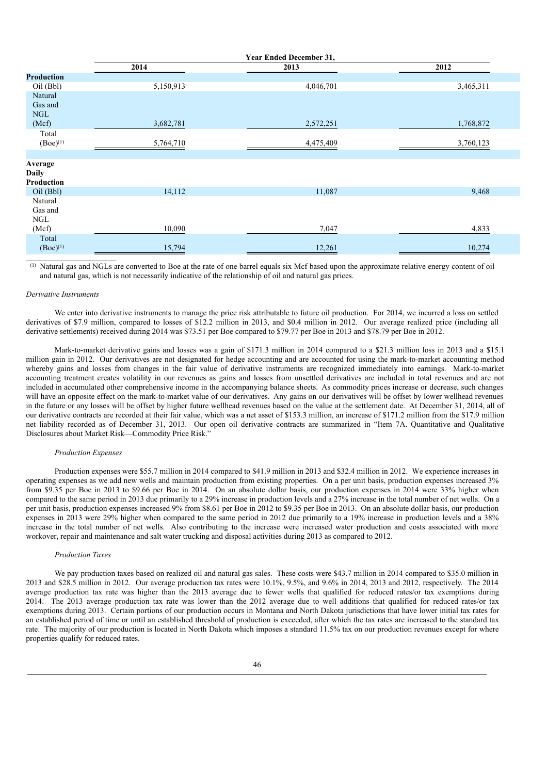|                   |           | Year Ended December 31, |           |
|-------------------|-----------|-------------------------|-----------|
|                   | 2014      | 2013                    | 2012      |
| <b>Production</b> |           |                         |           |
| Oil (Bbl)         | 5,150,913 | 4,046,701               | 3,465,311 |
| Natural           |           |                         |           |
| Gas and           |           |                         |           |
| <b>NGL</b>        |           |                         |           |
| (Mcf)             | 3,682,781 | 2,572,251               | 1,768,872 |
| Total             |           |                         |           |
| $(Boe)^{(1)}$     | 5,764,710 | 4,475,409               | 3,760,123 |
|                   |           |                         |           |
| Average           |           |                         |           |
| <b>Daily</b>      |           |                         |           |
| Production        |           |                         |           |
| Oil (Bbl)         | 14,112    | 11,087                  | 9,468     |
| Natural           |           |                         |           |
| Gas and           |           |                         |           |
| NGL               |           |                         |           |
| (Mcf)             | 10,090    | 7,047                   | 4,833     |
| Total             |           |                         |           |
| $(Boe)^{(1)}$     | 15,794    | 12,261                  | 10,274    |

(1) Natural gas and NGLs are converted to Boe at the rate of one barrel equals six Mcf based upon the approximate relative energy content of oil and natural gas, which is not necessarily indicative of the relationship of oil and natural gas prices.

#### *Derivative Instruments*

\_\_\_\_\_\_\_\_\_\_\_\_\_\_\_\_\_\_\_\_\_\_\_\_\_\_\_\_\_\_\_\_\_\_

We enter into derivative instruments to manage the price risk attributable to future oil production. For 2014, we incurred a loss on settled derivatives of \$7.9 million, compared to losses of \$12.2 million in 2013, and \$0.4 million in 2012. Our average realized price (including all derivative settlements) received during 2014 was \$73.51 per Boe compared to \$79.77 per Boe in 2013 and \$78.79 per Boe in 2012.

Mark-to-market derivative gains and losses was a gain of \$171.3 million in 2014 compared to a \$21.3 million loss in 2013 and a \$15.1 million gain in 2012. Our derivatives are not designated for hedge accounting and are accounted for using the mark-to-market accounting method whereby gains and losses from changes in the fair value of derivative instruments are recognized immediately into earnings. Mark-to-market accounting treatment creates volatility in our revenues as gains and losses from unsettled derivatives are included in total revenues and are not included in accumulated other comprehensive income in the accompanying balance sheets. As commodity prices increase or decrease, such changes will have an opposite effect on the mark-to-market value of our derivatives. Any gains on our derivatives will be offset by lower wellhead revenues in the future or any losses will be offset by higher future wellhead revenues based on the value at the settlement date. At December 31, 2014, all of our derivative contracts are recorded at their fair value, which was a net asset of \$153.3 million, an increase of \$171.2 million from the \$17.9 million net liability recorded as of December 31, 2013. Our open oil derivative contracts are summarized in "Item 7A. Quantitative and Qualitative Disclosures about Market Risk—Commodity Price Risk."

### *Production Expenses*

Production expenses were \$55.7 million in 2014 compared to \$41.9 million in 2013 and \$32.4 million in 2012. We experience increases in operating expenses as we add new wells and maintain production from existing properties. On a per unit basis, production expenses increased 3% from \$9.35 per Boe in 2013 to \$9.66 per Boe in 2014. On an absolute dollar basis, our production expenses in 2014 were 33% higher when compared to the same period in 2013 due primarily to a 29% increase in production levels and a 27% increase in the total number of net wells. On a per unit basis, production expenses increased 9% from \$8.61 per Boe in 2012 to \$9.35 per Boe in 2013. On an absolute dollar basis, our production expenses in 2013 were 29% higher when compared to the same period in 2012 due primarily to a 19% increase in production levels and a 38% increase in the total number of net wells. Also contributing to the increase were increased water production and costs associated with more workover, repair and maintenance and salt water trucking and disposal activities during 2013 as compared to 2012.

#### *Production Taxes*

We pay production taxes based on realized oil and natural gas sales. These costs were \$43.7 million in 2014 compared to \$35.0 million in 2013 and \$28.5 million in 2012. Our average production tax rates were 10.1%, 9.5%, and 9.6% in 2014, 2013 and 2012, respectively. The 2014 average production tax rate was higher than the 2013 average due to fewer wells that qualified for reduced rates/or tax exemptions during 2014. The 2013 average production tax rate was lower than the 2012 average due to well additions that qualified for reduced rates/or tax exemptions during 2013. Certain portions of our production occurs in Montana and North Dakota jurisdictions that have lower initial tax rates for an established period of time or until an established threshold of production is exceeded, after which the tax rates are increased to the standard tax rate. The majority of our production is located in North Dakota which imposes a standard 11.5% tax on our production revenues except for where properties qualify for reduced rates.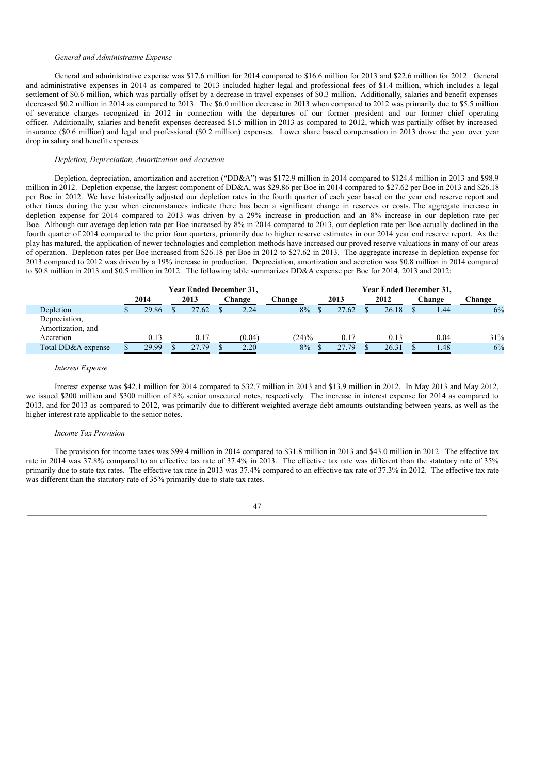## *General and Administrative Expense*

General and administrative expense was \$17.6 million for 2014 compared to \$16.6 million for 2013 and \$22.6 million for 2012. General and administrative expenses in 2014 as compared to 2013 included higher legal and professional fees of \$1.4 million, which includes a legal settlement of \$0.6 million, which was partially offset by a decrease in travel expenses of \$0.3 million. Additionally, salaries and benefit expenses decreased \$0.2 million in 2014 as compared to 2013. The \$6.0 million decrease in 2013 when compared to 2012 was primarily due to \$5.5 million of severance charges recognized in 2012 in connection with the departures of our former president and our former chief operating officer. Additionally, salaries and benefit expenses decreased \$1.5 million in 2013 as compared to 2012, which was partially offset by increased insurance (\$0.6 million) and legal and professional (\$0.2 million) expenses. Lower share based compensation in 2013 drove the year over year drop in salary and benefit expenses.

### *Depletion, Depreciation, Amortization and Accretion*

Depletion, depreciation, amortization and accretion ("DD&A") was \$172.9 million in 2014 compared to \$124.4 million in 2013 and \$98.9 million in 2012. Depletion expense, the largest component of DD&A, was \$29.86 per Boe in 2014 compared to \$27.62 per Boe in 2013 and \$26.18 per Boe in 2012. We have historically adjusted our depletion rates in the fourth quarter of each year based on the year end reserve report and other times during the year when circumstances indicate there has been a significant change in reserves or costs. The aggregate increase in depletion expense for 2014 compared to 2013 was driven by a 29% increase in production and an 8% increase in our depletion rate per Boe. Although our average depletion rate per Boe increased by 8% in 2014 compared to 2013, our depletion rate per Boe actually declined in the fourth quarter of 2014 compared to the prior four quarters, primarily due to higher reserve estimates in our 2014 year end reserve report. As the play has matured, the application of newer technologies and completion methods have increased our proved reserve valuations in many of our areas of operation. Depletion rates per Boe increased from \$26.18 per Boe in 2012 to \$27.62 in 2013. The aggregate increase in depletion expense for 2013 compared to 2012 was driven by a 19% increase in production. Depreciation, amortization and accretion was \$0.8 million in 2014 compared to \$0.8 million in 2013 and \$0.5 million in 2012. The following table summarizes DD&A expense per Boe for 2014, 2013 and 2012:

|                                    | <b>Year Ended December 31.</b> |  |       |  |        |          | <b>Year Ended December 31.</b> |       |  |       |  |        |        |  |
|------------------------------------|--------------------------------|--|-------|--|--------|----------|--------------------------------|-------|--|-------|--|--------|--------|--|
|                                    | 2014                           |  | 2013  |  | Change | Change   |                                | 2013  |  | 2012  |  | Change | Change |  |
| Depletion                          | 29.86                          |  | 27.62 |  | 2.24   | 8%       |                                | 27.62 |  | 26.18 |  | l .44  | 6%     |  |
| Depreciation,<br>Amortization, and |                                |  |       |  |        |          |                                |       |  |       |  |        |        |  |
| Accretion                          | 0.13                           |  | 0.17  |  | (0.04) | $(24)\%$ |                                | 0.17  |  | 0.13  |  | 0.04   | 31%    |  |
| Total DD&A expense                 | 29.99                          |  | 27.79 |  | 2.20   | 8%       |                                | 27.79 |  | 26.31 |  | ! 48   | 6%     |  |

#### *Interest Expense*

Interest expense was \$42.1 million for 2014 compared to \$32.7 million in 2013 and \$13.9 million in 2012. In May 2013 and May 2012, we issued \$200 million and \$300 million of 8% senior unsecured notes, respectively. The increase in interest expense for 2014 as compared to 2013, and for 2013 as compared to 2012, was primarily due to different weighted average debt amounts outstanding between years, as well as the higher interest rate applicable to the senior notes.

#### *Income Tax Provision*

The provision for income taxes was \$99.4 million in 2014 compared to \$31.8 million in 2013 and \$43.0 million in 2012. The effective tax rate in 2014 was 37.8% compared to an effective tax rate of 37.4% in 2013. The effective tax rate was different than the statutory rate of 35% primarily due to state tax rates. The effective tax rate in 2013 was 37.4% compared to an effective tax rate of 37.3% in 2012. The effective tax rate was different than the statutory rate of 35% primarily due to state tax rates.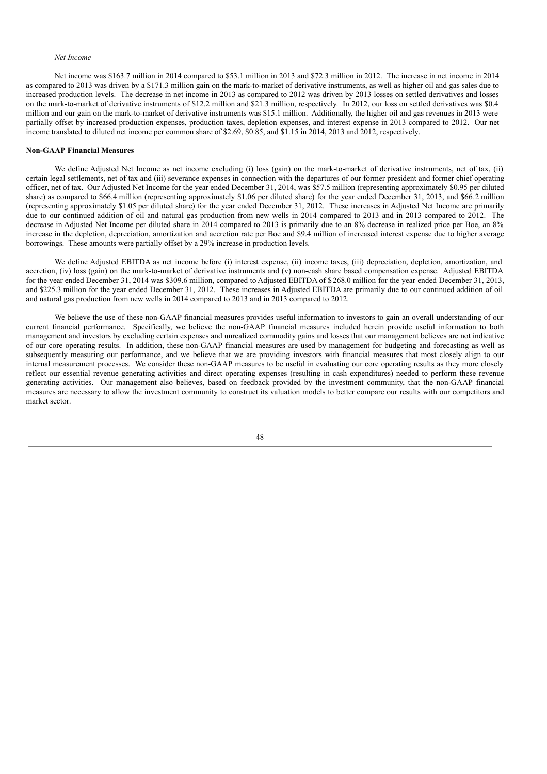## *Net Income*

Net income was \$163.7 million in 2014 compared to \$53.1 million in 2013 and \$72.3 million in 2012. The increase in net income in 2014 as compared to 2013 was driven by a \$171.3 million gain on the mark-to-market of derivative instruments, as well as higher oil and gas sales due to increased production levels. The decrease in net income in 2013 as compared to 2012 was driven by 2013 losses on settled derivatives and losses on the mark-to-market of derivative instruments of \$12.2 million and \$21.3 million, respectively. In 2012, our loss on settled derivatives was \$0.4 million and our gain on the mark-to-market of derivative instruments was \$15.1 million. Additionally, the higher oil and gas revenues in 2013 were partially offset by increased production expenses, production taxes, depletion expenses, and interest expense in 2013 compared to 2012. Our net income translated to diluted net income per common share of \$2.69, \$0.85, and \$1.15 in 2014, 2013 and 2012, respectively.

## **Non-GAAP Financial Measures**

We define Adjusted Net Income as net income excluding (i) loss (gain) on the mark-to-market of derivative instruments, net of tax, (ii) certain legal settlements, net of tax and (iii) severance expenses in connection with the departures of our former president and former chief operating officer, net of tax. Our Adjusted Net Income for the year ended December 31, 2014, was \$57.5 million (representing approximately \$0.95 per diluted share) as compared to \$66.4 million (representing approximately \$1.06 per diluted share) for the year ended December 31, 2013, and \$66.2 million (representing approximately \$1.05 per diluted share) for the year ended December 31, 2012. These increases in Adjusted Net Income are primarily due to our continued addition of oil and natural gas production from new wells in 2014 compared to 2013 and in 2013 compared to 2012. The decrease in Adjusted Net Income per diluted share in 2014 compared to 2013 is primarily due to an 8% decrease in realized price per Boe, an 8% increase in the depletion, depreciation, amortization and accretion rate per Boe and \$9.4 million of increased interest expense due to higher average borrowings. These amounts were partially offset by a 29% increase in production levels.

We define Adjusted EBITDA as net income before (i) interest expense, (ii) income taxes, (iii) depreciation, depletion, amortization, and accretion, (iv) loss (gain) on the mark-to-market of derivative instruments and (v) non-cash share based compensation expense. Adjusted EBITDA for the year ended December 31, 2014 was \$309.6 million, compared to Adjusted EBITDA of \$268.0 million for the year ended December 31, 2013, and \$225.3 million for the year ended December 31, 2012. These increases in Adjusted EBITDA are primarily due to our continued addition of oil and natural gas production from new wells in 2014 compared to 2013 and in 2013 compared to 2012.

We believe the use of these non-GAAP financial measures provides useful information to investors to gain an overall understanding of our current financial performance. Specifically, we believe the non-GAAP financial measures included herein provide useful information to both management and investors by excluding certain expenses and unrealized commodity gains and losses that our management believes are not indicative management and investors by excluding certain expenses and unrealized commodi of our core operating results. In addition, these non-GAAP financial measures are used by management for budgeting and forecasting as well as subsequently measuring our performance, and we believe that we are providing investors with financial measures that most closely align to our internal measurement processes. We consider these non-GAAP measures to be useful in evaluating our core operating results as they more closely reflect our essential revenue generating activities and direct operating expenses (resulting in cash expenditures) needed to perform these revenue generating activities. Our management also believes, based on feedback provided by the investment community, that the non-GAAP financial measures are necessary to allow the investment community to construct its valuation models to better compare our results with our competitors and market sector.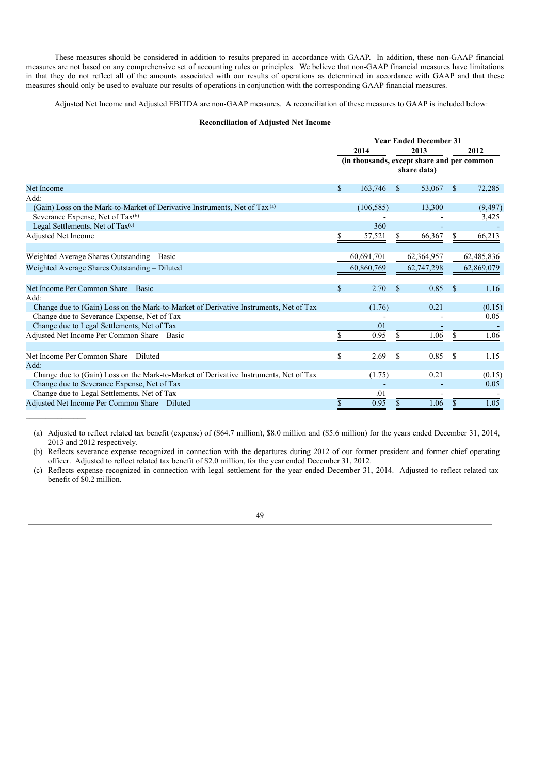These measures should be considered in addition to results prepared in accordance with GAAP. In addition, these non-GAAP financial measures are not based on any comprehensive set of accounting rules or principles. We believe that non-GAAP financial measures have limitations in that they do not reflect all of the amounts associated with our results of operations as determined in accordance with GAAP and that these measures should only be used to evaluate our results of operations in conjunction with the corresponding GAAP financial measures.

Adjusted Net Income and Adjusted EBITDA are non-GAAP measures. A reconciliation of these measures to GAAP is included below:

## **Reconciliation of Adjusted Net Income**

|                | <b>Year Ended December 31</b> |                    |              |                                            |    |                                                                                                                                                                                  |
|----------------|-------------------------------|--------------------|--------------|--------------------------------------------|----|----------------------------------------------------------------------------------------------------------------------------------------------------------------------------------|
| 2012           |                               | 2013               |              | 2014                                       |    |                                                                                                                                                                                  |
|                |                               | share data)        |              | (in thousands, except share and per common |    |                                                                                                                                                                                  |
| 72,285         | <sup>\$</sup>                 | 53,067             | \$           | 163,746                                    | \$ | Net Income                                                                                                                                                                       |
|                |                               |                    |              |                                            |    | Add:                                                                                                                                                                             |
| (9, 497)       |                               | 13,300             |              | (106, 585)                                 |    | (Gain) Loss on the Mark-to-Market of Derivative Instruments, Net of Tax <sup>(a)</sup>                                                                                           |
| 3,425          |                               |                    |              |                                            |    | Severance Expense, Net of Tax <sup>(b)</sup>                                                                                                                                     |
|                |                               |                    |              | 360                                        |    | Legal Settlements, Net of Tax(c)                                                                                                                                                 |
| 66,213         | S.                            | 66,367             | \$           | 57,521                                     | \$ | <b>Adjusted Net Income</b>                                                                                                                                                       |
| 62,485,836     |                               |                    |              |                                            |    |                                                                                                                                                                                  |
| 62,869,079     |                               | 62,747,298         |              | 60,860,769                                 |    | Weighted Average Shares Outstanding - Diluted                                                                                                                                    |
| 1.16           |                               |                    |              |                                            |    |                                                                                                                                                                                  |
|                |                               |                    |              |                                            |    | Add:                                                                                                                                                                             |
| (0.15)<br>0.05 |                               | 0.21               |              | (1.76)                                     |    | Change due to (Gain) Loss on the Mark-to-Market of Derivative Instruments, Net of Tax                                                                                            |
|                |                               |                    |              |                                            |    |                                                                                                                                                                                  |
| 1.06           | \$                            | 1.06               | \$           | 0.95                                       | \$ | Adjusted Net Income Per Common Share - Basic                                                                                                                                     |
|                |                               |                    |              |                                            |    |                                                                                                                                                                                  |
| 1.15           | S                             | 0.85               | \$           | 2.69                                       | \$ | Net Income Per Common Share – Diluted                                                                                                                                            |
|                |                               |                    |              |                                            |    | Add:                                                                                                                                                                             |
| (0.15)         |                               | 0.21               |              | (1.75)                                     |    | Change due to (Gain) Loss on the Mark-to-Market of Derivative Instruments, Net of Tax                                                                                            |
| 0.05           |                               |                    |              |                                            |    | Change due to Severance Expense, Net of Tax                                                                                                                                      |
|                |                               |                    |              | .01                                        |    | Change due to Legal Settlements, Net of Tax                                                                                                                                      |
| 1.05           | $\mathbf S$                   | 1.06               | \$           | 0.95                                       | \$ | Adjusted Net Income Per Common Share - Diluted                                                                                                                                   |
|                | $\mathbf S$                   | 62,364,957<br>0.85 | $\mathbf{s}$ | 60,691,701<br>2.70<br>.01                  | \$ | Weighted Average Shares Outstanding – Basic<br>Net Income Per Common Share – Basic<br>Change due to Severance Expense, Net of Tax<br>Change due to Legal Settlements, Net of Tax |

(a) Adjusted to reflect related tax benefit (expense) of (\$64.7 million), \$8.0 million and (\$5.6 million) for the years ended December 31, 2014, 2013 and 2012 respectively.

(b) Reflects severance expense recognized in connection with the departures during 2012 of our former president and former chief operating officer. Adjusted to reflect related tax benefit of \$2.0 million, for the year ended December 31, 2012.

(c) Reflects expense recognized in connection with legal settlement for the year ended December 31, 2014. Adjusted to reflect related tax benefit of \$0.2 million.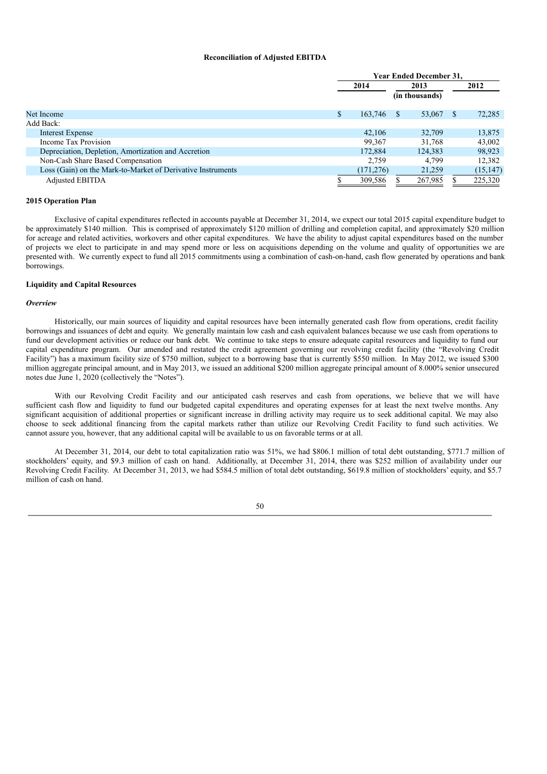## **Reconciliation of Adjusted EBITDA**

|                                                             | <b>Year Ended December 31,</b> |            |          |                |              |           |  |
|-------------------------------------------------------------|--------------------------------|------------|----------|----------------|--------------|-----------|--|
|                                                             |                                | 2014       |          | 2013           | 2012         |           |  |
|                                                             |                                |            |          | (in thousands) |              |           |  |
| Net Income                                                  |                                | 163,746    | <b>S</b> | 53,067         | <sup>S</sup> | 72,285    |  |
| Add Back:                                                   |                                |            |          |                |              |           |  |
| <b>Interest Expense</b>                                     |                                | 42,106     |          | 32,709         |              | 13,875    |  |
| Income Tax Provision                                        |                                | 99.367     |          | 31.768         |              | 43,002    |  |
| Depreciation, Depletion, Amortization and Accretion         |                                | 172,884    |          | 124.383        |              | 98,923    |  |
| Non-Cash Share Based Compensation                           |                                | 2.759      |          | 4.799          |              | 12,382    |  |
| Loss (Gain) on the Mark-to-Market of Derivative Instruments |                                | (171, 276) |          | 21,259         |              | (15, 147) |  |
| <b>Adjusted EBITDA</b>                                      |                                | 309.586    |          | 267,985        |              | 225,320   |  |

### **2015 Operation Plan**

Exclusive of capital expenditures reflected in accounts payable at December 31, 2014, we expect our total 2015 capital expenditure budget to be approximately \$140 million. This is comprised of approximately \$120 million of drilling and completion capital, and approximately \$20 million for acreage and related activities, workovers and other capital expenditures. We have the ability to adjust capital expenditures based on the number of projects we elect to participate in and may spend more or less on acquisitions depending on the volume and quality of opportunities we are presented with. We currently expect to fund all 2015 commitments using a combination of cash-on-hand, cash flow generated by operations and bank borrowings.

## **Liquidity and Capital Resources**

#### *Overview*

Historically, our main sources of liquidity and capital resources have been internally generated cash flow from operations, credit facility borrowings and issuances of debt and equity. We generally maintain low cash and cash equivalent balances because we use cash from operations to fund our development activities or reduce our bank debt. We continue to take steps to ensure adequate capital resources and liquidity to fund our capital expenditure program. Our amended and restated the credit agreement governing our revolving credit facility (the "Revolving Credit Facility") has a maximum facility size of \$750 million, subject to a borrowing base that is currently \$550 million. In May 2012, we issued \$300 million aggregate principal amount, and in May 2013, we issued an additional \$200 million aggregate principal amount of 8.000% senior unsecured notes due June 1, 2020 (collectively the "Notes").

With our Revolving Credit Facility and our anticipated cash reserves and cash from operations, we believe that we will have sufficient cash flow and liquidity to fund our budgeted capital expenditures and operating expenses for at least the next twelve months. Any significant acquisition of additional properties or significant increase in drilling activity may require us to seek additional capital. We may also choose to seek additional financing from the capital markets rather than utilize our Revolving Credit Facility to fund such activities. We cannot assure you, however, that any additional capital will be available to us on favorable terms or at all.

At December 31, 2014, our debt to total capitalization ratio was 51%, we had \$806.1 million of total debt outstanding, \$771.7 million of stockholders' equity, and \$9.3 million of cash on hand. Additionally, at December 31, 2014, there was \$252 million of availability under our Revolving Credit Facility. At December 31, 2013, we had \$584.5 million of total debt outstanding, \$619.8 million of stockholders' equity, and \$5.7 million of cash on hand.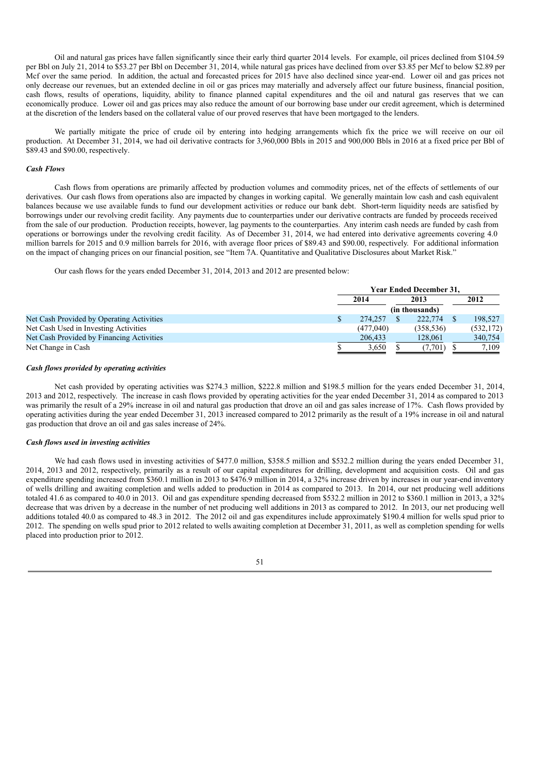Oil and natural gas prices have fallen significantly since their early third quarter 2014 levels. For example, oil prices declined from \$104.59 per Bbl on July 21, 2014 to \$53.27 per Bbl on December 31, 2014, while natural gas prices have declined from over \$3.85 per Mcf to below \$2.89 per Mcf over the same period. In addition, the actual and forecasted prices for 2015 have also declined since year-end. Lower oil and gas prices not only decrease our revenues, but an extended decline in oil or gas prices may materially and adversely affect our future business, financial position, cash flows, results of operations, liquidity, ability to finance planned capital expenditures and the oil and natural gas reserves that we can economically produce. Lower oil and gas prices may also reduce the amount of our borrowing base under our credit agreement, which is determined at the discretion of the lenders based on the collateral value of our proved reserves that have been mortgaged to the lenders.

We partially mitigate the price of crude oil by entering into hedging arrangements which fix the price we will receive on our oil production. At December 31, 2014, we had oil derivative contracts for 3,960,000 Bbls in 2015 and 900,000 Bbls in 2016 at a fixed price per Bbl of \$89.43 and \$90.00, respectively.

### *Cash Flows*

Cash flows from operations are primarily affected by production volumes and commodity prices, net of the effects of settlements of our derivatives. Our cash flows from operations also are impacted by changes in working capital. We generally maintain low cash and cash equivalent balances because we use available funds to fund our development activities or reduce our bank debt. Short-term liquidity needs are satisfied by borrowings under our revolving credit facility. Any payments due to counterparties under our derivative contracts are funded by proceeds received from the sale of our production. Production receipts, however, lag payments to the counterparties. Any interim cash needs are funded by cash from operations or borrowings under the revolving credit facility. As of December 31, 2014, we had entered into derivative agreements covering 4.0 million barrels for 2015 and 0.9 million barrels for 2016, with average floor prices of \$89.43 and \$90.00, respectively. For additional information on the impact of changing prices on our financial position, see "Item 7A. Quantitative and Qualitative Disclosures about Market Risk."

Our cash flows for the years ended December 31, 2014, 2013 and 2012 are presented below:

|                                           |           | <b>Year Ended December 31.</b> |                |  |            |  |  |
|-------------------------------------------|-----------|--------------------------------|----------------|--|------------|--|--|
|                                           | 2014      | 2013                           |                |  | 2012       |  |  |
|                                           |           |                                | (in thousands) |  |            |  |  |
| Net Cash Provided by Operating Activities | 274,257   |                                | 222,774        |  | 198,527    |  |  |
| Net Cash Used in Investing Activities     | (477,040) |                                | (358, 536)     |  | (532, 172) |  |  |
| Net Cash Provided by Financing Activities | 206,433   |                                | 128,061        |  | 340,754    |  |  |
| Net Change in Cash                        | 3.650     |                                | (7,701)        |  | 7.109      |  |  |

### *Cash flows provided by operating activities*

Net cash provided by operating activities was \$274.3 million, \$222.8 million and \$198.5 million for the years ended December 31, 2014, 2013 and 2012, respectively. The increase in cash flows provided by operating activities for the year ended December 31, 2014 as compared to 2013 was primarily the result of a 29% increase in oil and natural gas production that drove an oil and gas sales increase of 17%. Cash flows provided by operating activities during the year ended December 31, 2013 increased compared to 2012 primarily as the result of a 19% increase in oil and natural gas production that drove an oil and gas sales increase of 24%.

### *Cash flows used in investing activities*

We had cash flows used in investing activities of \$477.0 million, \$358.5 million and \$532.2 million during the years ended December 31, 2014, 2013 and 2012, respectively, primarily as a result of our capital expenditures for drilling, development and acquisition costs. Oil and gas expenditure spending increased from \$360.1 million in 2013 to \$476.9 million in 2014, a 32% increase driven by increases in our year-end inventory of wells drilling and awaiting completion and wells added to production in 2014 as compared to 2013. In 2014, our net producing well additions totaled 41.6 as compared to 40.0 in 2013. Oil and gas expenditure spending decreased from \$532.2 million in 2012 to \$360.1 million in 2013, a 32% decrease that was driven by a decrease in the number of net producing well additions in 2013 as compared to 2012. In 2013, our net producing well additions totaled 40.0 as compared to 48.3 in 2012. The 2012 oil and gas expenditures include approximately \$190.4 million for wells spud prior to 2012. The spending on wells spud prior to 2012 related to wells awaiting completion at December 31, 2011, as well as completion spending for wells placed into production prior to 2012.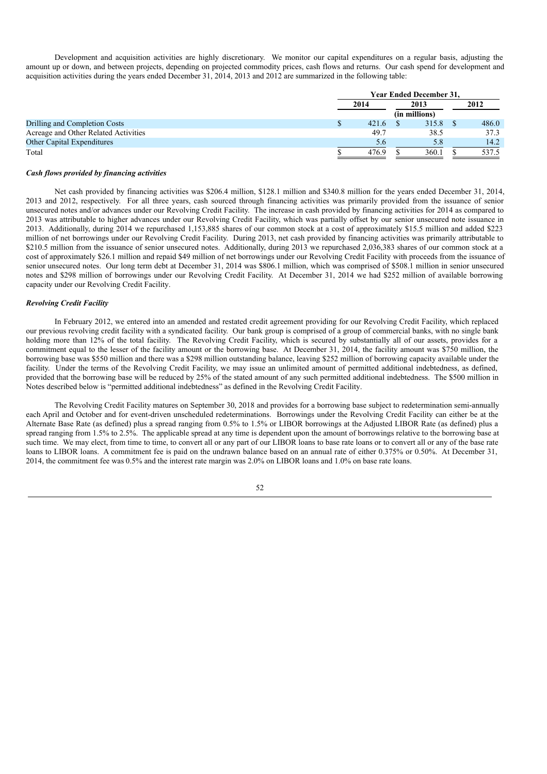Development and acquisition activities are highly discretionary. We monitor our capital expenditures on a regular basis, adjusting the amount up or down, and between projects, depending on projected commodity prices, cash flows and returns. Our cash spend for development and acquisition activities during the years ended December 31, 2014, 2013 and 2012 are summarized in the following table:

|                                      | <b>Year Ended December 31,</b> |  |               |      |       |
|--------------------------------------|--------------------------------|--|---------------|------|-------|
|                                      | 2014<br>2013                   |  |               | 2012 |       |
|                                      |                                |  | (in millions) |      |       |
| Drilling and Completion Costs        | 421.6                          |  | 315.8         |      | 486.0 |
| Acreage and Other Related Activities | 49.7                           |  | 38.5          |      | 37.3  |
| <b>Other Capital Expenditures</b>    | 5.6                            |  | 5.8           |      | 14.2  |
| Total                                | 476.9                          |  | 360.1         |      | 537.5 |

#### *Cash flows provided by financing activities*

Net cash provided by financing activities was \$206.4 million, \$128.1 million and \$340.8 million for the years ended December 31, 2014, 2013 and 2012, respectively. For all three years, cash sourced through financing activities was primarily provided from the issuance of senior unsecured notes and/or advances under our Revolving Credit Facility. The increase in cash provided by financing activities for 2014 as compared to 2013 was attributable to higher advances under our Revolving Credit Facility, which was partially offset by our senior unsecured note issuance in 2013. Additionally, during 2014 we repurchased 1,153,885 shares of our common stock at a cost of approximately \$15.5 million and added \$223 million of net borrowings under our Revolving Credit Facility. During 2013, net cash provided by financing activities was primarily attributable to \$210.5 million from the issuance of senior unsecured notes. Additionally, during 2013 we repurchased 2,036,383 shares of our common stock at a cost of approximately \$26.1 million and repaid \$49 million of net borrowings under our Revolving Credit Facility with proceeds from the issuance of senior unsecured notes. Our long term debt at December 31, 2014 was \$806.1 million, which was comprised of \$508.1 million in senior unsecured notes and \$298 million of borrowings under our Revolving Credit Facility. At December 31, 2014 we had \$252 million of available borrowing capacity under our Revolving Credit Facility.

#### *Revolving Credit Facility*

In February 2012, we entered into an amended and restated credit agreement providing for our Revolving Credit Facility, which replaced our previous revolving credit facility with a syndicated facility. Our bank group is comprised of a group of commercial banks, with no single bank holding more than 12% of the total facility. The Revolving Credit Facility, which is secured by substantially all of our assets, provides for a commitment equal to the lesser of the facility amount or the borrowing base. At December 31, 2014, the facility amount was \$750 million, the borrowing base was \$550 million and there was a \$298 million outstanding balance, leaving \$252 million of borrowing capacity available under the facility. Under the terms of the Revolving Credit Facility, we may issue an unlimited amount of permitted additional indebtedness, as defined, provided that the borrowing base will be reduced by 25% of the stated amount of any such permitted additional indebtedness. The \$500 million in Notes described below is "permitted additional indebtedness" as defined in the Revolving Credit Facility.

The Revolving Credit Facility matures on September 30, 2018 and provides for a borrowing base subject to redetermination semi-annually each April and October and for event-driven unscheduled redeterminations. Borrowings under the Revolving Credit Facility can either be at the Alternate Base Rate (as defined) plus a spread ranging from 0.5% to 1.5% or LIBOR borrowings at the Adjusted LIBOR Rate (as defined) plus a spread ranging from 1.5% to 2.5%. The applicable spread at any time is dependent upon the amount of borrowings relative to the borrowing base at such time. We may elect, from time to time, to convert all or any part of our LIBOR loans to base rate loans or to convert all or any of the base rate loans to LIBOR loans. A commitment fee is paid on the undrawn balance based on an annual rate of either 0.375% or 0.50%. At December 31, 2014, the commitment fee was 0.5% and the interest rate margin was 2.0% on LIBOR loans and 1.0% on base rate loans.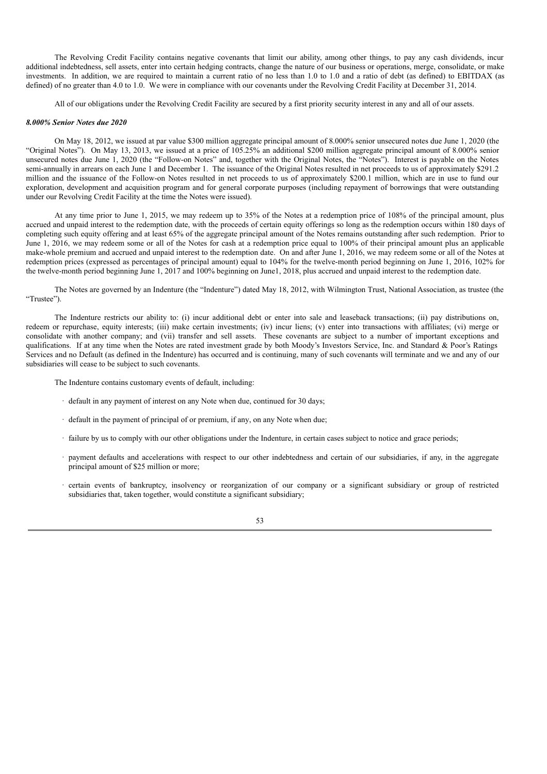The Revolving Credit Facility contains negative covenants that limit our ability, among other things, to pay any cash dividends, incur additional indebtedness, sell assets, enter into certain hedging contracts, change the nature of our business or operations, merge, consolidate, or make investments. In addition, we are required to maintain a current ratio of no less than 1.0 to 1.0 and a ratio of debt (as defined) to EBITDAX (as defined) of no greater than 4.0 to 1.0. We were in compliance with our covenants under the Revolving Credit Facility at December 31, 2014.

All of our obligations under the Revolving Credit Facility are secured by a first priority security interest in any and all of our assets.

#### *8.000% Senior Notes due 2020*

On May 18, 2012, we issued at par value \$300 million aggregate principal amount of 8.000% senior unsecured notes due June 1, 2020 (the "Original Notes"). On May 13, 2013, we issued at a price of 105.25% an additional \$200 million aggregate principal amount of 8.000% senior unsecured notes due June 1, 2020 (the "Follow-on Notes" and, together with the Original Notes, the "Notes"). Interest is payable on the Notes semi-annually in arrears on each June 1 and December 1. The issuance of the Original Notes resulted in net proceeds to us of approximately \$291.2 million and the issuance of the Follow-on Notes resulted in net proceeds to us of approximately \$200.1 million, which are in use to fund our exploration, development and acquisition program and for general corporate purposes (including repayment of borrowings that were outstanding under our Revolving Credit Facility at the time the Notes were issued).

At any time prior to June 1, 2015, we may redeem up to 35% of the Notes at a redemption price of 108% of the principal amount, plus accrued and unpaid interest to the redemption date, with the proceeds of certain equity offerings so long as the redemption occurs within 180 days of completing such equity offering and at least 65% of the aggregate principal amount of the Notes remains outstanding after such redemption. Prior to June 1, 2016, we may redeem some or all of the Notes for cash at a redemption price equal to 100% of their principal amount plus an applicable make-whole premium and accrued and unpaid interest to the redemption date. On and after June 1, 2016, we may redeem some or all of the Notes at redemption prices (expressed as percentages of principal amount) equal to 104% for the twelve-month period beginning on June 1, 2016, 102% for the twelve-month period beginning June 1, 2017 and 100% beginning on June1, 2018, plus accrued and unpaid interest to the redemption date.

The Notes are governed by an Indenture (the "Indenture") dated May 18, 2012, with Wilmington Trust, National Association, as trustee (the "Trustee").

The Indenture restricts our ability to: (i) incur additional debt or enter into sale and leaseback transactions; (ii) pay distributions on, redeem or repurchase, equity interests; (iii) make certain investments; (iv) incur liens; (v) enter into transactions with affiliates; (vi) merge or consolidate with another company; and (vii) transfer and sell assets. These covenants are subject to a number of important exceptions and qualifications. If at any time when the Notes are rated investment grade by both Moody's Investors Service, Inc. and Standard & Poor's Ratings Services and no Default (as defined in the Indenture) has occurred and is continuing, many of such covenants will terminate and we and any of our subsidiaries will cease to be subject to such covenants.

The Indenture contains customary events of default, including:

- · default in any payment of interest on any Note when due, continued for 30 days;
- · default in the payment of principal of or premium, if any, on any Note when due;
- · failure by us to comply with our other obligations under the Indenture, in certain cases subject to notice and grace periods;
- · payment defaults and accelerations with respect to our other indebtedness and certain of our subsidiaries, if any, in the aggregate principal amount of \$25 million or more;
- · certain events of bankruptcy, insolvency or reorganization of our company or a significant subsidiary or group of restricted subsidiaries that, taken together, would constitute a significant subsidiary;

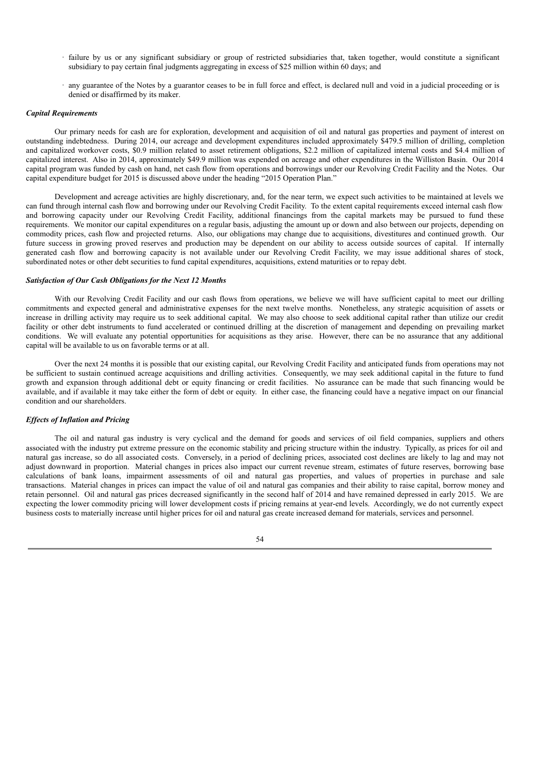- failure by us or any significant subsidiary or group of restricted subsidiaries that, taken together, would constitute a significant subsidiary to pay certain final judgments aggregating in excess of \$25 million within 60 days; and
- · any guarantee of the Notes by a guarantor ceases to be in full force and effect, is declared null and void in a judicial proceeding or is denied or disaffirmed by its maker.

#### *Capital Requirements*

Our primary needs for cash are for exploration, development and acquisition of oil and natural gas properties and payment of interest on outstanding indebtedness. During 2014, our acreage and development expenditures included approximately \$479.5 million of drilling, completion and capitalized workover costs, \$0.9 million related to asset retirement obligations, \$2.2 million of capitalized internal costs and \$4.4 million of capitalized interest. Also in 2014, approximately \$49.9 million was expended on acreage and other expenditures in the Williston Basin. Our 2014 capital program was funded by cash on hand, net cash flow from operations and borrowings under our Revolving Credit Facility and the Notes. Our capital expenditure budget for 2015 is discussed above under the heading "2015 Operation Plan."

Development and acreage activities are highly discretionary, and, for the near term, we expect such activities to be maintained at levels we can fund through internal cash flow and borrowing under our Revolving Credit Facility. To the extent capital requirements exceed internal cash flow and borrowing capacity under our Revolving Credit Facility, additional financings from the capital markets may be pursued to fund these requirements. We monitor our capital expenditures on a regular basis, adjusting the amount up or down and also between our projects, depending on commodity prices, cash flow and projected returns. Also, our obligations may change due to acquisitions, divestitures and continued growth. Our future success in growing proved reserves and production may be dependent on our ability to access outside sources of capital. If internally generated cash flow and borrowing capacity is not available under our Revolving Credit Facility, we may issue additional shares of stock, subordinated notes or other debt securities to fund capital expenditures, acquisitions, extend maturities or to repay debt.

#### *Satisfaction of Our Cash Obligations for the Next 12 Months*

With our Revolving Credit Facility and our cash flows from operations, we believe we will have sufficient capital to meet our drilling commitments and expected general and administrative expenses for the next twelve months. Nonetheless, any strategic acquisition of assets or increase in drilling activity may require us to seek additional capital. We may also choose to seek additional capital rather than utilize our credit facility or other debt instruments to fund accelerated or continued drilling at the discretion of management and depending on prevailing market conditions. We will evaluate any potential opportunities for acquisitions as they arise. However, there can be no assurance that any additional capital will be available to us on favorable terms or at all.

Over the next 24 months it is possible that our existing capital, our Revolving Credit Facility and anticipated funds from operations may not be sufficient to sustain continued acreage acquisitions and drilling activities. Consequently, we may seek additional capital in the future to fund growth and expansion through additional debt or equity financing or credit facilities. No assurance can be made that such financing would be available, and if available it may take either the form of debt or equity. In either case, the financing could have a negative impact on our financial condition and our shareholders.

## *Ef ects of Inflation and Pricing*

The oil and natural gas industry is very cyclical and the demand for goods and services of oil field companies, suppliers and others associated with the industry put extreme pressure on the economic stability and pricing structure within the industry. Typically, as prices for oil and natural gas increase, so do all associated costs. Conversely, in a period of declining prices, associated cost declines are likely to lag and may not adjust downward in proportion. Material changes in prices also impact our current revenue stream, estimates of future reserves, borrowing base calculations of bank loans, impairment assessments of oil and natural gas properties, and values of properties in purchase and sale transactions. Material changes in prices can impact the value of oil and natural gas companies and their ability to raise capital, borrow money and retain personnel. Oil and natural gas prices decreased significantly in the second half of 2014 and have remained depressed in early 2015. We are expecting the lower commodity pricing will lower development costs if pricing remains at year-end levels. Accordingly, we do not currently expect business costs to materially increase until higher prices for oil and natural gas create increased demand for materials, services and personnel.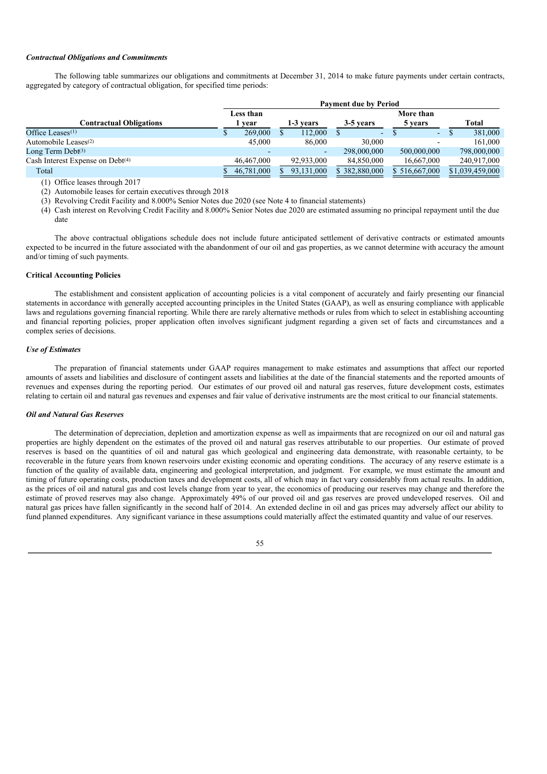## *Contractual Obligations and Commitments*

The following table summarizes our obligations and commitments at December 31, 2014 to make future payments under certain contracts, aggregated by category of contractual obligation, for specified time periods:

|                                       | <b>Payment due by Period</b> |  |            |               |        |                 |  |                 |
|---------------------------------------|------------------------------|--|------------|---------------|--------|-----------------|--|-----------------|
|                                       | Less than                    |  |            |               |        | More than       |  |                 |
| <b>Contractual Obligations</b>        | vear                         |  | 1-3 years  | 3-5 years     |        | 5 years         |  | <b>Total</b>    |
| Office Leases $(1)$                   | 269,000                      |  | 112,000    |               | $\sim$ | <b>Contract</b> |  | 381,000         |
| Automobile Leases <sup>(2)</sup>      | 45,000                       |  | 86,000     | 30,000        |        | <b>11</b>       |  | 161,000         |
| Long Term $Debt^{(3)}$                |                              |  |            | 298,000,000   |        | 500,000,000     |  | 798,000,000     |
| Cash Interest Expense on $Debt^{(4)}$ | 46,467,000                   |  | 92,933,000 | 84,850,000    |        | 16,667,000      |  | 240.917.000     |
| Total                                 | 46,781,000                   |  | 93,131,000 | \$382,880,000 |        | \$516,667,000   |  | \$1,039,459,000 |

(1) Office leases through 2017

- (2) Automobile leases for certain executives through 2018
- (3) Revolving Credit Facility and 8.000% Senior Notes due 2020 (see Note 4 to financial statements)
- (4) Cash interest on Revolving Credit Facility and 8.000% Senior Notes due 2020 are estimated assuming no principal repayment until the due date

The above contractual obligations schedule does not include future anticipated settlement of derivative contracts or estimated amounts expected to be incurred in the future associated with the abandonment of our oil and gas properties, as we cannot determine with accuracy the amount and/or timing of such payments.

## **Critical Accounting Policies**

The establishment and consistent application of accounting policies is a vital component of accurately and fairly presenting our financial statements in accordance with generally accepted accounting principles in the United States (GAAP), as well as ensuring compliance with applicable laws and regulations governing financial reporting. While there are rarely alternative methods or rules from which to select in establishing accounting and financial reporting policies, proper application often involves significant judgment regarding a given set of facts and circumstances and a complex series of decisions.

### *Use of Estimates*

The preparation of financial statements under GAAP requires management to make estimates and assumptions that affect our reported amounts of assets and liabilities and disclosure of contingent assets and liabilities at the date of the financial statements and the reported amounts of revenues and expenses during the reporting period. Our estimates of our proved oil and natural gas reserves, future development costs, estimates relating to certain oil and natural gas revenues and expenses and fair value of derivative instruments are the most critical to our financial statements.

### *Oil and Natural Gas Reserves*

The determination of depreciation, depletion and amortization expense as well as impairments that are recognized on our oil and natural gas properties are highly dependent on the estimates of the proved oil and natural gas reserves attributable to our properties. Our estimate of proved reserves is based on the quantities of oil and natural gas which geological and engineering data demonstrate, with reasonable certainty, to be recoverable in the future years from known reservoirs under existing economic and operating conditions. The accuracy of any reserve estimate is a function of the quality of available data, engineering and geological interpretation, and judgment. For example, we must estimate the amount and timing of future operating costs, production taxes and development costs, all of which may in fact vary considerably from actual results. In addition, as the prices of oil and natural gas and cost levels change from year to year, the economics of producing our reserves may change and therefore the estimate of proved reserves may also change. Approximately 49% of our proved oil and gas reserves are proved undeveloped reserves. Oil and natural gas prices have fallen significantly in the second half of 2014. An extended decline in oil and gas prices may adversely affect our ability to fund planned expenditures. Any significant variance in these assumptions could materially affect the estimated quantity and value of our reserves.

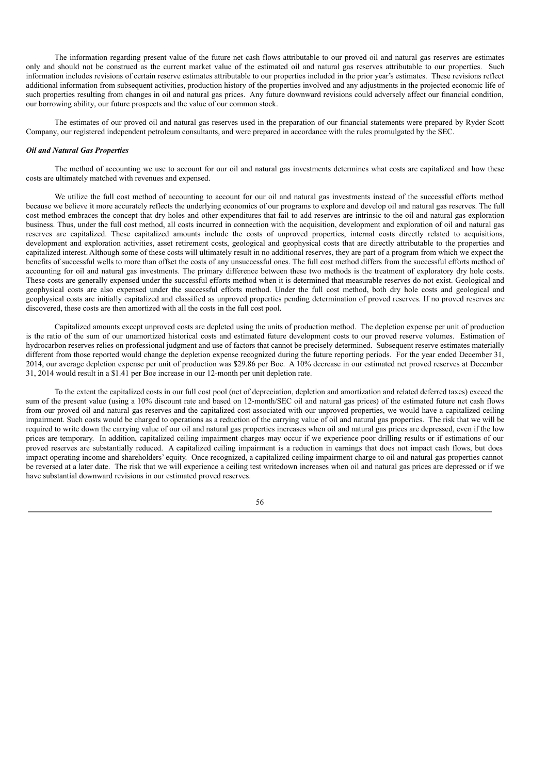The information regarding present value of the future net cash flows attributable to our proved oil and natural gas reserves are estimates only and should not be construed as the current market value of the estimated oil and natural gas reserves attributable to our properties. Such information includes revisions of certain reserve estimates attributable to our properties included in the prior year's estimates. These revisions reflect additional information from subsequent activities, production history of the properties involved and any adjustments in the projected economic life of such properties resulting from changes in oil and natural gas prices. Any future downward revisions could adversely affect our financial condition, our borrowing ability, our future prospects and the value of our common stock.

The estimates of our proved oil and natural gas reserves used in the preparation of our financial statements were prepared by Ryder Scott Company, our registered independent petroleum consultants, and were prepared in accordance with the rules promulgated by the SEC.

## *Oil and Natural Gas Properties*

The method of accounting we use to account for our oil and natural gas investments determines what costs are capitalized and how these costs are ultimately matched with revenues and expensed.

We utilize the full cost method of accounting to account for our oil and natural gas investments instead of the successful efforts method because we believe it more accurately reflects the underlying economics of our programs to explore and develop oil and natural gas reserves. The full cost method embraces the concept that dry holes and other expenditures that fail to add reserves are intrinsic to the oil and natural gas exploration business. Thus, under the full cost method, all costs incurred in connection with the acquisition, development and exploration of oil and natural gas reserves are capitalized. These capitalized amounts include the costs of unproved properties, internal costs directly related to acquisitions, development and exploration activities, asset retirement costs, geological and geophysical costs that are directly attributable to the properties and capitalized interest. Although some of these costs will ultimately result in no additional reserves, they are part of a program from which we expect the benefits of successful wells to more than offset the costs of any unsuccessful ones. The full cost method differs from the successful efforts method of accounting for oil and natural gas investments. The primary difference between these two methods is the treatment of exploratory dry hole costs. These costs are generally expensed under the successful efforts method when it is determined that measurable reserves do not exist. Geological and geophysical costs are also expensed under the successful efforts method. Under the full cost method, both dry hole costs and geological and geophysical costs are initially capitalized and classified as unproved properties pending determination of proved reserves. If no proved reserves are discovered, these costs are then amortized with all the costs in the full cost pool.

Capitalized amounts except unproved costs are depleted using the units of production method. The depletion expense per unit of production is the ratio of the sum of our unamortized historical costs and estimated future development costs to our proved reserve volumes. Estimation of hydrocarbon reserves relies on professional judgment and use of factors that cannot be precisely determined. Subsequent reserve estimates materially different from those reported would change the depletion expense recognized during the future reporting periods. For the year ended December 31, 2014, our average depletion expense per unit of production was \$29.86 per Boe. A 10% decrease in our estimated net proved reserves at December 31, 2014 would result in a \$1.41 per Boe increase in our 12-month per unit depletion rate.

To the extent the capitalized costs in our full cost pool (net of depreciation, depletion and amortization and related deferred taxes) exceed the sum of the present value (using a 10% discount rate and based on 12-month/SEC oil and natural gas prices) of the estimated future net cash flows from our proved oil and natural gas reserves and the capitalized cost associated with our unproved properties, we would have a capitalized ceiling impairment. Such costs would be charged to operations as a reduction of the carrying value of oil and natural gas properties. The risk that we will be required to write down the carrying value of our oil and natural gas properties increases when oil and natural gas prices are depressed, even if the low prices are temporary. In addition, capitalized ceiling impairment charges may occur if we experience poor drilling results or if estimations of our proved reserves are substantially reduced. A capitalized ceiling impairment is a reduction in earnings that does not impact cash flows, but does impact operating income and shareholders' equity. Once recognized, a capitalized ceiling impairment charge to oil and natural gas properties cannot be reversed at a later date. The risk that we will experience a ceiling test writedown increases when oil and natural gas prices are depressed or if we have substantial downward revisions in our estimated proved reserves.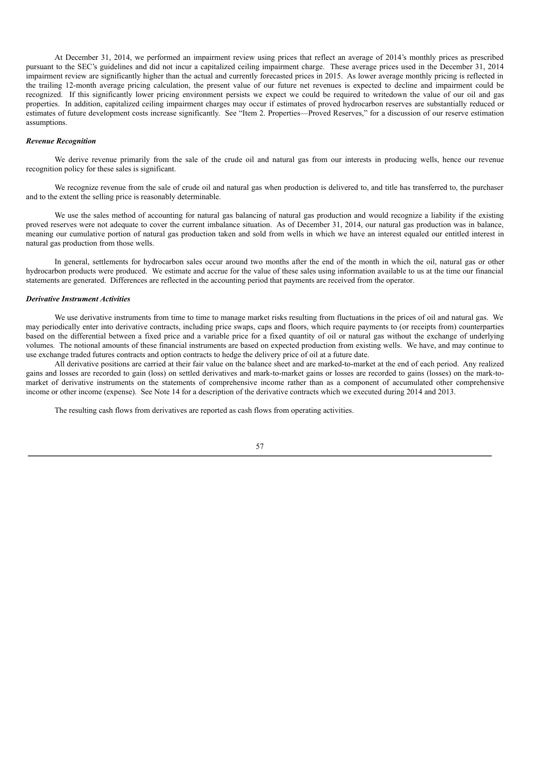At December 31, 2014, we performed an impairment review using prices that reflect an average of 2014's monthly prices as prescribed pursuant to the SEC's guidelines and did not incur a capitalized ceiling impairment charge. These average prices used in the December 31, 2014 impairment review are significantly higher than the actual and currently forecasted prices in 2015. As lower average monthly pricing is reflected in the trailing 12-month average pricing calculation, the present value of our future net revenues is expected to decline and impairment could be recognized. If this significantly lower pricing environment persists we expect we could be required to writedown the value of our oil and gas properties. In addition, capitalized ceiling impairment charges may occur if estimates of proved hydrocarbon reserves are substantially reduced or estimates of future development costs increase significantly. See "Item 2. Properties—Proved Reserves," for a discussion of our reserve estimation assumptions.

### *Revenue Recognition*

We derive revenue primarily from the sale of the crude oil and natural gas from our interests in producing wells, hence our revenue recognition policy for these sales is significant.

We recognize revenue from the sale of crude oil and natural gas when production is delivered to, and title has transferred to, the purchaser and to the extent the selling price is reasonably determinable.

We use the sales method of accounting for natural gas balancing of natural gas production and would recognize a liability if the existing proved reserves were not adequate to cover the current imbalance situation. As of December 31, 2014, our natural gas production was in balance, meaning our cumulative portion of natural gas production taken and sold from wells in which we have an interest equaled our entitled interest in natural gas production from those wells.

In general, settlements for hydrocarbon sales occur around two months after the end of the month in which the oil, natural gas or other hydrocarbon products were produced. We estimate and accrue for the value of these sales using information available to us at the time our financial statements are generated. Differences are reflected in the accounting period that payments are received from the operator.

## *Derivative Instrument Activities*

We use derivative instruments from time to time to manage market risks resulting from fluctuations in the prices of oil and natural gas. We may periodically enter into derivative contracts, including price swaps, caps and floors, which require payments to (or receipts from) counterparties based on the differential between a fixed price and a variable price for a fixed quantity of oil or natural gas without the exchange of underlying volumes. The notional amounts of these financial instruments are based on expected production from existing wells. We have, and may continue to use exchange traded futures contracts and option contracts to hedge the delivery price of oil at a future date.

All derivative positions are carried at their fair value on the balance sheet and are marked-to-market at the end of each period. Any realized gains and losses are recorded to gain (loss) on settled derivatives and mark-to-market gains or losses are recorded to gains (losses) on the mark-tomarket of derivative instruments on the statements of comprehensive income rather than as a component of accumulated other comprehensive income or other income (expense). See Note 14 for a description of the derivative contracts which we executed during 2014 and 2013.

The resulting cash flows from derivatives are reported as cash flows from operating activities.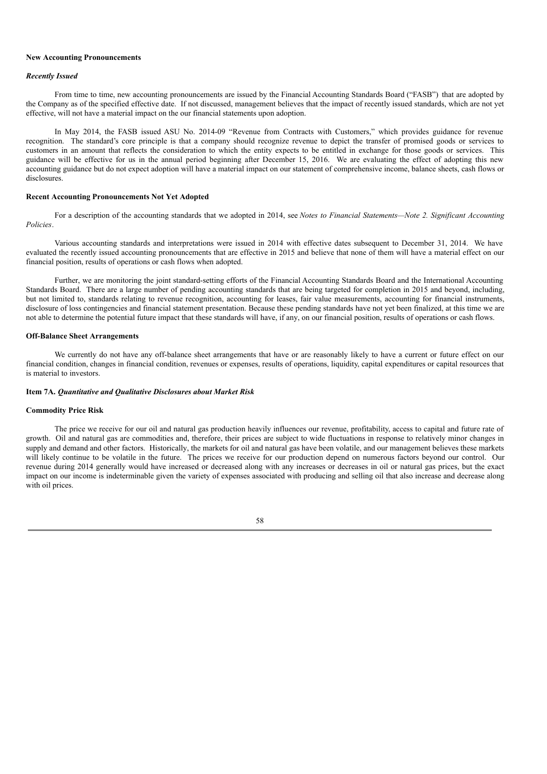### **New Accounting Pronouncements**

## *Recently Issued*

From time to time, new accounting pronouncements are issued by the Financial Accounting Standards Board ("FASB") that are adopted by the Company as of the specified effective date. If not discussed, management believes that the impact of recently issued standards, which are not yet effective, will not have a material impact on the our financial statements upon adoption.

In May 2014, the FASB issued ASU No. 2014-09 "Revenue from Contracts with Customers," which provides guidance for revenue recognition. The standard's core principle is that a company should recognize revenue to depict the transfer of promised goods or services to customers in an amount that reflects the consideration to which the entity expects to be entitled in exchange for those goods or services. This guidance will be effective for us in the annual period beginning after December 15, 2016. We are evaluating the effect of adopting this new accounting guidance but do not expect adoption will have a material impact on our statement of comprehensive income, balance sheets, cash flows or disclosures.

## **Recent Accounting Pronouncements Not Yet Adopted**

For a description of the accounting standards that we adopted in 2014, see *Notes to Financial Statements—Note 2. Significant Accounting Policies*.

Various accounting standards and interpretations were issued in 2014 with effective dates subsequent to December 31, 2014. We have evaluated the recently issued accounting pronouncements that are effective in 2015 and believe that none of them will have a material effect on our financial position, results of operations or cash flows when adopted.

Further, we are monitoring the joint standard-setting efforts of the Financial Accounting Standards Board and the International Accounting Standards Board. There are a large number of pending accounting standards that are being targeted for completion in 2015 and beyond, including, but not limited to, standards relating to revenue recognition, accounting for leases, fair value measurements, accounting for financial instruments, disclosure of loss contingencies and financial statement presentation. Because these pending standards have not yet been finalized, at this time we are not able to determine the potential future impact that these standards will have, if any, on our financial position, results of operations or cash flows.

## **Off-Balance Sheet Arrangements**

We currently do not have any off-balance sheet arrangements that have or are reasonably likely to have a current or future effect on our financial condition, changes in financial condition, revenues or expenses, results of operations, liquidity, capital expenditures or capital resources that is material to investors.

#### **Item 7A.** *Quantitative and Qualitative Disclosures about Market Risk*

### **Commodity Price Risk**

The price we receive for our oil and natural gas production heavily influences our revenue, profitability, access to capital and future rate of growth. Oil and natural gas are commodities and, therefore, their prices are subject to wide fluctuations in response to relatively minor changes in supply and demand and other factors. Historically, the markets for oil and natural gas have been volatile, and our management believes these markets will likely continue to be volatile in the future. The prices we receive for our production depend on numerous factors beyond our control. Our revenue during 2014 generally would have increased or decreased along with any increases or decreases in oil or natural gas prices, but the exact impact on our income is indeterminable given the variety of expenses associated with producing and selling oil that also increase and decrease along with oil prices.

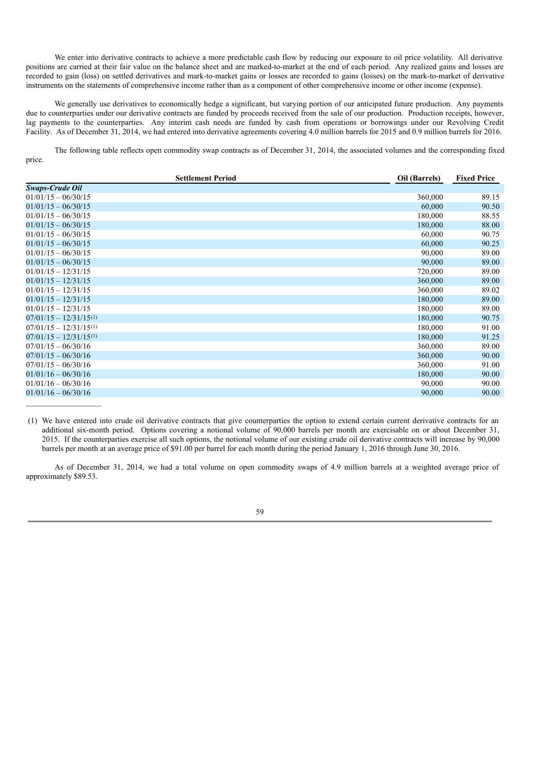We enter into derivative contracts to achieve a more predictable cash flow by reducing our exposure to oil price volatility. All derivative positions are carried at their fair value on the balance sheet and are marked-to-market at the end of each period. Any realized gains and losses are recorded to gain (loss) on settled derivatives and mark-to-market gains or losses are recorded to gains (losses) on the mark-to-market of derivative instruments on the statements of comprehensive income rather than as a component of other comprehensive income or other income (expense).

We generally use derivatives to economically hedge a significant, but varying portion of our anticipated future production. Any payments due to counterparties under our derivative contracts are funded by proceeds received from the sale of our production. Production receipts, however, lag payments to the counterparties. Any interim cash needs are funded by cash from operations or borrowings under our Revolving Credit Facility. As of December 31, 2014, we had entered into derivative agreements covering 4.0 million barrels for 2015 and 0.9 million barrels for 2016.

The following table reflects open commodity swap contracts as of December 31, 2014, the associated volumes and the corresponding fixed price.

| <b>Settlement Period</b>    | Oil (Barrels) | <b>Fixed Price</b> |
|-----------------------------|---------------|--------------------|
| <b>Swaps-Crude Oil</b>      |               |                    |
| $01/01/15 - 06/30/15$       | 360,000       | 89.15              |
| $01/01/15 - 06/30/15$       | 60,000        | 90.50              |
| $01/01/15 - 06/30/15$       | 180,000       | 88.55              |
| $01/01/15 - 06/30/15$       | 180,000       | 88.00              |
| $01/01/15 - 06/30/15$       | 60,000        | 90.75              |
| $01/01/15 - 06/30/15$       | 60,000        | 90.25              |
| $01/01/15 - 06/30/15$       | 90,000        | 89.00              |
| $01/01/15 - 06/30/15$       | 90,000        | 89.00              |
| $01/01/15 - 12/31/15$       | 720,000       | 89.00              |
| $01/01/15 - 12/31/15$       | 360,000       | 89.00              |
| $01/01/15 - 12/31/15$       | 360,000       | 89.02              |
| $01/01/15 - 12/31/15$       | 180,000       | 89.00              |
| $01/01/15 - 12/31/15$       | 180,000       | 89.00              |
| $07/01/15 - 12/31/15^{(1)}$ | 180,000       | 90.75              |
| $07/01/15 - 12/31/15^{(1)}$ | 180,000       | 91.00              |
| $07/01/15 - 12/31/15^{(1)}$ | 180,000       | 91.25              |
| $07/01/15 - 06/30/16$       | 360,000       | 89.00              |
| $07/01/15 - 06/30/16$       | 360,000       | 90.00              |
| $07/01/15 - 06/30/16$       | 360,000       | 91.00              |
| $01/01/16 - 06/30/16$       | 180,000       | 90.00              |
| $01/01/16 - 06/30/16$       | 90,000        | 90.00              |
| $01/01/16 - 06/30/16$       | 90,000        | 90.00              |

(1) We have entered into crude oil derivative contracts that give counterparties the option to extend certain current derivative contracts for an additional six-month period. Options covering a notional volume of 90,000 barrels per month are exercisable on or about December 31, 2015. If the counterparties exercise all such options, the notional volume of our existing crude oil derivative contracts will increase by 90,000 barrels per month at an average price of \$91.00 per barrel for each month during the period January 1, 2016 through June 30, 2016.

As of December 31, 2014, we had a total volume on open commodity swaps of 4.9 million barrels at a weighted average price of approximately \$89.53.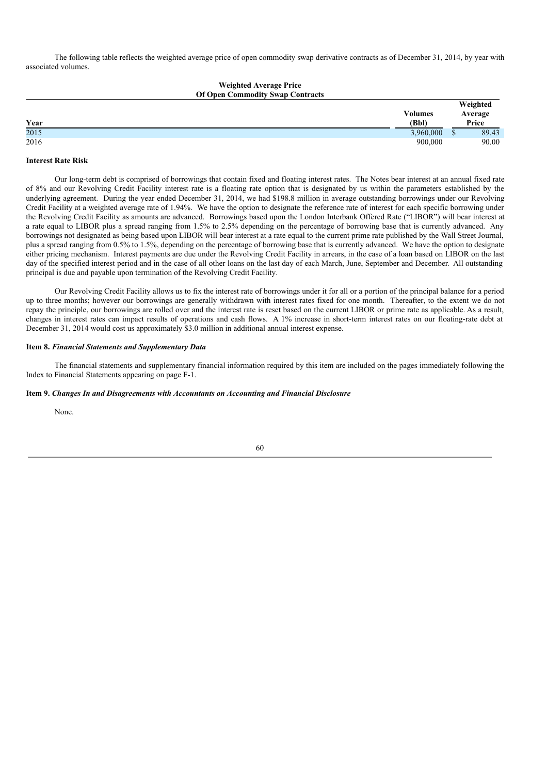The following table reflects the weighted average price of open commodity swap derivative contracts as of December 31, 2014, by year with associated volumes.

## **Weighted Average Price Of Open Commodity Swap Contracts**

|      | <b>Volumes</b> |                  | Weighted         |
|------|----------------|------------------|------------------|
| Year | (Bbl)          |                  | Average<br>Price |
| 2015 | 3,960,000      | $\triangle$<br>D | 89.43            |
| 2016 | 900,000        |                  | 90.00            |

### **Interest Rate Risk**

Our long-term debt is comprised of borrowings that contain fixed and floating interest rates. The Notes bear interest at an annual fixed rate of 8% and our Revolving Credit Facility interest rate is a floating rate option that is designated by us within the parameters established by the underlying agreement. During the year ended December 31, 2014, we had \$198.8 million in average outstanding borrowings under our Revolving Credit Facility at a weighted average rate of 1.94%. We have the option to designate the reference rate of interest for each specific borrowing under the Revolving Credit Facility as amounts are advanced. Borrowings based upon the London Interbank Offered Rate ("LIBOR") will bear interest at a rate equal to LIBOR plus a spread ranging from 1.5% to 2.5% depending on the percentage of borrowing base that is currently advanced. Any borrowings not designated as being based upon LIBOR will bear interest at a rate equal to the current prime rate published by the Wall Street Journal, plus a spread ranging from 0.5% to 1.5%, depending on the percentage of borrowing base that is currently advanced. We have the option to designate either pricing mechanism. Interest payments are due under the Revolving Credit Facility in arrears, in the case of a loan based on LIBOR on the last day of the specified interest period and in the case of all other loans on the last day of each March, June, September and December. All outstanding principal is due and payable upon termination of the Revolving Credit Facility.

Our Revolving Credit Facility allows us to fix the interest rate of borrowings under it for all or a portion of the principal balance for a period up to three months; however our borrowings are generally withdrawn with interest rates fixed for one month. Thereafter, to the extent we do not repay the principle, our borrowings are rolled over and the interest rate is reset based on the current LIBOR or prime rate as applicable. As a result, changes in interest rates can impact results of operations and cash flows. A 1% increase in short-term interest rates on our floating-rate debt at December 31, 2014 would cost us approximately \$3.0 million in additional annual interest expense.

## **Item 8.** *Financial Statements and Supplementary Data*

The financial statements and supplementary financial information required by this item are included on the pages immediately following the Index to Financial Statements appearing on page F-1.

#### **Item 9.** *Changes In and Disagreements with Accountants on Accounting and Financial Disclosure*

None.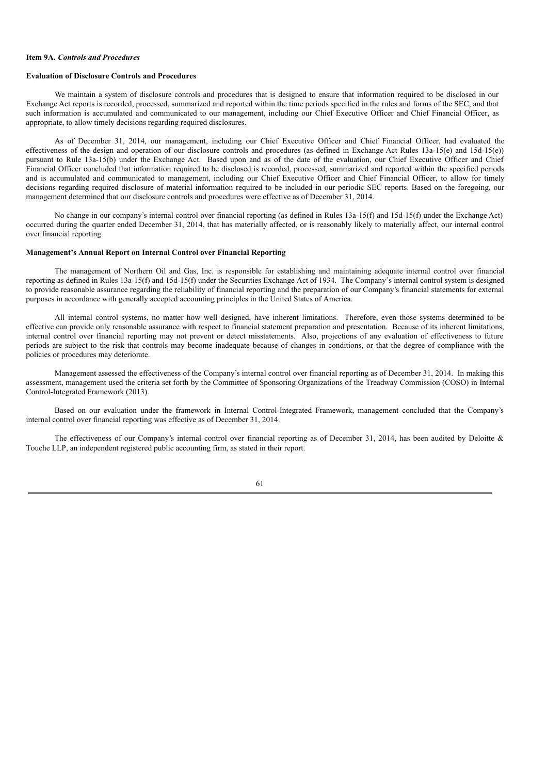## **Item 9A.** *Controls and Procedures*

### **Evaluation of Disclosure Controls and Procedures**

We maintain a system of disclosure controls and procedures that is designed to ensure that information required to be disclosed in our Exchange Act reports is recorded, processed, summarized and reported within the time periods specified in the rules and forms of the SEC, and that such information is accumulated and communicated to our management, including our Chief Executive Officer and Chief Financial Officer, as appropriate, to allow timely decisions regarding required disclosures.

As of December 31, 2014, our management, including our Chief Executive Officer and Chief Financial Officer, had evaluated the effectiveness of the design and operation of our disclosure controls and procedures (as defined in Exchange Act Rules 13a-15(e) and 15d-15(e)) pursuant to Rule 13a-15(b) under the Exchange Act. Based upon and as of the date of the evaluation, our Chief Executive Officer and Chief Financial Officer concluded that information required to be disclosed is recorded, processed, summarized and reported within the specified periods and is accumulated and communicated to management, including our Chief Executive Officer and Chief Financial Officer, to allow for timely decisions regarding required disclosure of material information required to be included in our periodic SEC reports. Based on the foregoing, our management determined that our disclosure controls and procedures were effective as of December 31, 2014.

No change in our company's internal control over financial reporting (as defined in Rules 13a-15(f) and 15d-15(f) under the Exchange Act) occurred during the quarter ended December 31, 2014, that has materially affected, or is reasonably likely to materially affect, our internal control over financial reporting.

### **Management's Annual Report on Internal Control over Financial Reporting**

The management of Northern Oil and Gas, Inc. is responsible for establishing and maintaining adequate internal control over financial reporting as defined in Rules 13a-15(f) and 15d-15(f) under the Securities Exchange Act of 1934. The Company's internal control system is designed to provide reasonable assurance regarding the reliability of financial reporting and the preparation of our Company's financial statements for external purposes in accordance with generally accepted accounting principles in the United States of America.

All internal control systems, no matter how well designed, have inherent limitations. Therefore, even those systems determined to be effective can provide only reasonable assurance with respect to financial statement preparation and presentation. Because of its inherent limitations, internal control over financial reporting may not prevent or detect misstatements. Also, projections of any evaluation of effectiveness to future periods are subject to the risk that controls may become inadequate because of changes in conditions, or that the degree of compliance with the policies or procedures may deteriorate.

Management assessed the effectiveness of the Company's internal control over financial reporting as of December 31, 2014. In making this assessment, management used the criteria set forth by the Committee of Sponsoring Organizations of the Treadway Commission (COSO) in Internal Control-Integrated Framework (2013).

Based on our evaluation under the framework in Internal Control-Integrated Framework, management concluded that the Company's internal control over financial reporting was effective as of December 31, 2014.

The effectiveness of our Company's internal control over financial reporting as of December 31, 2014, has been audited by Deloitte & Touche LLP, an independent registered public accounting firm, as stated in their report.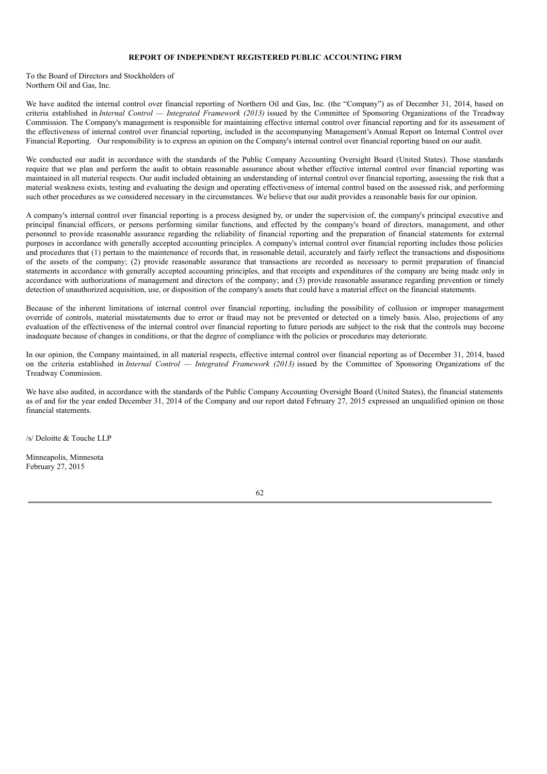## **REPORT OF INDEPENDENT REGISTERED PUBLIC ACCOUNTING FIRM**

To the Board of Directors and Stockholders of Northern Oil and Gas, Inc.

We have audited the internal control over financial reporting of Northern Oil and Gas, Inc. (the "Company") as of December 31, 2014, based on criteria established in *Internal Control — Integrated Framework (2013)* issued by the Committee of Sponsoring Organizations of the Treadway Commission. The Company's management is responsible for maintaining effective internal control over financial reporting and for its assessment of the effectiveness of internal control over financial reporting, included in the accompanying Management's Annual Report on Internal Control over Financial Reporting. Our responsibility is to express an opinion on the Company's internal control over financial reporting based on our audit.

We conducted our audit in accordance with the standards of the Public Company Accounting Oversight Board (United States). Those standards require that we plan and perform the audit to obtain reasonable assurance about whether effective internal control over financial reporting was maintained in all material respects. Our audit included obtaining an understanding of internal control over financial reporting, assessing the risk that a material weakness exists, testing and evaluating the design and operating effectiveness of internal control based on the assessed risk, and performing such other procedures as we considered necessary in the circumstances. We believe that our audit provides a reasonable basis for our opinion.

A company's internal control over financial reporting is a process designed by, or under the supervision of, the company's principal executive and principal financial officers, or persons performing similar functions, and effected by the company's board of directors, management, and other personnel to provide reasonable assurance regarding the reliability of financial reporting and the preparation of financial statements for external purposes in accordance with generally accepted accounting principles. A company's internal control over financial reporting includes those policies and procedures that (1) pertain to the maintenance of records that, in reasonable detail, accurately and fairly reflect the transactions and dispositions of the assets of the company; (2) provide reasonable assurance that transactions are recorded as necessary to permit preparation of financial statements in accordance with generally accepted accounting principles, and that receipts and expenditures of the company are being made only in accordance with authorizations of management and directors of the company; and (3) provide reasonable assurance regarding prevention or timely detection of unauthorized acquisition, use, or disposition of the company's assets that could have a material effect on the financial statements.

Because of the inherent limitations of internal control over financial reporting, including the possibility of collusion or improper management override of controls, material misstatements due to error or fraud may not be prevented or detected on a timely basis. Also, projections of any evaluation of the effectiveness of the internal control over financial reporting to future periods are subject to the risk that the controls may become inadequate because of changes in conditions, or that the degree of compliance with the policies or procedures may deteriorate.

In our opinion, the Company maintained, in all material respects, effective internal control over financial reporting as of December 31, 2014, based on the criteria established in *Internal Control — Integrated Framework (2013)* issued by the Committee of Sponsoring Organizations of the Treadway Commission.

We have also audited, in accordance with the standards of the Public Company Accounting Oversight Board (United States), the financial statements as of and for the year ended December 31, 2014 of the Company and our report dated February 27, 2015 expressed an unqualified opinion on those financial statements.

/s/ Deloitte & Touche LLP

Minneapolis, Minnesota February 27, 2015

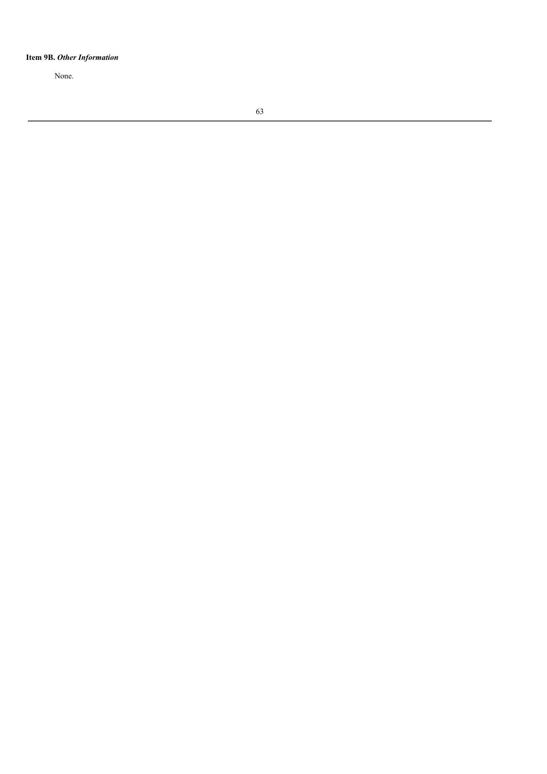# **Item 9B.** *Other Information*

None.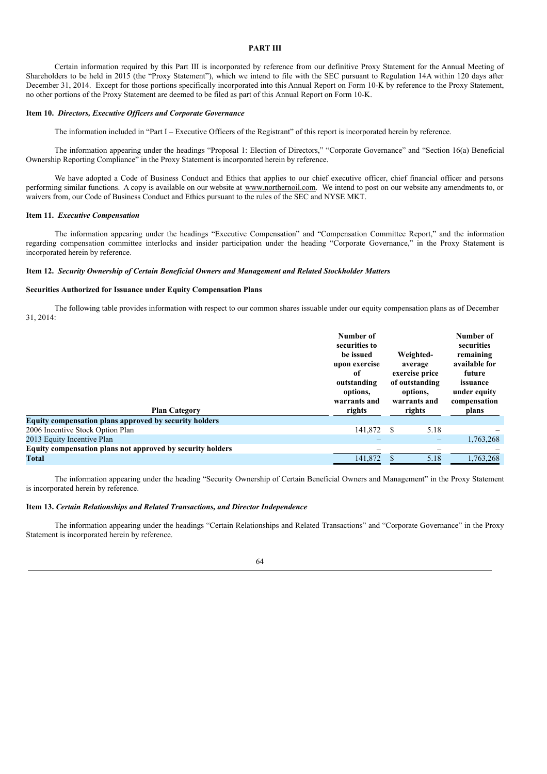## **PART III**

Certain information required by this Part III is incorporated by reference from our definitive Proxy Statement for the Annual Meeting of Shareholders to be held in 2015 (the "Proxy Statement"), which we intend to file with the SEC pursuant to Regulation 14A within 120 days after December 31, 2014. Except for those portions specifically incorporated into this Annual Report on Form 10-K by reference to the Proxy Statement, no other portions of the Proxy Statement are deemed to be filed as part of this Annual Report on Form 10-K.

#### **Item 10.** *Directors, Executive Of icers and Corporate Governance*

The information included in "Part I – Executive Officers of the Registrant" of this report is incorporated herein by reference.

The information appearing under the headings "Proposal 1: Election of Directors," "Corporate Governance" and "Section 16(a) Beneficial Ownership Reporting Compliance" in the Proxy Statement is incorporated herein by reference.

We have adopted a Code of Business Conduct and Ethics that applies to our chief executive officer, chief financial officer and persons performing similar functions. A copy is available on our website at www.northernoil.com. We intend to post on our website any amendments to, or waivers from, our Code of Business Conduct and Ethics pursuant to the rules of the SEC and NYSE MKT.

### **Item 11.** *Executive Compensation*

The information appearing under the headings "Executive Compensation" and "Compensation Committee Report," and the information regarding compensation committee interlocks and insider participation under the heading "Corporate Governance," in the Proxy Statement is incorporated herein by reference.

### **Item 12.** *Security Ownership of Certain Beneficial Owners and Management and Related Stockholder Matters*

## **Securities Authorized for Issuance under Equity Compensation Plans**

The following table provides information with respect to our common shares issuable under our equity compensation plans as of December 31, 2014:

|                                                            | Number of<br>securities to<br>be issued<br>upon exercise<br>оf<br>outstanding<br>options,<br>warrants and |    | Weighted-<br>average<br>exercise price<br>of outstanding<br>options,<br>warrants and | Number of<br>securities<br>remaining<br>available for<br>future<br>issuance<br>under equity<br>compensation |
|------------------------------------------------------------|-----------------------------------------------------------------------------------------------------------|----|--------------------------------------------------------------------------------------|-------------------------------------------------------------------------------------------------------------|
| <b>Plan Category</b>                                       | rights                                                                                                    |    | rights                                                                               | plans                                                                                                       |
| Equity compensation plans approved by security holders     |                                                                                                           |    |                                                                                      |                                                                                                             |
| 2006 Incentive Stock Option Plan                           | 141.872                                                                                                   | -S | 5.18                                                                                 |                                                                                                             |
| 2013 Equity Incentive Plan                                 |                                                                                                           |    |                                                                                      | 1,763,268                                                                                                   |
| Equity compensation plans not approved by security holders |                                                                                                           |    |                                                                                      |                                                                                                             |
| <b>Total</b>                                               | 141,872                                                                                                   |    | 5.18                                                                                 | 1,763,268                                                                                                   |

The information appearing under the heading "Security Ownership of Certain Beneficial Owners and Management" in the Proxy Statement is incorporated herein by reference.

## **Item 13.** *Certain Relationships and Related Transactions, and Director Independence*

The information appearing under the headings "Certain Relationships and Related Transactions" and "Corporate Governance" in the Proxy Statement is incorporated herein by reference.

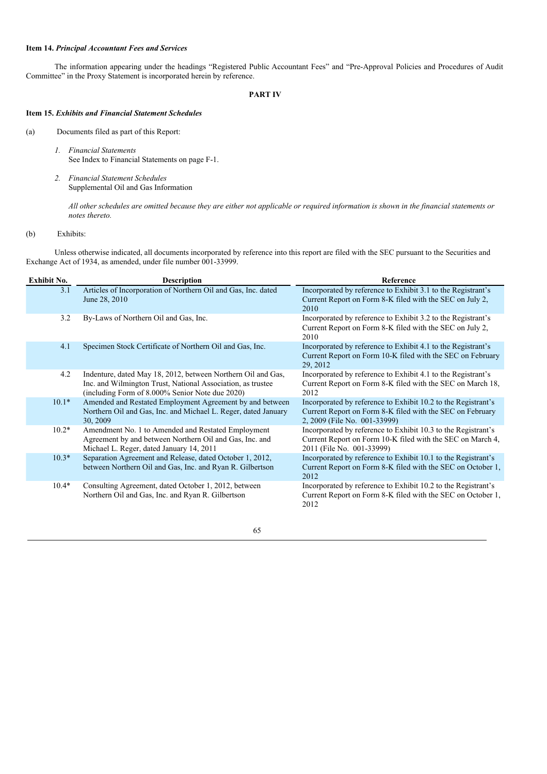# **Item 14.** *Principal Accountant Fees and Services*

The information appearing under the headings "Registered Public Accountant Fees" and "Pre-Approval Policies and Procedures of Audit Committee" in the Proxy Statement is incorporated herein by reference.

# **PART IV**

### **Item 15.** *Exhibits and Financial Statement Schedules*

- (a) Documents filed as part of this Report:
	- *1. Financial Statements* See Index to Financial Statements on page F-1.
	- *2. Financial Statement Schedules* Supplemental Oil and Gas Information

All other schedules are omitted because they are either not applicable or required information is shown in the financial statements or *notes thereto.*

## (b) Exhibits:

Unless otherwise indicated, all documents incorporated by reference into this report are filed with the SEC pursuant to the Securities and Exchange Act of 1934, as amended, under file number 001-33999.

| Exhibit No. | <b>Description</b>                                                                                                                                                             | Reference                                                                                                                                                  |
|-------------|--------------------------------------------------------------------------------------------------------------------------------------------------------------------------------|------------------------------------------------------------------------------------------------------------------------------------------------------------|
| 3.1         | Articles of Incorporation of Northern Oil and Gas, Inc. dated<br>June 28, 2010                                                                                                 | Incorporated by reference to Exhibit 3.1 to the Registrant's<br>Current Report on Form 8-K filed with the SEC on July 2,<br>2010                           |
| 3.2         | By-Laws of Northern Oil and Gas, Inc.                                                                                                                                          | Incorporated by reference to Exhibit 3.2 to the Registrant's<br>Current Report on Form 8-K filed with the SEC on July 2,<br>2010                           |
| 4.1         | Specimen Stock Certificate of Northern Oil and Gas, Inc.                                                                                                                       | Incorporated by reference to Exhibit 4.1 to the Registrant's<br>Current Report on Form 10-K filed with the SEC on February<br>29, 2012                     |
| 4.2         | Indenture, dated May 18, 2012, between Northern Oil and Gas,<br>Inc. and Wilmington Trust, National Association, as trustee<br>(including Form of 8.000% Senior Note due 2020) | Incorporated by reference to Exhibit 4.1 to the Registrant's<br>Current Report on Form 8-K filed with the SEC on March 18,<br>2012                         |
| $10.1*$     | Amended and Restated Employment Agreement by and between<br>Northern Oil and Gas, Inc. and Michael L. Reger, dated January<br>30, 2009                                         | Incorporated by reference to Exhibit 10.2 to the Registrant's<br>Current Report on Form 8-K filed with the SEC on February<br>2, 2009 (File No. 001-33999) |
| $10.2*$     | Amendment No. 1 to Amended and Restated Employment<br>Agreement by and between Northern Oil and Gas, Inc. and<br>Michael L. Reger, dated January 14, 2011                      | Incorporated by reference to Exhibit 10.3 to the Registrant's<br>Current Report on Form 10-K filed with the SEC on March 4,<br>2011 (File No. 001-33999)   |
| $10.3*$     | Separation Agreement and Release, dated October 1, 2012,<br>between Northern Oil and Gas, Inc. and Ryan R. Gilbertson                                                          | Incorporated by reference to Exhibit 10.1 to the Registrant's<br>Current Report on Form 8-K filed with the SEC on October 1,<br>2012                       |
| $10.4*$     | Consulting Agreement, dated October 1, 2012, between<br>Northern Oil and Gas, Inc. and Ryan R. Gilbertson                                                                      | Incorporated by reference to Exhibit 10.2 to the Registrant's<br>Current Report on Form 8-K filed with the SEC on October 1,<br>2012                       |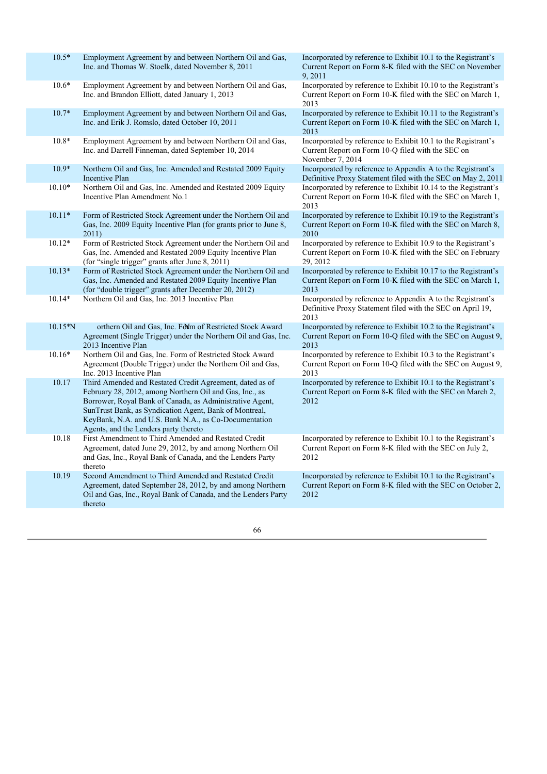| $10.5*$  | Employment Agreement by and between Northern Oil and Gas,<br>Inc. and Thomas W. Stoelk, dated November 8, 2011                                                                                                                                                                                                                              | Incorporated by reference to Exhibit 10.1 to the Registrant's<br>Current Report on Form 8-K filed with the SEC on November<br>9,2011    |
|----------|---------------------------------------------------------------------------------------------------------------------------------------------------------------------------------------------------------------------------------------------------------------------------------------------------------------------------------------------|-----------------------------------------------------------------------------------------------------------------------------------------|
| $10.6*$  | Employment Agreement by and between Northern Oil and Gas,<br>Inc. and Brandon Elliott, dated January 1, 2013                                                                                                                                                                                                                                | Incorporated by reference to Exhibit 10.10 to the Registrant's<br>Current Report on Form 10-K filed with the SEC on March 1,<br>2013    |
| $10.7*$  | Employment Agreement by and between Northern Oil and Gas,<br>Inc. and Erik J. Romslo, dated October 10, 2011                                                                                                                                                                                                                                | Incorporated by reference to Exhibit 10.11 to the Registrant's<br>Current Report on Form 10-K filed with the SEC on March 1,<br>2013    |
| $10.8*$  | Employment Agreement by and between Northern Oil and Gas,<br>Inc. and Darrell Finneman, dated September 10, 2014                                                                                                                                                                                                                            | Incorporated by reference to Exhibit 10.1 to the Registrant's<br>Current Report on Form 10-Q filed with the SEC on<br>November 7, 2014  |
| $10.9*$  | Northern Oil and Gas, Inc. Amended and Restated 2009 Equity<br><b>Incentive Plan</b>                                                                                                                                                                                                                                                        | Incorporated by reference to Appendix A to the Registrant's<br>Definitive Proxy Statement filed with the SEC on May 2, 2011             |
| $10.10*$ | Northern Oil and Gas, Inc. Amended and Restated 2009 Equity<br>Incentive Plan Amendment No.1                                                                                                                                                                                                                                                | Incorporated by reference to Exhibit 10.14 to the Registrant's<br>Current Report on Form 10-K filed with the SEC on March 1,<br>2013    |
| $10.11*$ | Form of Restricted Stock Agreement under the Northern Oil and<br>Gas, Inc. 2009 Equity Incentive Plan (for grants prior to June 8,<br>2011)                                                                                                                                                                                                 | Incorporated by reference to Exhibit 10.19 to the Registrant's<br>Current Report on Form 10-K filed with the SEC on March 8,<br>2010    |
| $10.12*$ | Form of Restricted Stock Agreement under the Northern Oil and<br>Gas, Inc. Amended and Restated 2009 Equity Incentive Plan<br>(for "single trigger" grants after June 8, 2011)                                                                                                                                                              | Incorporated by reference to Exhibit 10.9 to the Registrant's<br>Current Report on Form 10-K filed with the SEC on February<br>29, 2012 |
| $10.13*$ | Form of Restricted Stock Agreement under the Northern Oil and<br>Gas, Inc. Amended and Restated 2009 Equity Incentive Plan<br>(for "double trigger" grants after December 20, 2012)                                                                                                                                                         | Incorporated by reference to Exhibit 10.17 to the Registrant's<br>Current Report on Form 10-K filed with the SEC on March 1,<br>2013    |
| $10.14*$ | Northern Oil and Gas, Inc. 2013 Incentive Plan                                                                                                                                                                                                                                                                                              | Incorporated by reference to Appendix A to the Registrant's<br>Definitive Proxy Statement filed with the SEC on April 19,<br>2013       |
| 10.15*N  | orthern Oil and Gas, Inc. Form of Restricted Stock Award<br>Agreement (Single Trigger) under the Northern Oil and Gas, Inc.<br>2013 Incentive Plan                                                                                                                                                                                          | Incorporated by reference to Exhibit 10.2 to the Registrant's<br>Current Report on Form 10-Q filed with the SEC on August 9,<br>2013    |
| $10.16*$ | Northern Oil and Gas, Inc. Form of Restricted Stock Award<br>Agreement (Double Trigger) under the Northern Oil and Gas,<br>Inc. 2013 Incentive Plan                                                                                                                                                                                         | Incorporated by reference to Exhibit 10.3 to the Registrant's<br>Current Report on Form 10-Q filed with the SEC on August 9,<br>2013    |
| 10.17    | Third Amended and Restated Credit Agreement, dated as of<br>February 28, 2012, among Northern Oil and Gas, Inc., as<br>Borrower, Royal Bank of Canada, as Administrative Agent,<br>SunTrust Bank, as Syndication Agent, Bank of Montreal,<br>KeyBank, N.A. and U.S. Bank N.A., as Co-Documentation<br>Agents, and the Lenders party thereto | Incorporated by reference to Exhibit 10.1 to the Registrant's<br>Current Report on Form 8-K filed with the SEC on March 2,<br>2012      |
| 10.18    | First Amendment to Third Amended and Restated Credit<br>Agreement, dated June 29, 2012, by and among Northern Oil<br>and Gas, Inc., Royal Bank of Canada, and the Lenders Party<br>thereto                                                                                                                                                  | Incorporated by reference to Exhibit 10.1 to the Registrant's<br>Current Report on Form 8-K filed with the SEC on July 2,<br>2012       |
| 10.19    | Second Amendment to Third Amended and Restated Credit<br>Agreement, dated September 28, 2012, by and among Northern<br>Oil and Gas, Inc., Royal Bank of Canada, and the Lenders Party<br>thereto                                                                                                                                            | Incorporated by reference to Exhibit 10.1 to the Registrant's<br>Current Report on Form 8-K filed with the SEC on October 2,<br>2012    |
|          |                                                                                                                                                                                                                                                                                                                                             |                                                                                                                                         |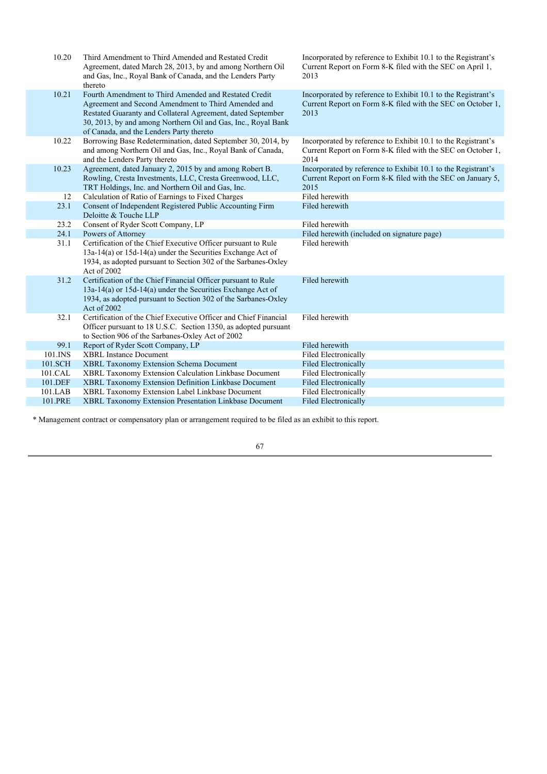| 10.20      | Third Amendment to Third Amended and Restated Credit<br>Agreement, dated March 28, 2013, by and among Northern Oil<br>and Gas, Inc., Royal Bank of Canada, and the Lenders Party<br>thereto                                                                                              | Incorporated by reference to Exhibit 10.1 to the Registrant's<br>Current Report on Form 8-K filed with the SEC on April 1,<br>2013   |
|------------|------------------------------------------------------------------------------------------------------------------------------------------------------------------------------------------------------------------------------------------------------------------------------------------|--------------------------------------------------------------------------------------------------------------------------------------|
| 10.21      | Fourth Amendment to Third Amended and Restated Credit<br>Agreement and Second Amendment to Third Amended and<br>Restated Guaranty and Collateral Agreement, dated September<br>30, 2013, by and among Northern Oil and Gas, Inc., Royal Bank<br>of Canada, and the Lenders Party thereto | Incorporated by reference to Exhibit 10.1 to the Registrant's<br>Current Report on Form 8-K filed with the SEC on October 1,<br>2013 |
| 10.22      | Borrowing Base Redetermination, dated September 30, 2014, by<br>and among Northern Oil and Gas, Inc., Royal Bank of Canada,<br>and the Lenders Party thereto                                                                                                                             | Incorporated by reference to Exhibit 10.1 to the Registrant's<br>Current Report on Form 8-K filed with the SEC on October 1,<br>2014 |
| 10.23      | Agreement, dated January 2, 2015 by and among Robert B.<br>Rowling, Cresta Investments, LLC, Cresta Greenwood, LLC,<br>TRT Holdings, Inc. and Northern Oil and Gas, Inc.                                                                                                                 | Incorporated by reference to Exhibit 10.1 to the Registrant's<br>Current Report on Form 8-K filed with the SEC on January 5,<br>2015 |
| 12         | Calculation of Ratio of Earnings to Fixed Charges                                                                                                                                                                                                                                        | Filed herewith                                                                                                                       |
| 23.1       | Consent of Independent Registered Public Accounting Firm<br>Deloitte & Touche LLP                                                                                                                                                                                                        | Filed herewith                                                                                                                       |
| 23.2       | Consent of Ryder Scott Company, LP                                                                                                                                                                                                                                                       | Filed herewith                                                                                                                       |
| 24.1       | Powers of Attorney                                                                                                                                                                                                                                                                       | Filed herewith (included on signature page)                                                                                          |
| 31.1       | Certification of the Chief Executive Officer pursuant to Rule<br>13a-14(a) or 15d-14(a) under the Securities Exchange Act of<br>1934, as adopted pursuant to Section 302 of the Sarbanes-Oxley<br>Act of 2002                                                                            | Filed herewith                                                                                                                       |
| 31.2       | Certification of the Chief Financial Officer pursuant to Rule<br>13a-14(a) or 15d-14(a) under the Securities Exchange Act of<br>1934, as adopted pursuant to Section 302 of the Sarbanes-Oxley<br>Act of 2002                                                                            | Filed herewith                                                                                                                       |
| 32.1       | Certification of the Chief Executive Officer and Chief Financial<br>Officer pursuant to 18 U.S.C. Section 1350, as adopted pursuant<br>to Section 906 of the Sarbanes-Oxley Act of 2002                                                                                                  | Filed herewith                                                                                                                       |
| 99.1       | Report of Ryder Scott Company, LP                                                                                                                                                                                                                                                        | Filed herewith                                                                                                                       |
| 101.INS    | <b>XBRL Instance Document</b>                                                                                                                                                                                                                                                            | Filed Electronically                                                                                                                 |
| 101.SCH    | XBRL Taxonomy Extension Schema Document                                                                                                                                                                                                                                                  | <b>Filed Electronically</b>                                                                                                          |
| 101.CAL    | XBRL Taxonomy Extension Calculation Linkbase Document                                                                                                                                                                                                                                    | Filed Electronically                                                                                                                 |
| 101.DEF    | XBRL Taxonomy Extension Definition Linkbase Document                                                                                                                                                                                                                                     | <b>Filed Electronically</b>                                                                                                          |
| $101$ .LAB | XBRL Taxonomy Extension Label Linkbase Document                                                                                                                                                                                                                                          | <b>Filed Electronically</b>                                                                                                          |
| 101.PRE    | XBRL Taxonomy Extension Presentation Linkbase Document                                                                                                                                                                                                                                   | <b>Filed Electronically</b>                                                                                                          |

\* Management contract or compensatory plan or arrangement required to be filed as an exhibit to this report.

67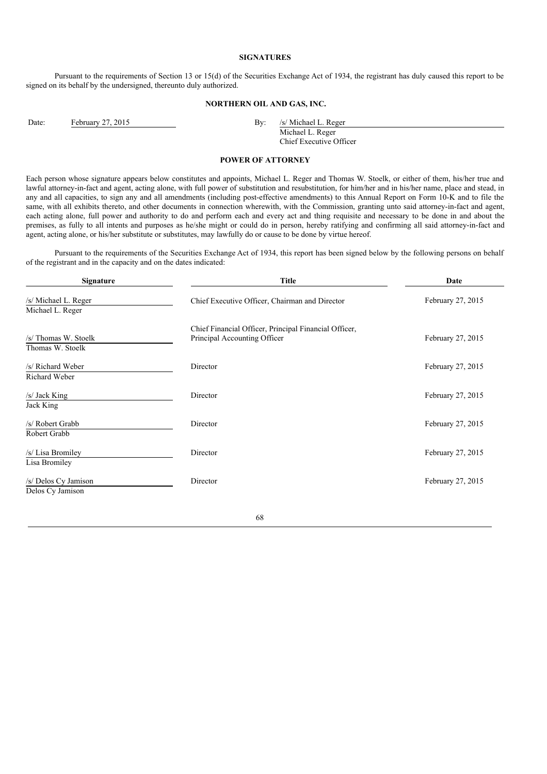### **SIGNATURES**

Pursuant to the requirements of Section 13 or 15(d) of the Securities Exchange Act of 1934, the registrant has duly caused this report to be signed on its behalf by the undersigned, thereunto duly authorized.

#### **NORTHERN OIL AND GAS, INC.**

Date: February 27, 2015 By: /s/ Michael L. Reger Michael L. Reger Chief Executive Officer

#### **POWER OF ATTORNEY**

Each person whose signature appears below constitutes and appoints, Michael L. Reger and Thomas W. Stoelk, or either of them, his/her true and lawful attorney-in-fact and agent, acting alone, with full power of substitution and resubstitution, for him/her and in his/her name, place and stead, in any and all capacities, to sign any and all amendments (including post-effective amendments) to this Annual Report on Form 10-K and to file the same, with all exhibits thereto, and other documents in connection wherewith, with the Commission, granting unto said attorney-in-fact and agent, each acting alone, full power and authority to do and perform each and every act and thing requisite and necessary to be done in and about the premises, as fully to all intents and purposes as he/she might or could do in person, hereby ratifying and confirming all said attorney-in-fact and agent, acting alone, or his/her substitute or substitutes, may lawfully do or cause to be done by virtue hereof.

Pursuant to the requirements of the Securities Exchange Act of 1934, this report has been signed below by the following persons on behalf of the registrant and in the capacity and on the dates indicated:

| <b>Title</b>                                                                          | Date              |  |  |  |
|---------------------------------------------------------------------------------------|-------------------|--|--|--|
| Chief Executive Officer, Chairman and Director                                        | February 27, 2015 |  |  |  |
| Chief Financial Officer, Principal Financial Officer,<br>Principal Accounting Officer | February 27, 2015 |  |  |  |
| Director                                                                              | February 27, 2015 |  |  |  |
| Director                                                                              | February 27, 2015 |  |  |  |
| Director                                                                              | February 27, 2015 |  |  |  |
| Director                                                                              | February 27, 2015 |  |  |  |
| Director                                                                              | February 27, 2015 |  |  |  |
|                                                                                       |                   |  |  |  |

68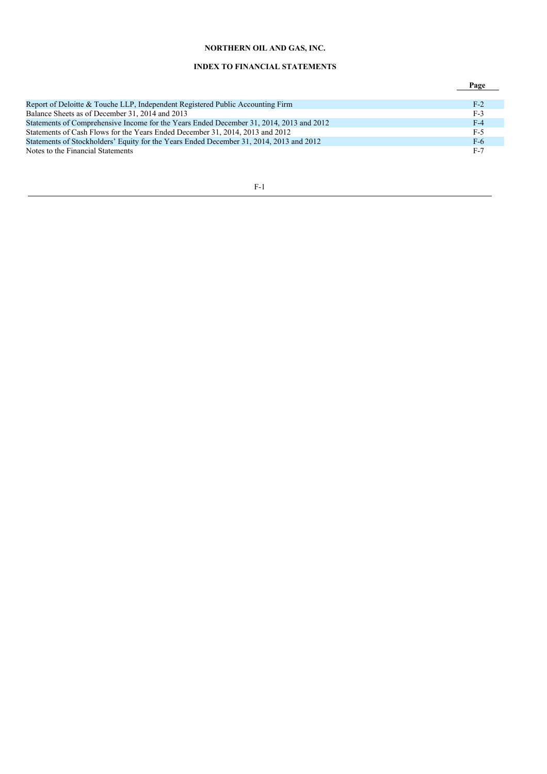# **NORTHERN OIL AND GAS, INC.**

# **INDEX TO FINANCIAL STATEMENTS**

|                                                                                         | Page  |
|-----------------------------------------------------------------------------------------|-------|
|                                                                                         |       |
| Report of Deloitte & Touche LLP, Independent Registered Public Accounting Firm          | $F-2$ |
| Balance Sheets as of December 31, 2014 and 2013                                         | $F-3$ |
| Statements of Comprehensive Income for the Years Ended December 31, 2014, 2013 and 2012 | $F-4$ |
| Statements of Cash Flows for the Years Ended December 31, 2014, 2013 and 2012           | $F-5$ |
| Statements of Stockholders' Equity for the Years Ended December 31, 2014, 2013 and 2012 | $F-6$ |
| Notes to the Financial Statements                                                       | $F-7$ |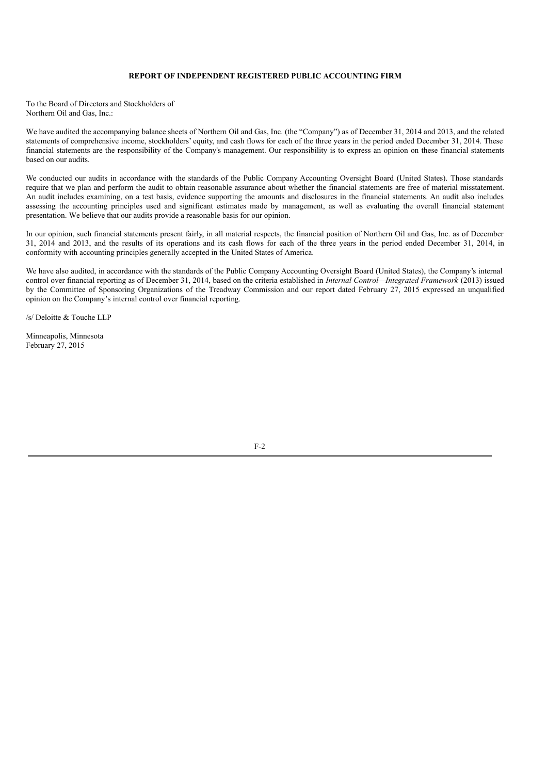## **REPORT OF INDEPENDENT REGISTERED PUBLIC ACCOUNTING FIRM**

To the Board of Directors and Stockholders of Northern Oil and Gas, Inc.:

We have audited the accompanying balance sheets of Northern Oil and Gas, Inc. (the "Company") as of December 31, 2014 and 2013, and the related statements of comprehensive income, stockholders' equity, and cash flows for each of the three years in the period ended December 31, 2014. These financial statements are the responsibility of the Company's management. Our responsibility is to express an opinion on these financial statements based on our audits.

We conducted our audits in accordance with the standards of the Public Company Accounting Oversight Board (United States). Those standards require that we plan and perform the audit to obtain reasonable assurance about whether the financial statements are free of material misstatement. An audit includes examining, on a test basis, evidence supporting the amounts and disclosures in the financial statements. An audit also includes assessing the accounting principles used and significant estimates made by management, as well as evaluating the overall financial statement presentation. We believe that our audits provide a reasonable basis for our opinion.

In our opinion, such financial statements present fairly, in all material respects, the financial position of Northern Oil and Gas, Inc. as of December 31, 2014 and 2013, and the results of its operations and its cash flows for each of the three years in the period ended December 31, 2014, in conformity with accounting principles generally accepted in the United States of America.

We have also audited, in accordance with the standards of the Public Company Accounting Oversight Board (United States), the Company's internal control over financial reporting as of December 31, 2014, based on the criteria established in *Internal Control—Integrated Framework* (2013) issued by the Committee of Sponsoring Organizations of the Treadway Commission and our report dated February 27, 2015 expressed an unqualified opinion on the Company's internal control over financial reporting.

/s/ Deloitte & Touche LLP

Minneapolis, Minnesota February 27, 2015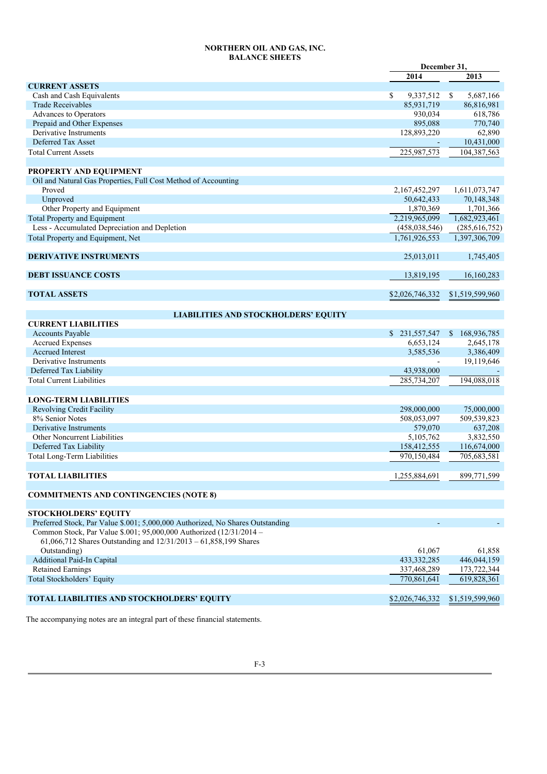### **NORTHERN OIL AND GAS, INC. BALANCE SHEETS**

|                                                                                |                            | December 31.              |
|--------------------------------------------------------------------------------|----------------------------|---------------------------|
|                                                                                | 2014                       | 2013                      |
| <b>CURRENT ASSETS</b>                                                          |                            |                           |
| Cash and Cash Equivalents                                                      | \$<br>9,337,512            | 5,687,166<br><sup>S</sup> |
| <b>Trade Receivables</b>                                                       | 85,931,719                 | 86,816,981                |
| Advances to Operators                                                          | 930.034                    | 618,786                   |
| Prepaid and Other Expenses                                                     | 895,088                    | 770,740                   |
| Derivative Instruments                                                         | 128,893,220                | 62,890                    |
| Deferred Tax Asset                                                             |                            | 10,431,000                |
| <b>Total Current Assets</b>                                                    | 225,987,573                | 104,387,563               |
| PROPERTY AND EQUIPMENT                                                         |                            |                           |
| Oil and Natural Gas Properties, Full Cost Method of Accounting                 |                            |                           |
| Proved                                                                         | 2,167,452,297              | 1,611,073,747             |
| Unproved                                                                       | 50,642,433                 | 70,148,348                |
| Other Property and Equipment                                                   | 1,870,369                  | 1,701,366                 |
|                                                                                | 2,219,965,099              | 1,682,923,461             |
| <b>Total Property and Equipment</b>                                            |                            |                           |
| Less - Accumulated Depreciation and Depletion                                  | (458, 038, 546)            | (285, 616, 752)           |
| Total Property and Equipment, Net                                              | 1,761,926,553              | 1,397,306,709             |
| <b>DERIVATIVE INSTRUMENTS</b>                                                  | 25,013,011                 | 1,745,405                 |
| <b>DEBT ISSUANCE COSTS</b>                                                     | 13,819,195                 | 16,160,283                |
| <b>TOTAL ASSETS</b>                                                            | \$2,026,746,332            | \$1,519,599,960           |
|                                                                                |                            |                           |
| <b>LIABILITIES AND STOCKHOLDERS' EQUITY</b>                                    |                            |                           |
| <b>CURRENT LIABILITIES</b>                                                     |                            |                           |
| Accounts Payable                                                               | \$231,557,547              | \$168,936,785             |
| <b>Accrued Expenses</b>                                                        | 6,653,124                  | 2,645,178                 |
| <b>Accrued Interest</b>                                                        | 3,585,536                  | 3,386,409                 |
| Derivative Instruments                                                         |                            | 19,119,646                |
| Deferred Tax Liability                                                         | 43,938,000                 |                           |
| <b>Total Current Liabilities</b>                                               | 285,734,207                | 194,088,018               |
| <b>LONG-TERM LIABILITIES</b>                                                   |                            |                           |
|                                                                                |                            |                           |
| <b>Revolving Credit Facility</b><br>8% Senior Notes                            | 298,000,000<br>508,053,097 | 75,000,000                |
| Derivative Instruments                                                         | 579,070                    | 509,539,823<br>637,208    |
| Other Noncurrent Liabilities                                                   | 5,105,762                  | 3,832,550                 |
| Deferred Tax Liability                                                         |                            |                           |
|                                                                                | 158,412,555                | 116,674,000               |
| <b>Total Long-Term Liabilities</b>                                             | 970,150,484                | 705,683,581               |
| <b>TOTAL LIABILITIES</b>                                                       | 1,255,884,691              | 899,771,599               |
| <b>COMMITMENTS AND CONTINGENCIES (NOTE 8)</b>                                  |                            |                           |
| <b>STOCKHOLDERS' EQUITY</b>                                                    |                            |                           |
| Preferred Stock, Par Value \$.001; 5,000,000 Authorized, No Shares Outstanding |                            |                           |
| Common Stock, Par Value \$.001; 95,000,000 Authorized (12/31/2014 -            |                            |                           |
| 61,066,712 Shares Outstanding and $12/31/2013 - 61,858,199$ Shares             |                            |                           |
| Outstanding)                                                                   | 61,067                     | 61,858                    |
| Additional Paid-In Capital                                                     | 433, 332, 285              | 446,044,159               |
| <b>Retained Earnings</b>                                                       | 337,468,289                | 173,722,344               |
| <b>Total Stockholders' Equity</b>                                              | 770,861,641                | 619,828,361               |
|                                                                                |                            |                           |
| TOTAL LIABILITIES AND STOCKHOLDERS' EQUITY                                     | \$2,026,746,332            | \$1,519,599,960           |
|                                                                                |                            |                           |

The accompanying notes are an integral part of these financial statements.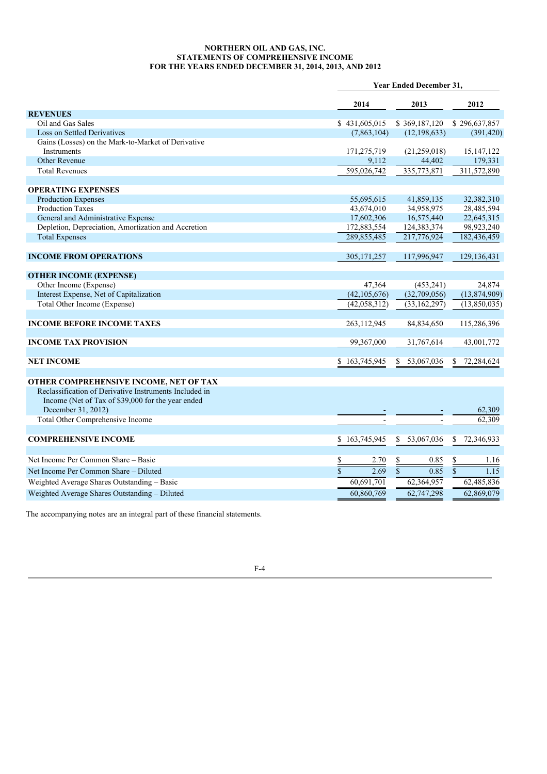### **NORTHERN OIL AND GAS, INC. STATEMENTS OF COMPREHENSIVE INCOME FOR THE YEARS ENDED DECEMBER 31, 2014, 2013, AND 2012**

|                                                        |                          | <b>Year Ended December 31,</b> |                         |  |  |  |
|--------------------------------------------------------|--------------------------|--------------------------------|-------------------------|--|--|--|
|                                                        | 2014                     | 2013                           | 2012                    |  |  |  |
| <b>REVENUES</b>                                        |                          |                                |                         |  |  |  |
| Oil and Gas Sales                                      | \$431,605,015            | \$369,187,120                  | \$296,637,857           |  |  |  |
| <b>Loss on Settled Derivatives</b>                     | (7,863,104)              | (12, 198, 633)                 | (391, 420)              |  |  |  |
| Gains (Losses) on the Mark-to-Market of Derivative     |                          |                                |                         |  |  |  |
| Instruments                                            | 171,275,719              | (21,259,018)                   | 15, 147, 122            |  |  |  |
| <b>Other Revenue</b>                                   | 9,112                    | 44,402                         | 179,331                 |  |  |  |
| <b>Total Revenues</b>                                  | 595,026,742              | 335,773,871                    | 311,572,890             |  |  |  |
|                                                        |                          |                                |                         |  |  |  |
| <b>OPERATING EXPENSES</b>                              |                          |                                |                         |  |  |  |
| <b>Production Expenses</b>                             | 55,695,615               | 41,859,135                     | 32,382,310              |  |  |  |
| <b>Production Taxes</b>                                | 43,674,010               | 34,958,975                     | 28,485,594              |  |  |  |
| General and Administrative Expense                     | 17,602,306               | 16,575,440                     | 22,645,315              |  |  |  |
| Depletion, Depreciation, Amortization and Accretion    | 172,883,554              | 124,383,374                    | 98,923,240              |  |  |  |
| <b>Total Expenses</b>                                  | 289,855,485              | 217,776,924                    | 182,436,459             |  |  |  |
|                                                        |                          |                                |                         |  |  |  |
| <b>INCOME FROM OPERATIONS</b>                          | 305, 171, 257            | 117,996,947                    | 129, 136, 431           |  |  |  |
|                                                        |                          |                                |                         |  |  |  |
| <b>OTHER INCOME (EXPENSE)</b>                          |                          |                                |                         |  |  |  |
| Other Income (Expense)                                 | 47,364                   | (453, 241)                     | 24,874                  |  |  |  |
| Interest Expense, Net of Capitalization                | (42, 105, 676)           | (32,709,056)                   | (13,874,909)            |  |  |  |
| Total Other Income (Expense)                           | (42, 058, 312)           | (33, 162, 297)                 | (13,850,035)            |  |  |  |
| <b>INCOME BEFORE INCOME TAXES</b>                      | 263,112,945              | 84,834,650                     | 115,286,396             |  |  |  |
|                                                        |                          |                                |                         |  |  |  |
| <b>INCOME TAX PROVISION</b>                            | 99,367,000               | 31,767,614                     | 43,001,772              |  |  |  |
|                                                        |                          |                                |                         |  |  |  |
| <b>NET INCOME</b>                                      | \$163,745,945            | 53,067,036<br>S.               | \$<br>72,284,624        |  |  |  |
| OTHER COMPREHENSIVE INCOME, NET OF TAX                 |                          |                                |                         |  |  |  |
| Reclassification of Derivative Instruments Included in |                          |                                |                         |  |  |  |
| Income (Net of Tax of \$39,000 for the year ended      |                          |                                |                         |  |  |  |
| December 31, 2012)                                     |                          |                                | 62,309                  |  |  |  |
|                                                        |                          |                                |                         |  |  |  |
| Total Other Comprehensive Income                       | $\overline{\phantom{a}}$ | $\blacksquare$                 | 62,309                  |  |  |  |
| <b>COMPREHENSIVE INCOME</b>                            | \$163,745,945            | 53,067,036<br>\$               | 72,346,933<br>S.        |  |  |  |
|                                                        |                          |                                |                         |  |  |  |
| Net Income Per Common Share – Basic                    | \$<br>2.70               | \$<br>0.85                     | \$<br>1.16              |  |  |  |
| Net Income Per Common Share – Diluted                  | $\mathbb{S}$<br>2.69     | $\mathbb{S}$<br>0.85           | $\overline{\$}$<br>1.15 |  |  |  |
| Weighted Average Shares Outstanding - Basic            | 60,691,701               | 62,364,957                     | 62,485,836              |  |  |  |
| Weighted Average Shares Outstanding - Diluted          | 60,860,769               | 62,747,298                     | 62,869,079              |  |  |  |
|                                                        |                          |                                |                         |  |  |  |

The accompanying notes are an integral part of these financial statements.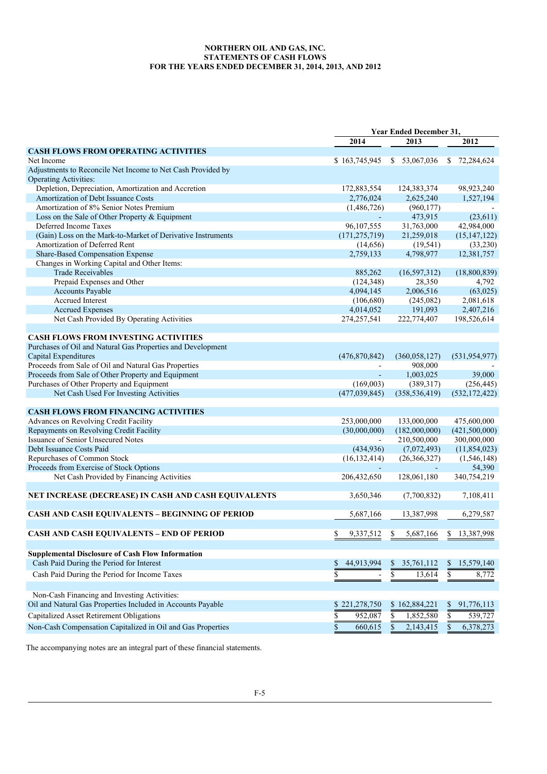### **NORTHERN OIL AND GAS, INC. STATEMENTS OF CASH FLOWS FOR THE YEARS ENDED DECEMBER 31, 2014, 2013, AND 2012**

|                                                             | Year Ended December 31, |                           |                              |  |  |
|-------------------------------------------------------------|-------------------------|---------------------------|------------------------------|--|--|
|                                                             | 2014                    | 2013                      | 2012                         |  |  |
| <b>CASH FLOWS FROM OPERATING ACTIVITIES</b>                 |                         |                           |                              |  |  |
| Net Income                                                  | \$163,745,945           | \$53,067,036              | 72,284,624<br>S.             |  |  |
| Adjustments to Reconcile Net Income to Net Cash Provided by |                         |                           |                              |  |  |
| <b>Operating Activities:</b>                                |                         |                           |                              |  |  |
| Depletion, Depreciation, Amortization and Accretion         | 172,883,554             | 124,383,374               | 98,923,240                   |  |  |
| Amortization of Debt Issuance Costs                         | 2,776,024               | 2,625,240                 | 1,527,194                    |  |  |
| Amortization of 8% Senior Notes Premium                     | (1,486,726)             | (960, 177)                |                              |  |  |
| Loss on the Sale of Other Property $&$ Equipment            |                         | 473,915                   | (23,611)                     |  |  |
| Deferred Income Taxes                                       | 96,107,555              | 31,763,000                | 42,984,000                   |  |  |
| (Gain) Loss on the Mark-to-Market of Derivative Instruments | (171, 275, 719)         | 21,259,018                | (15, 147, 122)               |  |  |
| Amortization of Deferred Rent                               | (14,656)                | (19, 541)                 | (33,230)                     |  |  |
| Share-Based Compensation Expense                            | 2,759,133               | 4,798,977                 | 12,381,757                   |  |  |
| Changes in Working Capital and Other Items:                 |                         |                           |                              |  |  |
| <b>Trade Receivables</b>                                    | 885,262                 | (16, 597, 312)            | (18,800,839)                 |  |  |
| Prepaid Expenses and Other                                  | (124, 348)              | 28,350                    | 4,792                        |  |  |
| <b>Accounts Payable</b>                                     | 4,094,145               | 2,006,516                 | (63,025)                     |  |  |
| Accrued Interest                                            | (106, 680)              | (245,082)                 | 2,081,618                    |  |  |
| <b>Accrued Expenses</b>                                     | 4,014,052               | 191,093                   | 2,407,216                    |  |  |
| Net Cash Provided By Operating Activities                   | 274, 257, 541           | 222,774,407               | 198,526,614                  |  |  |
|                                                             |                         |                           |                              |  |  |
| <b>CASH FLOWS FROM INVESTING ACTIVITIES</b>                 |                         |                           |                              |  |  |
| Purchases of Oil and Natural Gas Properties and Development |                         |                           |                              |  |  |
| Capital Expenditures                                        | (476, 870, 842)         | (360,058,127)             | (531, 954, 977)              |  |  |
| Proceeds from Sale of Oil and Natural Gas Properties        |                         | 908,000                   |                              |  |  |
| Proceeds from Sale of Other Property and Equipment          |                         | 1,003,025                 | 39,000                       |  |  |
| Purchases of Other Property and Equipment                   | (169,003)               | (389,317)                 | (256, 445)                   |  |  |
| Net Cash Used For Investing Activities                      | (477, 039, 845)         | (358, 536, 419)           | (532, 172, 422)              |  |  |
| <b>CASH FLOWS FROM FINANCING ACTIVITIES</b>                 |                         |                           |                              |  |  |
| Advances on Revolving Credit Facility                       | 253,000,000             | 133,000,000               | 475,600,000                  |  |  |
| Repayments on Revolving Credit Facility                     | (30,000,000)            | (182,000,000)             |                              |  |  |
| Issuance of Senior Unsecured Notes                          | $\blacksquare$          | 210,500,000               | (421,500,000)<br>300,000,000 |  |  |
| Debt Issuance Costs Paid                                    | (434, 936)              | (7,072,493)               | (11,854,023)                 |  |  |
| Repurchases of Common Stock                                 | (16, 132, 414)          | (26,366,327)              | (1, 546, 148)                |  |  |
| Proceeds from Exercise of Stock Options                     |                         |                           | 54,390                       |  |  |
| Net Cash Provided by Financing Activities                   | 206,432,650             | 128,061,180               | 340,754,219                  |  |  |
|                                                             |                         |                           |                              |  |  |
| NET INCREASE (DECREASE) IN CASH AND CASH EQUIVALENTS        | 3,650,346               | (7,700,832)               | 7,108,411                    |  |  |
|                                                             |                         |                           |                              |  |  |
| <b>CASH AND CASH EQUIVALENTS - BEGINNING OF PERIOD</b>      | 5,687,166               | 13,387,998                | 6,279,587                    |  |  |
|                                                             |                         |                           |                              |  |  |
| <b>CASH AND CASH EQUIVALENTS - END OF PERIOD</b>            | \$<br>9,337,512         | 5,687,166<br>S.           | S.<br>13,387,998             |  |  |
|                                                             |                         |                           |                              |  |  |
| <b>Supplemental Disclosure of Cash Flow Information</b>     |                         |                           |                              |  |  |
| Cash Paid During the Period for Interest                    | \$<br>44,913,994        | 35,761,112<br>S           | 15,579,140<br>S              |  |  |
|                                                             |                         |                           |                              |  |  |
| Cash Paid During the Period for Income Taxes                | \$                      | \$<br>13,614              | \$<br>8,772                  |  |  |
|                                                             |                         |                           |                              |  |  |
| Non-Cash Financing and Investing Activities:                |                         |                           |                              |  |  |
| Oil and Natural Gas Properties Included in Accounts Payable | \$221,278,750           | \$162,884,221             | 91,776,113<br>\$             |  |  |
| Capitalized Asset Retirement Obligations                    | \$<br>952,087           | \$<br>1,852,580           | \$<br>539,727                |  |  |
| Non-Cash Compensation Capitalized in Oil and Gas Properties | \$<br>660,615           | $\mathbb{S}$<br>2,143,415 | 6,378,273<br>\$              |  |  |

The accompanying notes are an integral part of these financial statements.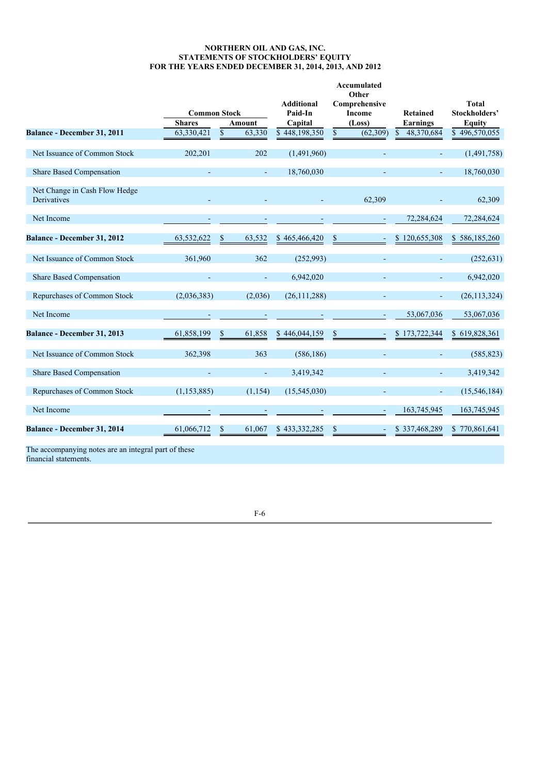### **NORTHERN OIL AND GAS, INC. STATEMENTS OF STOCKHOLDERS' EQUITY FOR THE YEARS ENDED DECEMBER 31, 2014, 2013, AND 2012**

|                                                            |                     |                          | <b>Additional</b>           | Accumulated<br>Other<br>Comprehensive |                            | <b>Total</b>   |
|------------------------------------------------------------|---------------------|--------------------------|-----------------------------|---------------------------------------|----------------------------|----------------|
|                                                            | <b>Common Stock</b> |                          | Paid-In                     | <b>Income</b>                         | <b>Retained</b>            | Stockholders'  |
|                                                            | <b>Shares</b>       | Amount                   | Capital                     | (Loss)                                | <b>Earnings</b>            | <b>Equity</b>  |
| Balance - December 31, 2011                                | 63,330,421          | 63,330<br>$\mathbf S$    | $\mathbb{S}$<br>448,198,350 | (62, 309)<br>\$                       | $\mathbb{S}$<br>48,370,684 | \$496,570,055  |
| Net Issuance of Common Stock                               | 202,201             | 202                      | (1,491,960)                 |                                       |                            | (1,491,758)    |
| Share Based Compensation                                   |                     | $\blacksquare$           | 18,760,030                  |                                       |                            | 18,760,030     |
| Net Change in Cash Flow Hedge<br><b>Derivatives</b>        |                     |                          |                             | 62,309                                |                            | 62,309         |
| Net Income                                                 |                     |                          |                             | $\omega$                              | 72,284,624                 | 72,284,624     |
| Balance - December 31, 2012                                | 63,532,622          | 63,532<br>S              | \$465,466,420               | \$                                    | \$120,655,308              | \$586,185,260  |
| Net Issuance of Common Stock                               | 361,960             | 362                      | (252,993)                   |                                       |                            | (252, 631)     |
| <b>Share Based Compensation</b>                            |                     | $\overline{\phantom{a}}$ | 6,942,020                   |                                       |                            | 6,942,020      |
| Repurchases of Common Stock                                | (2,036,383)         | (2,036)                  | (26, 111, 288)              |                                       | $\omega$                   | (26, 113, 324) |
| Net Income                                                 |                     |                          |                             |                                       | 53,067,036                 | 53,067,036     |
| Balance - December 31, 2013                                | 61,858,199          | 61,858<br>\$.            | \$446,044,159               | \$                                    | \$173,722,344              | \$619,828,361  |
| Net Issuance of Common Stock                               | 362,398             | 363                      | (586, 186)                  | $\blacksquare$                        |                            | (585, 823)     |
| Share Based Compensation                                   |                     |                          | 3,419,342                   |                                       |                            | 3,419,342      |
| Repurchases of Common Stock                                | (1, 153, 885)       | (1, 154)                 | (15,545,030)                | ÷,                                    | $\blacksquare$             | (15,546,184)   |
| Net Income                                                 |                     |                          |                             | ÷.                                    | 163,745,945                | 163,745,945    |
| Balance - December 31, 2014                                | 61,066,712          | 61.067<br>S              | \$433,332,285               | \$                                    | \$337,468,289              | \$770,861,641  |
| The experience with a motor one on integral montref theory |                     |                          |                             |                                       |                            |                |

The accompanying notes are an integral part of these financial statements.

the control of the control of the control of

| ۰.       |
|----------|
| ۰.<br>۰. |

the control of the control of the control of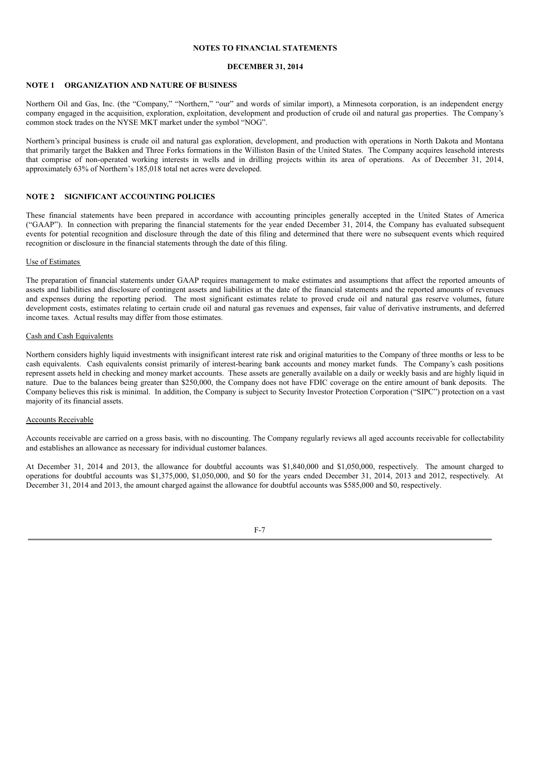### **NOTES TO FINANCIAL STATEMENTS**

#### **DECEMBER 31, 2014**

#### **NOTE 1 ORGANIZATION AND NATURE OF BUSINESS**

Northern Oil and Gas, Inc. (the "Company," "Northern," "our" and words of similar import), a Minnesota corporation, is an independent energy company engaged in the acquisition, exploration, exploitation, development and production of crude oil and natural gas properties. The Company's common stock trades on the NYSE MKT market under the symbol "NOG".

Northern's principal business is crude oil and natural gas exploration, development, and production with operations in North Dakota and Montana that primarily target the Bakken and Three Forks formations in the Williston Basin of the United States. The Company acquires leasehold interests that comprise of non-operated working interests in wells and in drilling projects within its area of operations. As of December 31, 2014, approximately 63% of Northern's 185,018 total net acres were developed.

### **NOTE 2 SIGNIFICANT ACCOUNTING POLICIES**

These financial statements have been prepared in accordance with accounting principles generally accepted in the United States of America ("GAAP"). In connection with preparing the financial statements for the year ended December 31, 2014, the Company has evaluated subsequent events for potential recognition and disclosure through the date of this filing and determined that there were no subsequent events which required recognition or disclosure in the financial statements through the date of this filing.

#### Use of Estimates

The preparation of financial statements under GAAP requires management to make estimates and assumptions that affect the reported amounts of assets and liabilities and disclosure of contingent assets and liabilities at the date of the financial statements and the reported amounts of revenues and expenses during the reporting period. The most significant estimates relate to proved crude oil and natural gas reserve volumes, future development costs, estimates relating to certain crude oil and natural gas revenues and expenses, fair value of derivative instruments, and deferred income taxes. Actual results may differ from those estimates.

### Cash and Cash Equivalents

Northern considers highly liquid investments with insignificant interest rate risk and original maturities to the Company of three months or less to be cash equivalents. Cash equivalents consist primarily of interest-bearing bank accounts and money market funds. The Company's cash positions represent assets held in checking and money market accounts. These assets are generally available on a daily or weekly basis and are highly liquid in nature. Due to the balances being greater than \$250,000, the Company does not have FDIC coverage on the entire amount of bank deposits. The Company believes this risk is minimal. In addition, the Company is subject to Security Investor Protection Corporation ("SIPC") protection on a vast majority of its financial assets.

#### Accounts Receivable

Accounts receivable are carried on a gross basis, with no discounting. The Company regularly reviews all aged accounts receivable for collectability and establishes an allowance as necessary for individual customer balances.

At December 31, 2014 and 2013, the allowance for doubtful accounts was \$1,840,000 and \$1,050,000, respectively. The amount charged to operations for doubtful accounts was \$1,375,000, \$1,050,000, and \$0 for the years ended December 31, 2014, 2013 and 2012, respectively. At December 31, 2014 and 2013, the amount charged against the allowance for doubtful accounts was \$585,000 and \$0, respectively.

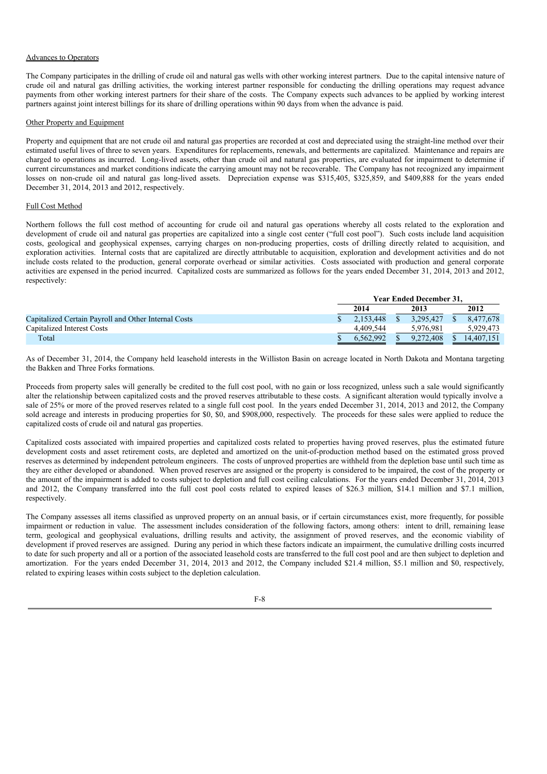### Advances to Operators

The Company participates in the drilling of crude oil and natural gas wells with other working interest partners. Due to the capital intensive nature of crude oil and natural gas drilling activities, the working interest partner responsible for conducting the drilling operations may request advance payments from other working interest partners for their share of the costs. The Company expects such advances to be applied by working interest partners against joint interest billings for its share of drilling operations within 90 days from when the advance is paid.

#### Other Property and Equipment

Property and equipment that are not crude oil and natural gas properties are recorded at cost and depreciated using the straight-line method over their estimated useful lives of three to seven years. Expenditures for replacements, renewals, and betterments are capitalized. Maintenance and repairs are charged to operations as incurred. Long-lived assets, other than crude oil and natural gas properties, are evaluated for impairment to determine if current circumstances and market conditions indicate the carrying amount may not be recoverable. The Company has not recognized any impairment losses on non-crude oil and natural gas long-lived assets. Depreciation expense was \$315,405, \$325,859, and \$409,888 for the years ended December 31, 2014, 2013 and 2012, respectively.

### Full Cost Method

Northern follows the full cost method of accounting for crude oil and natural gas operations whereby all costs related to the exploration and development of crude oil and natural gas properties are capitalized into a single cost center ("full cost pool"). Such costs include land acquisition costs, geological and geophysical expenses, carrying charges on non-producing properties, costs of drilling directly related to acquisition, and exploration activities. Internal costs that are capitalized are directly attributable to acquisition, exploration and development activities and do not include costs related to the production, general corporate overhead or similar activities. Costs associated with production and general corporate activities are expensed in the period incurred. Capitalized costs are summarized as follows for the years ended December 31, 2014, 2013 and 2012, respectively:

|                                                      | <b>Year Ended December 31.</b> |           |  |           |      |            |
|------------------------------------------------------|--------------------------------|-----------|--|-----------|------|------------|
|                                                      |                                | 2014      |  | 2013      | 2012 |            |
| Capitalized Certain Payroll and Other Internal Costs |                                | 2.153.448 |  | 3.295.427 |      | 8.477.678  |
| Capitalized Interest Costs                           |                                | 4.409.544 |  | 5.976.981 |      | 5.929.473  |
| Total                                                |                                | 6.562.992 |  | 9.272.408 |      | 14.407.151 |

As of December 31, 2014, the Company held leasehold interests in the Williston Basin on acreage located in North Dakota and Montana targeting the Bakken and Three Forks formations.

Proceeds from property sales will generally be credited to the full cost pool, with no gain or loss recognized, unless such a sale would significantly alter the relationship between capitalized costs and the proved reserves attributable to these costs. A significant alteration would typically involve a sale of 25% or more of the proved reserves related to a single full cost pool. In the years ended December 31, 2014, 2013 and 2012, the Company sold acreage and interests in producing properties for \$0, \$0, and \$908,000, respectively. The proceeds for these sales were applied to reduce the capitalized costs of crude oil and natural gas properties.

Capitalized costs associated with impaired properties and capitalized costs related to properties having proved reserves, plus the estimated future development costs and asset retirement costs, are depleted and amortized on the unit-of-production method based on the estimated gross proved reserves as determined by independent petroleum engineers. The costs of unproved properties are withheld from the depletion base until such time as they are either developed or abandoned. When proved reserves are assigned or the property is considered to be impaired, the cost of the property or the amount of the impairment is added to costs subject to depletion and full cost ceiling calculations. For the years ended December 31, 2014, 2013 and 2012, the Company transferred into the full cost pool costs related to expired leases of \$26.3 million, \$14.1 million and \$7.1 million, respectively.

The Company assesses all items classified as unproved property on an annual basis, or if certain circumstances exist, more frequently, for possible impairment or reduction in value. The assessment includes consideration of the following factors, among others: intent to drill, remaining lease term, geological and geophysical evaluations, drilling results and activity, the assignment of proved reserves, and the economic viability of development if proved reserves are assigned. During any period in which these factors indicate an impairment, the cumulative drilling costs incurred to date for such property and all or a portion of the associated leasehold costs are transferred to the full cost pool and are then subject to depletion and amortization. For the years ended December 31, 2014, 2013 and 2012, the Company included \$21.4 million, \$5.1 million and \$0, respectively, related to expiring leases within costs subject to the depletion calculation.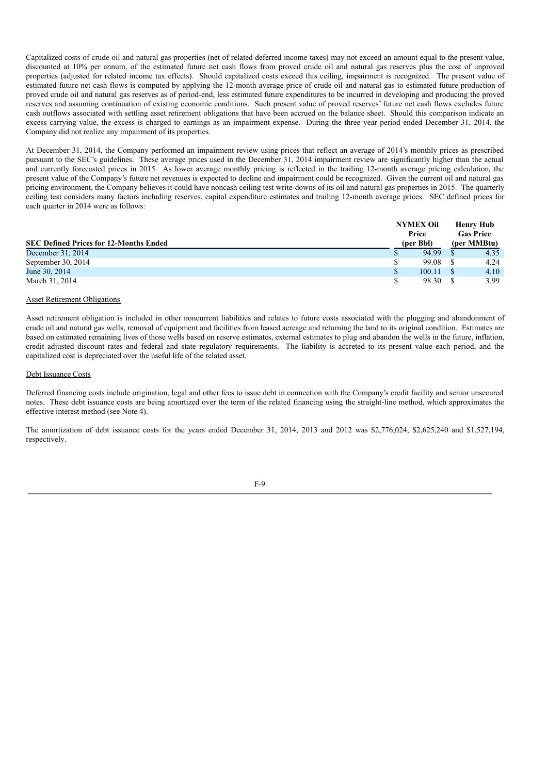Capitalized costs of crude oil and natural gas properties (net of related deferred income taxes) may not exceed an amount equal to the present value, discounted at 10% per annum, of the estimated future net cash flows from proved crude oil and natural gas reserves plus the cost of unproved properties (adjusted for related income tax effects). Should capitalized costs exceed this ceiling, impairment is recognized. The present value of estimated future net cash flows is computed by applying the 12-month average price of crude oil and natural gas to estimated future production of proved crude oil and natural gas reserves as of period-end, less estimated future expenditures to be incurred in developing and producing the proved reserves and assuming continuation of existing economic conditions. Such present value of proved reserves' future net cash flows excludes future cash outflows associated with settling asset retirement obligations that have been accrued on the balance sheet. Should this comparison indicate an excess carrying value, the excess is charged to earnings as an impairment expense. During the three year period ended December 31, 2014, the Company did not realize any impairment of its properties.

At December 31, 2014, the Company performed an impairment review using prices that reflect an average of 2014's monthly prices as prescribed pursuant to the SEC's guidelines. These average prices used in the December 31, 2014 impairment review are significantly higher than the actual and currently forecasted prices in 2015. As lower average monthly pricing is reflected in the trailing 12-month average pricing calculation, the present value of the Company's future net revenues is expected to decline and impairment could be recognized. Given the current oil and natural gas pricing environment, the Company believes it could have noncash ceiling test write-downs of its oil and natural gas properties in 2015. The quarterly ceiling test considers many factors including reserves, capital expenditure estimates and trailing 12-month average prices. SEC defined prices for each quarter in 2014 were as follows:

|                                               | <b>NYMEX Oil</b><br>Price | <b>Henry Hub</b><br><b>Gas Price</b> |  |
|-----------------------------------------------|---------------------------|--------------------------------------|--|
| <b>SEC Defined Prices for 12-Months Ended</b> |                           | (per MMBtu)                          |  |
| December 31, 2014                             | 94.99                     | 4.35                                 |  |
| September 30, 2014                            | 99.08<br>S.               | 4.24                                 |  |
| June 30, 2014                                 | 100.11<br>S.              | 4.10                                 |  |
| March 31, 2014                                | 98.30<br>S.               | 3.99                                 |  |

### Asset Retirement Obligations

Asset retirement obligation is included in other noncurrent liabilities and relates to future costs associated with the plugging and abandonment of crude oil and natural gas wells, removal of equipment and facilities from leased acreage and returning the land to its original condition. Estimates are based on estimated remaining lives of those wells based on reserve estimates, external estimates to plug and abandon the wells in the future, inflation, credit adjusted discount rates and federal and state regulatory requirements. The liability is accreted to its present value each period, and the capitalized cost is depreciated over the useful life of the related asset.

#### Debt Issuance Costs

Deferred financing costs include origination, legal and other fees to issue debt in connection with the Company's credit facility and senior unsecured notes. These debt issuance costs are being amortized over the term of the related financing using the straight-line method, which approximates the effective interest method (see Note 4).

The amortization of debt issuance costs for the years ended December 31, 2014, 2013 and 2012 was \$2,776,024, \$2,625,240 and \$1,527,194, respectively.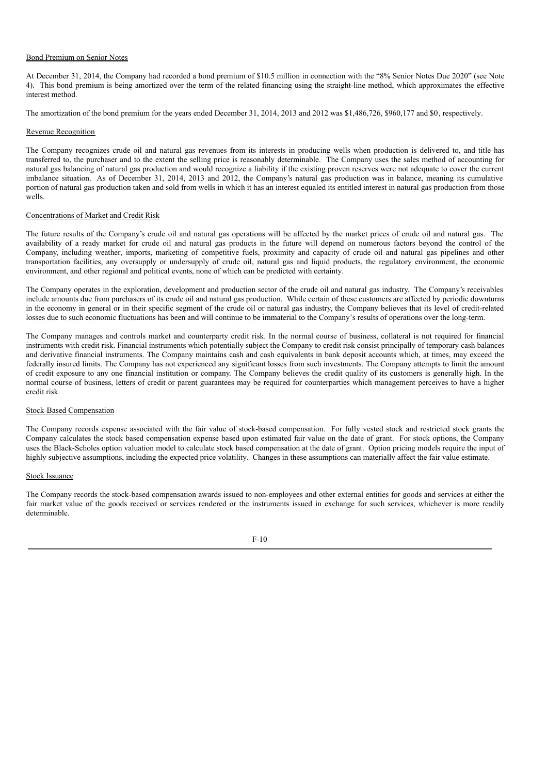### Bond Premium on Senior Notes

At December 31, 2014, the Company had recorded a bond premium of \$10.5 million in connection with the "8% Senior Notes Due 2020" (see Note 4). This bond premium is being amortized over the term of the related financing using the straight-line method, which approximates the effective interest method.

The amortization of the bond premium for the years ended December 31, 2014, 2013 and 2012 was \$1,486,726, \$960,177 and \$0, respectively.

#### Revenue Recognition

The Company recognizes crude oil and natural gas revenues from its interests in producing wells when production is delivered to, and title has transferred to, the purchaser and to the extent the selling price is reasonably determinable. The Company uses the sales method of accounting for natural gas balancing of natural gas production and would recognize a liability if the existing proven reserves were not adequate to cover the current imbalance situation. As of December 31, 2014, 2013 and 2012, the Company's natural gas production was in balance, meaning its cumulative portion of natural gas production taken and sold from wells in which it has an interest equaled its entitled interest in natural gas production from those wells.

### Concentrations of Market and Credit Risk

The future results of the Company's crude oil and natural gas operations will be affected by the market prices of crude oil and natural gas. The availability of a ready market for crude oil and natural gas products in the future will depend on numerous factors beyond the control of the Company, including weather, imports, marketing of competitive fuels, proximity and capacity of crude oil and natural gas pipelines and other transportation facilities, any oversupply or undersupply of crude oil, natural gas and liquid products, the regulatory environment, the economic environment, and other regional and political events, none of which can be predicted with certainty.

The Company operates in the exploration, development and production sector of the crude oil and natural gas industry. The Company's receivables include amounts due from purchasers of its crude oil and natural gas production. While certain of these customers are affected by periodic downturns in the economy in general or in their specific segment of the crude oil or natural gas industry, the Company believes that its level of credit-related losses due to such economic fluctuations has been and will continue to be immaterial to the Company's results of operations over the long-term.

The Company manages and controls market and counterparty credit risk. In the normal course of business, collateral is not required for financial instruments with credit risk. Financial instruments which potentially subject the Company to credit risk consist principally of temporary cash balances and derivative financial instruments. The Company maintains cash and cash equivalents in bank deposit accounts which, at times, may exceed the federally insured limits. The Company has not experienced any significant losses from such investments. The Company attempts to limit the amount of credit exposure to any one financial institution or company. The Company believes the credit quality of its customers is generally high. In the normal course of business, letters of credit or parent guarantees may be required for counterparties which management perceives to have a higher credit risk.

### Stock-Based Compensation

The Company records expense associated with the fair value of stock-based compensation. For fully vested stock and restricted stock grants the Company calculates the stock based compensation expense based upon estimated fair value on the date of grant. For stock options, the Company uses the Black-Scholes option valuation model to calculate stock based compensation at the date of grant. Option pricing models require the input of highly subjective assumptions, including the expected price volatility. Changes in these assumptions can materially affect the fair value estimate.

### Stock Issuance

The Company records the stock-based compensation awards issued to non-employees and other external entities for goods and services at either the fair market value of the goods received or services rendered or the instruments issued in exchange for such services, whichever is more readily determinable.

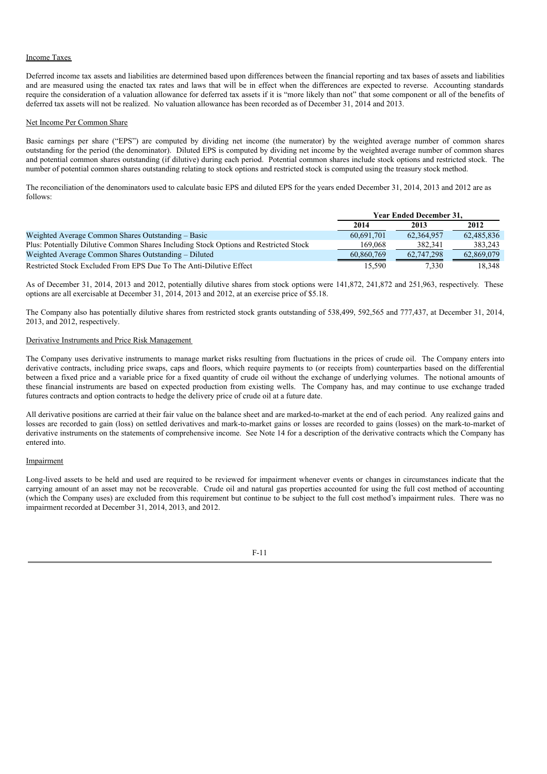# Income Taxes

Deferred income tax assets and liabilities are determined based upon differences between the financial reporting and tax bases of assets and liabilities and are measured using the enacted tax rates and laws that will be in effect when the differences are expected to reverse. Accounting standards require the consideration of a valuation allowance for deferred tax assets if it is "more likely than not" that some component or all of the benefits of deferred tax assets will not be realized. No valuation allowance has been recorded as of December 31, 2014 and 2013.

#### Net Income Per Common Share

Basic earnings per share ("EPS") are computed by dividing net income (the numerator) by the weighted average number of common shares outstanding for the period (the denominator). Diluted EPS is computed by dividing net income by the weighted average number of common shares and potential common shares outstanding (if dilutive) during each period. Potential common shares include stock options and restricted stock. The number of potential common shares outstanding relating to stock options and restricted stock is computed using the treasury stock method.

The reconciliation of the denominators used to calculate basic EPS and diluted EPS for the years ended December 31, 2014, 2013 and 2012 are as follows:

|                                                                                       | <b>Year Ended December 31.</b> |              |            |  |
|---------------------------------------------------------------------------------------|--------------------------------|--------------|------------|--|
|                                                                                       | 2014                           | 2013         | 2012       |  |
| Weighted Average Common Shares Outstanding – Basic                                    | 60.691.701                     | 62, 364, 957 | 62,485,836 |  |
| Plus: Potentially Dilutive Common Shares Including Stock Options and Restricted Stock | 169,068                        | 382.341      | 383.243    |  |
| Weighted Average Common Shares Outstanding – Diluted                                  | 60.860.769                     | 62,747,298   | 62,869,079 |  |
| Restricted Stock Excluded From EPS Due To The Anti-Dilutive Effect                    | 15.590                         | 7.330        | 18.348     |  |

As of December 31, 2014, 2013 and 2012, potentially dilutive shares from stock options were 141,872, 241,872 and 251,963, respectively. These options are all exercisable at December 31, 2014, 2013 and 2012, at an exercise price of \$5.18.

The Company also has potentially dilutive shares from restricted stock grants outstanding of 538,499, 592,565 and 777,437, at December 31, 2014, 2013, and 2012, respectively.

### Derivative Instruments and Price Risk Management

The Company uses derivative instruments to manage market risks resulting from fluctuations in the prices of crude oil. The Company enters into derivative contracts, including price swaps, caps and floors, which require payments to (or receipts from) counterparties based on the differential between a fixed price and a variable price for a fixed quantity of crude oil without the exchange of underlying volumes. The notional amounts of these financial instruments are based on expected production from existing wells. The Company has, and may continue to use exchange traded futures contracts and option contracts to hedge the delivery price of crude oil at a future date.

All derivative positions are carried at their fair value on the balance sheet and are marked-to-market at the end of each period. Any realized gains and losses are recorded to gain (loss) on settled derivatives and mark-to-market gains or losses are recorded to gains (losses) on the mark-to-market of derivative instruments on the statements of comprehensive income. See Note 14 for a description of the derivative contracts which the Company has entered into.

### Impairment

Long-lived assets to be held and used are required to be reviewed for impairment whenever events or changes in circumstances indicate that the carrying amount of an asset may not be recoverable. Crude oil and natural gas properties accounted for using the full cost method of accounting (which the Company uses) are excluded from this requirement but continue to be subject to the full cost method's impairment rules. There was no impairment recorded at December 31, 2014, 2013, and 2012.

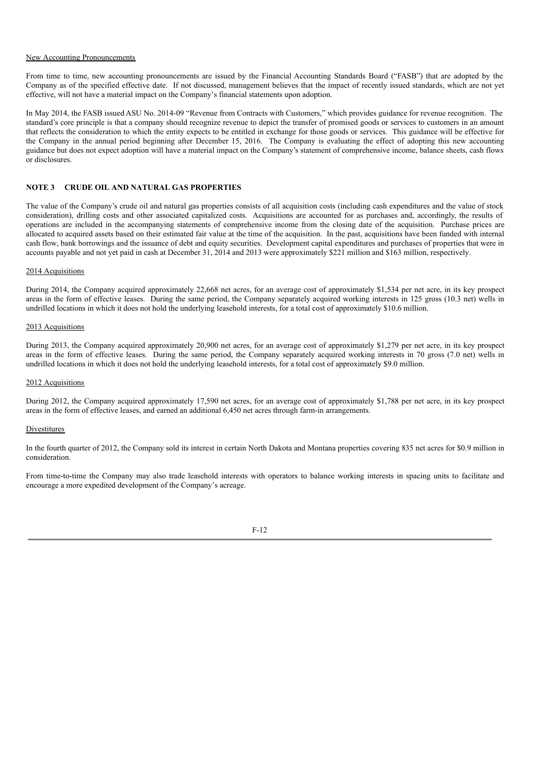## New Accounting Pronouncements

From time to time, new accounting pronouncements are issued by the Financial Accounting Standards Board ("FASB") that are adopted by the Company as of the specified effective date. If not discussed, management believes that the impact of recently issued standards, which are not yet effective, will not have a material impact on the Company's financial statements upon adoption.

In May 2014, the FASB issued ASU No. 2014-09 "Revenue from Contracts with Customers," which provides guidance for revenue recognition. The standard's core principle is that a company should recognize revenue to depict the transfer of promised goods or services to customers in an amount that reflects the consideration to which the entity expects to be entitled in exchange for those goods or services. This guidance will be effective for the Company in the annual period beginning after December 15, 2016. The Company is evaluating the effect of adopting this new accounting guidance but does not expect adoption will have a material impact on the Company's statement of comprehensive income, balance sheets, cash flows or disclosures.

## **NOTE 3 CRUDE OIL AND NATURAL GAS PROPERTIES**

The value of the Company's crude oil and natural gas properties consists of all acquisition costs (including cash expenditures and the value of stock consideration), drilling costs and other associated capitalized costs. Acquisitions are accounted for as purchases and, accordingly, the results of operations are included in the accompanying statements of comprehensive income from the closing date of the acquisition. Purchase prices are allocated to acquired assets based on their estimated fair value at the time of the acquisition. In the past, acquisitions have been funded with internal cash flow, bank borrowings and the issuance of debt and equity securities. Development capital expenditures and purchases of properties that were in accounts payable and not yet paid in cash at December 31, 2014 and 2013 were approximately \$221 million and \$163 million, respectively.

#### 2014 Acquisitions

During 2014, the Company acquired approximately 22,668 net acres, for an average cost of approximately \$1,534 per net acre, in its key prospect areas in the form of effective leases. During the same period, the Company separately acquired working interests in 125 gross (10.3 net) wells in undrilled locations in which it does not hold the underlying leasehold interests, for a total cost of approximately \$10.6 million.

### 2013 Acquisitions

During 2013, the Company acquired approximately 20,900 net acres, for an average cost of approximately \$1,279 per net acre, in its key prospect areas in the form of effective leases. During the same period, the Company separately acquired working interests in 70 gross (7.0 net) wells in undrilled locations in which it does not hold the underlying leasehold interests, for a total cost of approximately \$9.0 million.

### 2012 Acquisitions

During 2012, the Company acquired approximately 17,590 net acres, for an average cost of approximately \$1,788 per net acre, in its key prospect areas in the form of effective leases, and earned an additional 6,450 net acres through farm-in arrangements.

#### Divestitures

In the fourth quarter of 2012, the Company sold its interest in certain North Dakota and Montana properties covering 835 net acres for \$0.9 million in consideration.

From time-to-time the Company may also trade leasehold interests with operators to balance working interests in spacing units to facilitate and encourage a more expedited development of the Company's acreage.

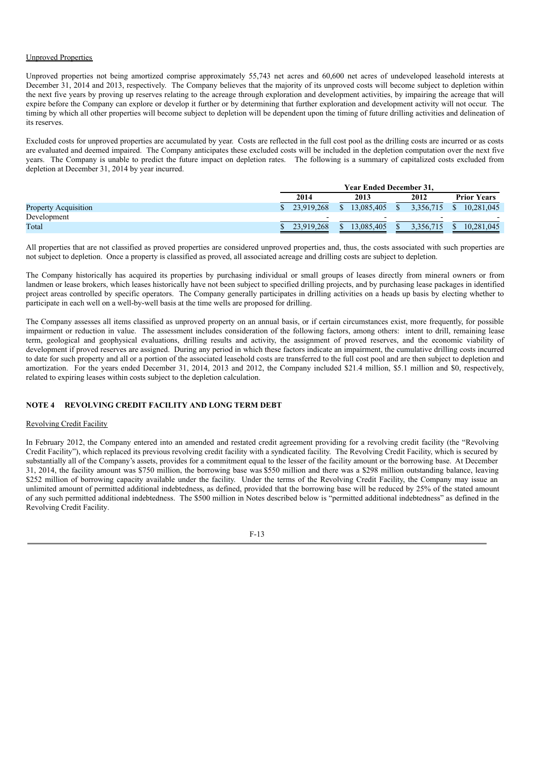### Unproved Properties

Unproved properties not being amortized comprise approximately 55,743 net acres and 60,600 net acres of undeveloped leasehold interests at December 31, 2014 and 2013, respectively. The Company believes that the majority of its unproved costs will become subject to depletion within the next five years by proving up reserves relating to the acreage through exploration and development activities, by impairing the acreage that will expire before the Company can explore or develop it further or by determining that further exploration and development activity will not occur. The timing by which all other properties will become subject to depletion will be dependent upon the timing of future drilling activities and delineation of its reserves.

Excluded costs for unproved properties are accumulated by year. Costs are reflected in the full cost pool as the drilling costs are incurred or as costs are evaluated and deemed impaired. The Company anticipates these excluded costs will be included in the depletion computation over the next five years. The Company is unable to predict the future impact on depletion rates. The following is a summary of capitalized costs excluded from depletion at December 31, 2014 by year incurred.

|                             |                          | <b>Year Ended December 31.</b> |                          |  |                          |              |                    |  |
|-----------------------------|--------------------------|--------------------------------|--------------------------|--|--------------------------|--------------|--------------------|--|
|                             | 2014                     |                                | 2013                     |  | 2012                     |              | <b>Prior Years</b> |  |
| <b>Property Acquisition</b> | \$23.919.268             |                                | 13,085,405               |  | 3.356.715                | <sup>S</sup> | 10.281,045         |  |
| Development                 | $\overline{\phantom{0}}$ |                                | $\overline{\phantom{0}}$ |  | $\overline{\phantom{0}}$ |              |                    |  |
| Total                       | 23.919.268<br>S.         |                                | 13.085.405               |  | 3.356.715                |              | 10.281,045         |  |

All properties that are not classified as proved properties are considered unproved properties and, thus, the costs associated with such properties are not subject to depletion. Once a property is classified as proved, all associated acreage and drilling costs are subject to depletion.

The Company historically has acquired its properties by purchasing individual or small groups of leases directly from mineral owners or from landmen or lease brokers, which leases historically have not been subject to specified drilling projects, and by purchasing lease packages in identified project areas controlled by specific operators. The Company generally participates in drilling activities on a heads up basis by electing whether to participate in each well on a well-by-well basis at the time wells are proposed for drilling.

The Company assesses all items classified as unproved property on an annual basis, or if certain circumstances exist, more frequently, for possible impairment or reduction in value. The assessment includes consideration of the following factors, among others: intent to drill, remaining lease term, geological and geophysical evaluations, drilling results and activity, the assignment of proved reserves, and the economic viability of development if proved reserves are assigned. During any period in which these factors indicate an impairment, the cumulative drilling costs incurred to date for such property and all or a portion of the associated leasehold costs are transferred to the full cost pool and are then subject to depletion and amortization. For the years ended December 31, 2014, 2013 and 2012, the Company included \$21.4 million, \$5.1 million and \$0, respectively, related to expiring leases within costs subject to the depletion calculation.

### **NOTE 4 REVOLVING CREDIT FACILITY AND LONG TERM DEBT**

#### Revolving Credit Facility

In February 2012, the Company entered into an amended and restated credit agreement providing for a revolving credit facility (the "Revolving Credit Facility"), which replaced its previous revolving credit facility with a syndicated facility. The Revolving Credit Facility, which is secured by substantially all of the Company's assets, provides for a commitment equal to the lesser of the facility amount or the borrowing base. At December 31, 2014, the facility amount was \$750 million, the borrowing base was \$550 million and there was a \$298 million outstanding balance, leaving \$252 million of borrowing capacity available under the facility. Under the terms of the Revolving Credit Facility, the Company may issue an unlimited amount of permitted additional indebtedness, as defined, provided that the borrowing base will be reduced by 25% of the stated amount of any such permitted additional indebtedness. The \$500 million in Notes described below is "permitted additional indebtedness" as defined in the Revolving Credit Facility.

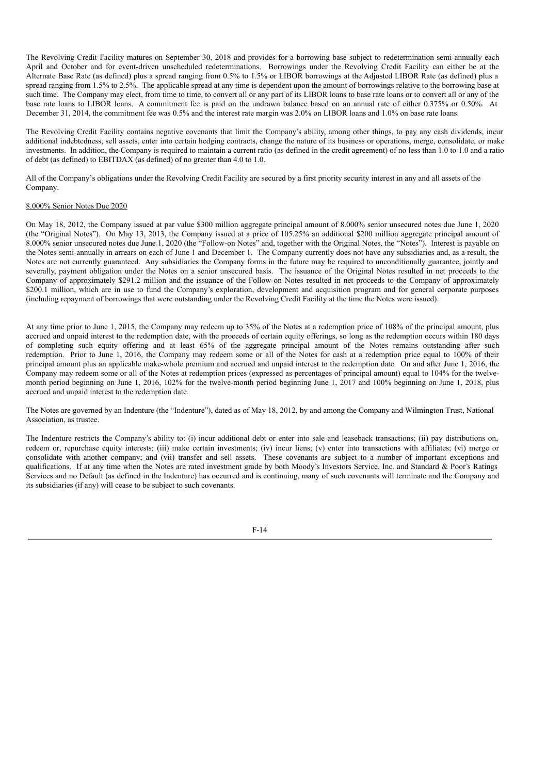The Revolving Credit Facility matures on September 30, 2018 and provides for a borrowing base subject to redetermination semi-annually each April and October and for event-driven unscheduled redeterminations. Borrowings under the Revolving Credit Facility can either be at the Alternate Base Rate (as defined) plus a spread ranging from 0.5% to 1.5% or LIBOR borrowings at the Adjusted LIBOR Rate (as defined) plus a spread ranging from 1.5% to 2.5%. The applicable spread at any time is dependent upon the amount of borrowings relative to the borrowing base at such time. The Company may elect, from time to time, to convert all or any part of its LIBOR loans to base rate loans or to convert all or any of the base rate loans to LIBOR loans. A commitment fee is paid on the undrawn balance based on an annual rate of either 0.375% or 0.50%. At December 31, 2014, the commitment fee was 0.5% and the interest rate margin was 2.0% on LIBOR loans and 1.0% on base rate loans.

The Revolving Credit Facility contains negative covenants that limit the Company's ability, among other things, to pay any cash dividends, incur additional indebtedness, sell assets, enter into certain hedging contracts, change the nature of its business or operations, merge, consolidate, or make investments. In addition, the Company is required to maintain a current ratio (as defined in the credit agreement) of no less than 1.0 to 1.0 and a ratio of debt (as defined) to EBITDAX (as defined) of no greater than 4.0 to 1.0.

All of the Company's obligations under the Revolving Credit Facility are secured by a first priority security interest in any and all assets of the Company.

#### 8.000% Senior Notes Due 2020

On May 18, 2012, the Company issued at par value \$300 million aggregate principal amount of 8.000% senior unsecured notes due June 1, 2020 (the "Original Notes"). On May 13, 2013, the Company issued at a price of 105.25% an additional \$200 million aggregate principal amount of 8.000% senior unsecured notes due June 1, 2020 (the "Follow-on Notes" and, together with the Original Notes, the "Notes"). Interest is payable on the Notes semi-annually in arrears on each of June 1 and December 1. The Company currently does not have any subsidiaries and, as a result, the Notes are not currently guaranteed. Any subsidiaries the Company forms in the future may be required to unconditionally guarantee, jointly and severally, payment obligation under the Notes on a senior unsecured basis. The issuance of the Original Notes resulted in net proceeds to the Company of approximately \$291.2 million and the issuance of the Follow-on Notes resulted in net proceeds to the Company of approximately \$200.1 million, which are in use to fund the Company's exploration, development and acquisition program and for general corporate purposes (including repayment of borrowings that were outstanding under the Revolving Credit Facility at the time the Notes were issued).

At any time prior to June 1, 2015, the Company may redeem up to 35% of the Notes at a redemption price of 108% of the principal amount, plus accrued and unpaid interest to the redemption date, with the proceeds of certain equity offerings, so long as the redemption occurs within 180 days of completing such equity offering and at least 65% of the aggregate principal amount of the Notes remains outstanding after such redemption. Prior to June 1, 2016, the Company may redeem some or all of the Notes for cash at a redemption price equal to 100% of their principal amount plus an applicable make-whole premium and accrued and unpaid interest to the redemption date. On and after June 1, 2016, the Company may redeem some or all of the Notes at redemption prices (expressed as percentages of principal amount) equal to 104% for the twelvemonth period beginning on June 1, 2016, 102% for the twelve-month period beginning June 1, 2017 and 100% beginning on June 1, 2018, plus accrued and unpaid interest to the redemption date.

The Notes are governed by an Indenture (the "Indenture"), dated as of May 18, 2012, by and among the Company and Wilmington Trust, National Association, as trustee.

The Indenture restricts the Company's ability to: (i) incur additional debt or enter into sale and leaseback transactions; (ii) pay distributions on, redeem or, repurchase equity interests; (iii) make certain investments; (iv) incur liens; (v) enter into transactions with affiliates; (vi) merge or consolidate with another company; and (vii) transfer and sell assets. These covenants are subject to a number of important exceptions and qualifications. If at any time when the Notes are rated investment grade by both Moody's Investors Service, Inc. and Standard & Poor's Ratings Services and no Default (as defined in the Indenture) has occurred and is continuing, many of such covenants will terminate and the Company and its subsidiaries (if any) will cease to be subject to such covenants.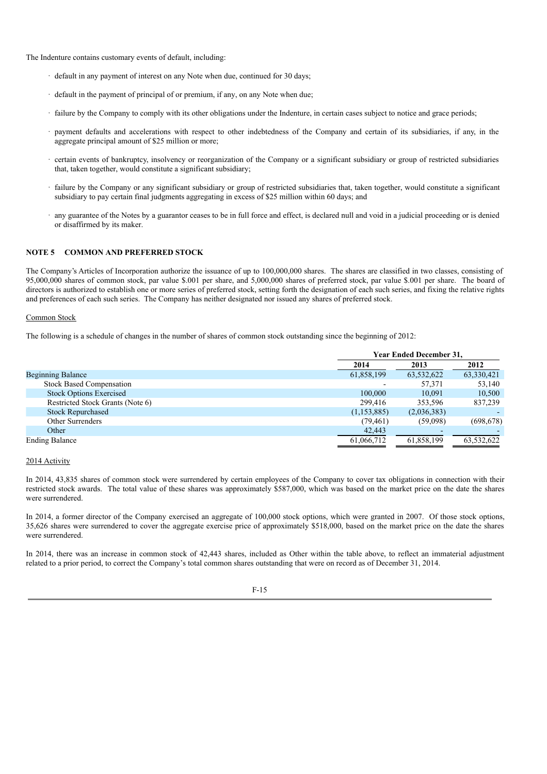The Indenture contains customary events of default, including:

- · default in any payment of interest on any Note when due, continued for 30 days;
- · default in the payment of principal of or premium, if any, on any Note when due;
- · failure by the Company to comply with its other obligations under the Indenture, in certain cases subject to notice and grace periods;
- payment defaults and accelerations with respect to other indebtedness of the Company and certain of its subsidiaries, if any, in the aggregate principal amount of \$25 million or more;
- · certain events of bankruptcy, insolvency or reorganization of the Company or a significant subsidiary or group of restricted subsidiaries that, taken together, would constitute a significant subsidiary;
- failure by the Company or any significant subsidiary or group of restricted subsidiaries that, taken together, would constitute a significant subsidiary to pay certain final judgments aggregating in excess of \$25 million within 60 days; and
- · any guarantee of the Notes by a guarantor ceases to be in full force and effect, is declared null and void in a judicial proceeding or is denied or disaffirmed by its maker.

### **NOTE 5 COMMON AND PREFERRED STOCK**

The Company's Articles of Incorporation authorize the issuance of up to 100,000,000 shares. The shares are classified in two classes, consisting of 95,000,000 shares of common stock, par value \$.001 per share, and 5,000,000 shares of preferred stock, par value \$.001 per share. The board of directors is authorized to establish one or more series of preferred stock, setting forth the designation of each such series, and fixing the relative rights and preferences of each such series. The Company has neither designated nor issued any shares of preferred stock.

### Common Stock

The following is a schedule of changes in the number of shares of common stock outstanding since the beginning of 2012:

|                                  |             | <b>Year Ended December 31.</b> |            |
|----------------------------------|-------------|--------------------------------|------------|
|                                  | 2014        | 2013                           | 2012       |
| <b>Beginning Balance</b>         | 61,858,199  | 63,532,622                     | 63,330,421 |
| <b>Stock Based Compensation</b>  |             | 57,371                         | 53,140     |
| <b>Stock Options Exercised</b>   | 100,000     | 10.091                         | 10,500     |
| Restricted Stock Grants (Note 6) | 299,416     | 353.596                        | 837,239    |
| <b>Stock Repurchased</b>         | (1,153,885) | (2,036,383)                    |            |
| <b>Other Surrenders</b>          | (79, 461)   | (59,098)                       | (698, 678) |
| Other                            | 42,443      |                                |            |
| <b>Ending Balance</b>            | 61,066,712  | 61,858,199                     | 63,532,622 |

### 2014 Activity

In 2014, 43,835 shares of common stock were surrendered by certain employees of the Company to cover tax obligations in connection with their restricted stock awards. The total value of these shares was approximately \$587,000, which was based on the market price on the date the shares were surrendered.

In 2014, a former director of the Company exercised an aggregate of 100,000 stock options, which were granted in 2007. Of those stock options, 35,626 shares were surrendered to cover the aggregate exercise price of approximately \$518,000, based on the market price on the date the shares were surrendered.

In 2014, there was an increase in common stock of 42,443 shares, included as Other within the table above, to reflect an immaterial adjustment related to a prior period, to correct the Company's total common shares outstanding that were on record as of December 31, 2014.

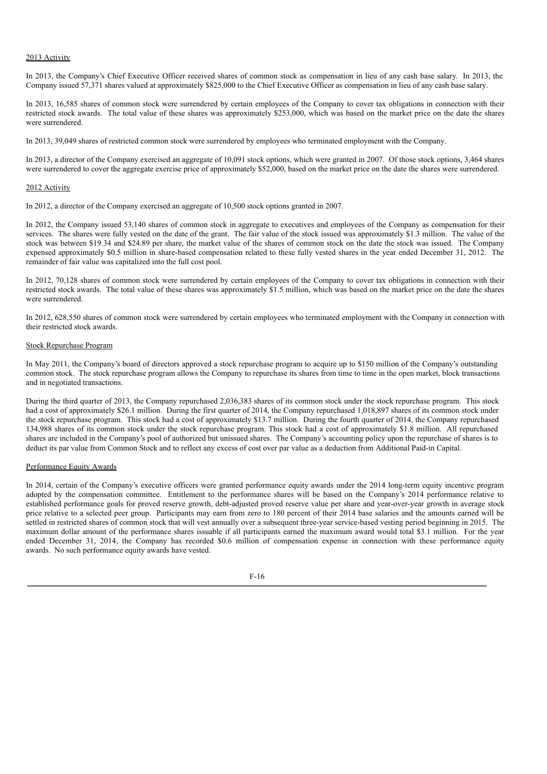# 2013 Activity

In 2013, the Company's Chief Executive Officer received shares of common stock as compensation in lieu of any cash base salary. In 2013, the Company issued 57,371 shares valued at approximately \$825,000 to the Chief Executive Officer as compensation in lieu of any cash base salary.

In 2013, 16,585 shares of common stock were surrendered by certain employees of the Company to cover tax obligations in connection with their restricted stock awards. The total value of these shares was approximately \$253,000, which was based on the market price on the date the shares were surrendered.

In 2013, 39,049 shares of restricted common stock were surrendered by employees who terminated employment with the Company.

In 2013, a director of the Company exercised an aggregate of 10,091 stock options, which were granted in 2007. Of those stock options, 3,464 shares were surrendered to cover the aggregate exercise price of approximately \$52,000, based on the market price on the date the shares were surrendered.

#### 2012 Activity

In 2012, a director of the Company exercised an aggregate of 10,500 stock options granted in 2007.

In 2012, the Company issued 53,140 shares of common stock in aggregate to executives and employees of the Company as compensation for their services. The shares were fully vested on the date of the grant. The fair value of the stock issued was approximately \$1.3 million. The value of the stock was between \$19.34 and \$24.89 per share, the market value of the shares of common stock on the date the stock was issued. The Company expensed approximately \$0.5 million in share-based compensation related to these fully vested shares in the year ended December 31, 2012. The remainder of fair value was capitalized into the full cost pool.

In 2012, 70,128 shares of common stock were surrendered by certain employees of the Company to cover tax obligations in connection with their restricted stock awards. The total value of these shares was approximately \$1.5 million, which was based on the market price on the date the shares were surrendered.

In 2012, 628,550 shares of common stock were surrendered by certain employees who terminated employment with the Company in connection with their restricted stock awards.

### Stock Repurchase Program

In May 2011, the Company's board of directors approved a stock repurchase program to acquire up to \$150 million of the Company's outstanding common stock. The stock repurchase program allows the Company to repurchase its shares from time to time in the open market, block transactions and in negotiated transactions.

During the third quarter of 2013, the Company repurchased 2,036,383 shares of its common stock under the stock repurchase program. This stock had a cost of approximately \$26.1 million. During the first quarter of 2014, the Company repurchased 1,018,897 shares of its common stock under the stock repurchase program. This stock had a cost of approximately \$13.7 million. During the fourth quarter of 2014, the Company repurchased 134,988 shares of its common stock under the stock repurchase program. This stock had a cost of approximately \$1.8 million. All repurchased shares are included in the Company's pool of authorized but unissued shares. The Company's accounting policy upon the repurchase of shares is to deduct its par value from Common Stock and to reflect any excess of cost over par value as a deduction from Additional Paid-in Capital.

#### Performance Equity Awards

In 2014, certain of the Company's executive officers were granted performance equity awards under the 2014 long-term equity incentive program adopted by the compensation committee. Entitlement to the performance shares will be based on the Company's 2014 performance relative to established performance goals for proved reserve growth, debt-adjusted proved reserve value per share and year-over-year growth in average stock price relative to a selected peer group. Participants may earn from zero to 180 percent of their 2014 base salaries and the amounts earned will be settled in restricted shares of common stock that will vest annually over a subsequent three-year service-based vesting period beginning in 2015. The maximum dollar amount of the performance shares issuable if all participants earned the maximum award would total \$3.1 million. For the year ended December 31, 2014, the Company has recorded \$0.6 million of compensation expense in connection with these performance equity awards. No such performance equity awards have vested.

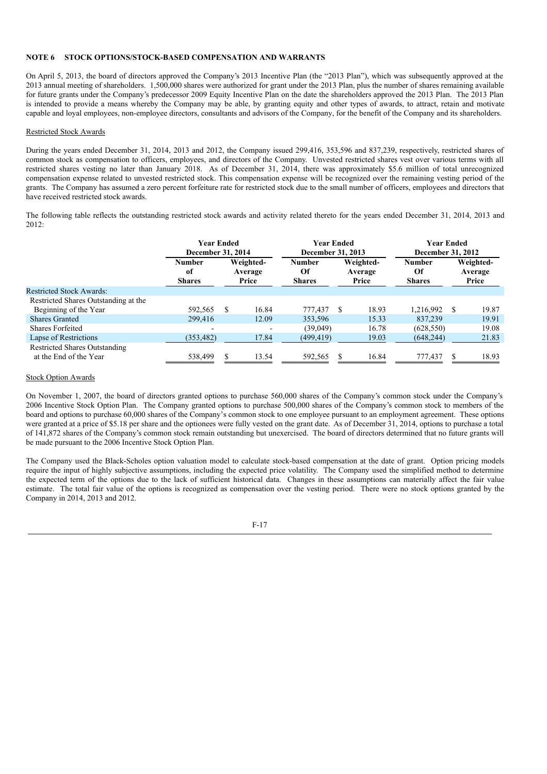### **NOTE 6 STOCK OPTIONS/STOCK-BASED COMPENSATION AND WARRANTS**

On April 5, 2013, the board of directors approved the Company's 2013 Incentive Plan (the "2013 Plan"), which was subsequently approved at the 2013 annual meeting of shareholders. 1,500,000 shares were authorized for grant under the 2013 Plan, plus the number of shares remaining available for future grants under the Company's predecessor 2009 Equity Incentive Plan on the date the shareholders approved the 2013 Plan. The 2013 Plan is intended to provide a means whereby the Company may be able, by granting equity and other types of awards, to attract, retain and motivate capable and loyal employees, non-employee directors, consultants and advisors of the Company, for the benefit of the Company and its shareholders.

#### Restricted Stock Awards

During the years ended December 31, 2014, 2013 and 2012, the Company issued 299,416, 353,596 and 837,239, respectively, restricted shares of common stock as compensation to officers, employees, and directors of the Company. Unvested restricted shares vest over various terms with all restricted shares vesting no later than January 2018. As of December 31, 2014, there was approximately \$5.6 million of total unrecognized compensation expense related to unvested restricted stock. This compensation expense will be recognized over the remaining vesting period of the grants. The Company has assumed a zero percent forfeiture rate for restricted stock due to the small number of officers, employees and directors that have received restricted stock awards.

The following table reflects the outstanding restricted stock awards and activity related thereto for the years ended December 31, 2014, 2013 and  $2012.$ 

|                                                                | <b>Year Ended</b><br>December 31, 2014 |    |                               | <b>Year Ended</b><br>December 31, 2013 |     |                               | <b>Year Ended</b><br>December 31, 2012 |    |                               |
|----------------------------------------------------------------|----------------------------------------|----|-------------------------------|----------------------------------------|-----|-------------------------------|----------------------------------------|----|-------------------------------|
|                                                                | <b>Number</b><br>of<br><b>Shares</b>   |    | Weighted-<br>Average<br>Price | <b>Number</b><br>Of<br><b>Shares</b>   |     | Weighted-<br>Average<br>Price | <b>Number</b><br>Of<br><b>Shares</b>   |    | Weighted-<br>Average<br>Price |
| <b>Restricted Stock Awards:</b>                                |                                        |    |                               |                                        |     |                               |                                        |    |                               |
| Restricted Shares Outstanding at the                           |                                        |    |                               |                                        |     |                               |                                        |    |                               |
| Beginning of the Year                                          | 592,565                                | S. | 16.84                         | 777,437                                | \$. | 18.93                         | 1,216,992                              | -S | 19.87                         |
| <b>Shares Granted</b>                                          | 299,416                                |    | 12.09                         | 353.596                                |     | 15.33                         | 837,239                                |    | 19.91                         |
| Shares Forfeited                                               |                                        |    | $\overline{\phantom{a}}$      | (39,049)                               |     | 16.78                         | (628, 550)                             |    | 19.08                         |
| Lapse of Restrictions                                          | (353, 482)                             |    | 17.84                         | (499, 419)                             |     | 19.03                         | (648, 244)                             |    | 21.83                         |
| <b>Restricted Shares Outstanding</b><br>at the End of the Year | 538,499                                |    | 13.54                         | 592,565                                | S   | 16.84                         | 777,437                                |    | 18.93                         |

### Stock Option Awards

On November 1, 2007, the board of directors granted options to purchase 560,000 shares of the Company's common stock under the Company's 2006 Incentive Stock Option Plan. The Company granted options to purchase 500,000 shares of the Company's common stock to members of the board and options to purchase 60,000 shares of the Company's common stock to one employee pursuant to an employment agreement. These options were granted at a price of \$5.18 per share and the optionees were fully vested on the grant date. As of December 31, 2014, options to purchase a total of 141,872 shares of the Company's common stock remain outstanding but unexercised. The board of directors determined that no future grants will be made pursuant to the 2006 Incentive Stock Option Plan.

The Company used the Black-Scholes option valuation model to calculate stock-based compensation at the date of grant. Option pricing models require the input of highly subjective assumptions, including the expected price volatility. The Company used the simplified method to determine the expected term of the options due to the lack of sufficient historical data. Changes in these assumptions can materially affect the fair value estimate. The total fair value of the options is recognized as compensation over the vesting period. There were no stock options granted by the Company in 2014, 2013 and 2012.

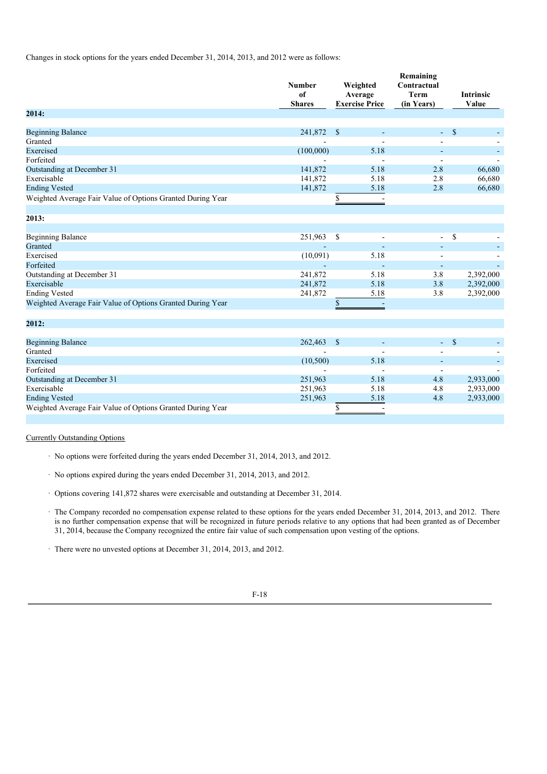Changes in stock options for the years ended December 31, 2014, 2013, and 2012 were as follows:

|                                                            | <b>Number</b><br>of<br><b>Shares</b> | Weighted<br>Average<br><b>Exercise Price</b> | Remaining<br>Contractual<br><b>Term</b><br>(in Years) | <b>Intrinsic</b><br>Value |
|------------------------------------------------------------|--------------------------------------|----------------------------------------------|-------------------------------------------------------|---------------------------|
| 2014:                                                      |                                      |                                              |                                                       |                           |
|                                                            |                                      |                                              |                                                       |                           |
| <b>Beginning Balance</b>                                   | 241,872                              | $\mathbb{S}$                                 | ÷.                                                    | $\mathbb{S}$              |
| Granted                                                    |                                      |                                              |                                                       |                           |
| Exercised                                                  | (100,000)                            | 5.18                                         |                                                       |                           |
| Forfeited                                                  |                                      |                                              |                                                       |                           |
| Outstanding at December 31                                 | 141,872                              | 5.18                                         | 2.8                                                   | 66,680                    |
| Exercisable                                                | 141,872                              | 5.18                                         | 2.8                                                   | 66,680                    |
| <b>Ending Vested</b>                                       | 141,872                              | 5.18                                         | 2.8                                                   | 66,680                    |
| Weighted Average Fair Value of Options Granted During Year |                                      | \$                                           |                                                       |                           |
|                                                            |                                      |                                              |                                                       |                           |
| 2013:                                                      |                                      |                                              |                                                       |                           |
| <b>Beginning Balance</b>                                   | 251,963                              | -S                                           | $\overline{\phantom{0}}$                              | \$                        |
| Granted                                                    |                                      |                                              |                                                       |                           |
| Exercised                                                  | (10,091)                             | 5.18                                         |                                                       |                           |
| Forfeited                                                  |                                      |                                              | $\blacksquare$                                        |                           |
| Outstanding at December 31                                 | 241,872                              | 5.18                                         | 3.8                                                   | 2,392,000                 |
| Exercisable                                                | 241,872                              | 5.18                                         | 3.8                                                   | 2,392,000                 |
| <b>Ending Vested</b>                                       | 241,872                              | 5.18                                         | 3.8                                                   | 2,392,000                 |
| Weighted Average Fair Value of Options Granted During Year |                                      | \$                                           |                                                       |                           |
| 2012:                                                      |                                      |                                              |                                                       |                           |
|                                                            |                                      |                                              |                                                       |                           |
| <b>Beginning Balance</b>                                   | 262,463                              | $\mathbf{\hat{s}}$                           | Ξ.                                                    | \$                        |
| Granted                                                    |                                      |                                              |                                                       |                           |
| Exercised                                                  | (10,500)                             | 5.18                                         |                                                       |                           |
| Forfeited                                                  |                                      |                                              | $\blacksquare$                                        |                           |
| Outstanding at December 31                                 | 251,963                              | 5.18                                         | 4.8                                                   | 2,933,000                 |
| Exercisable                                                | 251,963                              | 5.18                                         | 4.8                                                   | 2,933,000                 |
| <b>Ending Vested</b>                                       | 251,963                              | 5.18                                         | 4.8                                                   | 2,933,000                 |
| Weighted Average Fair Value of Options Granted During Year |                                      | \$                                           |                                                       |                           |
|                                                            |                                      |                                              |                                                       |                           |

## Currently Outstanding Options

- · No options were forfeited during the years ended December 31, 2014, 2013, and 2012.
- · No options expired during the years ended December 31, 2014, 2013, and 2012.
- · Options covering 141,872 shares were exercisable and outstanding at December 31, 2014.
- · The Company recorded no compensation expense related to these options for the years ended December 31, 2014, 2013, and 2012. There is no further compensation expense that will be recognized in future periods relative to any options that had been granted as of December 31, 2014, because the Company recognized the entire fair value of such compensation upon vesting of the options.
- · There were no unvested options at December 31, 2014, 2013, and 2012.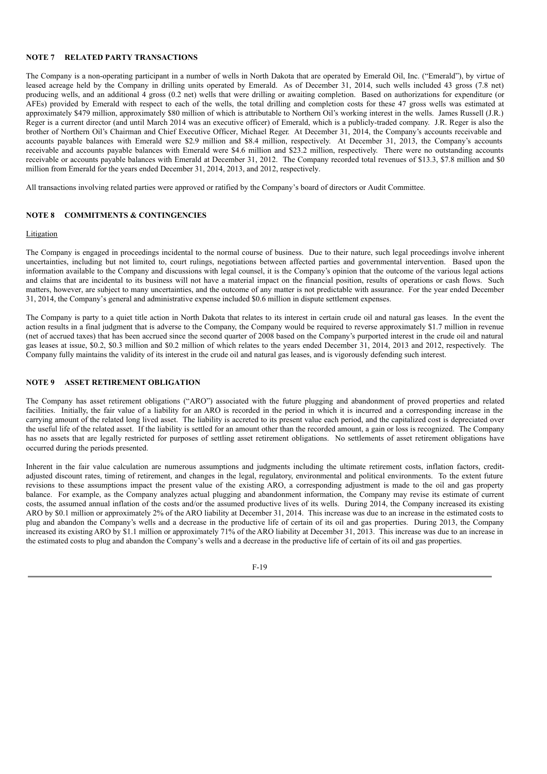### **NOTE 7 RELATED PARTY TRANSACTIONS**

The Company is a non-operating participant in a number of wells in North Dakota that are operated by Emerald Oil, Inc. ("Emerald"), by virtue of leased acreage held by the Company in drilling units operated by Emerald. As of December 31, 2014, such wells included 43 gross (7.8 net) producing wells, and an additional 4 gross (0.2 net) wells that were drilling or awaiting completion. Based on authorizations for expenditure (or AFEs) provided by Emerald with respect to each of the wells, the total drilling and completion costs for these 47 gross wells was estimated at approximately \$479 million, approximately \$80 million of which is attributable to Northern Oil's working interest in the wells. James Russell (J.R.) Reger is a current director (and until March 2014 was an executive officer) of Emerald, which is a publicly-traded company. J.R. Reger is also the brother of Northern Oil's Chairman and Chief Executive Officer, Michael Reger. At December 31, 2014, the Company's accounts receivable and accounts payable balances with Emerald were \$2.9 million and \$8.4 million, respectively. At December 31, 2013, the Company's accounts receivable and accounts payable balances with Emerald were \$4.6 million and \$23.2 million, respectively. There were no outstanding accounts receivable or accounts payable balances with Emerald at December 31, 2012. The Company recorded total revenues of \$13.3, \$7.8 million and \$0 million from Emerald for the years ended December 31, 2014, 2013, and 2012, respectively.

All transactions involving related parties were approved or ratified by the Company's board of directors or Audit Committee.

### **NOTE 8 COMMITMENTS & CONTINGENCIES**

#### Litigation

The Company is engaged in proceedings incidental to the normal course of business. Due to their nature, such legal proceedings involve inherent uncertainties, including but not limited to, court rulings, negotiations between affected parties and governmental intervention. Based upon the information available to the Company and discussions with legal counsel, it is the Company's opinion that the outcome of the various legal actions and claims that are incidental to its business will not have a material impact on the financial position, results of operations or cash flows. Such matters, however, are subject to many uncertainties, and the outcome of any matter is not predictable with assurance. For the year ended December 31, 2014, the Company's general and administrative expense included \$0.6 million in dispute settlement expenses.

The Company is party to a quiet title action in North Dakota that relates to its interest in certain crude oil and natural gas leases. In the event the action results in a final judgment that is adverse to the Company, the Company would be required to reverse approximately \$1.7 million in revenue (net of accrued taxes) that has been accrued since the second quarter of 2008 based on the Company's purported interest in the crude oil and natural gas leases at issue, \$0.2, \$0.3 million and \$0.2 million of which relates to the years ended December 31, 2014, 2013 and 2012, respectively. The Company fully maintains the validity of its interest in the crude oil and natural gas leases, and is vigorously defending such interest.

### **NOTE 9 ASSET RETIREMENT OBLIGATION**

The Company has asset retirement obligations ("ARO") associated with the future plugging and abandonment of proved properties and related facilities. Initially, the fair value of a liability for an ARO is recorded in the period in which it is incurred and a corresponding increase in the carrying amount of the related long lived asset. The liability is accreted to its present value each period, and the capitalized cost is depreciated over the useful life of the related asset. If the liability is settled for an amount other than the recorded amount, a gain or loss is recognized. The Company has no assets that are legally restricted for purposes of settling asset retirement obligations. No settlements of asset retirement obligations have occurred during the periods presented.

Inherent in the fair value calculation are numerous assumptions and judgments including the ultimate retirement costs, inflation factors, creditadjusted discount rates, timing of retirement, and changes in the legal, regulatory, environmental and political environments. To the extent future revisions to these assumptions impact the present value of the existing ARO, a corresponding adjustment is made to the oil and gas property balance. For example, as the Company analyzes actual plugging and abandonment information, the Company may revise its estimate of current costs, the assumed annual inflation of the costs and/or the assumed productive lives of its wells. During 2014, the Company increased its existing ARO by \$0.1 million or approximately 2% of the ARO liability at December 31, 2014. This increase was due to an increase in the estimated costs to plug and abandon the Company's wells and a decrease in the productive life of certain of its oil and gas properties. During 2013, the Company increased its existing ARO by \$1.1 million or approximately 71% of the ARO liability at December 31, 2013. This increase was due to an increase in the estimated costs to plug and abandon the Company's wells and a decrease in the productive life of certain of its oil and gas properties.

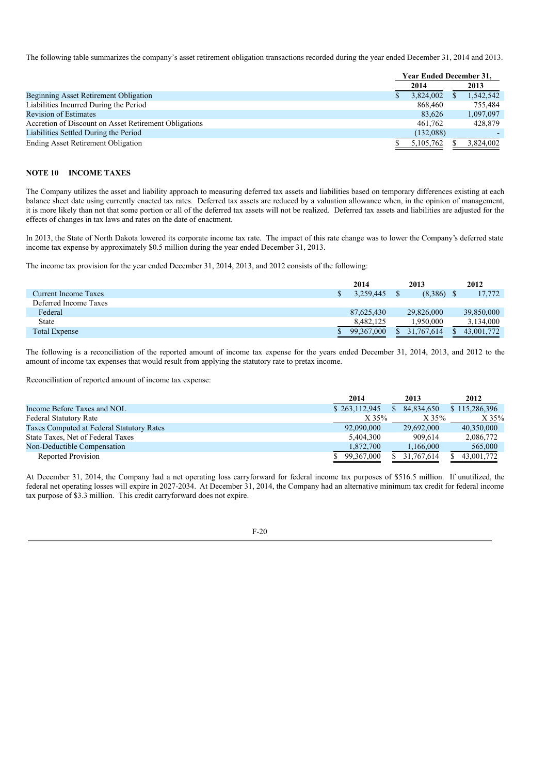The following table summarizes the company's asset retirement obligation transactions recorded during the year ended December 31, 2014 and 2013.

|                                                       | <b>Year Ended December 31,</b> |           |
|-------------------------------------------------------|--------------------------------|-----------|
|                                                       | 2014                           | 2013      |
| <b>Beginning Asset Retirement Obligation</b>          | 3,824,002                      | 1,542,542 |
| Liabilities Incurred During the Period                | 868,460                        | 755.484   |
| <b>Revision of Estimates</b>                          | 83.626                         | 1,097,097 |
| Accretion of Discount on Asset Retirement Obligations | 461.762                        | 428,879   |
| Liabilities Settled During the Period                 | (132,088)                      |           |
| Ending Asset Retirement Obligation                    | 5,105,762                      | 3,824,002 |

### **NOTE 10 INCOME TAXES**

The Company utilizes the asset and liability approach to measuring deferred tax assets and liabilities based on temporary differences existing at each balance sheet date using currently enacted tax rates*.* Deferred tax assets are reduced by a valuation allowance when, in the opinion of management, it is more likely than not that some portion or all of the deferred tax assets will not be realized. Deferred tax assets and liabilities are adjusted for the effects of changes in tax laws and rates on the date of enactment.

In 2013, the State of North Dakota lowered its corporate income tax rate. The impact of this rate change was to lower the Company's deferred state income tax expense by approximately \$0.5 million during the year ended December 31, 2013.

The income tax provision for the year ended December 31, 2014, 2013, and 2012 consists of the following:

|                       | 2014       | 2013          | 2012       |
|-----------------------|------------|---------------|------------|
| Current Income Taxes  | 3.259.445  | \$<br>(8.386) | 17.772     |
| Deferred Income Taxes |            |               |            |
| Federal               | 87,625,430 | 29,826,000    | 39,850,000 |
| <b>State</b>          | 8.482.125  | 1.950.000     | 3.134.000  |
| Total Expense         | 99,367,000 | 31.767.614    | 43,001,772 |

The following is a reconciliation of the reported amount of income tax expense for the years ended December 31, 2014, 2013, and 2012 to the amount of income tax expenses that would result from applying the statutory rate to pretax income.

Reconciliation of reported amount of income tax expense:

|                                           | 2014          | 2013             | 2012          |
|-------------------------------------------|---------------|------------------|---------------|
| Income Before Taxes and NOL               | \$263,112,945 | 84,834,650<br>S. | \$115,286,396 |
| <b>Federal Statutory Rate</b>             | X35%          | X35%             | X35%          |
| Taxes Computed at Federal Statutory Rates | 92,090,000    | 29,692,000       | 40,350,000    |
| State Taxes, Net of Federal Taxes         | 5.404.300     | 909.614          | 2,086,772     |
| Non-Deductible Compensation               | 1,872,700     | 1.166.000        | 565,000       |
| Reported Provision                        | 99.367.000    | 31,767,614<br>S. | 43,001,772    |

At December 31, 2014, the Company had a net operating loss carryforward for federal income tax purposes of \$516.5 million. If unutilized, the federal net operating losses will expire in 2027-2034. At December 31, 2014, the Company had an alternative minimum tax credit for federal income tax purpose of \$3.3 million. This credit carryforward does not expire.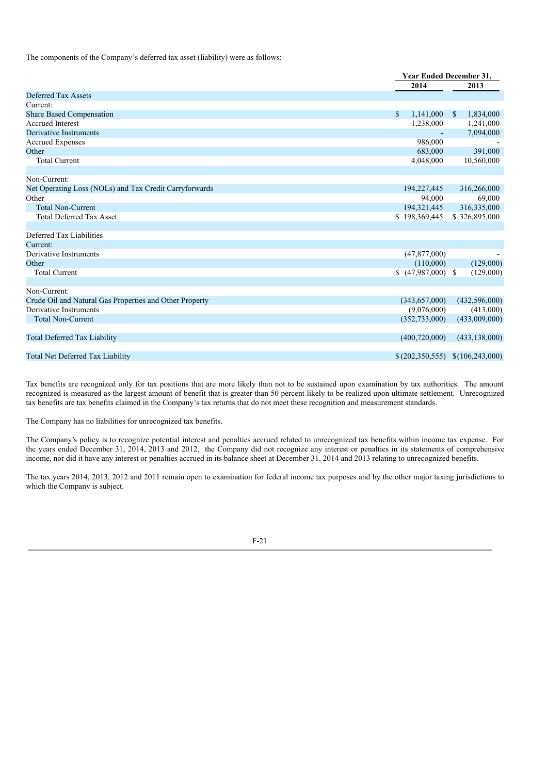The components of the Company's deferred tax asset (liability) were as follows:

|                                                         | <b>Year Ended December 31,</b> |                           |
|---------------------------------------------------------|--------------------------------|---------------------------|
|                                                         | 2014                           | 2013                      |
| <b>Deferred Tax Assets</b>                              |                                |                           |
| Current:                                                |                                |                           |
| <b>Share Based Compensation</b>                         | $\mathbb{S}$<br>1,141,000      | 1,834,000<br><sup>S</sup> |
| <b>Accrued Interest</b>                                 | 1,238,000                      | 1,241,000                 |
| Derivative Instruments                                  |                                | 7,094,000                 |
| <b>Accrued Expenses</b>                                 | 986,000                        |                           |
| Other                                                   | 683,000                        | 391,000                   |
| <b>Total Current</b>                                    | 4,048,000                      | 10,560,000                |
|                                                         |                                |                           |
| Non-Current:                                            |                                |                           |
| Net Operating Loss (NOLs) and Tax Credit Carryforwards  | 194,227,445                    | 316,266,000               |
| Other                                                   | 94,000                         | 69,000                    |
| <b>Total Non-Current</b>                                | 194,321,445                    | 316,335,000               |
| <b>Total Deferred Tax Asset</b>                         | \$198,369,445                  | \$326,895,000             |
|                                                         |                                |                           |
| Deferred Tax Liabilities                                |                                |                           |
| Current:                                                |                                |                           |
| Derivative Instruments                                  | (47, 877, 000)                 |                           |
| Other                                                   | (110,000)                      | (129,000)                 |
| <b>Total Current</b>                                    | \$ (47,987,000) \$             | (129,000)                 |
|                                                         |                                |                           |
| Non-Current:                                            |                                |                           |
| Crude Oil and Natural Gas Properties and Other Property | (343, 657, 000)                | (432, 596, 000)           |
| Derivative Instruments                                  | (9,076,000)                    | (413,000)                 |
| <b>Total Non-Current</b>                                | (352, 733, 000)                | (433,009,000)             |
|                                                         |                                |                           |
| <b>Total Deferred Tax Liability</b>                     | (400, 720, 000)                | (433, 138, 000)           |
|                                                         |                                |                           |
| <b>Total Net Deferred Tax Liability</b>                 | \$(202,350,555)                | \$(106, 243, 000)         |

Tax benefits are recognized only for tax positions that are more likely than not to be sustained upon examination by tax authorities. The amount recognized is measured as the largest amount of benefit that is greater than 50 percent likely to be realized upon ultimate settlement. Unrecognized tax benefits are tax benefits claimed in the Company's tax returns that do not meet these recognition and measurement standards.

The Company has no liabilities for unrecognized tax benefits.

The Company's policy is to recognize potential interest and penalties accrued related to unrecognized tax benefits within income tax expense. For the years ended December 31, 2014, 2013 and 2012, the Company did not recognize any interest or penalties in its statements of comprehensive income, nor did it have any interest or penalties accrued in its balance sheet at December 31, 2014 and 2013 relating to unrecognized benefits.

The tax years 2014, 2013, 2012 and 2011 remain open to examination for federal income tax purposes and by the other major taxing jurisdictions to which the Company is subject.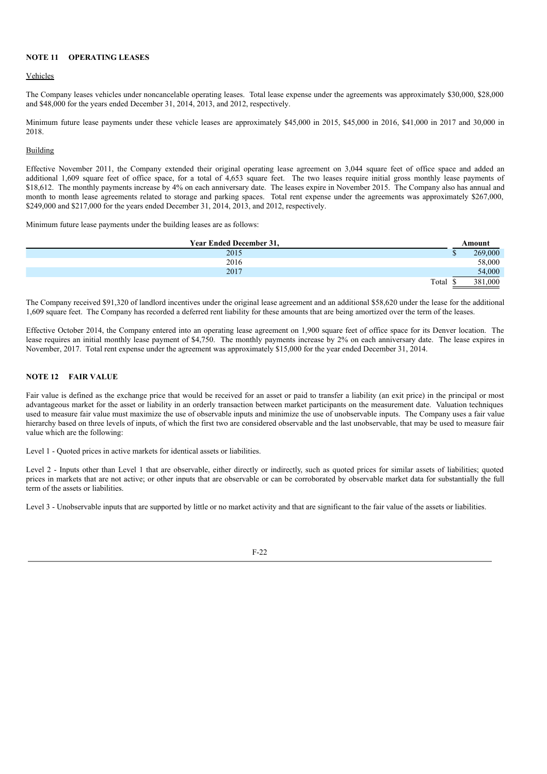### **NOTE 11 OPERATING LEASES**

Vehicles

The Company leases vehicles under noncancelable operating leases. Total lease expense under the agreements was approximately \$30,000, \$28,000 and \$48,000 for the years ended December 31, 2014, 2013, and 2012, respectively.

Minimum future lease payments under these vehicle leases are approximately \$45,000 in 2015, \$45,000 in 2016, \$41,000 in 2017 and 30,000 in 2018.

### Building

Effective November 2011, the Company extended their original operating lease agreement on 3,044 square feet of office space and added an additional 1,609 square feet of office space, for a total of 4,653 square feet. The two leases require initial gross monthly lease payments of \$18,612. The monthly payments increase by 4% on each anniversary date. The leases expire in November 2015. The Company also has annual and month to month lease agreements related to storage and parking spaces. Total rent expense under the agreements was approximately \$267,000, \$249,000 and \$217,000 for the years ended December 31, 2014, 2013, and 2012, respectively.

Minimum future lease payments under the building leases are as follows:

| <b>Year Ended December 31,</b> | Amount  |
|--------------------------------|---------|
| 2015                           | 269,000 |
| 2016                           | 58,000  |
| 2017                           | 54,000  |
| Total                          | 381,000 |

The Company received \$91,320 of landlord incentives under the original lease agreement and an additional \$58,620 under the lease for the additional 1,609 square feet. The Company has recorded a deferred rent liability for these amounts that are being amortized over the term of the leases.

Effective October 2014, the Company entered into an operating lease agreement on 1,900 square feet of office space for its Denver location. The lease requires an initial monthly lease payment of \$4,750. The monthly payments increase by 2% on each anniversary date. The lease expires in November, 2017. Total rent expense under the agreement was approximately \$15,000 for the year ended December 31, 2014.

### **NOTE 12 FAIR VALUE**

Fair value is defined as the exchange price that would be received for an asset or paid to transfer a liability (an exit price) in the principal or most advantageous market for the asset or liability in an orderly transaction between market participants on the measurement date. Valuation techniques used to measure fair value must maximize the use of observable inputs and minimize the use of unobservable inputs. The Company uses a fair value hierarchy based on three levels of inputs, of which the first two are considered observable and the last unobservable, that may be used to measure fair value which are the following:

Level 1 - Quoted prices in active markets for identical assets or liabilities.

Level 2 - Inputs other than Level 1 that are observable, either directly or indirectly, such as quoted prices for similar assets of liabilities; quoted prices in markets that are not active; or other inputs that are observable or can be corroborated by observable market data for substantially the full term of the assets or liabilities.

Level 3 - Unobservable inputs that are supported by little or no market activity and that are significant to the fair value of the assets or liabilities.

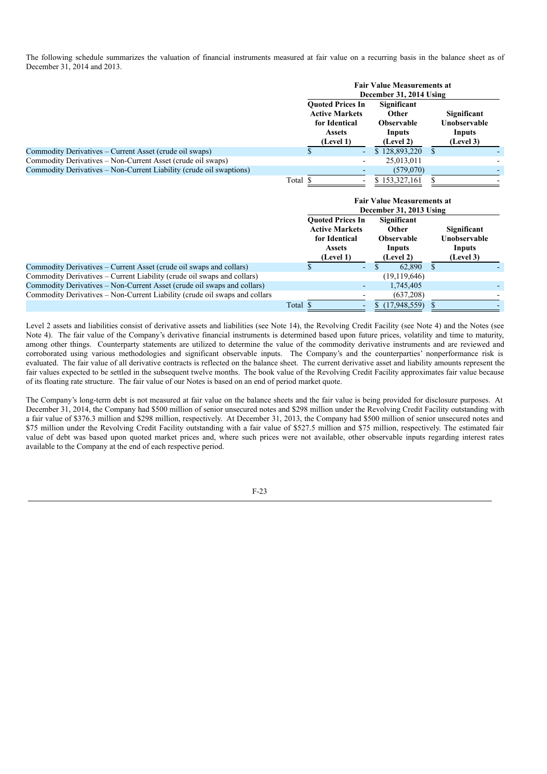The following schedule summarizes the valuation of financial instruments measured at fair value on a recurring basis in the balance sheet as of December 31, 2014 and 2013.

|                                                                     |          |                                                                                                 | <b>Fair Value Measurements at</b><br>December 31, 2014 Using     |                                                    |
|---------------------------------------------------------------------|----------|-------------------------------------------------------------------------------------------------|------------------------------------------------------------------|----------------------------------------------------|
|                                                                     |          | <b>Ouoted Prices In</b><br><b>Active Markets</b><br>for Identical<br><b>Assets</b><br>(Level 1) | Significant<br>Other<br><b>Observable</b><br>Inputs<br>(Level 2) | Significant<br>Unobservable<br>Inputs<br>(Level 3) |
| Commodity Derivatives – Current Asset (crude oil swaps)             |          | $\sim$                                                                                          | \$128,893,220                                                    |                                                    |
| Commodity Derivatives – Non-Current Asset (crude oil swaps)         |          |                                                                                                 | 25,013,011                                                       |                                                    |
| Commodity Derivatives – Non-Current Liability (crude oil swaptions) |          |                                                                                                 | (579,070)                                                        |                                                    |
|                                                                     | Total \$ |                                                                                                 | \$153,327,161                                                    |                                                    |

|                                                                            |                                                                                                 | <b>Fair Value Measurements at</b><br>December 31, 2013 Using     |                                                    |
|----------------------------------------------------------------------------|-------------------------------------------------------------------------------------------------|------------------------------------------------------------------|----------------------------------------------------|
|                                                                            | <b>Ouoted Prices In</b><br><b>Active Markets</b><br>for Identical<br><b>Assets</b><br>(Level 1) | Significant<br>Other<br><b>Observable</b><br>Inputs<br>(Level 2) | Significant<br>Unobservable<br>Inputs<br>(Level 3) |
| Commodity Derivatives – Current Asset (crude oil swaps and collars)        | $\sim$                                                                                          | 62,890                                                           | - \$                                               |
| Commodity Derivatives – Current Liability (crude oil swaps and collars)    |                                                                                                 | (19,119,646)                                                     |                                                    |
| Commodity Derivatives – Non-Current Asset (crude oil swaps and collars)    |                                                                                                 | 1,745,405                                                        |                                                    |
| Commodity Derivatives – Non-Current Liability (crude oil swaps and collars |                                                                                                 | (637,208)                                                        |                                                    |
|                                                                            | Total \$<br>$\overline{\phantom{a}}$                                                            | $(17.948.559)$ \$<br>S.                                          |                                                    |

Level 2 assets and liabilities consist of derivative assets and liabilities (see Note 14), the Revolving Credit Facility (see Note 4) and the Notes (see Note 4). The fair value of the Company's derivative financial instruments is determined based upon future prices, volatility and time to maturity, among other things. Counterparty statements are utilized to determine the value of the commodity derivative instruments and are reviewed and corroborated using various methodologies and significant observable inputs. The Company's and the counterparties' nonperformance risk is evaluated. The fair value of all derivative contracts is reflected on the balance sheet. The current derivative asset and liability amounts represent the fair values expected to be settled in the subsequent twelve months. The book value of the Revolving Credit Facility approximates fair value because of its floating rate structure. The fair value of our Notes is based on an end of period market quote.

The Company's long-term debt is not measured at fair value on the balance sheets and the fair value is being provided for disclosure purposes. At December 31, 2014, the Company had \$500 million of senior unsecured notes and \$298 million under the Revolving Credit Facility outstanding with a fair value of \$376.3 million and \$298 million, respectively. At December 31, 2013, the Company had \$500 million of senior unsecured notes and \$75 million under the Revolving Credit Facility outstanding with a fair value of \$527.5 million and \$75 million, respectively. The estimated fair value of debt was based upon quoted market prices and, where such prices were not available, other observable inputs regarding interest rates available to the Company at the end of each respective period.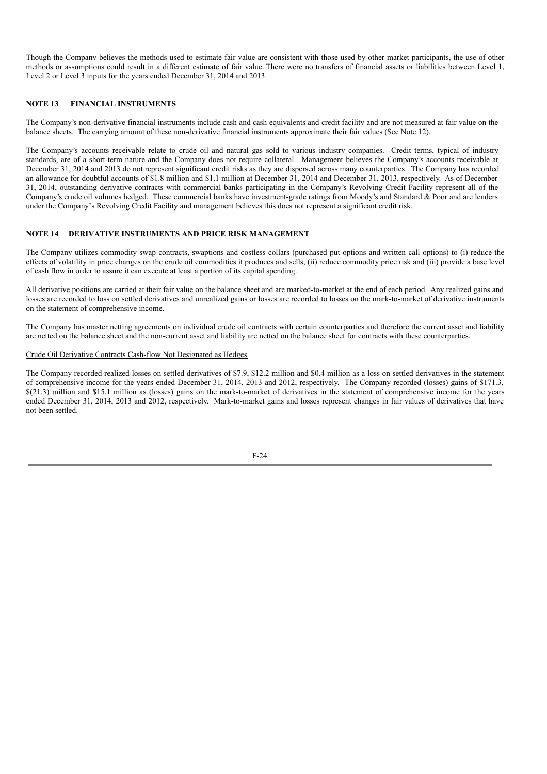Though the Company believes the methods used to estimate fair value are consistent with those used by other market participants, the use of other methods or assumptions could result in a different estimate of fair value. There were no transfers of financial assets or liabilities between Level 1, Level 2 or Level 3 inputs for the years ended December 31, 2014 and 2013.

#### **NOTE 13 FINANCIAL INSTRUMENTS**

The Company's non-derivative financial instruments include cash and cash equivalents and credit facility and are not measured at fair value on the balance sheets. The carrying amount of these non-derivative financial instruments approximate their fair values (See Note 12).

The Company's accounts receivable relate to crude oil and natural gas sold to various industry companies. Credit terms, typical of industry standards, are of a short-term nature and the Company does not require collateral. Management believes the Company's accounts receivable at December 31, 2014 and 2013 do not represent significant credit risks as they are dispersed across many counterparties. The Company has recorded an allowance for doubtful accounts of \$1.8 million and \$1.1 million at December 31, 2014 and December 31, 2013, respectively. As of December 31, 2014, outstanding derivative contracts with commercial banks participating in the Company's Revolving Credit Facility represent all of the Company's crude oil volumes hedged. These commercial banks have investment-grade ratings from Moody's and Standard & Poor and are lenders under the Company's Revolving Credit Facility and management believes this does not represent a significant credit risk.

### **NOTE 14 DERIVATIVE INSTRUMENTS AND PRICE RISK MANAGEMENT**

The Company utilizes commodity swap contracts, swaptions and costless collars (purchased put options and written call options) to (i) reduce the effects of volatility in price changes on the crude oil commodities it produces and sells, (ii) reduce commodity price risk and (iii) provide a base level of cash flow in order to assure it can execute at least a portion of its capital spending.

All derivative positions are carried at their fair value on the balance sheet and are marked-to-market at the end of each period. Any realized gains and losses are recorded to loss on settled derivatives and unrealized gains or losses are recorded to losses on the mark-to-market of derivative instruments on the statement of comprehensive income.

The Company has master netting agreements on individual crude oil contracts with certain counterparties and therefore the current asset and liability are netted on the balance sheet and the non-current asset and liability are netted on the balance sheet for contracts with these counterparties.

#### Crude Oil Derivative Contracts Cash-flow Not Designated as Hedges

The Company recorded realized losses on settled derivatives of \$7.9, \$12.2 million and \$0.4 million as a loss on settled derivatives in the statement of comprehensive income for the years ended December 31, 2014, 2013 and 2012, respectively. The Company recorded (losses) gains of \$171.3, \$(21.3) million and \$15.1 million as (losses) gains on the mark-to-market of derivatives in the statement of comprehensive income for the years ended December 31, 2014, 2013 and 2012, respectively. Mark-to-market gains and losses represent changes in fair values of derivatives that have not been settled.

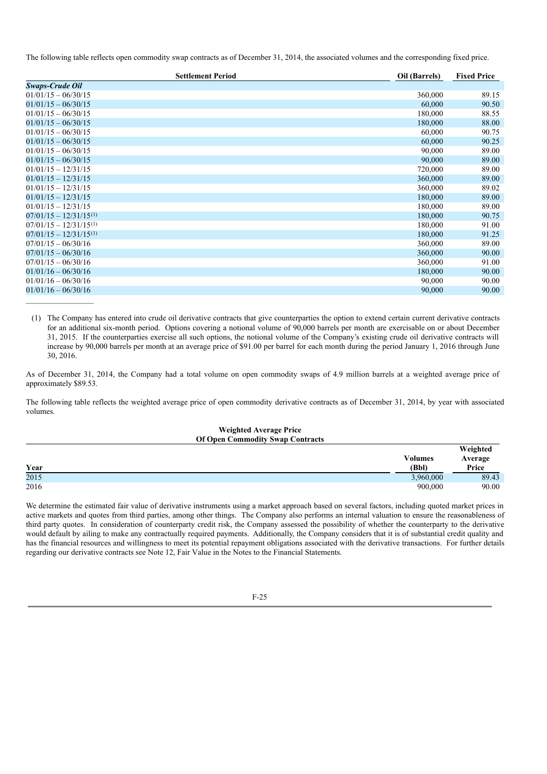The following table reflects open commodity swap contracts as of December 31, 2014, the associated volumes and the corresponding fixed price.

| <b>Swaps-Crude Oil</b><br>360,000<br>$01/01/15 - 06/30/15$<br>89.15<br>$01/01/15 - 06/30/15$<br>60,000<br>90.50<br>$01/01/15 - 06/30/15$<br>180,000<br>88.55<br>180,000<br>$01/01/15 - 06/30/15$<br>88.00<br>$01/01/15 - 06/30/15$<br>60,000<br>90.75<br>60,000<br>$01/01/15 - 06/30/15$<br>90.25<br>$01/01/15 - 06/30/15$<br>90,000<br>89.00<br>$01/01/15 - 06/30/15$<br>90,000<br>89.00 |
|-------------------------------------------------------------------------------------------------------------------------------------------------------------------------------------------------------------------------------------------------------------------------------------------------------------------------------------------------------------------------------------------|
|                                                                                                                                                                                                                                                                                                                                                                                           |
|                                                                                                                                                                                                                                                                                                                                                                                           |
|                                                                                                                                                                                                                                                                                                                                                                                           |
|                                                                                                                                                                                                                                                                                                                                                                                           |
|                                                                                                                                                                                                                                                                                                                                                                                           |
|                                                                                                                                                                                                                                                                                                                                                                                           |
|                                                                                                                                                                                                                                                                                                                                                                                           |
|                                                                                                                                                                                                                                                                                                                                                                                           |
|                                                                                                                                                                                                                                                                                                                                                                                           |
| $01/01/15 - 12/31/15$<br>720,000<br>89.00                                                                                                                                                                                                                                                                                                                                                 |
| $01/01/15 - 12/31/15$<br>360,000<br>89.00                                                                                                                                                                                                                                                                                                                                                 |
| $01/01/15 - 12/31/15$<br>360,000<br>89.02                                                                                                                                                                                                                                                                                                                                                 |
| $01/01/15 - 12/31/15$<br>180,000<br>89.00                                                                                                                                                                                                                                                                                                                                                 |
| $01/01/15 - 12/31/15$<br>180,000<br>89.00                                                                                                                                                                                                                                                                                                                                                 |
| $07/01/15 - 12/31/15^{(1)}$<br>180,000<br>90.75                                                                                                                                                                                                                                                                                                                                           |
| $07/01/15 - 12/31/15^{(1)}$<br>180,000<br>91.00                                                                                                                                                                                                                                                                                                                                           |
| $07/01/15 - 12/31/15^{(1)}$<br>180,000<br>91.25                                                                                                                                                                                                                                                                                                                                           |
| $07/01/15 - 06/30/16$<br>360,000<br>89.00                                                                                                                                                                                                                                                                                                                                                 |
| $07/01/15 - 06/30/16$<br>360,000<br>90.00                                                                                                                                                                                                                                                                                                                                                 |
| 360,000<br>$07/01/15 - 06/30/16$<br>91.00                                                                                                                                                                                                                                                                                                                                                 |
| $01/01/16 - 06/30/16$<br>180,000<br>90.00                                                                                                                                                                                                                                                                                                                                                 |
| 90,000<br>$01/01/16 - 06/30/16$<br>90.00                                                                                                                                                                                                                                                                                                                                                  |
| $01/01/16 - 06/30/16$<br>90,000<br>90.00                                                                                                                                                                                                                                                                                                                                                  |

(1) The Company has entered into crude oil derivative contracts that give counterparties the option to extend certain current derivative contracts for an additional six-month period. Options covering a notional volume of 90,000 barrels per month are exercisable on or about December 31, 2015. If the counterparties exercise all such options, the notional volume of the Company's existing crude oil derivative contracts will increase by 90,000 barrels per month at an average price of \$91.00 per barrel for each month during the period January 1, 2016 through June 30, 2016.

As of December 31, 2014, the Company had a total volume on open commodity swaps of 4.9 million barrels at a weighted average price of approximately \$89.53.

The following table reflects the weighted average price of open commodity derivative contracts as of December 31, 2014, by year with associated volumes.

#### **Weighted Average Price Of Open Commodity Swap Contracts**

|      |                | Weighted |
|------|----------------|----------|
|      | <b>Volumes</b> | Average  |
| Year | (Bbl)          | Price    |
| 2015 | 3,960,000      | 89.43    |
| 2016 | 900,000        | 90.00    |

We determine the estimated fair value of derivative instruments using a market approach based on several factors, including quoted market prices in active markets and quotes from third parties, among other things. The Company also performs an internal valuation to ensure the reasonableness of third party quotes. In consideration of counterparty credit risk, the Company assessed the possibility of whether the counterparty to the derivative would default by ailing to make any contractually required payments. Additionally, the Company considers that it is of substantial credit quality and has the financial resources and willingness to meet its potential repayment obligations associated with the derivative transactions. For further details regarding our derivative contracts see Note 12, Fair Value in the Notes to the Financial Statements.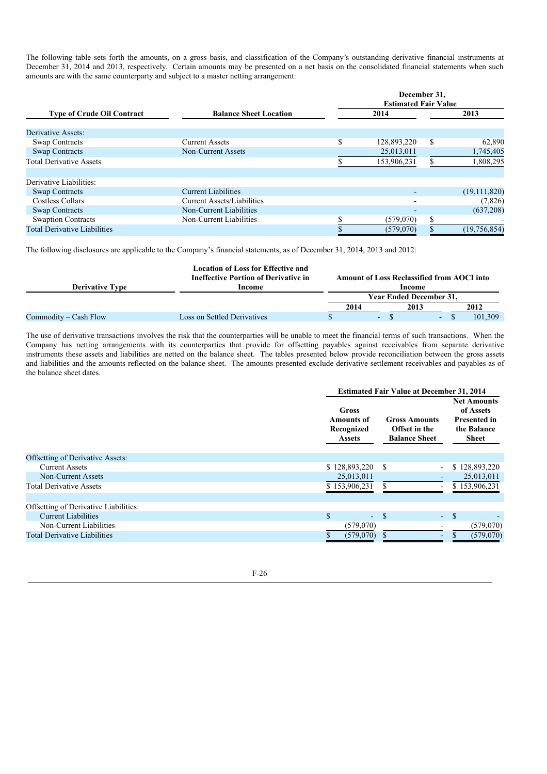The following table sets forth the amounts, on a gross basis, and classification of the Company's outstanding derivative financial instruments at December 31, 2014 and 2013, respectively. Certain amounts may be presented on a net basis on the consolidated financial statements when such amounts are with the same counterparty and subject to a master netting arrangement:

|                                     |                                   | December 31,<br><b>Estimated Fair Value</b> |                |
|-------------------------------------|-----------------------------------|---------------------------------------------|----------------|
| <b>Type of Crude Oil Contract</b>   | <b>Balance Sheet Location</b>     | 2014                                        | 2013           |
| Derivative Assets:                  |                                   |                                             |                |
| Swap Contracts                      | <b>Current Assets</b>             | \$<br>128,893,220                           | \$<br>62,890   |
| <b>Swap Contracts</b>               | <b>Non-Current Assets</b>         | 25,013,011                                  | 1,745,405      |
| <b>Total Derivative Assets</b>      |                                   | 153,906,231                                 | 1,808,295      |
|                                     |                                   |                                             |                |
| Derivative Liabilities:             |                                   |                                             |                |
| <b>Swap Contracts</b>               | <b>Current Liabilities</b>        |                                             | (19, 111, 820) |
| Costless Collars                    | <b>Current Assets/Liabilities</b> |                                             | (7,826)        |
| <b>Swap Contracts</b>               | Non-Current Liabilities           |                                             | (637,208)      |
| <b>Swaption Contracts</b>           | Non-Current Liabilities           | (579,070)                                   | \$             |
| <b>Total Derivative Liabilities</b> |                                   | (579,070)                                   | (19, 756, 854) |

The following disclosures are applicable to the Company's financial statements, as of December 31, 2014, 2013 and 2012:

|                         | <b>Location of Loss for Effective and</b><br><b>Ineffective Portion of Derivative in</b><br><b>Amount of Loss Reclassified from AOCI into</b> |      |                                |        |  |         |  |
|-------------------------|-----------------------------------------------------------------------------------------------------------------------------------------------|------|--------------------------------|--------|--|---------|--|
| <b>Derivative Type</b>  | Income                                                                                                                                        |      |                                | Income |  |         |  |
|                         |                                                                                                                                               |      | <b>Year Ended December 31,</b> |        |  |         |  |
|                         |                                                                                                                                               | 2014 |                                | 2013   |  | 2012    |  |
| $Commodity - Cash Flow$ | <b>Loss on Settled Derivatives</b>                                                                                                            |      | $\sim$                         |        |  | 101.309 |  |
|                         |                                                                                                                                               |      |                                |        |  |         |  |

The use of derivative transactions involves the risk that the counterparties will be unable to meet the financial terms of such transactions. When the Company has netting arrangements with its counterparties that provide for offsetting payables against receivables from separate derivative instruments these assets and liabilities are netted on the balance sheet. The tables presented below provide reconciliation between the gross assets and liabilities and the amounts reflected on the balance sheet. The amounts presented exclude derivative settlement receivables and payables as of the balance sheet dates.

|                                         | <b>Estimated Fair Value at December 31, 2014</b>          |                                                               |                                                                                       |  |  |  |
|-----------------------------------------|-----------------------------------------------------------|---------------------------------------------------------------|---------------------------------------------------------------------------------------|--|--|--|
|                                         | <b>Gross</b><br>Amounts of<br>Recognized<br><b>Assets</b> | <b>Gross Amounts</b><br>Offset in the<br><b>Balance Sheet</b> | <b>Net Amounts</b><br>of Assets<br><b>Presented in</b><br>the Balance<br><b>Sheet</b> |  |  |  |
| <b>Offsetting of Derivative Assets:</b> |                                                           |                                                               |                                                                                       |  |  |  |
| <b>Current Assets</b>                   | \$128,893,220                                             | S<br>$\overline{\phantom{0}}$                                 | \$128,893,220                                                                         |  |  |  |
| Non-Current Assets                      | 25,013,011                                                |                                                               | 25,013,011                                                                            |  |  |  |
| <b>Total Derivative Assets</b>          | \$153,906,231                                             | \$<br>$\sim$                                                  | \$153,906,231                                                                         |  |  |  |
| Offsetting of Derivative Liabilities:   |                                                           |                                                               |                                                                                       |  |  |  |
| <b>Current Liabilities</b>              | \$<br>$-5$                                                | $\Delta \sim 10$                                              | -S                                                                                    |  |  |  |
| Non-Current Liabilities                 | (579,070)                                                 |                                                               | (579,070)                                                                             |  |  |  |
| <b>Total Derivative Liabilities</b>     | (579,070)                                                 |                                                               | (579,070)                                                                             |  |  |  |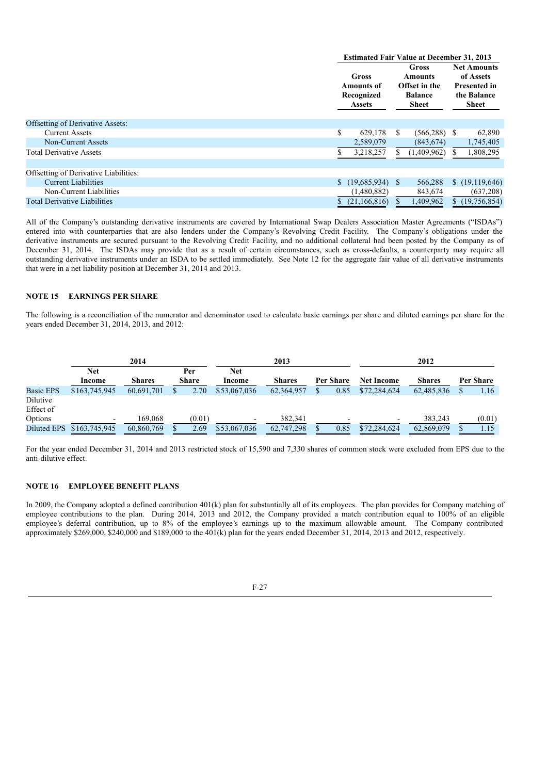|                                         |    | <b>Estimated Fair Value at December 31, 2013</b>                                                                        |              |                 |    |                |  |  |  |                                                                                       |
|-----------------------------------------|----|-------------------------------------------------------------------------------------------------------------------------|--------------|-----------------|----|----------------|--|--|--|---------------------------------------------------------------------------------------|
|                                         |    | Gross<br><b>Amounts</b><br>Offset in the<br><b>Amounts of</b><br>Recognized<br><b>Balance</b><br><b>Sheet</b><br>Assets |              | <b>Gross</b>    |    |                |  |  |  | <b>Net Amounts</b><br>of Assets<br><b>Presented in</b><br>the Balance<br><b>Sheet</b> |
| <b>Offsetting of Derivative Assets:</b> |    |                                                                                                                         |              |                 |    |                |  |  |  |                                                                                       |
| <b>Current Assets</b>                   | \$ | 629,178                                                                                                                 | S.           | $(566, 288)$ \$ |    | 62,890         |  |  |  |                                                                                       |
| Non-Current Assets                      |    | 2,589,079                                                                                                               |              | (843, 674)      |    | 1,745,405      |  |  |  |                                                                                       |
| <b>Total Derivative Assets</b>          |    | 3,218,257                                                                                                               | S.           | (1,409,962)     |    | ,808,295       |  |  |  |                                                                                       |
|                                         |    |                                                                                                                         |              |                 |    |                |  |  |  |                                                                                       |
| Offsetting of Derivative Liabilities:   |    |                                                                                                                         |              |                 |    |                |  |  |  |                                                                                       |
| <b>Current Liabilities</b>              | S. | (19,685,934)                                                                                                            | <sup>S</sup> | 566,288         | \$ | (19,119,646)   |  |  |  |                                                                                       |
| Non-Current Liabilities                 |    | (1,480,882)                                                                                                             |              | 843,674         |    | (637,208)      |  |  |  |                                                                                       |
| <b>Total Derivative Liabilities</b>     |    | (21, 166, 816)                                                                                                          | S.           | 1,409,962       |    | (19, 756, 854) |  |  |  |                                                                                       |

All of the Company's outstanding derivative instruments are covered by International Swap Dealers Association Master Agreements ("ISDAs") entered into with counterparties that are also lenders under the Company's Revolving Credit Facility. The Company's obligations under the derivative instruments are secured pursuant to the Revolving Credit Facility, and no additional collateral had been posted by the Company as of December 31, 2014. The ISDAs may provide that as a result of certain circumstances, such as cross-defaults, a counterparty may require all outstanding derivative instruments under an ISDA to be settled immediately. See Note 12 for the aggregate fair value of all derivative instruments that were in a net liability position at December 31, 2014 and 2013.

### **NOTE 15 EARNINGS PER SHARE**

The following is a reconciliation of the numerator and denominator used to calculate basic earnings per share and diluted earnings per share for the years ended December 31, 2014, 2013, and 2012:

|                       |               | 2014          |       |        |                          | 2013          |           |                   | 2012          |           |
|-----------------------|---------------|---------------|-------|--------|--------------------------|---------------|-----------|-------------------|---------------|-----------|
|                       | <b>Net</b>    |               | Per   |        | Net                      |               |           |                   |               |           |
|                       | Income        | <b>Shares</b> | Share |        | Income                   | <b>Shares</b> | Per Share | <b>Net Income</b> | <b>Shares</b> | Per Share |
| <b>Basic EPS</b>      | \$163,745,945 | 60,691,701    |       | 2.70   | \$53,067,036             | 62,364,957    | 0.85      | \$72,284,624      | 62,485,836    | 1.16      |
| Dilutive<br>Effect of |               |               |       |        |                          |               |           |                   |               |           |
| Options               |               | 169.068       |       | (0.01) | $\overline{\phantom{0}}$ | 382.341       |           |                   | 383.243       | (0.01)    |
| Diluted EPS           | \$163,745,945 | 60,860,769    |       | 2.69   | \$53,067,036             | 62,747,298    | 0.85      | \$72,284,624      | 62,869,079    | 1.15      |

For the year ended December 31, 2014 and 2013 restricted stock of 15,590 and 7,330 shares of common stock were excluded from EPS due to the anti-dilutive effect.

## **NOTE 16 EMPLOYEE BENEFIT PLANS**

In 2009, the Company adopted a defined contribution 401(k) plan for substantially all of its employees. The plan provides for Company matching of employee contributions to the plan. During 2014, 2013 and 2012, the Company provided a match contribution equal to 100% of an eligible employee's deferral contribution, up to 8% of the employee's earnings up to the maximum allowable amount. The Company contributed approximately \$269,000, \$240,000 and \$189,000 to the 401(k) plan for the years ended December 31, 2014, 2013 and 2012, respectively.

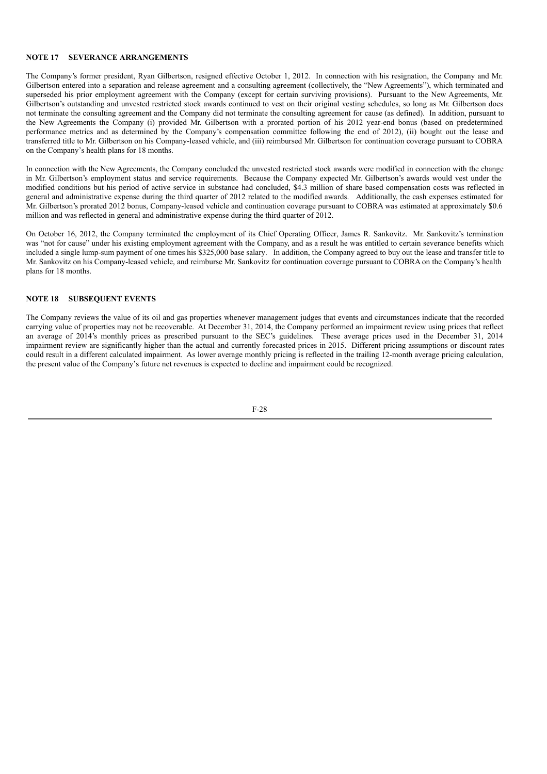#### **NOTE 17 SEVERANCE ARRANGEMENTS**

The Company's former president, Ryan Gilbertson, resigned effective October 1, 2012. In connection with his resignation, the Company and Mr. Gilbertson entered into a separation and release agreement and a consulting agreement (collectively, the "New Agreements"), which terminated and superseded his prior employment agreement with the Company (except for certain surviving provisions). Pursuant to the New Agreements, Mr. Gilbertson's outstanding and unvested restricted stock awards continued to vest on their original vesting schedules, so long as Mr. Gilbertson does not terminate the consulting agreement and the Company did not terminate the consulting agreement for cause (as defined). In addition, pursuant to the New Agreements the Company (i) provided Mr. Gilbertson with a prorated portion of his 2012 year-end bonus (based on predetermined performance metrics and as determined by the Company's compensation committee following the end of 2012), (ii) bought out the lease and transferred title to Mr. Gilbertson on his Company-leased vehicle, and (iii) reimbursed Mr. Gilbertson for continuation coverage pursuant to COBRA on the Company's health plans for 18 months.

In connection with the New Agreements, the Company concluded the unvested restricted stock awards were modified in connection with the change in Mr. Gilbertson's employment status and service requirements. Because the Company expected Mr. Gilbertson's awards would vest under the modified conditions but his period of active service in substance had concluded, \$4.3 million of share based compensation costs was reflected in general and administrative expense during the third quarter of 2012 related to the modified awards. Additionally, the cash expenses estimated for Mr. Gilbertson's prorated 2012 bonus, Company-leased vehicle and continuation coverage pursuant to COBRA was estimated at approximately \$0.6 million and was reflected in general and administrative expense during the third quarter of 2012.

On October 16, 2012, the Company terminated the employment of its Chief Operating Officer, James R. Sankovitz. Mr. Sankovitz's termination was "not for cause" under his existing employment agreement with the Company, and as a result he was entitled to certain severance benefits which included a single lump-sum payment of one times his \$325,000 base salary. In addition, the Company agreed to buy out the lease and transfer title to Mr. Sankovitz on his Company-leased vehicle, and reimburse Mr. Sankovitz for continuation coverage pursuant to COBRA on the Company's health plans for 18 months.

### **NOTE 18 SUBSEQUENT EVENTS**

The Company reviews the value of its oil and gas properties whenever management judges that events and circumstances indicate that the recorded carrying value of properties may not be recoverable. At December 31, 2014, the Company performed an impairment review using prices that reflect an average of 2014's monthly prices as prescribed pursuant to the SEC's guidelines. These average prices used in the December 31, 2014 impairment review are significantly higher than the actual and currently forecasted prices in 2015. Different pricing assumptions or discount rates could result in a different calculated impairment. As lower average monthly pricing is reflected in the trailing 12-month average pricing calculation, the present value of the Company's future net revenues is expected to decline and impairment could be recognized.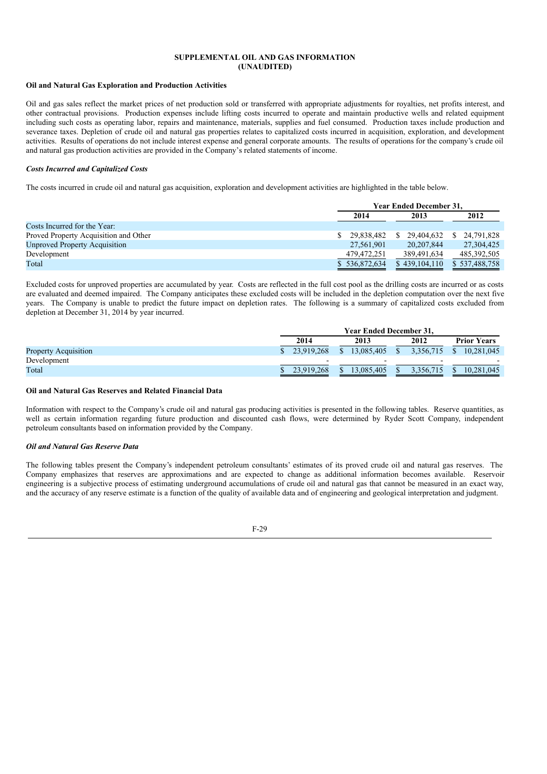#### **SUPPLEMENTAL OIL AND GAS INFORMATION (UNAUDITED)**

### **Oil and Natural Gas Exploration and Production Activities**

Oil and gas sales reflect the market prices of net production sold or transferred with appropriate adjustments for royalties, net profits interest, and other contractual provisions. Production expenses include lifting costs incurred to operate and maintain productive wells and related equipment including such costs as operating labor, repairs and maintenance, materials, supplies and fuel consumed. Production taxes include production and severance taxes. Depletion of crude oil and natural gas properties relates to capitalized costs incurred in acquisition, exploration, and development activities. Results of operations do not include interest expense and general corporate amounts. The results of operations for the company's crude oil and natural gas production activities are provided in the Company's related statements of income.

#### *Costs Incurred and Capitalized Costs*

The costs incurred in crude oil and natural gas acquisition, exploration and development activities are highlighted in the table below.

|                                       |               | <b>Year Ended December 31.</b> |               |  |  |
|---------------------------------------|---------------|--------------------------------|---------------|--|--|
|                                       | 2014          | 2013                           | 2012          |  |  |
| Costs Incurred for the Year:          |               |                                |               |  |  |
| Proved Property Acquisition and Other | 29.838.482    | \$ 29.404,632                  | \$ 24.791,828 |  |  |
| <b>Unproved Property Acquisition</b>  | 27,561,901    | 20, 207, 844                   | 27,304,425    |  |  |
| Development                           | 479.472.251   | 389.491.634                    | 485.392.505   |  |  |
| Total                                 | \$536,872,634 | \$439.104.110                  | \$537,488,758 |  |  |

Excluded costs for unproved properties are accumulated by year. Costs are reflected in the full cost pool as the drilling costs are incurred or as costs are evaluated and deemed impaired. The Company anticipates these excluded costs will be included in the depletion computation over the next five years. The Company is unable to predict the future impact on depletion rates. The following is a summary of capitalized costs excluded from depletion at December 31, 2014 by year incurred.

|                             |                      | <b>Year Ended December 31.</b> |  |                          |                    |                          |      |            |
|-----------------------------|----------------------|--------------------------------|--|--------------------------|--------------------|--------------------------|------|------------|
|                             | 2014<br>2012<br>2013 |                                |  |                          | <b>Prior Years</b> |                          |      |            |
| <b>Property Acquisition</b> |                      | \$23.919.268                   |  | 13.085.405               |                    | 3,356,715                | - \$ | 10,281,045 |
| Development                 |                      | $\overline{\phantom{0}}$       |  | $\overline{\phantom{0}}$ |                    | $\overline{\phantom{0}}$ |      |            |
| Total                       |                      | 23,919,268                     |  | 13.085.405               |                    | 3.356.715                |      | 10.281,045 |

#### **Oil and Natural Gas Reserves and Related Financial Data**

Information with respect to the Company's crude oil and natural gas producing activities is presented in the following tables. Reserve quantities, as well as certain information regarding future production and discounted cash flows, were determined by Ryder Scott Company, independent petroleum consultants based on information provided by the Company.

### *Oil and Natural Gas Reserve Data*

The following tables present the Company's independent petroleum consultants' estimates of its proved crude oil and natural gas reserves. The Company emphasizes that reserves are approximations and are expected to change as additional information becomes available. Reservoir engineering is a subjective process of estimating underground accumulations of crude oil and natural gas that cannot be measured in an exact way, and the accuracy of any reserve estimate is a function of the quality of available data and of engineering and geological interpretation and judgment.

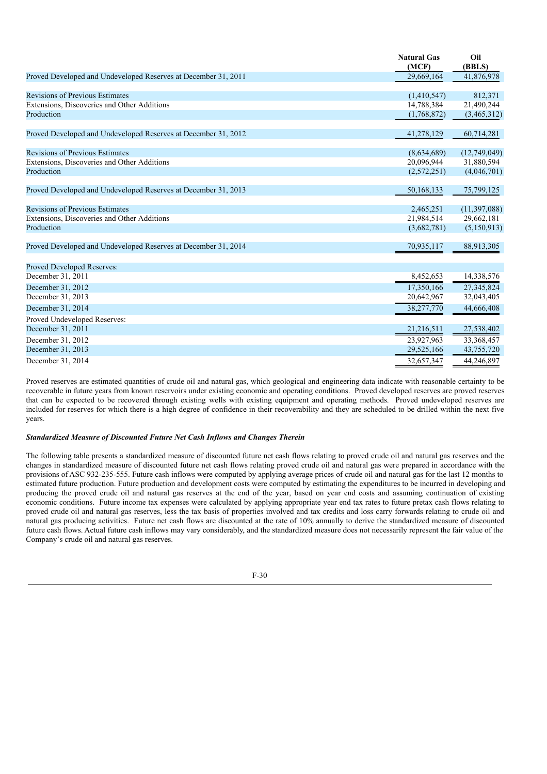|                                                                | <b>Natural Gas</b> | Oil          |
|----------------------------------------------------------------|--------------------|--------------|
|                                                                | (MCF)              | (BBLS)       |
| Proved Developed and Undeveloped Reserves at December 31, 2011 | 29,669,164         | 41,876,978   |
| <b>Revisions of Previous Estimates</b>                         | (1,410,547)        | 812,371      |
| Extensions, Discoveries and Other Additions                    | 14,788,384         | 21,490,244   |
| Production                                                     | (1,768,872)        | (3,465,312)  |
|                                                                |                    |              |
| Proved Developed and Undeveloped Reserves at December 31, 2012 | 41,278,129         | 60,714,281   |
| <b>Revisions of Previous Estimates</b>                         | (8,634,689)        | (12,749,049) |
| Extensions, Discoveries and Other Additions                    | 20,096,944         | 31,880,594   |
| Production                                                     | (2,572,251)        | (4,046,701)  |
| Proved Developed and Undeveloped Reserves at December 31, 2013 | 50,168,133         | 75,799,125   |
| <b>Revisions of Previous Estimates</b>                         | 2,465,251          | (11,397,088) |
| Extensions, Discoveries and Other Additions                    | 21,984,514         | 29,662,181   |
| Production                                                     | (3,682,781)        | (5,150,913)  |
| Proved Developed and Undeveloped Reserves at December 31, 2014 | 70,935,117         | 88,913,305   |
| Proved Developed Reserves:                                     |                    |              |
| December 31, 2011                                              | 8,452,653          | 14,338,576   |
| December 31, 2012                                              | 17,350,166         | 27,345,824   |
| December 31, 2013                                              | 20,642,967         | 32,043,405   |
| December 31, 2014                                              | 38,277,770         | 44,666,408   |
| Proved Undeveloped Reserves:                                   |                    |              |
| December 31, 2011                                              | 21,216,511         | 27,538,402   |
| December 31, 2012                                              | 23,927,963         | 33,368,457   |
| December 31, 2013                                              | 29,525,166         | 43,755,720   |
| December 31, 2014                                              | 32,657,347         | 44,246,897   |

Proved reserves are estimated quantities of crude oil and natural gas, which geological and engineering data indicate with reasonable certainty to be recoverable in future years from known reservoirs under existing economic and operating conditions. Proved developed reserves are proved reserves that can be expected to be recovered through existing wells with existing equipment and operating methods. Proved undeveloped reserves are included for reserves for which there is a high degree of confidence in their recoverability and they are scheduled to be drilled within the next five years.

### *Standardized Measure of Discounted Future Net Cash Inflows and Changes Therein*

The following table presents a standardized measure of discounted future net cash flows relating to proved crude oil and natural gas reserves and the changes in standardized measure of discounted future net cash flows relating proved crude oil and natural gas were prepared in accordance with the provisions of ASC 932-235-555. Future cash inflows were computed by applying average prices of crude oil and natural gas for the last 12 months to estimated future production. Future production and development costs were computed by estimating the expenditures to be incurred in developing and producing the proved crude oil and natural gas reserves at the end of the year, based on year end costs and assuming continuation of existing economic conditions. Future income tax expenses were calculated by applying appropriate year end tax rates to future pretax cash flows relating to proved crude oil and natural gas reserves, less the tax basis of properties involved and tax credits and loss carry forwards relating to crude oil and natural gas producing activities. Future net cash flows are discounted at the rate of 10% annually to derive the standardized measure of discounted future cash flows. Actual future cash inflows may vary considerably, and the standardized measure does not necessarily represent the fair value of the Company's crude oil and natural gas reserves.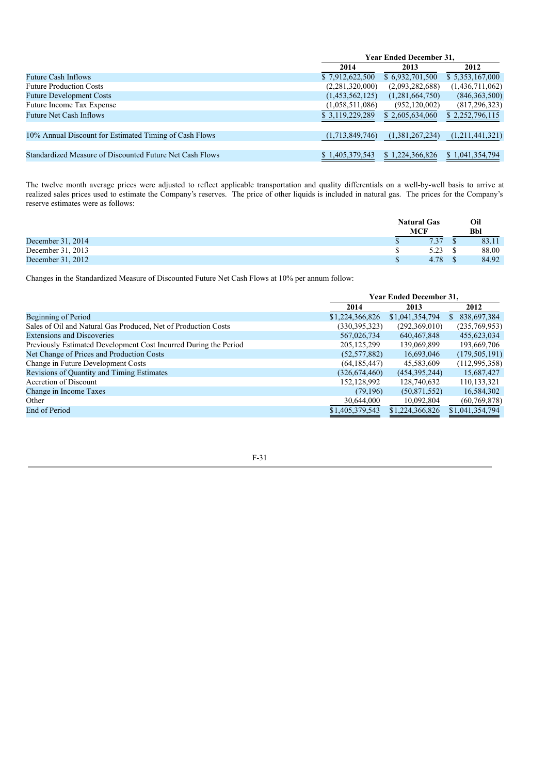|                                                          |                  | <b>Year Ended December 31,</b> |                 |  |  |  |
|----------------------------------------------------------|------------------|--------------------------------|-----------------|--|--|--|
|                                                          | 2014             | 2013                           | 2012            |  |  |  |
| <b>Future Cash Inflows</b>                               | \$7,912,622,500  | \$6,932,701,500                | \$5,353,167,000 |  |  |  |
| <b>Future Production Costs</b>                           | (2,281,320,000)  | (2,093,282,688)                | (1,436,711,062) |  |  |  |
| <b>Future Development Costs</b>                          | (1,453,562,125)  | (1,281,664,750)                | (846, 363, 500) |  |  |  |
| Future Income Tax Expense                                | (1,058,511,086)  | (952, 120, 002)                | (817, 296, 323) |  |  |  |
| <b>Future Net Cash Inflows</b>                           | \$ 3,119,229,289 | \$2,605,634,060                | \$2,252,796,115 |  |  |  |
|                                                          |                  |                                |                 |  |  |  |
| 10% Annual Discount for Estimated Timing of Cash Flows   | (1,713,849,746)  | (1,381,267,234)                | (1,211,441,321) |  |  |  |
|                                                          |                  |                                |                 |  |  |  |
| Standardized Measure of Discounted Future Net Cash Flows | \$1,405,379,543  | \$1,224,366,826                | \$1,041,354,794 |  |  |  |

The twelve month average prices were adjusted to reflect applicable transportation and quality differentials on a well-by-well basis to arrive at realized sales prices used to estimate the Company's reserves. The price of other liquids is included in natural gas. The prices for the Company's reserve estimates were as follows:

|                   | <b>Natural Gas</b><br><b>MCF</b> | Oil<br>Bbl |
|-------------------|----------------------------------|------------|
| December 31, 2014 | 7.37                             | 83.11      |
| December 31, 2013 | 5.23                             | 88.00      |
| December 31, 2012 | 4.78                             | 84.92      |

Changes in the Standardized Measure of Discounted Future Net Cash Flows at 10% per annum follow:

|                                                                  |                 | <b>Year Ended December 31.</b> |                   |  |  |
|------------------------------------------------------------------|-----------------|--------------------------------|-------------------|--|--|
|                                                                  | 2014            | 2013                           | 2012              |  |  |
| Beginning of Period                                              | \$1,224,366,826 | \$1,041,354,794                | 838,697,384<br>S. |  |  |
| Sales of Oil and Natural Gas Produced, Net of Production Costs   | (330, 395, 323) | (292,369,010)                  | (235,769,953)     |  |  |
| <b>Extensions and Discoveries</b>                                | 567,026,734     | 640, 467, 848                  | 455,623,034       |  |  |
| Previously Estimated Development Cost Incurred During the Period | 205, 125, 299   | 139,069,899                    | 193,669,706       |  |  |
| Net Change of Prices and Production Costs                        | (52, 577, 882)  | 16,693,046                     | (179, 505, 191)   |  |  |
| Change in Future Development Costs                               | (64, 185, 447)  | 45,583,609                     | (112,995,358)     |  |  |
| Revisions of Quantity and Timing Estimates                       | (326, 674, 460) | (454, 395, 244)                | 15,687,427        |  |  |
| Accretion of Discount                                            | 152,128,992     | 128,740,632                    | 110,133,321       |  |  |
| Change in Income Taxes                                           | (79, 196)       | (50, 871, 552)                 | 16,584,302        |  |  |
| Other                                                            | 30,644,000      | 10,092,804                     | (60, 769, 878)    |  |  |
| End of Period                                                    | \$1,405,379,543 | \$1,224,366,826                | \$1,041,354,794   |  |  |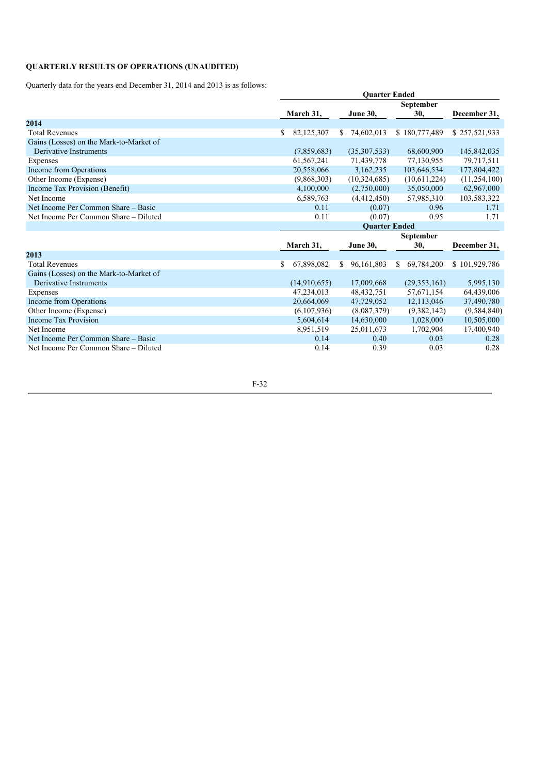# **QUARTERLY RESULTS OF OPERATIONS (UNAUDITED)**

Quarterly data for the years end December 31, 2014 and 2013 is as follows:

| $\sqrt{a}$ and $\frac{a}{b}$ and $\frac{a}{c}$ and $\frac{a}{c}$ and $\frac{a}{c}$ become $\frac{a}{c}$ and $\frac{a}{c}$ and $\frac{a}{c}$ and $\frac{a}{c}$ and $\frac{a}{c}$ and $\frac{a}{c}$ | <b>Ouarter Ended</b> |              |    |                 |    |                  |  |               |
|---------------------------------------------------------------------------------------------------------------------------------------------------------------------------------------------------|----------------------|--------------|----|-----------------|----|------------------|--|---------------|
|                                                                                                                                                                                                   |                      | March 31,    |    | <b>June 30,</b> |    | September<br>30, |  | December 31,  |
| 2014                                                                                                                                                                                              |                      |              |    |                 |    |                  |  |               |
| <b>Total Revenues</b>                                                                                                                                                                             | \$                   | 82,125,307   | \$ | 74,602,013      |    | \$180,777,489    |  | \$257,521,933 |
| Gains (Losses) on the Mark-to-Market of                                                                                                                                                           |                      |              |    |                 |    |                  |  |               |
| Derivative Instruments                                                                                                                                                                            |                      | (7,859,683)  |    | (35,307,533)    |    | 68,600,900       |  | 145,842,035   |
| Expenses                                                                                                                                                                                          |                      | 61,567,241   |    | 71,439,778      |    | 77,130,955       |  | 79,717,511    |
| Income from Operations                                                                                                                                                                            |                      | 20,558,066   |    | 3,162,235       |    | 103,646,534      |  | 177,804,422   |
| Other Income (Expense)                                                                                                                                                                            |                      | (9,868,303)  |    | (10,324,685)    |    | (10,611,224)     |  | (11,254,100)  |
| Income Tax Provision (Benefit)                                                                                                                                                                    |                      | 4,100,000    |    | (2,750,000)     |    | 35,050,000       |  | 62,967,000    |
| Net Income                                                                                                                                                                                        |                      | 6,589,763    |    | (4,412,450)     |    | 57,985,310       |  | 103,583,322   |
| Net Income Per Common Share – Basic                                                                                                                                                               |                      | 0.11         |    | (0.07)          |    | 0.96             |  | 1.71          |
| Net Income Per Common Share – Diluted                                                                                                                                                             |                      | 0.11         |    | (0.07)          |    | 0.95             |  | 1.71          |
|                                                                                                                                                                                                   | <b>Quarter Ended</b> |              |    |                 |    |                  |  |               |
|                                                                                                                                                                                                   |                      | September    |    |                 |    |                  |  |               |
|                                                                                                                                                                                                   |                      | March 31,    |    | <b>June 30,</b> |    | 30,              |  | December 31,  |
| 2013                                                                                                                                                                                              |                      |              |    |                 |    |                  |  |               |
| <b>Total Revenues</b>                                                                                                                                                                             | \$                   | 67,898,082   | \$ | 96,161,803      | S. | 69,784,200       |  | \$101,929,786 |
| Gains (Losses) on the Mark-to-Market of                                                                                                                                                           |                      |              |    |                 |    |                  |  |               |
| Derivative Instruments                                                                                                                                                                            |                      | (14,910,655) |    | 17,009,668      |    | (29, 353, 161)   |  | 5,995,130     |
| Expenses                                                                                                                                                                                          |                      | 47,234,013   |    | 48, 432, 751    |    | 57,671,154       |  | 64,439,006    |
| Income from Operations                                                                                                                                                                            |                      | 20,664,069   |    | 47,729,052      |    | 12,113,046       |  | 37,490,780    |
| Other Income (Expense)                                                                                                                                                                            |                      | (6,107,936)  |    | (8,087,379)     |    | (9,382,142)      |  | (9, 584, 840) |
| Income Tax Provision                                                                                                                                                                              |                      | 5,604,614    |    | 14,630,000      |    | 1,028,000        |  | 10,505,000    |
| Net Income                                                                                                                                                                                        |                      | 8,951,519    |    | 25,011,673      |    | 1,702,904        |  | 17,400,940    |
| Net Income Per Common Share – Basic                                                                                                                                                               |                      | 0.14         |    | 0.40            |    | 0.03             |  | 0.28          |
| Net Income Per Common Share – Diluted                                                                                                                                                             |                      | 0.14         |    | 0.39            |    | 0.03             |  | 0.28          |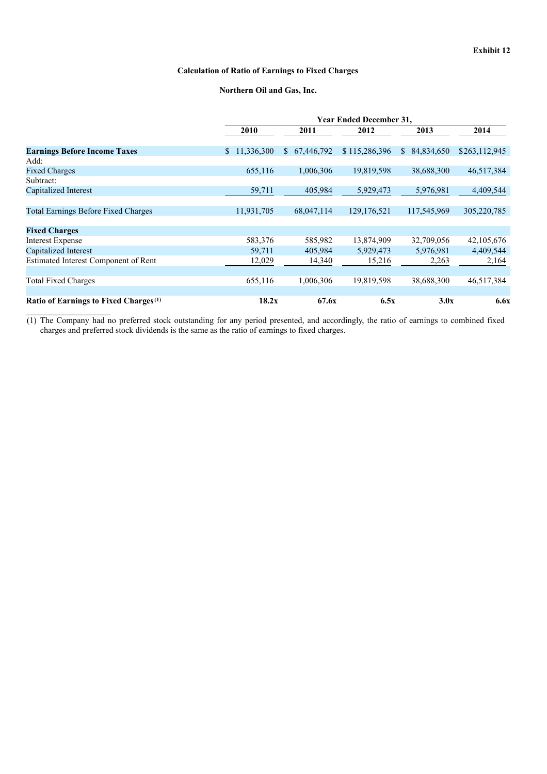# **Calculation of Ratio of Earnings to Fixed Charges**

## **Northern Oil and Gas, Inc.**

|                                                   |                  | <b>Year Ended December 31,</b> |               |                  |               |  |  |  |
|---------------------------------------------------|------------------|--------------------------------|---------------|------------------|---------------|--|--|--|
|                                                   | 2010             | 2011                           | 2012          | 2013             | 2014          |  |  |  |
| <b>Earnings Before Income Taxes</b>               | 11,336,300<br>\$ | 67,446,792<br>S.               | \$115,286,396 | 84,834,650<br>S. | \$263,112,945 |  |  |  |
| Add:                                              |                  |                                |               |                  |               |  |  |  |
| <b>Fixed Charges</b>                              | 655,116          | 1,006,306                      | 19,819,598    | 38,688,300       | 46,517,384    |  |  |  |
| Subtract:                                         |                  |                                |               |                  |               |  |  |  |
| Capitalized Interest                              | 59,711           | 405,984                        | 5,929,473     | 5,976,981        | 4,409,544     |  |  |  |
|                                                   |                  |                                |               |                  |               |  |  |  |
| <b>Total Earnings Before Fixed Charges</b>        | 11,931,705       | 68,047,114                     | 129, 176, 521 | 117,545,969      | 305,220,785   |  |  |  |
|                                                   |                  |                                |               |                  |               |  |  |  |
| <b>Fixed Charges</b>                              |                  |                                |               |                  |               |  |  |  |
| <b>Interest Expense</b>                           | 583,376          | 585,982                        | 13,874,909    | 32,709,056       | 42,105,676    |  |  |  |
| Capitalized Interest                              | 59,711           | 405,984                        | 5,929,473     | 5,976,981        | 4,409,544     |  |  |  |
| Estimated Interest Component of Rent              | 12,029           | 14,340                         | 15,216        | 2,263            | 2,164         |  |  |  |
|                                                   |                  |                                |               |                  |               |  |  |  |
| <b>Total Fixed Charges</b>                        | 655,116          | 1,006,306                      | 19,819,598    | 38,688,300       | 46,517,384    |  |  |  |
|                                                   |                  |                                |               |                  |               |  |  |  |
| Ratio of Earnings to Fixed Charges <sup>(1)</sup> | 18.2x            | 67.6x                          | 6.5x          | 3.0x             | 6.6x          |  |  |  |

(1) The Company had no preferred stock outstanding for any period presented, and accordingly, the ratio of earnings to combined fixed charges and preferred stock dividends is the same as the ratio of earnings to fixed charges.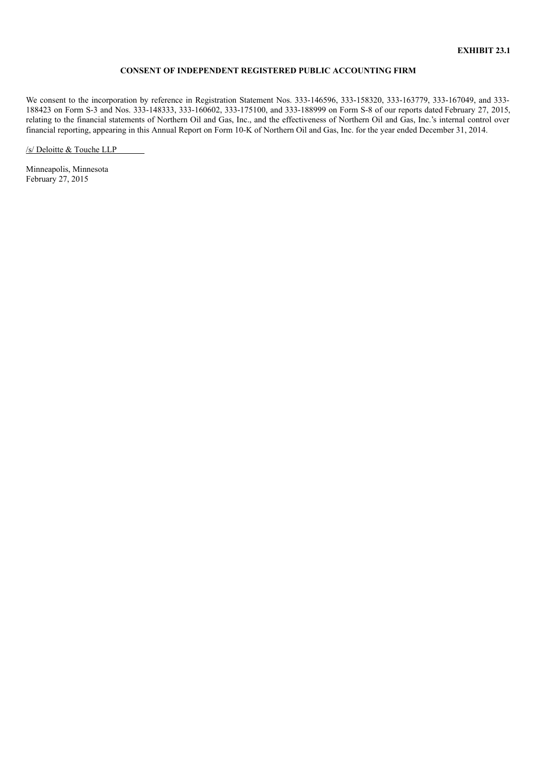## **CONSENT OF INDEPENDENT REGISTERED PUBLIC ACCOUNTING FIRM**

We consent to the incorporation by reference in Registration Statement Nos. 333-146596, 333-158320, 333-163779, 333-167049, and 333- 188423 on Form S-3 and Nos. 333-148333, 333-160602, 333-175100, and 333-188999 on Form S-8 of our reports dated February 27, 2015, relating to the financial statements of Northern Oil and Gas, Inc., and the effectiveness of Northern Oil and Gas, Inc.'s internal control over financial reporting, appearing in this Annual Report on Form 10-K of Northern Oil and Gas, Inc. for the year ended December 31, 2014.

/s/ Deloitte & Touche LLP

Minneapolis, Minnesota February 27, 2015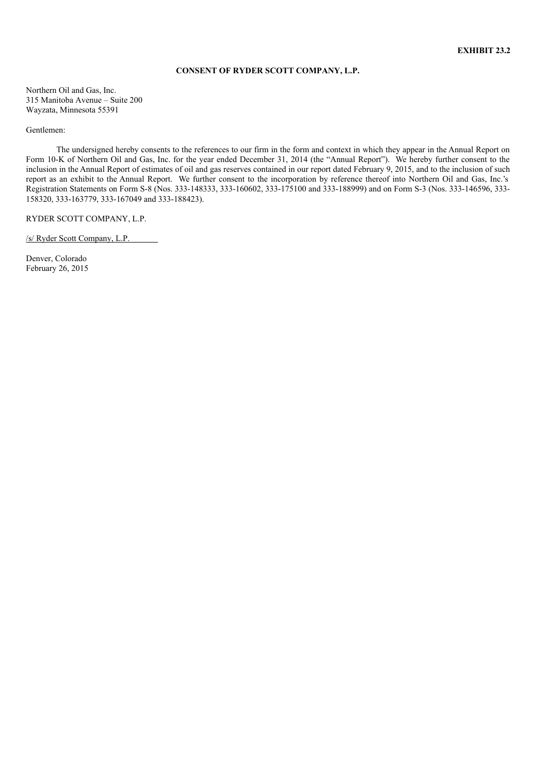## **CONSENT OF RYDER SCOTT COMPANY, L.P.**

Northern Oil and Gas, Inc. 315 Manitoba Avenue – Suite 200 Wayzata, Minnesota 55391

Gentlemen:

The undersigned hereby consents to the references to our firm in the form and context in which they appear in the Annual Report on Form 10-K of Northern Oil and Gas, Inc. for the year ended December 31, 2014 (the "Annual Report"). We hereby further consent to the inclusion in the Annual Report of estimates of oil and gas reserves contained in our report dated February 9, 2015, and to the inclusion of such report as an exhibit to the Annual Report. We further consent to the incorporation by reference thereof into Northern Oil and Gas, Inc.'s Registration Statements on Form S-8 (Nos. 333-148333, 333-160602, 333-175100 and 333-188999) and on Form S-3 (Nos. 333-146596, 333-158320, 333-163779, 333-167049 and 333-188423).

RYDER SCOTT COMPANY, L.P.

/s/ Ryder Scott Company, L.P.

Denver, Colorado February 26, 2015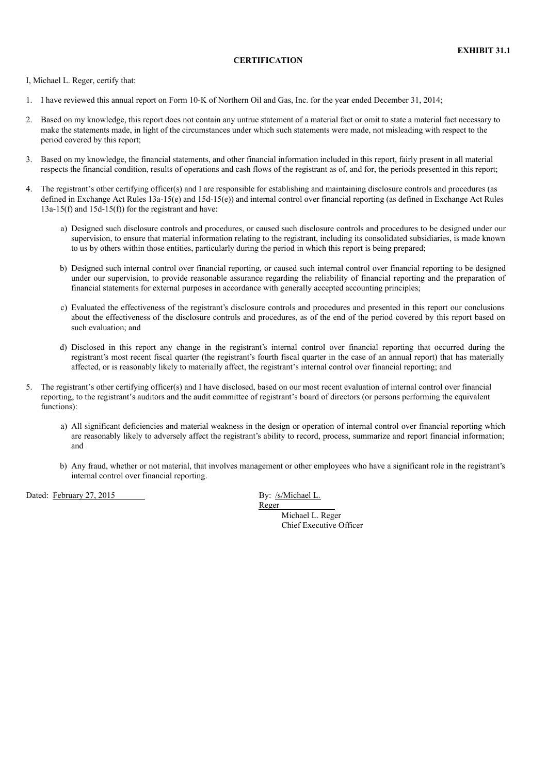# **CERTIFICATION**

I, Michael L. Reger, certify that:

- 1. I have reviewed this annual report on Form 10-K of Northern Oil and Gas, Inc. for the year ended December 31, 2014;
- 2. Based on my knowledge, this report does not contain any untrue statement of a material fact or omit to state a material fact necessary to make the statements made, in light of the circumstances under which such statements were made, not misleading with respect to the period covered by this report;
- 3. Based on my knowledge, the financial statements, and other financial information included in this report, fairly present in all material respects the financial condition, results of operations and cash flows of the registrant as of, and for, the periods presented in this report;
- 4. The registrant's other certifying officer(s) and I are responsible for establishing and maintaining disclosure controls and procedures (as defined in Exchange Act Rules 13a-15(e) and 15d-15(e)) and internal control over financial reporting (as defined in Exchange Act Rules 13a-15(f) and 15d-15(f)) for the registrant and have:
	- a) Designed such disclosure controls and procedures, or caused such disclosure controls and procedures to be designed under our supervision, to ensure that material information relating to the registrant, including its consolidated subsidiaries, is made known to us by others within those entities, particularly during the period in which this report is being prepared;
	- b) Designed such internal control over financial reporting, or caused such internal control over financial reporting to be designed under our supervision, to provide reasonable assurance regarding the reliability of financial reporting and the preparation of financial statements for external purposes in accordance with generally accepted accounting principles;
	- c) Evaluated the effectiveness of the registrant's disclosure controls and procedures and presented in this report our conclusions about the effectiveness of the disclosure controls and procedures, as of the end of the period covered by this report based on such evaluation; and
	- d) Disclosed in this report any change in the registrant's internal control over financial reporting that occurred during the registrant's most recent fiscal quarter (the registrant's fourth fiscal quarter in the case of an annual report) that has materially affected, or is reasonably likely to materially affect, the registrant's internal control over financial reporting; and
- 5. The registrant's other certifying officer(s) and I have disclosed, based on our most recent evaluation of internal control over financial reporting, to the registrant's auditors and the audit committee of registrant's board of directors (or persons performing the equivalent functions):
	- a) All significant deficiencies and material weakness in the design or operation of internal control over financial reporting which are reasonably likely to adversely affect the registrant's ability to record, process, summarize and report financial information; and
	- b) Any fraud, whether or not material, that involves management or other employees who have a significant role in the registrant's internal control over financial reporting.

Dated: February 27, 2015 By: /s/Michael L.

Reger Michael L. Reger Chief Executive Officer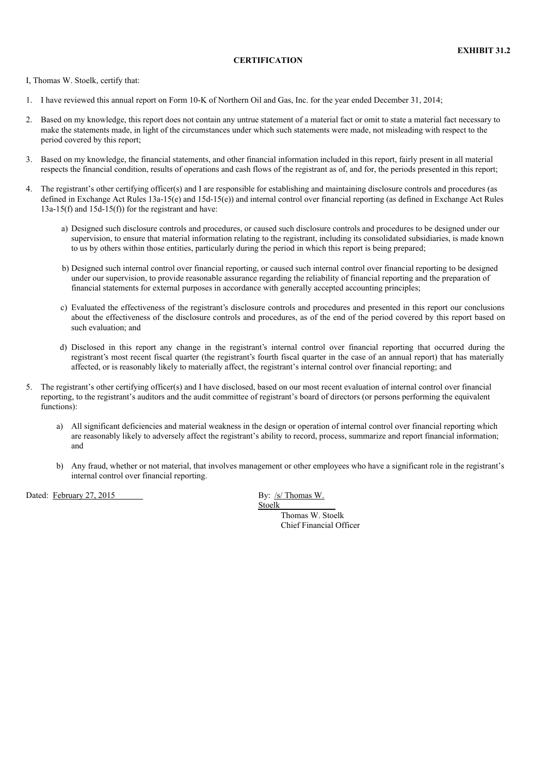# **CERTIFICATION**

I, Thomas W. Stoelk, certify that:

- 1. I have reviewed this annual report on Form 10-K of Northern Oil and Gas, Inc. for the year ended December 31, 2014;
- 2. Based on my knowledge, this report does not contain any untrue statement of a material fact or omit to state a material fact necessary to make the statements made, in light of the circumstances under which such statements were made, not misleading with respect to the period covered by this report;
- 3. Based on my knowledge, the financial statements, and other financial information included in this report, fairly present in all material respects the financial condition, results of operations and cash flows of the registrant as of, and for, the periods presented in this report;
- 4. The registrant's other certifying officer(s) and I are responsible for establishing and maintaining disclosure controls and procedures (as defined in Exchange Act Rules 13a-15(e) and 15d-15(e)) and internal control over financial reporting (as defined in Exchange Act Rules 13a-15(f) and 15d-15(f)) for the registrant and have:
	- a) Designed such disclosure controls and procedures, or caused such disclosure controls and procedures to be designed under our supervision, to ensure that material information relating to the registrant, including its consolidated subsidiaries, is made known to us by others within those entities, particularly during the period in which this report is being prepared;
	- b) Designed such internal control over financial reporting, or caused such internal control over financial reporting to be designed under our supervision, to provide reasonable assurance regarding the reliability of financial reporting and the preparation of financial statements for external purposes in accordance with generally accepted accounting principles;
	- c) Evaluated the effectiveness of the registrant's disclosure controls and procedures and presented in this report our conclusions about the effectiveness of the disclosure controls and procedures, as of the end of the period covered by this report based on such evaluation; and
	- d) Disclosed in this report any change in the registrant's internal control over financial reporting that occurred during the registrant's most recent fiscal quarter (the registrant's fourth fiscal quarter in the case of an annual report) that has materially affected, or is reasonably likely to materially affect, the registrant's internal control over financial reporting; and
- 5. The registrant's other certifying officer(s) and I have disclosed, based on our most recent evaluation of internal control over financial reporting, to the registrant's auditors and the audit committee of registrant's board of directors (or persons performing the equivalent functions):
	- a) All significant deficiencies and material weakness in the design or operation of internal control over financial reporting which are reasonably likely to adversely affect the registrant's ability to record, process, summarize and report financial information; and
	- b) Any fraud, whether or not material, that involves management or other employees who have a significant role in the registrant's internal control over financial reporting.

Dated: February 27, 2015 By: /s/ Thomas W.

Stoelk Thomas W. Stoelk Chief Financial Officer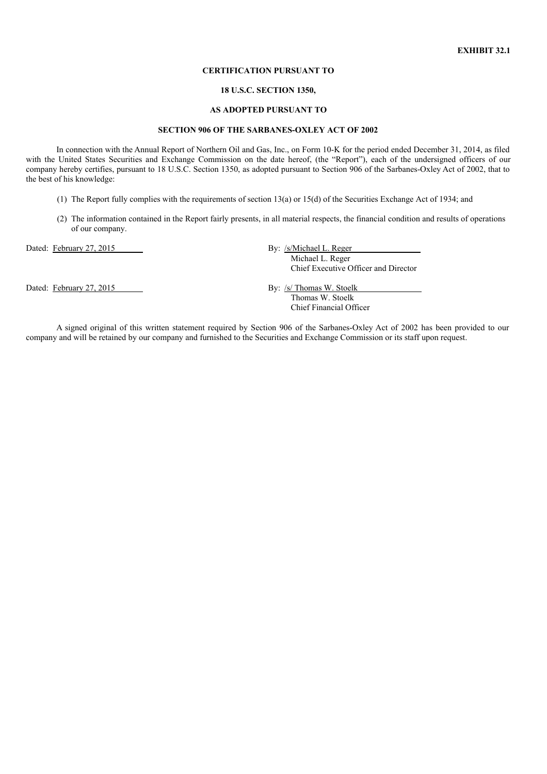## **CERTIFICATION PURSUANT TO**

## **18 U.S.C. SECTION 1350,**

#### **AS ADOPTED PURSUANT TO**

# **SECTION 906 OF THE SARBANES-OXLEY ACT OF 2002**

In connection with the Annual Report of Northern Oil and Gas, Inc., on Form 10-K for the period ended December 31, 2014, as filed with the United States Securities and Exchange Commission on the date hereof, (the "Report"), each of the undersigned officers of our company hereby certifies, pursuant to 18 U.S.C. Section 1350, as adopted pursuant to Section 906 of the Sarbanes-Oxley Act of 2002, that to the best of his knowledge:

- (1) The Report fully complies with the requirements of section 13(a) or 15(d) of the Securities Exchange Act of 1934; and
- (2) The information contained in the Report fairly presents, in all material respects, the financial condition and results of operations of our company.

Dated: February 27, 2015 By: /s/Michael L. Reger

Michael L. Reger Chief Executive Officer and Director

Dated: February 27, 2015 By: /s/ Thomas W. Stoelk

Thomas W. Stoelk Chief Financial Officer

A signed original of this written statement required by Section 906 of the Sarbanes-Oxley Act of 2002 has been provided to our company and will be retained by our company and furnished to the Securities and Exchange Commission or its staff upon request.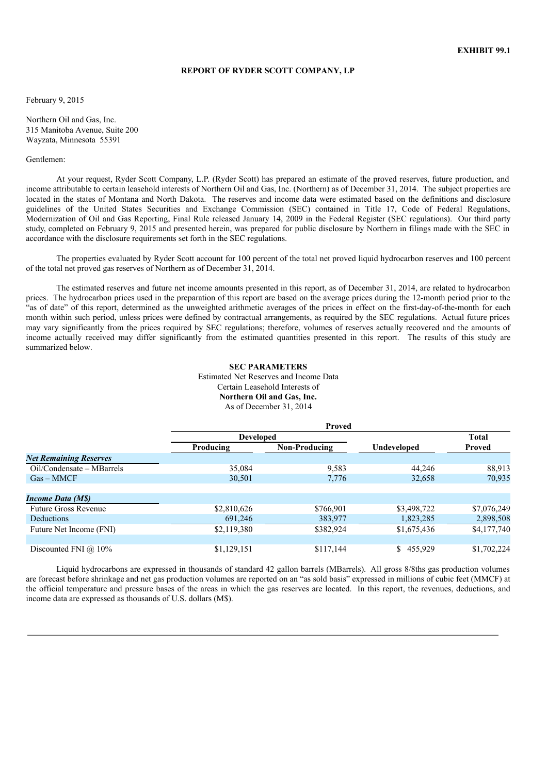#### **REPORT OF RYDER SCOTT COMPANY, LP**

February 9, 2015

Northern Oil and Gas, Inc. 315 Manitoba Avenue, Suite 200 Wayzata, Minnesota 55391

## Gentlemen:

At your request, Ryder Scott Company, L.P. (Ryder Scott) has prepared an estimate of the proved reserves, future production, and income attributable to certain leasehold interests of Northern Oil and Gas, Inc. (Northern) as of December 31, 2014. The subject properties are located in the states of Montana and North Dakota. The reserves and income data were estimated based on the definitions and disclosure guidelines of the United States Securities and Exchange Commission (SEC) contained in Title 17, Code of Federal Regulations, Modernization of Oil and Gas Reporting, Final Rule released January 14, 2009 in the Federal Register (SEC regulations). Our third party study, completed on February 9, 2015 and presented herein, was prepared for public disclosure by Northern in filings made with the SEC in accordance with the disclosure requirements set forth in the SEC regulations.

The properties evaluated by Ryder Scott account for 100 percent of the total net proved liquid hydrocarbon reserves and 100 percent of the total net proved gas reserves of Northern as of December 31, 2014.

The estimated reserves and future net income amounts presented in this report, as of December 31, 2014, are related to hydrocarbon prices. The hydrocarbon prices used in the preparation of this report are based on the average prices during the 12-month period prior to the "as of date" of this report, determined as the unweighted arithmetic averages of the prices in effect on the first-day-of-the-month for each month within such period, unless prices were defined by contractual arrangements, as required by the SEC regulations. Actual future prices may vary significantly from the prices required by SEC regulations; therefore, volumes of reserves actually recovered and the amounts of income actually received may differ significantly from the estimated quantities presented in this report. The results of this study are summarized below.

## **SEC PARAMETERS**

Estimated Net Reserves and Income Data

Certain Leasehold Interests of

**Northern Oil and Gas, Inc.**

As of December 31, 2014

|                               | <b>Proved</b>    |                      |               |              |  |  |
|-------------------------------|------------------|----------------------|---------------|--------------|--|--|
|                               | <b>Developed</b> |                      |               | <b>Total</b> |  |  |
|                               | Producing        | <b>Non-Producing</b> | Undeveloped   | Proved       |  |  |
| <b>Net Remaining Reserves</b> |                  |                      |               |              |  |  |
| Oil/Condensate – MBarrels     | 35,084           | 9,583                | 44.246        | 88,913       |  |  |
| $Gas - MMCF$                  | 30,501           | 7,776                | 32,658        | 70,935       |  |  |
| <b>Income Data (M\$)</b>      |                  |                      |               |              |  |  |
| <b>Future Gross Revenue</b>   | \$2,810,626      | \$766,901            | \$3,498,722   | \$7,076,249  |  |  |
| <b>Deductions</b>             | 691,246          | 383,977              | 1,823,285     | 2,898,508    |  |  |
| Future Net Income (FNI)       | \$2,119,380      | \$382,924            | \$1,675,436   | \$4,177,740  |  |  |
|                               |                  |                      |               |              |  |  |
| Discounted FNI $\omega$ 10%   | \$1,129,151      | \$117,144            | \$<br>455,929 | \$1,702,224  |  |  |

Liquid hydrocarbons are expressed in thousands of standard 42 gallon barrels (MBarrels). All gross 8/8ths gas production volumes are forecast before shrinkage and net gas production volumes are reported on an "as sold basis" expressed in millions of cubic feet (MMCF) at the official temperature and pressure bases of the areas in which the gas reserves are located. In this report, the revenues, deductions, and income data are expressed as thousands of U.S. dollars (M\$).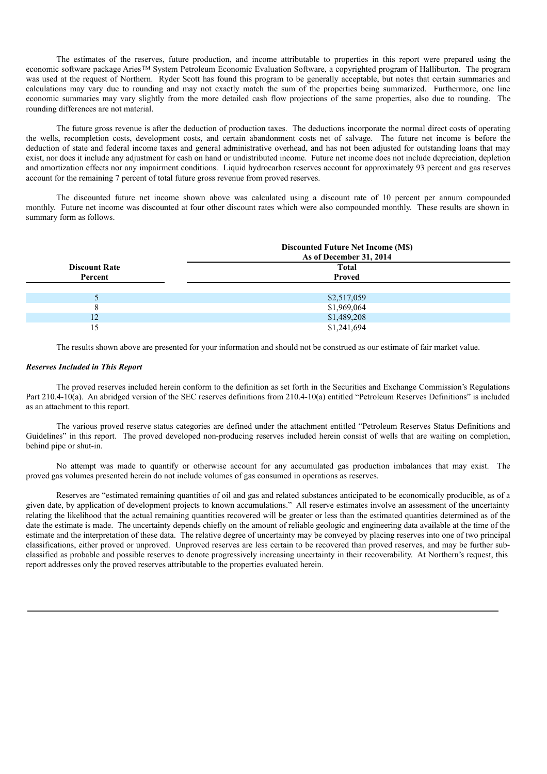The estimates of the reserves, future production, and income attributable to properties in this report were prepared using the economic software package AriesTM System Petroleum Economic Evaluation Software, a copyrighted program of Halliburton. The program was used at the request of Northern. Ryder Scott has found this program to be generally acceptable, but notes that certain summaries and calculations may vary due to rounding and may not exactly match the sum of the properties being summarized. Furthermore, one line economic summaries may vary slightly from the more detailed cash flow projections of the same properties, also due to rounding. The rounding differences are not material.

The future gross revenue is after the deduction of production taxes. The deductions incorporate the normal direct costs of operating the wells, recompletion costs, development costs, and certain abandonment costs net of salvage. The future net income is before the deduction of state and federal income taxes and general administrative overhead, and has not been adjusted for outstanding loans that may exist, nor does it include any adjustment for cash on hand or undistributed income. Future net income does not include depreciation, depletion and amortization effects nor any impairment conditions. Liquid hydrocarbon reserves account for approximately 93 percent and gas reserves account for the remaining 7 percent of total future gross revenue from proved reserves.

The discounted future net income shown above was calculated using a discount rate of 10 percent per annum compounded monthly. Future net income was discounted at four other discount rates which were also compounded monthly. These results are shown in summary form as follows.

|                      | <b>Discounted Future Net Income (M\$)</b><br>As of December 31, 2014 |  |  |
|----------------------|----------------------------------------------------------------------|--|--|
| <b>Discount Rate</b> | Total                                                                |  |  |
| Percent              | Proved                                                               |  |  |
|                      |                                                                      |  |  |
|                      | \$2,517,059                                                          |  |  |
| 8                    | \$1,969,064                                                          |  |  |
| 12                   | \$1,489,208                                                          |  |  |
| 15                   | \$1,241,694                                                          |  |  |

The results shown above are presented for your information and should not be construed as our estimate of fair market value.

## *Reserves Included in This Report*

The proved reserves included herein conform to the definition as set forth in the Securities and Exchange Commission's Regulations Part 210.4-10(a). An abridged version of the SEC reserves definitions from 210.4-10(a) entitled "Petroleum Reserves Definitions" is included as an attachment to this report.

The various proved reserve status categories are defined under the attachment entitled "Petroleum Reserves Status Definitions and Guidelines" in this report. The proved developed non-producing reserves included herein consist of wells that are waiting on completion, behind pipe or shut-in.

No attempt was made to quantify or otherwise account for any accumulated gas production imbalances that may exist. The proved gas volumes presented herein do not include volumes of gas consumed in operations as reserves.

Reserves are "estimated remaining quantities of oil and gas and related substances anticipated to be economically producible, as of a given date, by application of development projects to known accumulations." All reserve estimates involve an assessment of the uncertainty relating the likelihood that the actual remaining quantities recovered will be greater or less than the estimated quantities determined as of the date the estimate is made. The uncertainty depends chiefly on the amount of reliable geologic and engineering data available at the time of the estimate and the interpretation of these data. The relative degree of uncertainty may be conveyed by placing reserves into one of two principal classifications, either proved or unproved. Unproved reserves are less certain to be recovered than proved reserves, and may be further subclassified as probable and possible reserves to denote progressively increasing uncertainty in their recoverability. At Northern's request, this report addresses only the proved reserves attributable to the properties evaluated herein.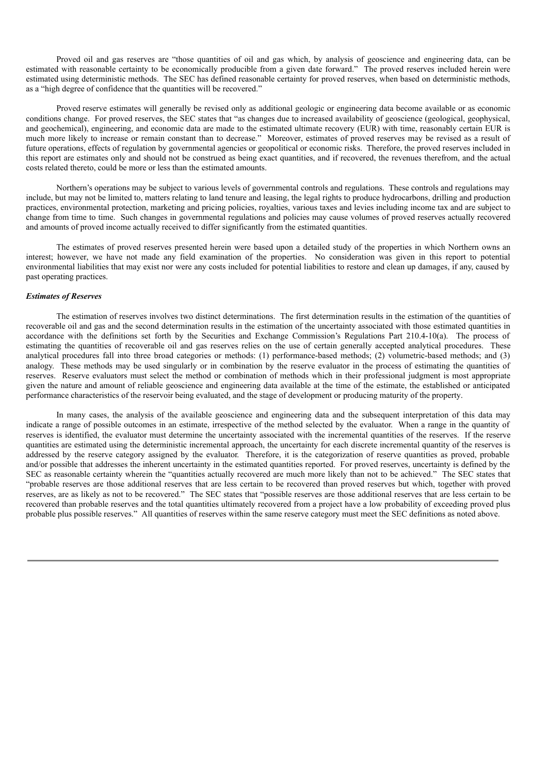Proved oil and gas reserves are "those quantities of oil and gas which, by analysis of geoscience and engineering data, can be estimated with reasonable certainty to be economically producible from a given date forward." The proved reserves included herein were estimated using deterministic methods. The SEC has defined reasonable certainty for proved reserves, when based on deterministic methods, as a "high degree of confidence that the quantities will be recovered."

Proved reserve estimates will generally be revised only as additional geologic or engineering data become available or as economic conditions change. For proved reserves, the SEC states that "as changes due to increased availability of geoscience (geological, geophysical, and geochemical), engineering, and economic data are made to the estimated ultimate recovery (EUR) with time, reasonably certain EUR is much more likely to increase or remain constant than to decrease." Moreover, estimates of proved reserves may be revised as a result of future operations, effects of regulation by governmental agencies or geopolitical or economic risks. Therefore, the proved reserves included in this report are estimates only and should not be construed as being exact quantities, and if recovered, the revenues therefrom, and the actual costs related thereto, could be more or less than the estimated amounts.

Northern's operations may be subject to various levels of governmental controls and regulations. These controls and regulations may include, but may not be limited to, matters relating to land tenure and leasing, the legal rights to produce hydrocarbons, drilling and production practices, environmental protection, marketing and pricing policies, royalties, various taxes and levies including income tax and are subject to change from time to time. Such changes in governmental regulations and policies may cause volumes of proved reserves actually recovered and amounts of proved income actually received to differ significantly from the estimated quantities.

The estimates of proved reserves presented herein were based upon a detailed study of the properties in which Northern owns an interest; however, we have not made any field examination of the properties. No consideration was given in this report to potential environmental liabilities that may exist nor were any costs included for potential liabilities to restore and clean up damages, if any, caused by past operating practices.

## *Estimates of Reserves*

The estimation of reserves involves two distinct determinations. The first determination results in the estimation of the quantities of recoverable oil and gas and the second determination results in the estimation of the uncertainty associated with those estimated quantities in accordance with the definitions set forth by the Securities and Exchange Commission's Regulations Part 210.4-10(a). The process of estimating the quantities of recoverable oil and gas reserves relies on the use of certain generally accepted analytical procedures. These analytical procedures fall into three broad categories or methods: (1) performance-based methods; (2) volumetric-based methods; and (3) analogy. These methods may be used singularly or in combination by the reserve evaluator in the process of estimating the quantities of reserves. Reserve evaluators must select the method or combination of methods which in their professional judgment is most appropriate given the nature and amount of reliable geoscience and engineering data available at the time of the estimate, the established or anticipated performance characteristics of the reservoir being evaluated, and the stage of development or producing maturity of the property.

In many cases, the analysis of the available geoscience and engineering data and the subsequent interpretation of this data may indicate a range of possible outcomes in an estimate, irrespective of the method selected by the evaluator. When a range in the quantity of reserves is identified, the evaluator must determine the uncertainty associated with the incremental quantities of the reserves. If the reserve quantities are estimated using the deterministic incremental approach, the uncertainty for each discrete incremental quantity of the reserves is addressed by the reserve category assigned by the evaluator. Therefore, it is the categorization of reserve quantities as proved, probable and/or possible that addresses the inherent uncertainty in the estimated quantities reported. For proved reserves, uncertainty is defined by the SEC as reasonable certainty wherein the "quantities actually recovered are much more likely than not to be achieved." The SEC states that "probable reserves are those additional reserves that are less certain to be recovered than proved reserves but which, together with proved reserves, are as likely as not to be recovered." The SEC states that "possible reserves are those additional reserves that are less certain to be recovered than probable reserves and the total quantities ultimately recovered from a project have a low probability of exceeding proved plus probable plus possible reserves." All quantities of reserves within the same reserve category must meet the SEC definitions as noted above.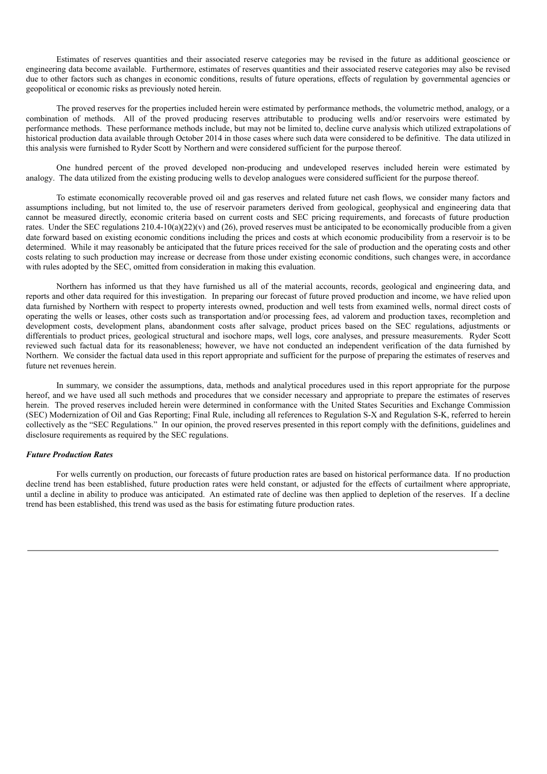Estimates of reserves quantities and their associated reserve categories may be revised in the future as additional geoscience or engineering data become available. Furthermore, estimates of reserves quantities and their associated reserve categories may also be revised due to other factors such as changes in economic conditions, results of future operations, effects of regulation by governmental agencies or geopolitical or economic risks as previously noted herein.

The proved reserves for the properties included herein were estimated by performance methods, the volumetric method, analogy, or a combination of methods. All of the proved producing reserves attributable to producing wells and/or reservoirs were estimated by performance methods. These performance methods include, but may not be limited to, decline curve analysis which utilized extrapolations of historical production data available through October 2014 in those cases where such data were considered to be definitive. The data utilized in this analysis were furnished to Ryder Scott by Northern and were considered sufficient for the purpose thereof.

One hundred percent of the proved developed non-producing and undeveloped reserves included herein were estimated by analogy. The data utilized from the existing producing wells to develop analogues were considered sufficient for the purpose thereof.

To estimate economically recoverable proved oil and gas reserves and related future net cash flows, we consider many factors and assumptions including, but not limited to, the use of reservoir parameters derived from geological, geophysical and engineering data that cannot be measured directly, economic criteria based on current costs and SEC pricing requirements, and forecasts of future production rates. Under the SEC regulations  $210.4-10(a)(22)(v)$  and (26), proved reserves must be anticipated to be economically producible from a given date forward based on existing economic conditions including the prices and costs at which economic producibility from a reservoir is to be determined. While it may reasonably be anticipated that the future prices received for the sale of production and the operating costs and other costs relating to such production may increase or decrease from those under existing economic conditions, such changes were, in accordance with rules adopted by the SEC, omitted from consideration in making this evaluation.

Northern has informed us that they have furnished us all of the material accounts, records, geological and engineering data, and reports and other data required for this investigation. In preparing our forecast of future proved production and income, we have relied upon data furnished by Northern with respect to property interests owned, production and well tests from examined wells, normal direct costs of operating the wells or leases, other costs such as transportation and/or processing fees, ad valorem and production taxes, recompletion and development costs, development plans, abandonment costs after salvage, product prices based on the SEC regulations, adjustments or differentials to product prices, geological structural and isochore maps, well logs, core analyses, and pressure measurements. Ryder Scott reviewed such factual data for its reasonableness; however, we have not conducted an independent verification of the data furnished by Northern. We consider the factual data used in this report appropriate and sufficient for the purpose of preparing the estimates of reserves and future net revenues herein.

In summary, we consider the assumptions, data, methods and analytical procedures used in this report appropriate for the purpose hereof, and we have used all such methods and procedures that we consider necessary and appropriate to prepare the estimates of reserves herein. The proved reserves included herein were determined in conformance with the United States Securities and Exchange Commission (SEC) Modernization of Oil and Gas Reporting; Final Rule, including all references to Regulation S-X and Regulation S-K, referred to herein collectively as the "SEC Regulations." In our opinion, the proved reserves presented in this report comply with the definitions, guidelines and disclosure requirements as required by the SEC regulations.

### *Future Production Rates*

For wells currently on production, our forecasts of future production rates are based on historical performance data. If no production decline trend has been established, future production rates were held constant, or adjusted for the effects of curtailment where appropriate, until a decline in ability to produce was anticipated. An estimated rate of decline was then applied to depletion of the reserves. If a decline trend has been established, this trend was used as the basis for estimating future production rates.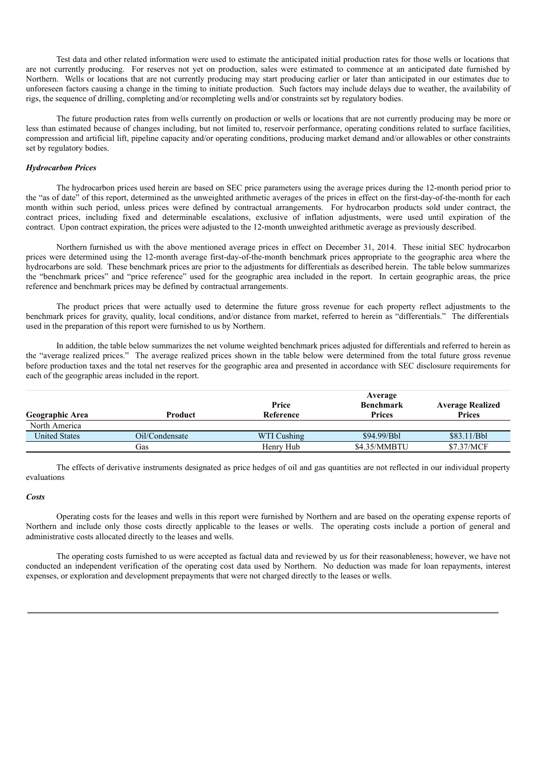Test data and other related information were used to estimate the anticipated initial production rates for those wells or locations that are not currently producing. For reserves not yet on production, sales were estimated to commence at an anticipated date furnished by Northern. Wells or locations that are not currently producing may start producing earlier or later than anticipated in our estimates due to unforeseen factors causing a change in the timing to initiate production. Such factors may include delays due to weather, the availability of rigs, the sequence of drilling, completing and/or recompleting wells and/or constraints set by regulatory bodies.

The future production rates from wells currently on production or wells or locations that are not currently producing may be more or less than estimated because of changes including, but not limited to, reservoir performance, operating conditions related to surface facilities, compression and artificial lift, pipeline capacity and/or operating conditions, producing market demand and/or allowables or other constraints set by regulatory bodies.

## *Hydrocarbon Prices*

The hydrocarbon prices used herein are based on SEC price parameters using the average prices during the 12-month period prior to the "as of date" of this report, determined as the unweighted arithmetic averages of the prices in effect on the first-day-of-the-month for each month within such period, unless prices were defined by contractual arrangements. For hydrocarbon products sold under contract, the contract prices, including fixed and determinable escalations, exclusive of inflation adjustments, were used until expiration of the contract. Upon contract expiration, the prices were adjusted to the 12-month unweighted arithmetic average as previously described.

Northern furnished us with the above mentioned average prices in effect on December 31, 2014. These initial SEC hydrocarbon prices were determined using the 12-month average first-day-of-the-month benchmark prices appropriate to the geographic area where the hydrocarbons are sold. These benchmark prices are prior to the adjustments for differentials as described herein. The table below summarizes the "benchmark prices" and "price reference" used for the geographic area included in the report. In certain geographic areas, the price reference and benchmark prices may be defined by contractual arrangements.

The product prices that were actually used to determine the future gross revenue for each property reflect adjustments to the benchmark prices for gravity, quality, local conditions, and/or distance from market, referred to herein as "differentials." The differentials used in the preparation of this report were furnished to us by Northern.

In addition, the table below summarizes the net volume weighted benchmark prices adjusted for differentials and referred to herein as the "average realized prices." The average realized prices shown in the table below were determined from the total future gross revenue before production taxes and the total net reserves for the geographic area and presented in accordance with SEC disclosure requirements for each of the geographic areas included in the report.

|                      |                | Average     |                  |                         |  |
|----------------------|----------------|-------------|------------------|-------------------------|--|
|                      |                | Price       | <b>Benchmark</b> | <b>Average Realized</b> |  |
| Geographic Area      | Product        | Reference   | <b>Prices</b>    | <b>Prices</b>           |  |
| North America        |                |             |                  |                         |  |
| <b>United States</b> | Oil/Condensate | WTI Cushing | \$94.99/Bbl      | \$83.11/Bbl             |  |
|                      | Gas            | Henry Hub   | \$4.35/MMBTU     | \$7.37/MCF              |  |

The effects of derivative instruments designated as price hedges of oil and gas quantities are not reflected in our individual property evaluations

#### *Costs*

Operating costs for the leases and wells in this report were furnished by Northern and are based on the operating expense reports of Northern and include only those costs directly applicable to the leases or wells. The operating costs include a portion of general and administrative costs allocated directly to the leases and wells.

The operating costs furnished to us were accepted as factual data and reviewed by us for their reasonableness; however, we have not conducted an independent verification of the operating cost data used by Northern. No deduction was made for loan repayments, interest expenses, or exploration and development prepayments that were not charged directly to the leases or wells.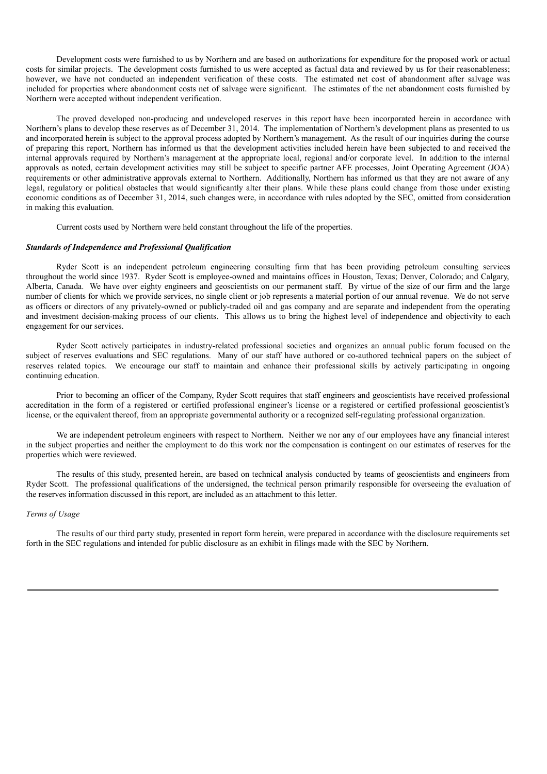Development costs were furnished to us by Northern and are based on authorizations for expenditure for the proposed work or actual costs for similar projects. The development costs furnished to us were accepted as factual data and reviewed by us for their reasonableness; however, we have not conducted an independent verification of these costs. The estimated net cost of abandonment after salvage was included for properties where abandonment costs net of salvage were significant. The estimates of the net abandonment costs furnished by Northern were accepted without independent verification.

The proved developed non-producing and undeveloped reserves in this report have been incorporated herein in accordance with Northern's plans to develop these reserves as of December 31, 2014. The implementation of Northern's development plans as presented to us and incorporated herein is subject to the approval process adopted by Northern's management. As the result of our inquiries during the course of preparing this report, Northern has informed us that the development activities included herein have been subjected to and received the internal approvals required by Northern's management at the appropriate local, regional and/or corporate level. In addition to the internal approvals as noted, certain development activities may still be subject to specific partner AFE processes, Joint Operating Agreement (JOA) requirements or other administrative approvals external to Northern. Additionally, Northern has informed us that they are not aware of any legal, regulatory or political obstacles that would significantly alter their plans. While these plans could change from those under existing economic conditions as of December 31, 2014, such changes were, in accordance with rules adopted by the SEC, omitted from consideration in making this evaluation.

Current costs used by Northern were held constant throughout the life of the properties.

#### *Standards of Independence and Professional Qualification*

Ryder Scott is an independent petroleum engineering consulting firm that has been providing petroleum consulting services throughout the world since 1937. Ryder Scott is employee-owned and maintains offices in Houston, Texas; Denver, Colorado; and Calgary, Alberta, Canada. We have over eighty engineers and geoscientists on our permanent staff. By virtue of the size of our firm and the large number of clients for which we provide services, no single client or job represents a material portion of our annual revenue. We do not serve as officers or directors of any privately-owned or publicly-traded oil and gas company and are separate and independent from the operating and investment decision-making process of our clients. This allows us to bring the highest level of independence and objectivity to each engagement for our services.

Ryder Scott actively participates in industry-related professional societies and organizes an annual public forum focused on the subject of reserves evaluations and SEC regulations. Many of our staff have authored or co-authored technical papers on the subject of reserves related topics. We encourage our staff to maintain and enhance their professional skills by actively participating in ongoing continuing education.

Prior to becoming an officer of the Company, Ryder Scott requires that staff engineers and geoscientists have received professional accreditation in the form of a registered or certified professional engineer's license or a registered or certified professional geoscientist's license, or the equivalent thereof, from an appropriate governmental authority or a recognized self-regulating professional organization.

We are independent petroleum engineers with respect to Northern. Neither we nor any of our employees have any financial interest in the subject properties and neither the employment to do this work nor the compensation is contingent on our estimates of reserves for the properties which were reviewed.

The results of this study, presented herein, are based on technical analysis conducted by teams of geoscientists and engineers from Ryder Scott. The professional qualifications of the undersigned, the technical person primarily responsible for overseeing the evaluation of the reserves information discussed in this report, are included as an attachment to this letter.

## *Terms of Usage*

The results of our third party study, presented in report form herein, were prepared in accordance with the disclosure requirements set forth in the SEC regulations and intended for public disclosure as an exhibit in filings made with the SEC by Northern.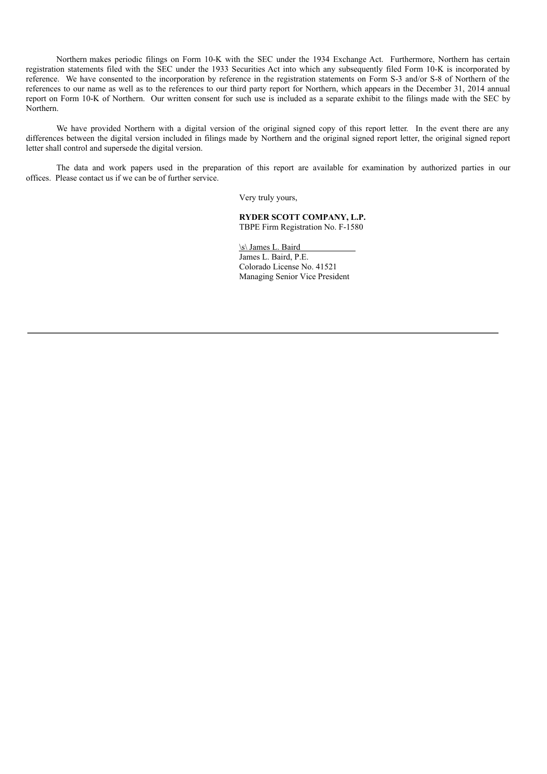Northern makes periodic filings on Form 10-K with the SEC under the 1934 Exchange Act. Furthermore, Northern has certain registration statements filed with the SEC under the 1933 Securities Act into which any subsequently filed Form 10-K is incorporated by reference. We have consented to the incorporation by reference in the registration statements on Form S-3 and/or S-8 of Northern of the references to our name as well as to the references to our third party report for Northern, which appears in the December 31, 2014 annual report on Form 10-K of Northern. Our written consent for such use is included as a separate exhibit to the filings made with the SEC by Northern.

We have provided Northern with a digital version of the original signed copy of this report letter. In the event there are any differences between the digital version included in filings made by Northern and the original signed report letter, the original signed report letter shall control and supersede the digital version.

The data and work papers used in the preparation of this report are available for examination by authorized parties in our offices. Please contact us if we can be of further service.

Very truly yours,

**RYDER SCOTT COMPANY, L.P.** TBPE Firm Registration No. F-1580

\s\ James L. Baird James L. Baird, P.E. Colorado License No. 41521 Managing Senior Vice President